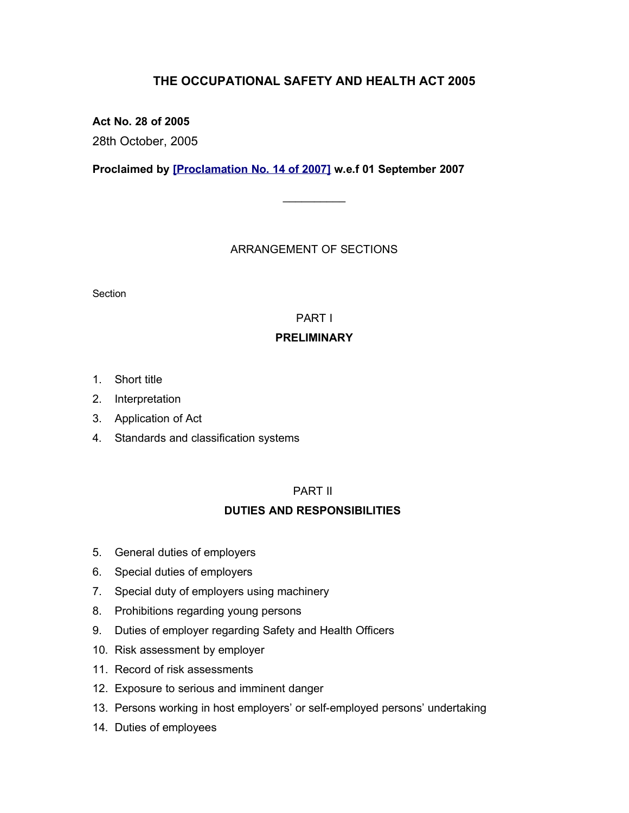# **THE OCCUPATIONAL SAFETY AND HEALTH ACT 2005**

**Act No. 28 of 2005**

28th October, 2005

**Proclaimed by [\[Proclamation No. 14 of 2007\]](http://www.gov.mu/scourt/doc/showDoc.do?dk=Proclamation%20No.%2014%20of%202007&dt=A) w.e.f 01 September 2007**

# ARRANGEMENT OF SECTIONS

 $\mathcal{L}$  . The set of  $\mathcal{L}$ 

**Section** 

# PART I

# **PRELIMINARY**

- 1. Short title
- 2. Interpretation
- 3. Application of Act
- 4. Standards and classification systems

# PART II

# **DUTIES AND RESPONSIBILITIES**

- 5. General duties of employers
- 6. Special duties of employers
- 7. Special duty of employers using machinery
- 8. Prohibitions regarding young persons
- 9. Duties of employer regarding Safety and Health Officers
- 10. Risk assessment by employer
- 11. Record of risk assessments
- 12. Exposure to serious and imminent danger
- 13. Persons working in host employers' or self-employed persons' undertaking
- 14. Duties of employees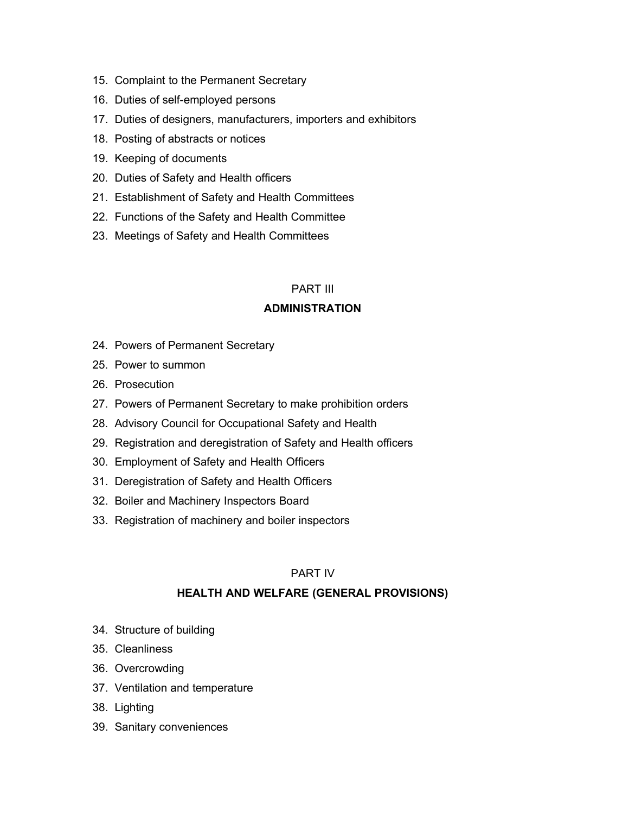- 15. Complaint to the Permanent Secretary
- 16. Duties of self-employed persons
- 17. Duties of designers, manufacturers, importers and exhibitors
- 18. Posting of abstracts or notices
- 19. Keeping of documents
- 20. Duties of Safety and Health officers
- 21. Establishment of Safety and Health Committees
- 22. Functions of the Safety and Health Committee
- 23. Meetings of Safety and Health Committees

# PART III

#### **ADMINISTRATION**

- 24. Powers of Permanent Secretary
- 25. Power to summon
- 26. Prosecution
- 27. Powers of Permanent Secretary to make prohibition orders
- 28. Advisory Council for Occupational Safety and Health
- 29. Registration and deregistration of Safety and Health officers
- 30. Employment of Safety and Health Officers
- 31. Deregistration of Safety and Health Officers
- 32. Boiler and Machinery Inspectors Board
- 33. Registration of machinery and boiler inspectors

#### PART IV

## **HEALTH AND WELFARE (GENERAL PROVISIONS)**

- 34. Structure of building
- 35. Cleanliness
- 36. Overcrowding
- 37. Ventilation and temperature
- 38. Lighting
- 39. Sanitary conveniences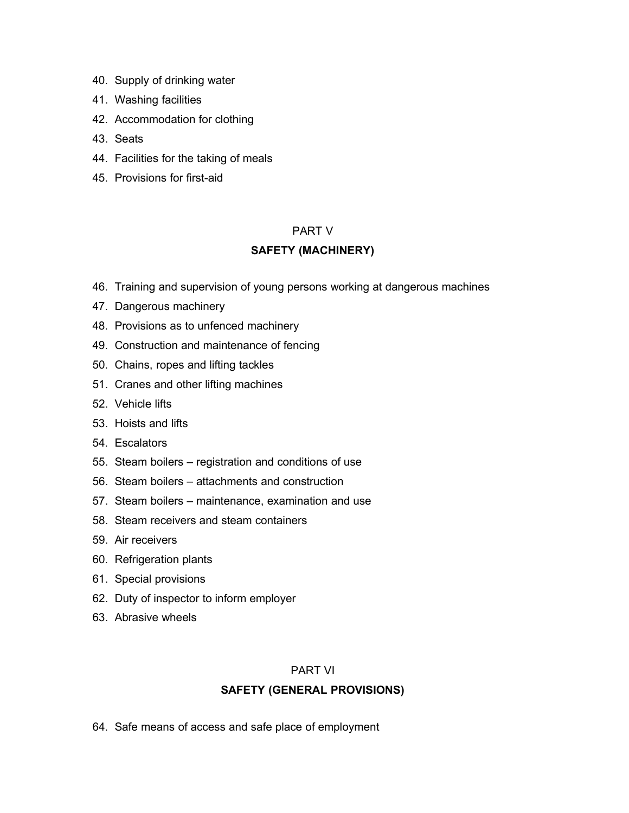- 40. Supply of drinking water
- 41. Washing facilities
- 42. Accommodation for clothing
- 43. Seats
- 44. Facilities for the taking of meals
- 45. Provisions for first-aid

## PART V

# **SAFETY (MACHINERY)**

- 46. Training and supervision of young persons working at dangerous machines
- 47. Dangerous machinery
- 48. Provisions as to unfenced machinery
- 49. Construction and maintenance of fencing
- 50. Chains, ropes and lifting tackles
- 51. Cranes and other lifting machines
- 52. Vehicle lifts
- 53. Hoists and lifts
- 54. Escalators
- 55. Steam boilers registration and conditions of use
- 56. Steam boilers attachments and construction
- 57. Steam boilers maintenance, examination and use
- 58. Steam receivers and steam containers
- 59. Air receivers
- 60. Refrigeration plants
- 61. Special provisions
- 62. Duty of inspector to inform employer
- 63. Abrasive wheels

#### PART VI

## **SAFETY (GENERAL PROVISIONS)**

64. Safe means of access and safe place of employment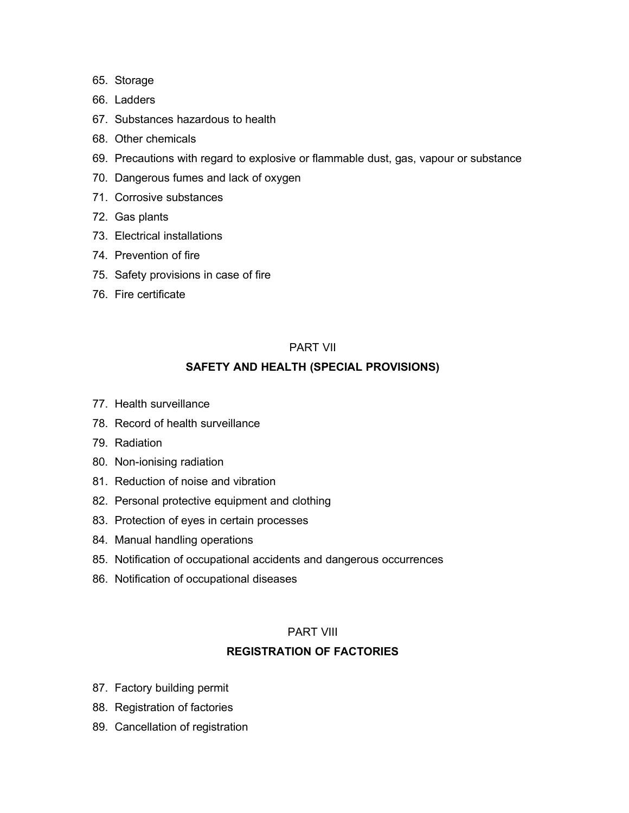- 65. Storage
- 66. Ladders
- 67. Substances hazardous to health
- 68. Other chemicals
- 69. Precautions with regard to explosive or flammable dust, gas, vapour or substance
- 70. Dangerous fumes and lack of oxygen
- 71. Corrosive substances
- 72. Gas plants
- 73. Electrical installations
- 74. Prevention of fire
- 75. Safety provisions in case of fire
- 76. Fire certificate

## PART VII

# **SAFETY AND HEALTH (SPECIAL PROVISIONS)**

- 77. Health surveillance
- 78. Record of health surveillance
- 79. Radiation
- 80. Non-ionising radiation
- 81. Reduction of noise and vibration
- 82. Personal protective equipment and clothing
- 83. Protection of eyes in certain processes
- 84. Manual handling operations
- 85. Notification of occupational accidents and dangerous occurrences
- 86. Notification of occupational diseases

## PART VIII

# **REGISTRATION OF FACTORIES**

- 87. Factory building permit
- 88. Registration of factories
- 89. Cancellation of registration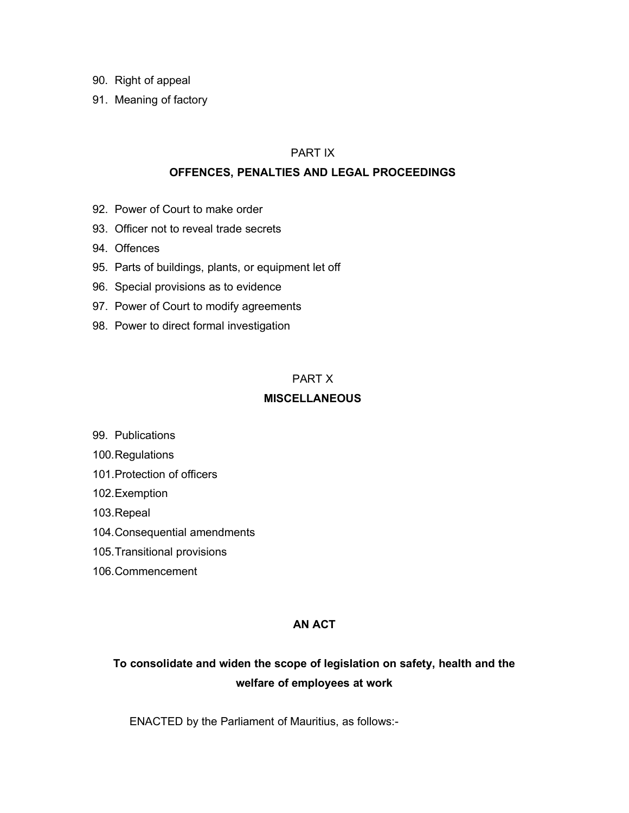- 90. Right of appeal
- 91. Meaning of factory

#### PART IX

#### **OFFENCES, PENALTIES AND LEGAL PROCEEDINGS**

- 92. Power of Court to make order
- 93. Officer not to reveal trade secrets
- 94. Offences
- 95. Parts of buildings, plants, or equipment let off
- 96. Special provisions as to evidence
- 97. Power of Court to modify agreements
- 98. Power to direct formal investigation

## PART X

## **MISCELLANEOUS**

- 99. Publications
- 100.Regulations
- 101.Protection of officers
- 102.Exemption
- 103.Repeal
- 104.Consequential amendments
- 105.Transitional provisions
- 106.Commencement

## **AN ACT**

# **To consolidate and widen the scope of legislation on safety, health and the welfare of employees at work**

ENACTED by the Parliament of Mauritius, as follows:-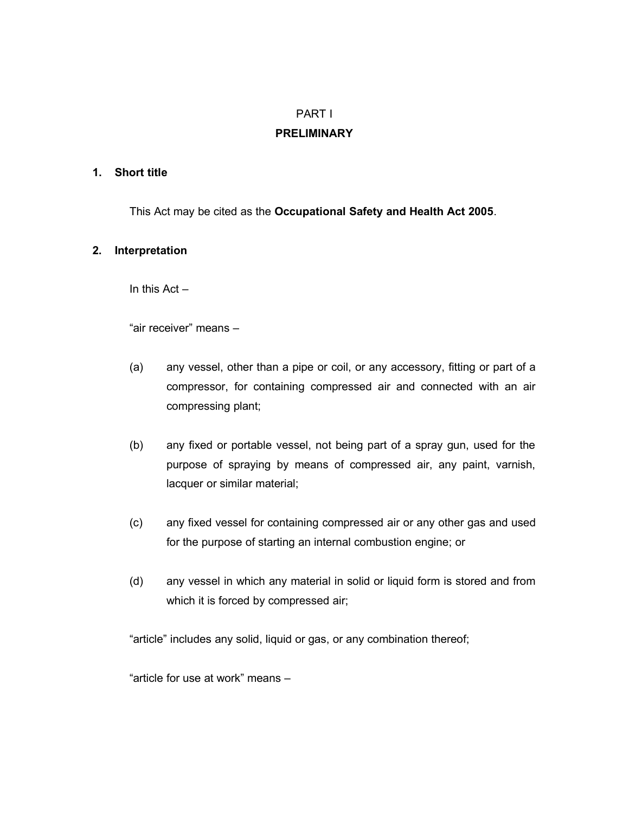# PART I

## **PRELIMINARY**

#### **1. Short title**

This Act may be cited as the **Occupational Safety and Health Act 2005**.

## **2. Interpretation**

In this  $Act -$ 

"air receiver" means –

- (a) any vessel, other than a pipe or coil, or any accessory, fitting or part of a compressor, for containing compressed air and connected with an air compressing plant;
- (b) any fixed or portable vessel, not being part of a spray gun, used for the purpose of spraying by means of compressed air, any paint, varnish, lacquer or similar material;
- (c) any fixed vessel for containing compressed air or any other gas and used for the purpose of starting an internal combustion engine; or
- (d) any vessel in which any material in solid or liquid form is stored and from which it is forced by compressed air;

"article" includes any solid, liquid or gas, or any combination thereof;

"article for use at work" means –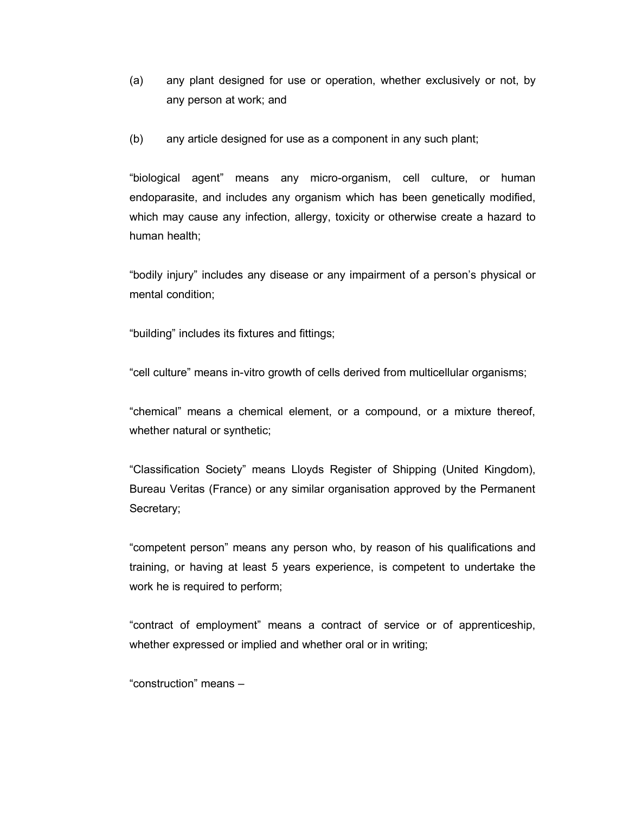- (a) any plant designed for use or operation, whether exclusively or not, by any person at work; and
- (b) any article designed for use as a component in any such plant;

"biological agent" means any micro-organism, cell culture, or human endoparasite, and includes any organism which has been genetically modified, which may cause any infection, allergy, toxicity or otherwise create a hazard to human health;

"bodily injury" includes any disease or any impairment of a person's physical or mental condition;

"building" includes its fixtures and fittings;

"cell culture" means in-vitro growth of cells derived from multicellular organisms;

"chemical" means a chemical element, or a compound, or a mixture thereof, whether natural or synthetic;

"Classification Society" means Lloyds Register of Shipping (United Kingdom), Bureau Veritas (France) or any similar organisation approved by the Permanent Secretary;

"competent person" means any person who, by reason of his qualifications and training, or having at least 5 years experience, is competent to undertake the work he is required to perform;

"contract of employment" means a contract of service or of apprenticeship, whether expressed or implied and whether oral or in writing;

"construction" means –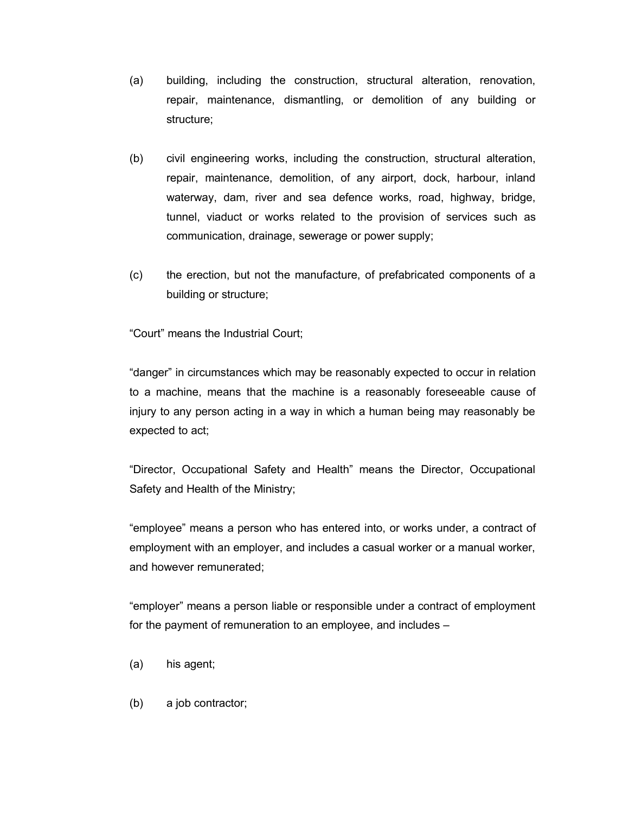- (a) building, including the construction, structural alteration, renovation, repair, maintenance, dismantling, or demolition of any building or structure;
- (b) civil engineering works, including the construction, structural alteration, repair, maintenance, demolition, of any airport, dock, harbour, inland waterway, dam, river and sea defence works, road, highway, bridge, tunnel, viaduct or works related to the provision of services such as communication, drainage, sewerage or power supply;
- (c) the erection, but not the manufacture, of prefabricated components of a building or structure;

"Court" means the Industrial Court;

"danger" in circumstances which may be reasonably expected to occur in relation to a machine, means that the machine is a reasonably foreseeable cause of injury to any person acting in a way in which a human being may reasonably be expected to act;

"Director, Occupational Safety and Health" means the Director, Occupational Safety and Health of the Ministry;

"employee" means a person who has entered into, or works under, a contract of employment with an employer, and includes a casual worker or a manual worker, and however remunerated;

"employer" means a person liable or responsible under a contract of employment for the payment of remuneration to an employee, and includes –

- (a) his agent;
- (b) a job contractor;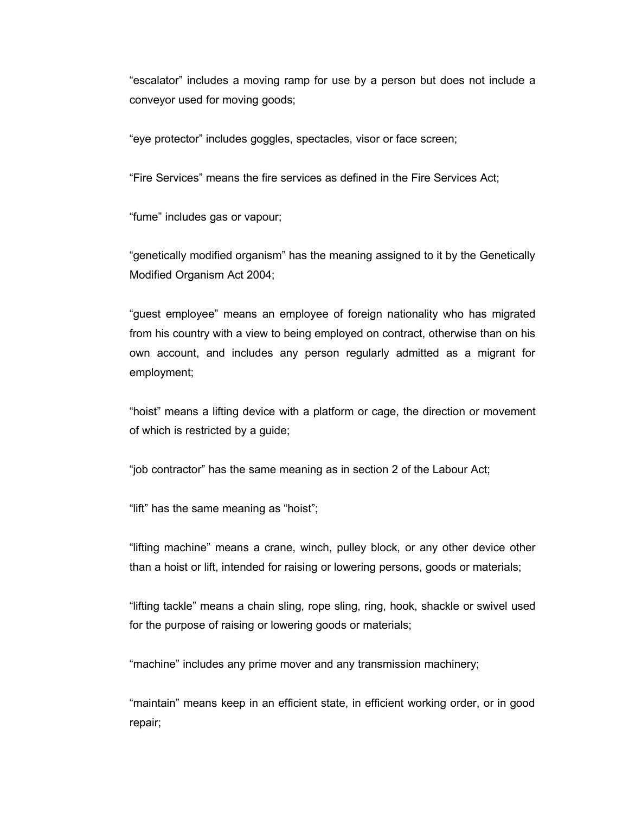"escalator" includes a moving ramp for use by a person but does not include a conveyor used for moving goods;

"eye protector" includes goggles, spectacles, visor or face screen;

"Fire Services" means the fire services as defined in the Fire Services Act;

"fume" includes gas or vapour;

"genetically modified organism" has the meaning assigned to it by the Genetically Modified Organism Act 2004;

"guest employee" means an employee of foreign nationality who has migrated from his country with a view to being employed on contract, otherwise than on his own account, and includes any person regularly admitted as a migrant for employment;

"hoist" means a lifting device with a platform or cage, the direction or movement of which is restricted by a guide;

"job contractor" has the same meaning as in section 2 of the Labour Act;

"lift" has the same meaning as "hoist";

"lifting machine" means a crane, winch, pulley block, or any other device other than a hoist or lift, intended for raising or lowering persons, goods or materials;

"lifting tackle" means a chain sling, rope sling, ring, hook, shackle or swivel used for the purpose of raising or lowering goods or materials;

"machine" includes any prime mover and any transmission machinery;

"maintain" means keep in an efficient state, in efficient working order, or in good repair;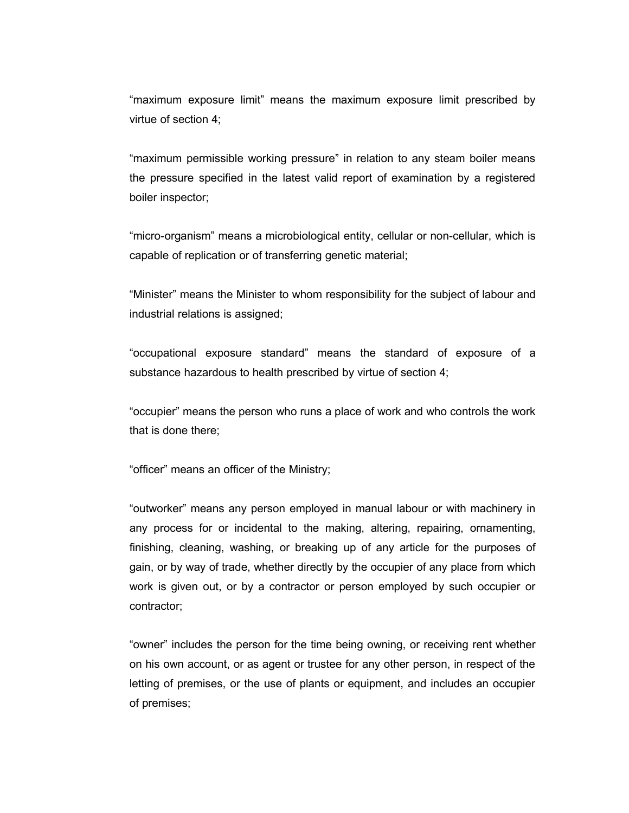"maximum exposure limit" means the maximum exposure limit prescribed by virtue of section 4;

"maximum permissible working pressure" in relation to any steam boiler means the pressure specified in the latest valid report of examination by a registered boiler inspector;

"micro-organism" means a microbiological entity, cellular or non-cellular, which is capable of replication or of transferring genetic material;

"Minister" means the Minister to whom responsibility for the subject of labour and industrial relations is assigned;

"occupational exposure standard" means the standard of exposure of a substance hazardous to health prescribed by virtue of section 4;

"occupier" means the person who runs a place of work and who controls the work that is done there;

"officer" means an officer of the Ministry;

"outworker" means any person employed in manual labour or with machinery in any process for or incidental to the making, altering, repairing, ornamenting, finishing, cleaning, washing, or breaking up of any article for the purposes of gain, or by way of trade, whether directly by the occupier of any place from which work is given out, or by a contractor or person employed by such occupier or contractor;

"owner" includes the person for the time being owning, or receiving rent whether on his own account, or as agent or trustee for any other person, in respect of the letting of premises, or the use of plants or equipment, and includes an occupier of premises;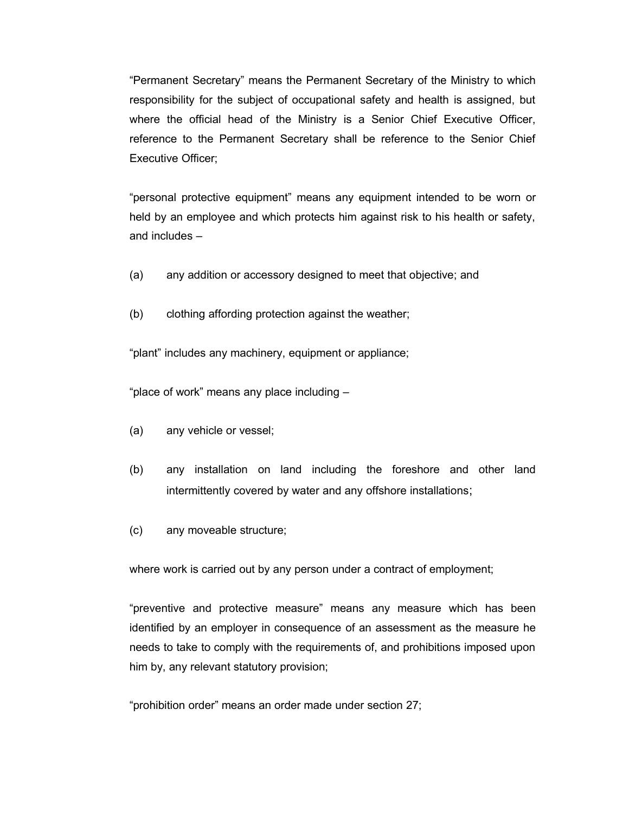"Permanent Secretary" means the Permanent Secretary of the Ministry to which responsibility for the subject of occupational safety and health is assigned, but where the official head of the Ministry is a Senior Chief Executive Officer, reference to the Permanent Secretary shall be reference to the Senior Chief Executive Officer;

"personal protective equipment" means any equipment intended to be worn or held by an employee and which protects him against risk to his health or safety, and includes –

- (a) any addition or accessory designed to meet that objective; and
- (b) clothing affording protection against the weather;

"plant" includes any machinery, equipment or appliance;

"place of work" means any place including –

- (a) any vehicle or vessel;
- (b) any installation on land including the foreshore and other land intermittently covered by water and any offshore installations;
- (c) any moveable structure;

where work is carried out by any person under a contract of employment;

"preventive and protective measure" means any measure which has been identified by an employer in consequence of an assessment as the measure he needs to take to comply with the requirements of, and prohibitions imposed upon him by, any relevant statutory provision;

"prohibition order" means an order made under section 27;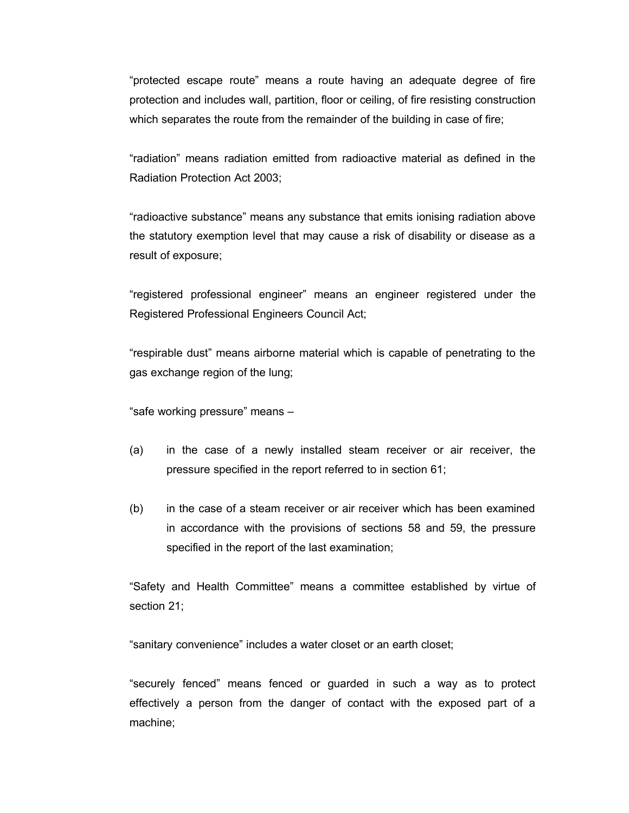"protected escape route" means a route having an adequate degree of fire protection and includes wall, partition, floor or ceiling, of fire resisting construction which separates the route from the remainder of the building in case of fire;

"radiation" means radiation emitted from radioactive material as defined in the Radiation Protection Act 2003;

"radioactive substance" means any substance that emits ionising radiation above the statutory exemption level that may cause a risk of disability or disease as a result of exposure;

"registered professional engineer" means an engineer registered under the Registered Professional Engineers Council Act;

"respirable dust" means airborne material which is capable of penetrating to the gas exchange region of the lung;

"safe working pressure" means –

- (a) in the case of a newly installed steam receiver or air receiver, the pressure specified in the report referred to in section 61;
- (b) in the case of a steam receiver or air receiver which has been examined in accordance with the provisions of sections 58 and 59, the pressure specified in the report of the last examination;

"Safety and Health Committee" means a committee established by virtue of section 21;

"sanitary convenience" includes a water closet or an earth closet;

"securely fenced" means fenced or guarded in such a way as to protect effectively a person from the danger of contact with the exposed part of a machine;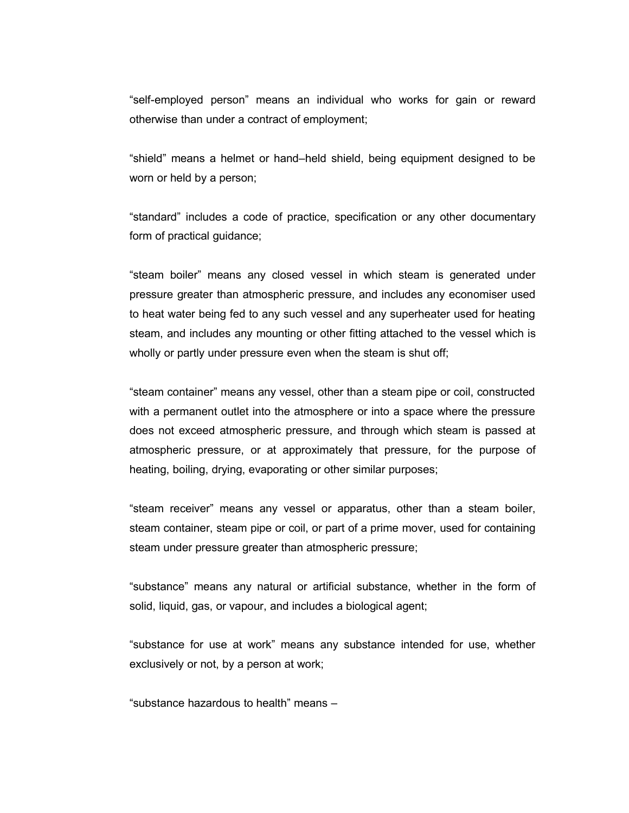"self-employed person" means an individual who works for gain or reward otherwise than under a contract of employment;

"shield" means a helmet or hand–held shield, being equipment designed to be worn or held by a person;

"standard" includes a code of practice, specification or any other documentary form of practical guidance;

"steam boiler" means any closed vessel in which steam is generated under pressure greater than atmospheric pressure, and includes any economiser used to heat water being fed to any such vessel and any superheater used for heating steam, and includes any mounting or other fitting attached to the vessel which is wholly or partly under pressure even when the steam is shut off;

"steam container" means any vessel, other than a steam pipe or coil, constructed with a permanent outlet into the atmosphere or into a space where the pressure does not exceed atmospheric pressure, and through which steam is passed at atmospheric pressure, or at approximately that pressure, for the purpose of heating, boiling, drying, evaporating or other similar purposes;

"steam receiver" means any vessel or apparatus, other than a steam boiler, steam container, steam pipe or coil, or part of a prime mover, used for containing steam under pressure greater than atmospheric pressure;

"substance" means any natural or artificial substance, whether in the form of solid, liquid, gas, or vapour, and includes a biological agent;

"substance for use at work" means any substance intended for use, whether exclusively or not, by a person at work;

"substance hazardous to health" means –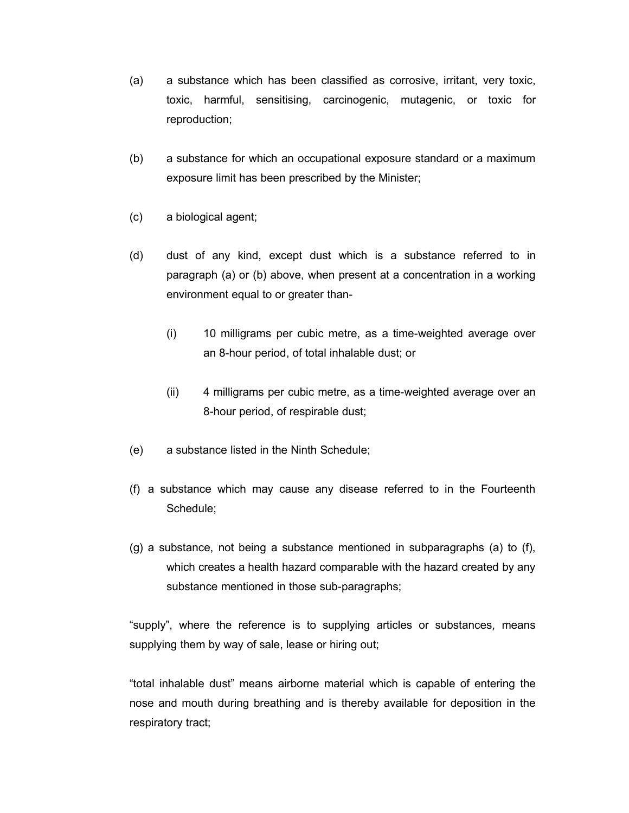- (a) a substance which has been classified as corrosive, irritant, very toxic, toxic, harmful, sensitising, carcinogenic, mutagenic, or toxic for reproduction;
- (b) a substance for which an occupational exposure standard or a maximum exposure limit has been prescribed by the Minister;
- (c) a biological agent;
- (d) dust of any kind, except dust which is a substance referred to in paragraph (a) or (b) above, when present at a concentration in a working environment equal to or greater than-
	- (i) 10 milligrams per cubic metre, as a time-weighted average over an 8-hour period, of total inhalable dust; or
	- (ii) 4 milligrams per cubic metre, as a time-weighted average over an 8-hour period, of respirable dust;
- (e) a substance listed in the Ninth Schedule;
- (f) a substance which may cause any disease referred to in the Fourteenth Schedule;
- (g) a substance, not being a substance mentioned in subparagraphs (a) to (f), which creates a health hazard comparable with the hazard created by any substance mentioned in those sub-paragraphs;

"supply", where the reference is to supplying articles or substances, means supplying them by way of sale, lease or hiring out;

"total inhalable dust" means airborne material which is capable of entering the nose and mouth during breathing and is thereby available for deposition in the respiratory tract;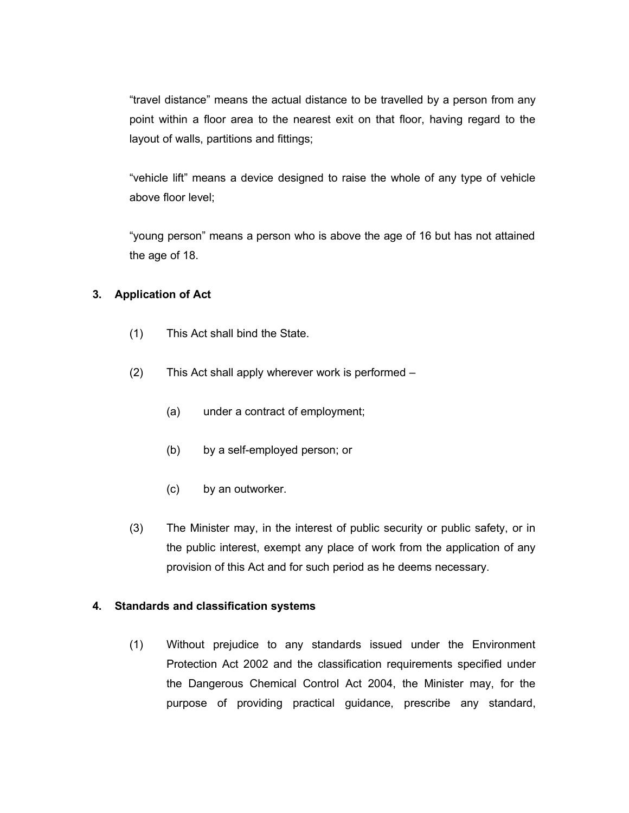"travel distance" means the actual distance to be travelled by a person from any point within a floor area to the nearest exit on that floor, having regard to the layout of walls, partitions and fittings;

"vehicle lift" means a device designed to raise the whole of any type of vehicle above floor level;

"young person" means a person who is above the age of 16 but has not attained the age of 18.

## **3. Application of Act**

- (1) This Act shall bind the State.
- (2) This Act shall apply wherever work is performed
	- (a) under a contract of employment;
	- (b) by a self-employed person; or
	- (c) by an outworker.
- (3) The Minister may, in the interest of public security or public safety, or in the public interest, exempt any place of work from the application of any provision of this Act and for such period as he deems necessary.

## **4. Standards and classification systems**

(1) Without prejudice to any standards issued under the Environment Protection Act 2002 and the classification requirements specified under the Dangerous Chemical Control Act 2004, the Minister may, for the purpose of providing practical guidance, prescribe any standard,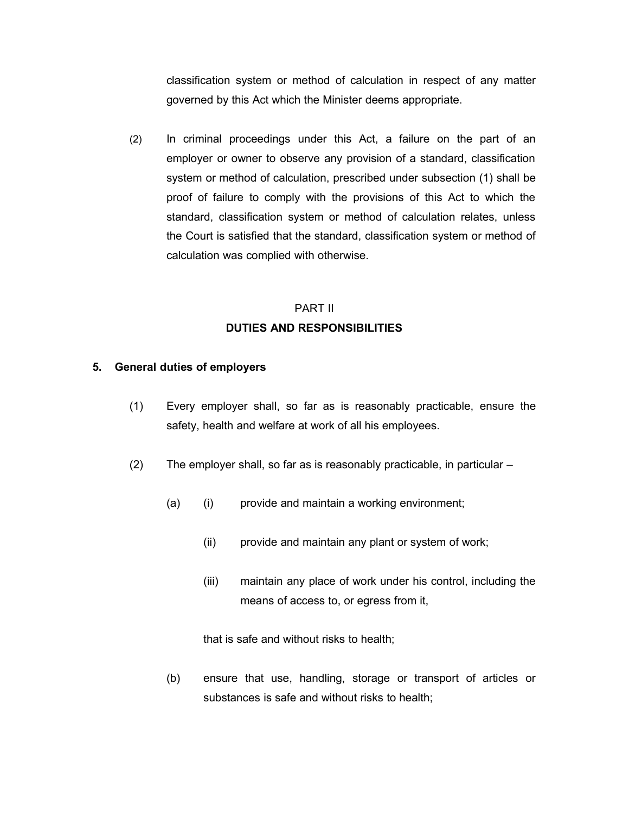classification system or method of calculation in respect of any matter governed by this Act which the Minister deems appropriate.

(2) In criminal proceedings under this Act, a failure on the part of an employer or owner to observe any provision of a standard, classification system or method of calculation, prescribed under subsection (1) shall be proof of failure to comply with the provisions of this Act to which the standard, classification system or method of calculation relates, unless the Court is satisfied that the standard, classification system or method of calculation was complied with otherwise.

# PART II **DUTIES AND RESPONSIBILITIES**

#### **5. General duties of employers**

- (1) Every employer shall, so far as is reasonably practicable, ensure the safety, health and welfare at work of all his employees.
- (2) The employer shall, so far as is reasonably practicable, in particular
	- (a) (i) provide and maintain a working environment;
		- (ii) provide and maintain any plant or system of work;
		- (iii) maintain any place of work under his control, including the means of access to, or egress from it,

that is safe and without risks to health;

(b) ensure that use, handling, storage or transport of articles or substances is safe and without risks to health;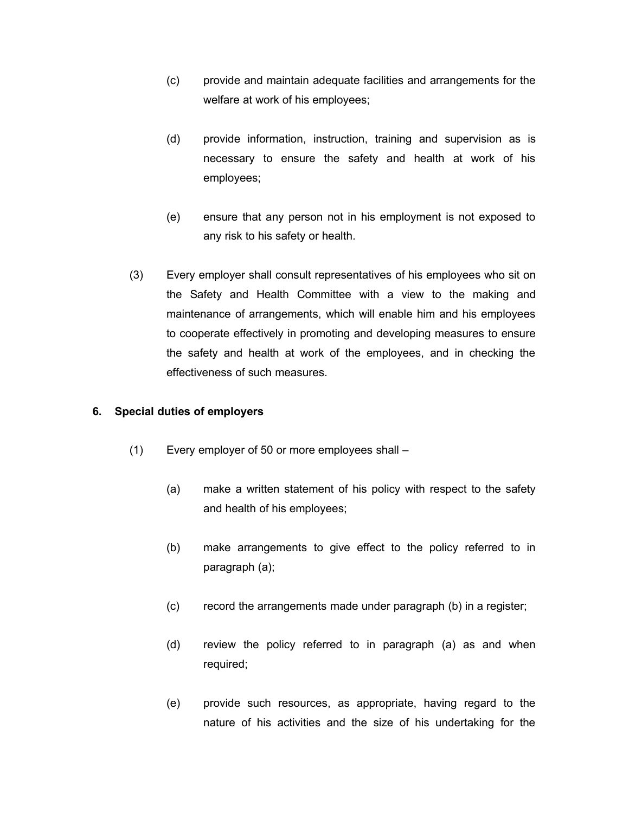- (c) provide and maintain adequate facilities and arrangements for the welfare at work of his employees;
- (d) provide information, instruction, training and supervision as is necessary to ensure the safety and health at work of his employees;
- (e) ensure that any person not in his employment is not exposed to any risk to his safety or health.
- (3) Every employer shall consult representatives of his employees who sit on the Safety and Health Committee with a view to the making and maintenance of arrangements, which will enable him and his employees to cooperate effectively in promoting and developing measures to ensure the safety and health at work of the employees, and in checking the effectiveness of such measures.

#### **6. Special duties of employers**

- (1) Every employer of 50 or more employees shall
	- (a) make a written statement of his policy with respect to the safety and health of his employees;
	- (b) make arrangements to give effect to the policy referred to in paragraph (a);
	- (c) record the arrangements made under paragraph (b) in a register;
	- (d) review the policy referred to in paragraph (a) as and when required;
	- (e) provide such resources, as appropriate, having regard to the nature of his activities and the size of his undertaking for the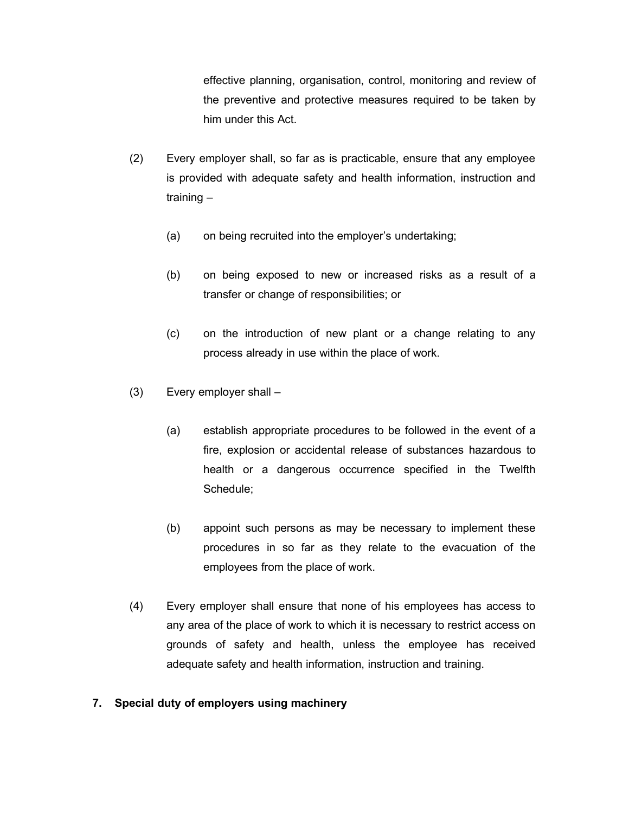effective planning, organisation, control, monitoring and review of the preventive and protective measures required to be taken by him under this Act.

- (2) Every employer shall, so far as is practicable, ensure that any employee is provided with adequate safety and health information, instruction and training –
	- (a) on being recruited into the employer's undertaking;
	- (b) on being exposed to new or increased risks as a result of a transfer or change of responsibilities; or
	- (c) on the introduction of new plant or a change relating to any process already in use within the place of work.
- (3) Every employer shall
	- (a) establish appropriate procedures to be followed in the event of a fire, explosion or accidental release of substances hazardous to health or a dangerous occurrence specified in the Twelfth Schedule;
	- (b) appoint such persons as may be necessary to implement these procedures in so far as they relate to the evacuation of the employees from the place of work.
- (4) Every employer shall ensure that none of his employees has access to any area of the place of work to which it is necessary to restrict access on grounds of safety and health, unless the employee has received adequate safety and health information, instruction and training.

## **7. Special duty of employers using machinery**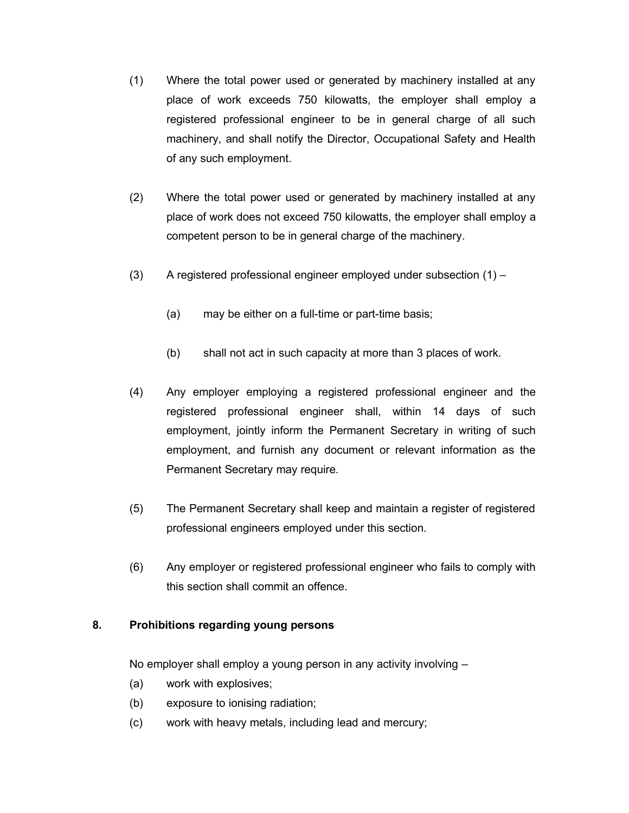- (1) Where the total power used or generated by machinery installed at any place of work exceeds 750 kilowatts, the employer shall employ a registered professional engineer to be in general charge of all such machinery, and shall notify the Director, Occupational Safety and Health of any such employment.
- (2) Where the total power used or generated by machinery installed at any place of work does not exceed 750 kilowatts, the employer shall employ a competent person to be in general charge of the machinery.
- (3) A registered professional engineer employed under subsection (1)
	- (a) may be either on a full-time or part-time basis;
	- (b) shall not act in such capacity at more than 3 places of work.
- (4) Any employer employing a registered professional engineer and the registered professional engineer shall, within 14 days of such employment, jointly inform the Permanent Secretary in writing of such employment, and furnish any document or relevant information as the Permanent Secretary may require.
- (5) The Permanent Secretary shall keep and maintain a register of registered professional engineers employed under this section.
- (6) Any employer or registered professional engineer who fails to comply with this section shall commit an offence.

# **8. Prohibitions regarding young persons**

No employer shall employ a young person in any activity involving –

- (a) work with explosives;
- (b) exposure to ionising radiation;
- (c) work with heavy metals, including lead and mercury;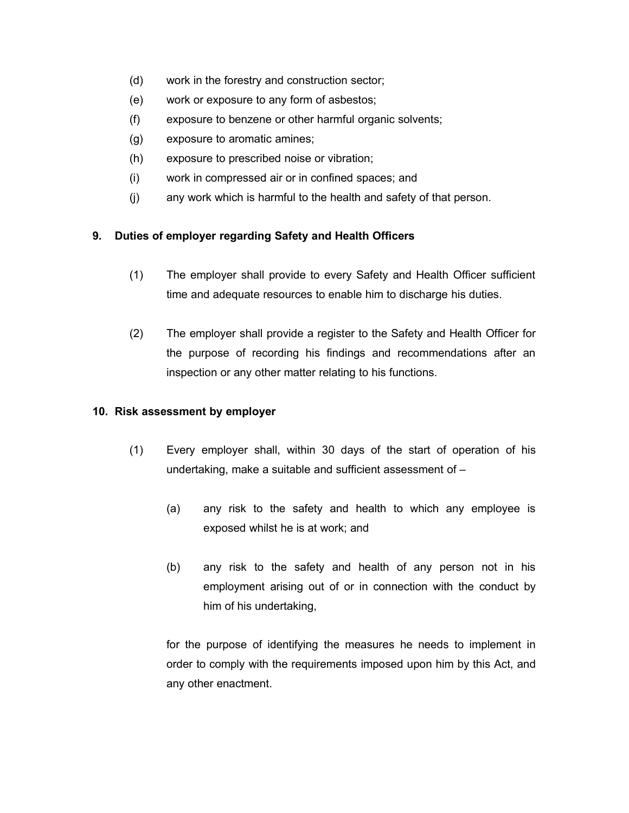- (d) work in the forestry and construction sector;
- (e) work or exposure to any form of asbestos;
- (f) exposure to benzene or other harmful organic solvents;
- (g) exposure to aromatic amines;
- (h) exposure to prescribed noise or vibration;
- (i) work in compressed air or in confined spaces; and
- (j) any work which is harmful to the health and safety of that person.

# **9. Duties of employer regarding Safety and Health Officers**

- (1) The employer shall provide to every Safety and Health Officer sufficient time and adequate resources to enable him to discharge his duties.
- (2) The employer shall provide a register to the Safety and Health Officer for the purpose of recording his findings and recommendations after an inspection or any other matter relating to his functions.

## **10. Risk assessment by employer**

- (1) Every employer shall, within 30 days of the start of operation of his undertaking, make a suitable and sufficient assessment of –
	- (a) any risk to the safety and health to which any employee is exposed whilst he is at work; and
	- (b) any risk to the safety and health of any person not in his employment arising out of or in connection with the conduct by him of his undertaking,

for the purpose of identifying the measures he needs to implement in order to comply with the requirements imposed upon him by this Act, and any other enactment.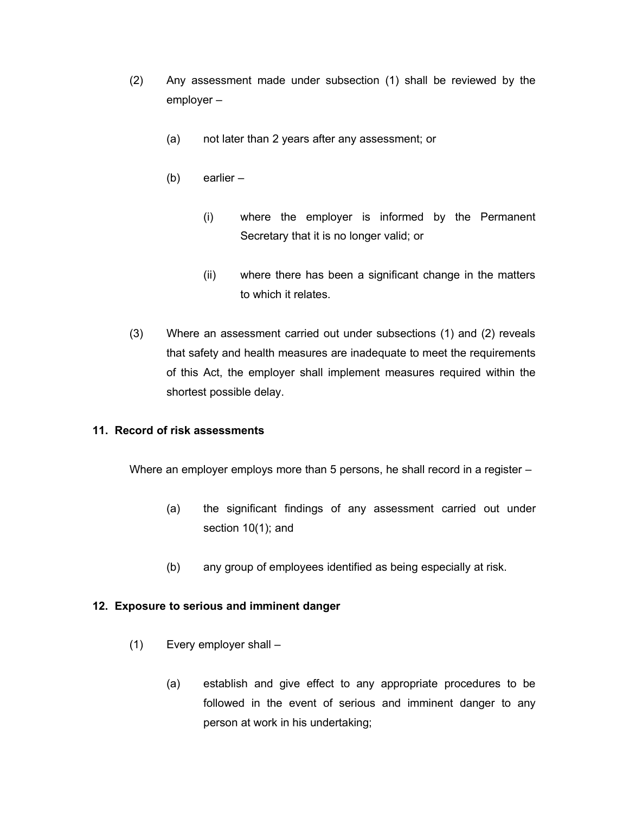- (2) Any assessment made under subsection (1) shall be reviewed by the employer –
	- (a) not later than 2 years after any assessment; or
	- (b) earlier
		- (i) where the employer is informed by the Permanent Secretary that it is no longer valid; or
		- (ii) where there has been a significant change in the matters to which it relates.
- (3) Where an assessment carried out under subsections (1) and (2) reveals that safety and health measures are inadequate to meet the requirements of this Act, the employer shall implement measures required within the shortest possible delay.

#### **11. Record of risk assessments**

Where an employer employs more than 5 persons, he shall record in a register –

- (a) the significant findings of any assessment carried out under section 10(1); and
- (b) any group of employees identified as being especially at risk.

#### **12. Exposure to serious and imminent danger**

- (1) Every employer shall
	- (a) establish and give effect to any appropriate procedures to be followed in the event of serious and imminent danger to any person at work in his undertaking;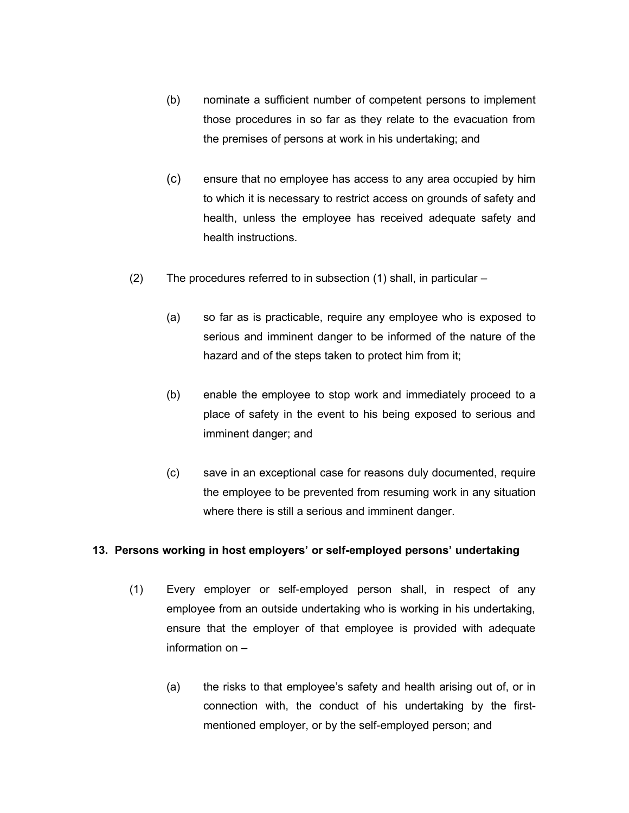- (b) nominate a sufficient number of competent persons to implement those procedures in so far as they relate to the evacuation from the premises of persons at work in his undertaking; and
- (c) ensure that no employee has access to any area occupied by him to which it is necessary to restrict access on grounds of safety and health, unless the employee has received adequate safety and health instructions.
- (2) The procedures referred to in subsection (1) shall, in particular
	- (a) so far as is practicable, require any employee who is exposed to serious and imminent danger to be informed of the nature of the hazard and of the steps taken to protect him from it;
	- (b) enable the employee to stop work and immediately proceed to a place of safety in the event to his being exposed to serious and imminent danger; and
	- (c) save in an exceptional case for reasons duly documented, require the employee to be prevented from resuming work in any situation where there is still a serious and imminent danger.

#### **13. Persons working in host employers' or self-employed persons' undertaking**

- (1) Every employer or self-employed person shall, in respect of any employee from an outside undertaking who is working in his undertaking, ensure that the employer of that employee is provided with adequate information on –
	- (a) the risks to that employee's safety and health arising out of, or in connection with, the conduct of his undertaking by the firstmentioned employer, or by the self-employed person; and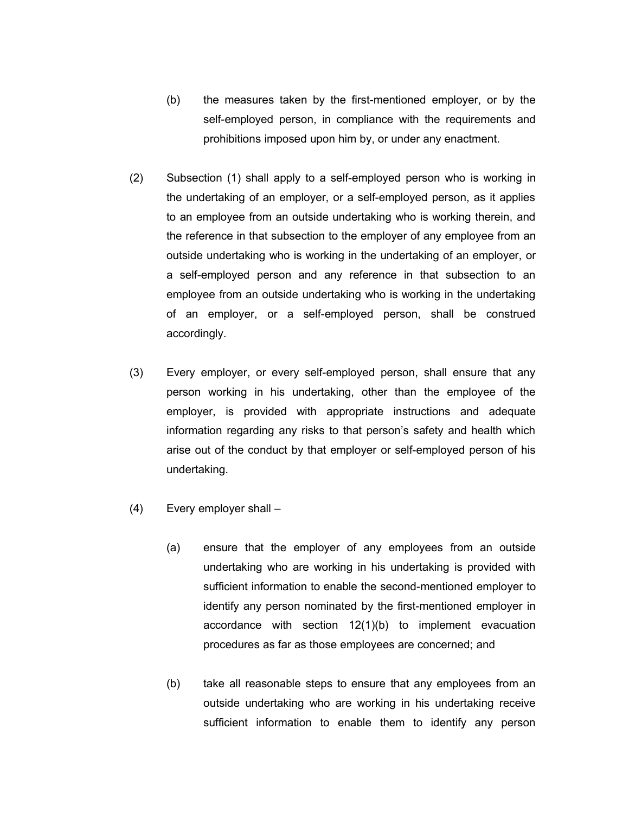- (b) the measures taken by the first-mentioned employer, or by the self-employed person, in compliance with the requirements and prohibitions imposed upon him by, or under any enactment.
- (2) Subsection (1) shall apply to a self-employed person who is working in the undertaking of an employer, or a self-employed person, as it applies to an employee from an outside undertaking who is working therein, and the reference in that subsection to the employer of any employee from an outside undertaking who is working in the undertaking of an employer, or a self-employed person and any reference in that subsection to an employee from an outside undertaking who is working in the undertaking of an employer, or a self-employed person, shall be construed accordingly.
- (3) Every employer, or every self-employed person, shall ensure that any person working in his undertaking, other than the employee of the employer, is provided with appropriate instructions and adequate information regarding any risks to that person's safety and health which arise out of the conduct by that employer or self-employed person of his undertaking.
- (4) Every employer shall
	- (a) ensure that the employer of any employees from an outside undertaking who are working in his undertaking is provided with sufficient information to enable the second-mentioned employer to identify any person nominated by the first-mentioned employer in accordance with section 12(1)(b) to implement evacuation procedures as far as those employees are concerned; and
	- (b) take all reasonable steps to ensure that any employees from an outside undertaking who are working in his undertaking receive sufficient information to enable them to identify any person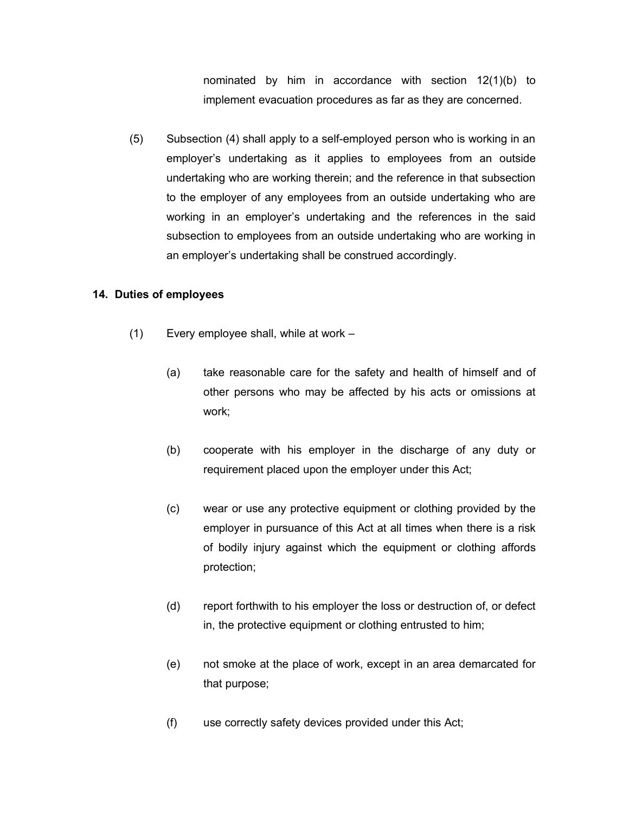nominated by him in accordance with section 12(1)(b) to implement evacuation procedures as far as they are concerned.

(5) Subsection (4) shall apply to a self-employed person who is working in an employer's undertaking as it applies to employees from an outside undertaking who are working therein; and the reference in that subsection to the employer of any employees from an outside undertaking who are working in an employer's undertaking and the references in the said subsection to employees from an outside undertaking who are working in an employer's undertaking shall be construed accordingly.

#### **14. Duties of employees**

- (1) Every employee shall, while at work
	- (a) take reasonable care for the safety and health of himself and of other persons who may be affected by his acts or omissions at work;
	- (b) cooperate with his employer in the discharge of any duty or requirement placed upon the employer under this Act;
	- (c) wear or use any protective equipment or clothing provided by the employer in pursuance of this Act at all times when there is a risk of bodily injury against which the equipment or clothing affords protection;
	- (d) report forthwith to his employer the loss or destruction of, or defect in, the protective equipment or clothing entrusted to him;
	- (e) not smoke at the place of work, except in an area demarcated for that purpose;
	- (f) use correctly safety devices provided under this Act;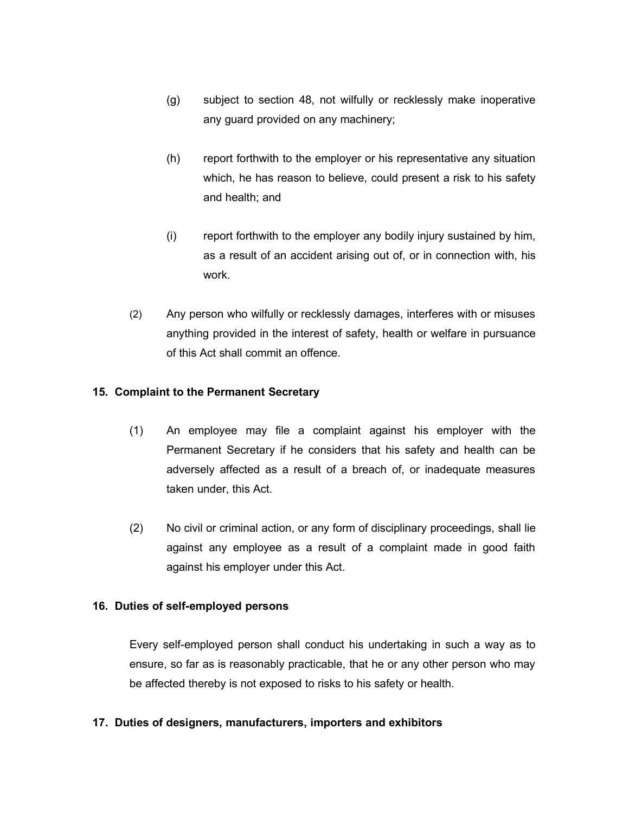- (g) subject to section 48, not wilfully or recklessly make inoperative any guard provided on any machinery;
- (h) report forthwith to the employer or his representative any situation which, he has reason to believe, could present a risk to his safety and health; and
- (i) report forthwith to the employer any bodily injury sustained by him, as a result of an accident arising out of, or in connection with, his work.
- (2) Any person who wilfully or recklessly damages, interferes with or misuses anything provided in the interest of safety, health or welfare in pursuance of this Act shall commit an offence.

# **15. Complaint to the Permanent Secretary**

- (1) An employee may file a complaint against his employer with the Permanent Secretary if he considers that his safety and health can be adversely affected as a result of a breach of, or inadequate measures taken under, this Act.
- (2) No civil or criminal action, or any form of disciplinary proceedings, shall lie against any employee as a result of a complaint made in good faith against his employer under this Act.

## **16. Duties of self-employed persons**

Every self-employed person shall conduct his undertaking in such a way as to ensure, so far as is reasonably practicable, that he or any other person who may be affected thereby is not exposed to risks to his safety or health.

## **17. Duties of designers, manufacturers, importers and exhibitors**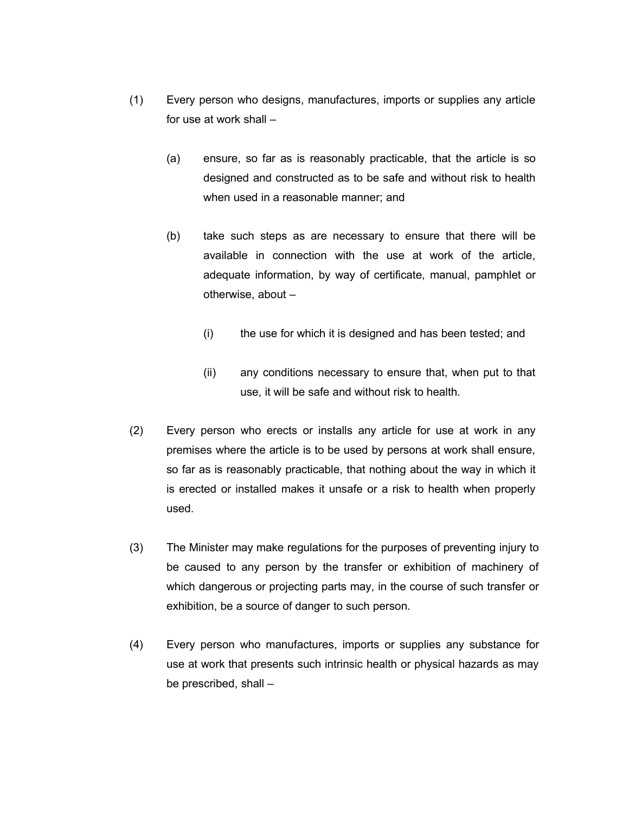- (1) Every person who designs, manufactures, imports or supplies any article for use at work shall –
	- (a) ensure, so far as is reasonably practicable, that the article is so designed and constructed as to be safe and without risk to health when used in a reasonable manner; and
	- (b) take such steps as are necessary to ensure that there will be available in connection with the use at work of the article, adequate information, by way of certificate, manual, pamphlet or otherwise, about –
		- (i) the use for which it is designed and has been tested; and
		- (ii) any conditions necessary to ensure that, when put to that use, it will be safe and without risk to health.
- (2) Every person who erects or installs any article for use at work in any premises where the article is to be used by persons at work shall ensure, so far as is reasonably practicable, that nothing about the way in which it is erected or installed makes it unsafe or a risk to health when properly used.
- (3) The Minister may make regulations for the purposes of preventing injury to be caused to any person by the transfer or exhibition of machinery of which dangerous or projecting parts may, in the course of such transfer or exhibition, be a source of danger to such person.
- (4) Every person who manufactures, imports or supplies any substance for use at work that presents such intrinsic health or physical hazards as may be prescribed, shall –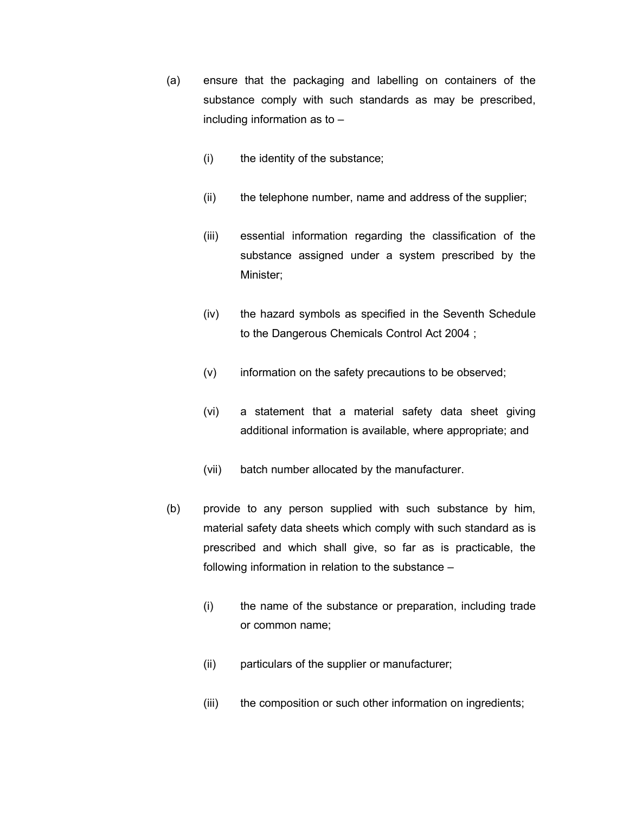- (a) ensure that the packaging and labelling on containers of the substance comply with such standards as may be prescribed, including information as to –
	- (i) the identity of the substance;
	- (ii) the telephone number, name and address of the supplier;
	- (iii) essential information regarding the classification of the substance assigned under a system prescribed by the Minister;
	- (iv) the hazard symbols as specified in the Seventh Schedule to the Dangerous Chemicals Control Act 2004 ;
	- (v) information on the safety precautions to be observed;
	- (vi) a statement that a material safety data sheet giving additional information is available, where appropriate; and
	- (vii) batch number allocated by the manufacturer.
- (b) provide to any person supplied with such substance by him, material safety data sheets which comply with such standard as is prescribed and which shall give, so far as is practicable, the following information in relation to the substance –
	- (i) the name of the substance or preparation, including trade or common name;
	- (ii) particulars of the supplier or manufacturer;
	- (iii) the composition or such other information on ingredients;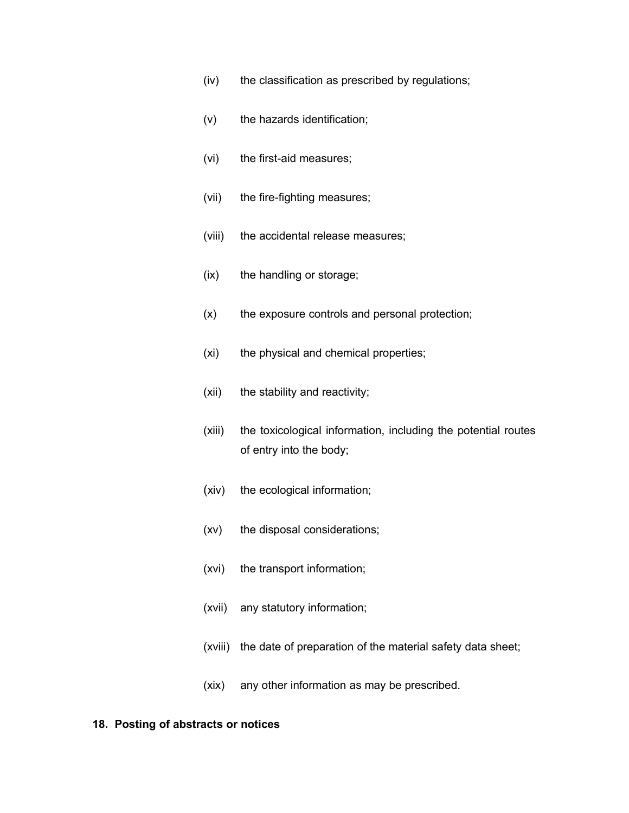- (iv) the classification as prescribed by regulations;
- (v) the hazards identification;
- (vi) the first-aid measures;
- (vii) the fire-fighting measures;
- (viii) the accidental release measures;
- (ix) the handling or storage;
- (x) the exposure controls and personal protection;
- (xi) the physical and chemical properties;
- (xii) the stability and reactivity;
- (xiii) the toxicological information, including the potential routes of entry into the body;
- (xiv) the ecological information;
- (xv) the disposal considerations;
- (xvi) the transport information;
- (xvii) any statutory information;
- (xviii) the date of preparation of the material safety data sheet;
- (xix) any other information as may be prescribed.

#### **18. Posting of abstracts or notices**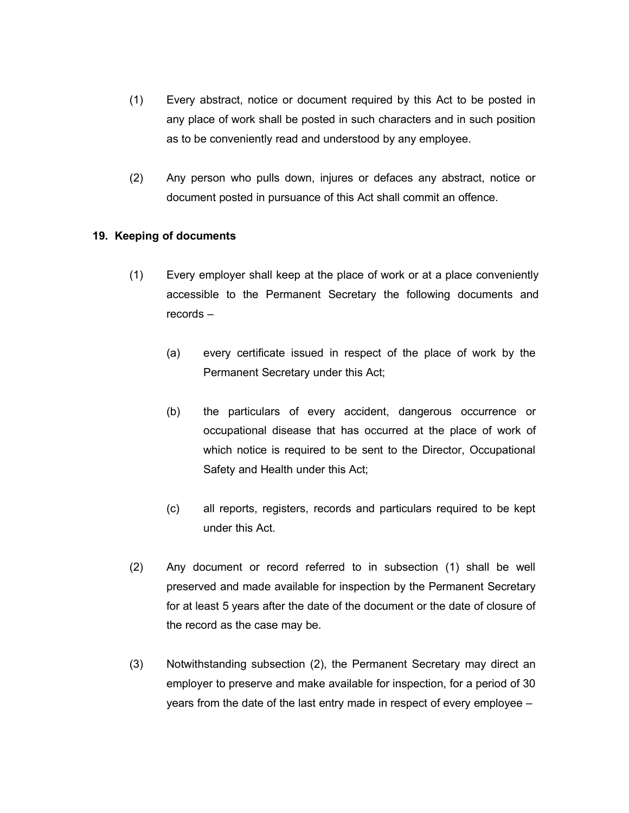- (1) Every abstract, notice or document required by this Act to be posted in any place of work shall be posted in such characters and in such position as to be conveniently read and understood by any employee.
- (2) Any person who pulls down, injures or defaces any abstract, notice or document posted in pursuance of this Act shall commit an offence.

## **19. Keeping of documents**

- (1) Every employer shall keep at the place of work or at a place conveniently accessible to the Permanent Secretary the following documents and records –
	- (a) every certificate issued in respect of the place of work by the Permanent Secretary under this Act;
	- (b) the particulars of every accident, dangerous occurrence or occupational disease that has occurred at the place of work of which notice is required to be sent to the Director, Occupational Safety and Health under this Act;
	- (c) all reports, registers, records and particulars required to be kept under this Act.
- (2) Any document or record referred to in subsection (1) shall be well preserved and made available for inspection by the Permanent Secretary for at least 5 years after the date of the document or the date of closure of the record as the case may be.
- (3) Notwithstanding subsection (2), the Permanent Secretary may direct an employer to preserve and make available for inspection, for a period of 30 years from the date of the last entry made in respect of every employee –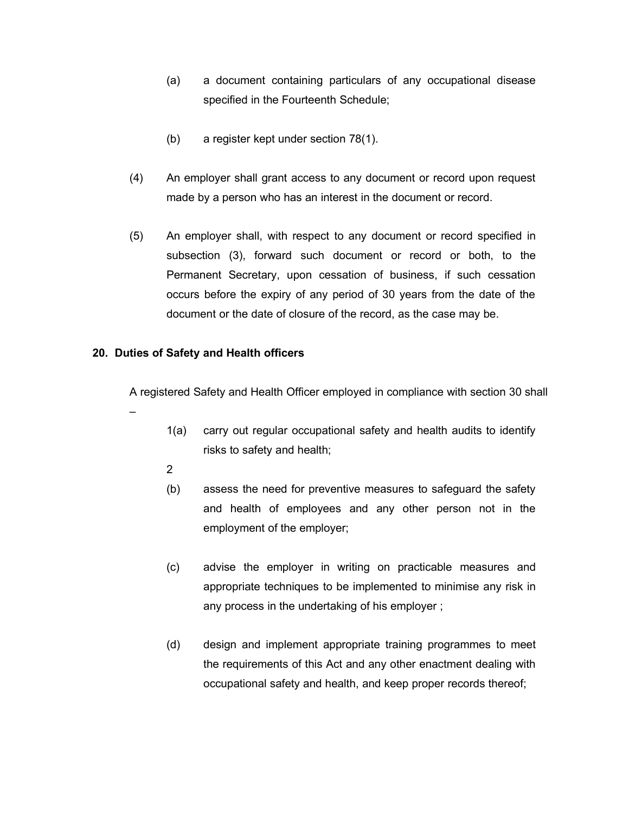- (a) a document containing particulars of any occupational disease specified in the Fourteenth Schedule;
- (b) a register kept under section 78(1).
- (4) An employer shall grant access to any document or record upon request made by a person who has an interest in the document or record.
- (5) An employer shall, with respect to any document or record specified in subsection (3), forward such document or record or both, to the Permanent Secretary, upon cessation of business, if such cessation occurs before the expiry of any period of 30 years from the date of the document or the date of closure of the record, as the case may be.

# **20. Duties of Safety and Health officers**

A registered Safety and Health Officer employed in compliance with section 30 shall

- 1(a) carry out regular occupational safety and health audits to identify risks to safety and health;
- 2

–

- (b) assess the need for preventive measures to safeguard the safety and health of employees and any other person not in the employment of the employer;
- (c) advise the employer in writing on practicable measures and appropriate techniques to be implemented to minimise any risk in any process in the undertaking of his employer ;
- (d) design and implement appropriate training programmes to meet the requirements of this Act and any other enactment dealing with occupational safety and health, and keep proper records thereof;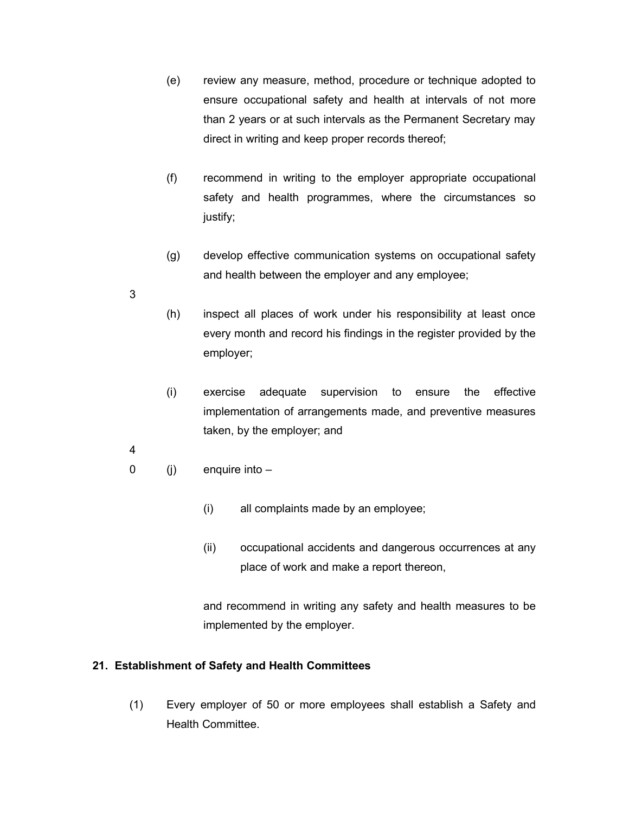- (e) review any measure, method, procedure or technique adopted to ensure occupational safety and health at intervals of not more than 2 years or at such intervals as the Permanent Secretary may direct in writing and keep proper records thereof;
- (f) recommend in writing to the employer appropriate occupational safety and health programmes, where the circumstances so justify;
- (g) develop effective communication systems on occupational safety and health between the employer and any employee;
- (h) inspect all places of work under his responsibility at least once every month and record his findings in the register provided by the employer;
- (i) exercise adequate supervision to ensure the effective implementation of arrangements made, and preventive measures taken, by the employer; and
- 4

3

- 0 (j) enquire into
	- (i) all complaints made by an employee;
	- (ii) occupational accidents and dangerous occurrences at any place of work and make a report thereon,

and recommend in writing any safety and health measures to be implemented by the employer.

#### **21. Establishment of Safety and Health Committees**

(1) Every employer of 50 or more employees shall establish a Safety and Health Committee.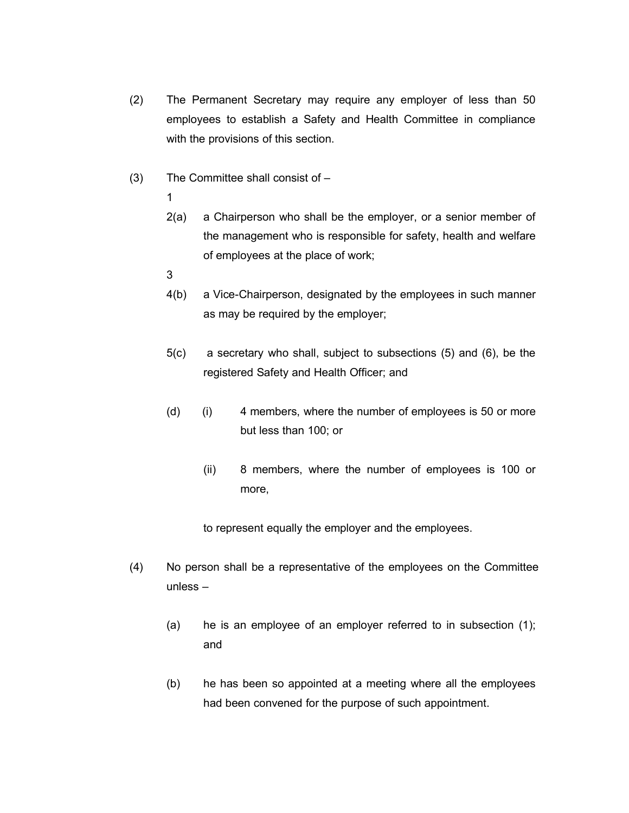- (2) The Permanent Secretary may require any employer of less than 50 employees to establish a Safety and Health Committee in compliance with the provisions of this section.
- (3) The Committee shall consist of
	- 1
	- 2(a) a Chairperson who shall be the employer, or a senior member of the management who is responsible for safety, health and welfare of employees at the place of work;
	- 3
	- 4(b) a Vice-Chairperson, designated by the employees in such manner as may be required by the employer;
	- 5(c) a secretary who shall, subject to subsections (5) and (6), be the registered Safety and Health Officer; and
	- (d) (i) 4 members, where the number of employees is 50 or more but less than 100; or
		- (ii) 8 members, where the number of employees is 100 or more,

to represent equally the employer and the employees.

- (4) No person shall be a representative of the employees on the Committee unless –
	- (a) he is an employee of an employer referred to in subsection (1); and
	- (b) he has been so appointed at a meeting where all the employees had been convened for the purpose of such appointment.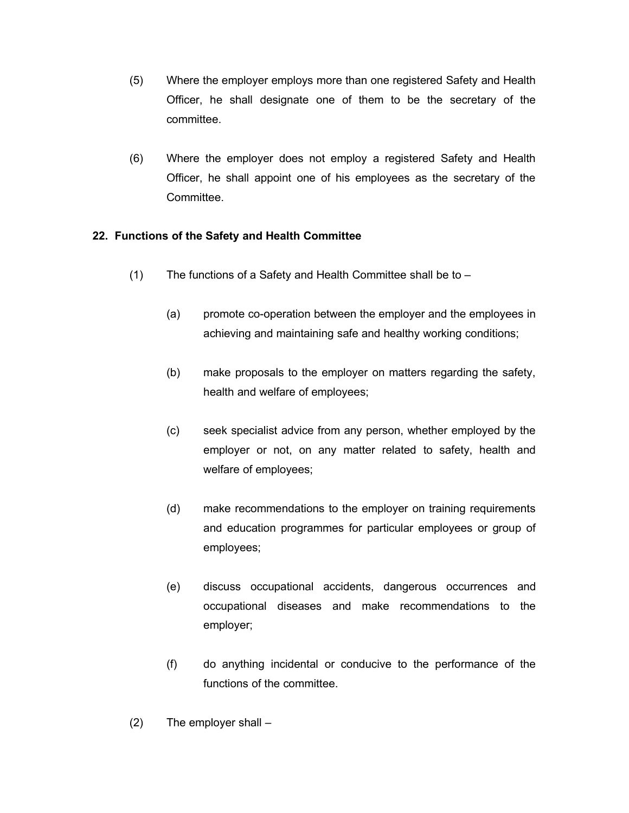- (5) Where the employer employs more than one registered Safety and Health Officer, he shall designate one of them to be the secretary of the committee.
- (6) Where the employer does not employ a registered Safety and Health Officer, he shall appoint one of his employees as the secretary of the Committee.

# **22. Functions of the Safety and Health Committee**

- (1) The functions of a Safety and Health Committee shall be to
	- (a) promote co-operation between the employer and the employees in achieving and maintaining safe and healthy working conditions;
	- (b) make proposals to the employer on matters regarding the safety, health and welfare of employees;
	- (c) seek specialist advice from any person, whether employed by the employer or not, on any matter related to safety, health and welfare of employees;
	- (d) make recommendations to the employer on training requirements and education programmes for particular employees or group of employees;
	- (e) discuss occupational accidents, dangerous occurrences and occupational diseases and make recommendations to the employer;
	- (f) do anything incidental or conducive to the performance of the functions of the committee.
- (2) The employer shall –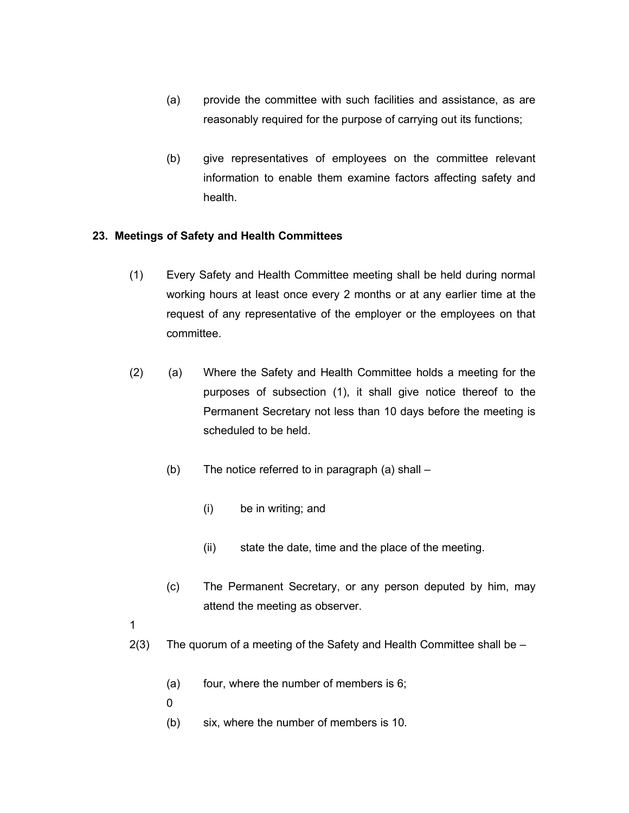- (a) provide the committee with such facilities and assistance, as are reasonably required for the purpose of carrying out its functions;
- (b) give representatives of employees on the committee relevant information to enable them examine factors affecting safety and health.

## **23. Meetings of Safety and Health Committees**

- (1) Every Safety and Health Committee meeting shall be held during normal working hours at least once every 2 months or at any earlier time at the request of any representative of the employer or the employees on that committee.
- (2) (a) Where the Safety and Health Committee holds a meeting for the purposes of subsection (1), it shall give notice thereof to the Permanent Secretary not less than 10 days before the meeting is scheduled to be held.
	- (b) The notice referred to in paragraph (a) shall
		- (i) be in writing; and
		- (ii) state the date, time and the place of the meeting.
	- (c) The Permanent Secretary, or any person deputed by him, may attend the meeting as observer.

1

- 2(3) The quorum of a meeting of the Safety and Health Committee shall be
	- (a) four, where the number of members is 6;
	- $\Omega$
	- (b) six, where the number of members is 10.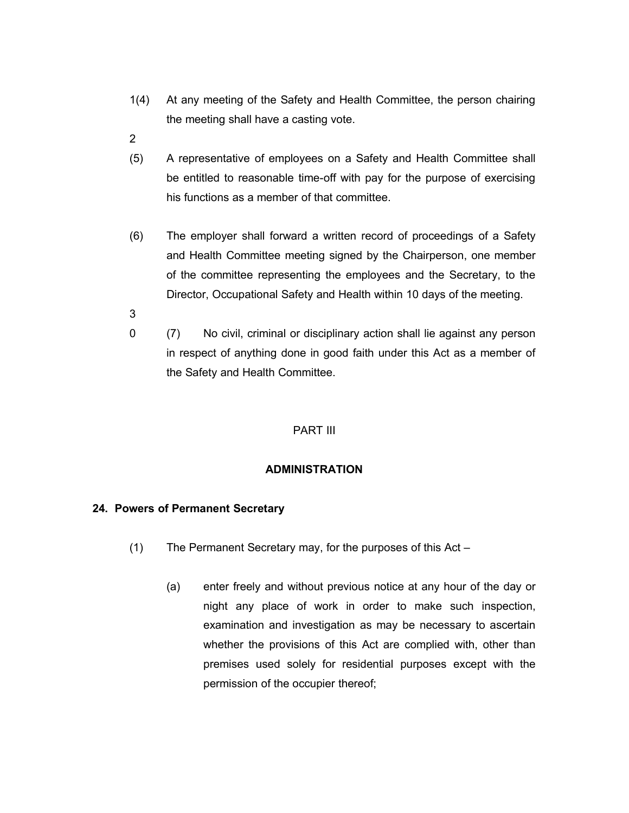- 1(4) At any meeting of the Safety and Health Committee, the person chairing the meeting shall have a casting vote.
- 2
- (5) A representative of employees on a Safety and Health Committee shall be entitled to reasonable time-off with pay for the purpose of exercising his functions as a member of that committee.
- (6) The employer shall forward a written record of proceedings of a Safety and Health Committee meeting signed by the Chairperson, one member of the committee representing the employees and the Secretary, to the Director, Occupational Safety and Health within 10 days of the meeting.
- 3
- 0 (7) No civil, criminal or disciplinary action shall lie against any person in respect of anything done in good faith under this Act as a member of the Safety and Health Committee.

## PART III

## **ADMINISTRATION**

## **24. Powers of Permanent Secretary**

- (1) The Permanent Secretary may, for the purposes of this Act
	- (a) enter freely and without previous notice at any hour of the day or night any place of work in order to make such inspection, examination and investigation as may be necessary to ascertain whether the provisions of this Act are complied with, other than premises used solely for residential purposes except with the permission of the occupier thereof;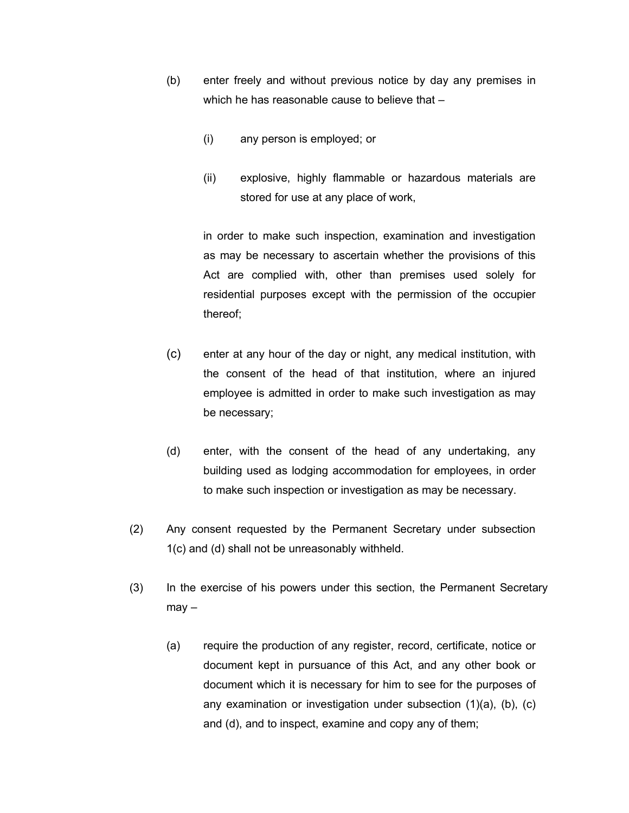- (b) enter freely and without previous notice by day any premises in which he has reasonable cause to believe that  $-$ 
	- (i) any person is employed; or
	- (ii) explosive, highly flammable or hazardous materials are stored for use at any place of work,

in order to make such inspection, examination and investigation as may be necessary to ascertain whether the provisions of this Act are complied with, other than premises used solely for residential purposes except with the permission of the occupier thereof;

- (c) enter at any hour of the day or night, any medical institution, with the consent of the head of that institution, where an injured employee is admitted in order to make such investigation as may be necessary;
- (d) enter, with the consent of the head of any undertaking, any building used as lodging accommodation for employees, in order to make such inspection or investigation as may be necessary.
- (2) Any consent requested by the Permanent Secretary under subsection 1(c) and (d) shall not be unreasonably withheld.
- (3) In the exercise of his powers under this section, the Permanent Secretary  $may -$ 
	- (a) require the production of any register, record, certificate, notice or document kept in pursuance of this Act, and any other book or document which it is necessary for him to see for the purposes of any examination or investigation under subsection (1)(a), (b), (c) and (d), and to inspect, examine and copy any of them;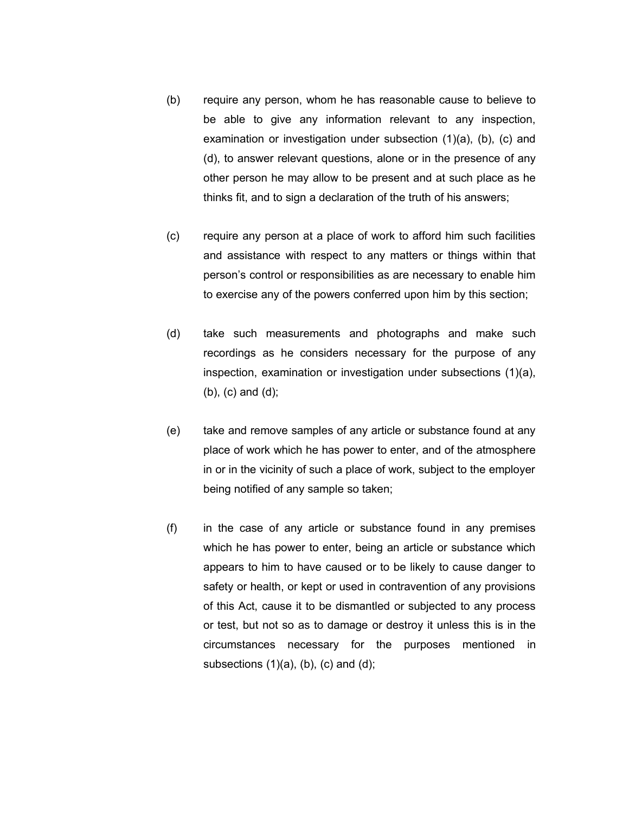- (b) require any person, whom he has reasonable cause to believe to be able to give any information relevant to any inspection, examination or investigation under subsection (1)(a), (b), (c) and (d), to answer relevant questions, alone or in the presence of any other person he may allow to be present and at such place as he thinks fit, and to sign a declaration of the truth of his answers;
- (c) require any person at a place of work to afford him such facilities and assistance with respect to any matters or things within that person's control or responsibilities as are necessary to enable him to exercise any of the powers conferred upon him by this section;
- (d) take such measurements and photographs and make such recordings as he considers necessary for the purpose of any inspection, examination or investigation under subsections (1)(a), (b), (c) and (d);
- (e) take and remove samples of any article or substance found at any place of work which he has power to enter, and of the atmosphere in or in the vicinity of such a place of work, subject to the employer being notified of any sample so taken;
- (f) in the case of any article or substance found in any premises which he has power to enter, being an article or substance which appears to him to have caused or to be likely to cause danger to safety or health, or kept or used in contravention of any provisions of this Act, cause it to be dismantled or subjected to any process or test, but not so as to damage or destroy it unless this is in the circumstances necessary for the purposes mentioned in subsections  $(1)(a)$ ,  $(b)$ ,  $(c)$  and  $(d)$ ;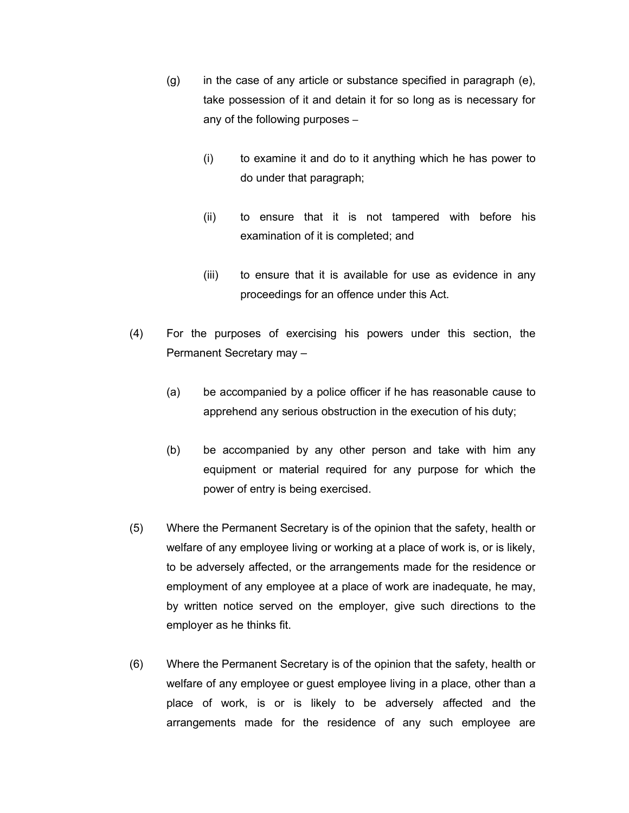- (g) in the case of any article or substance specified in paragraph (e), take possession of it and detain it for so long as is necessary for any of the following purposes –
	- (i) to examine it and do to it anything which he has power to do under that paragraph;
	- (ii) to ensure that it is not tampered with before his examination of it is completed; and
	- (iii) to ensure that it is available for use as evidence in any proceedings for an offence under this Act.
- (4) For the purposes of exercising his powers under this section, the Permanent Secretary may –
	- (a) be accompanied by a police officer if he has reasonable cause to apprehend any serious obstruction in the execution of his duty;
	- (b) be accompanied by any other person and take with him any equipment or material required for any purpose for which the power of entry is being exercised.
- (5) Where the Permanent Secretary is of the opinion that the safety, health or welfare of any employee living or working at a place of work is, or is likely, to be adversely affected, or the arrangements made for the residence or employment of any employee at a place of work are inadequate, he may, by written notice served on the employer, give such directions to the employer as he thinks fit.
- (6) Where the Permanent Secretary is of the opinion that the safety, health or welfare of any employee or guest employee living in a place, other than a place of work, is or is likely to be adversely affected and the arrangements made for the residence of any such employee are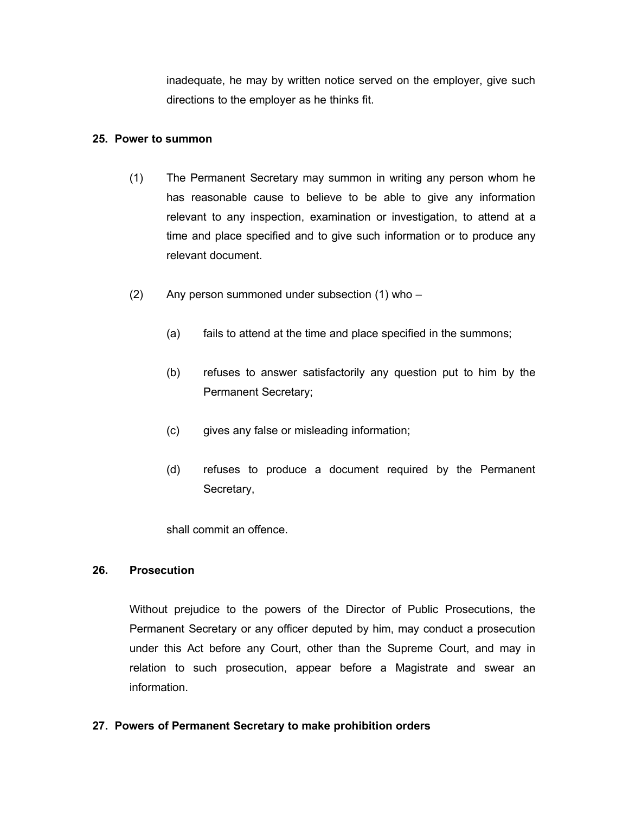inadequate, he may by written notice served on the employer, give such directions to the employer as he thinks fit.

#### **25. Power to summon**

- (1) The Permanent Secretary may summon in writing any person whom he has reasonable cause to believe to be able to give any information relevant to any inspection, examination or investigation, to attend at a time and place specified and to give such information or to produce any relevant document.
- (2) Any person summoned under subsection (1) who
	- (a) fails to attend at the time and place specified in the summons;
	- (b) refuses to answer satisfactorily any question put to him by the Permanent Secretary;
	- (c) gives any false or misleading information;
	- (d) refuses to produce a document required by the Permanent Secretary,

shall commit an offence.

# **26. Prosecution**

Without prejudice to the powers of the Director of Public Prosecutions, the Permanent Secretary or any officer deputed by him, may conduct a prosecution under this Act before any Court, other than the Supreme Court, and may in relation to such prosecution, appear before a Magistrate and swear an information.

# **27. Powers of Permanent Secretary to make prohibition orders**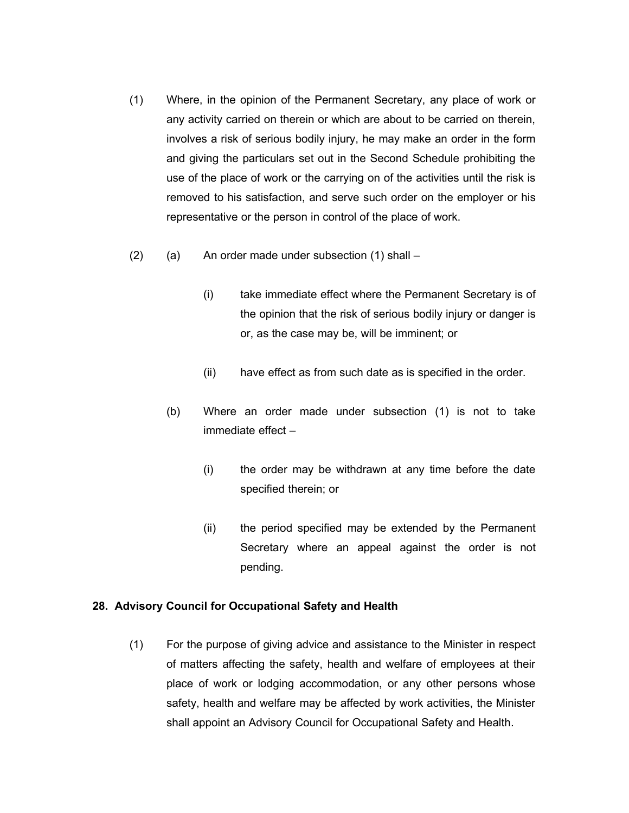- (1) Where, in the opinion of the Permanent Secretary, any place of work or any activity carried on therein or which are about to be carried on therein, involves a risk of serious bodily injury, he may make an order in the form and giving the particulars set out in the Second Schedule prohibiting the use of the place of work or the carrying on of the activities until the risk is removed to his satisfaction, and serve such order on the employer or his representative or the person in control of the place of work.
- $(2)$  (a) An order made under subsection  $(1)$  shall
	- (i) take immediate effect where the Permanent Secretary is of the opinion that the risk of serious bodily injury or danger is or, as the case may be, will be imminent; or
	- (ii) have effect as from such date as is specified in the order.
	- (b) Where an order made under subsection (1) is not to take immediate effect –
		- (i) the order may be withdrawn at any time before the date specified therein; or
		- (ii) the period specified may be extended by the Permanent Secretary where an appeal against the order is not pending.

#### **28. Advisory Council for Occupational Safety and Health**

(1) For the purpose of giving advice and assistance to the Minister in respect of matters affecting the safety, health and welfare of employees at their place of work or lodging accommodation, or any other persons whose safety, health and welfare may be affected by work activities, the Minister shall appoint an Advisory Council for Occupational Safety and Health.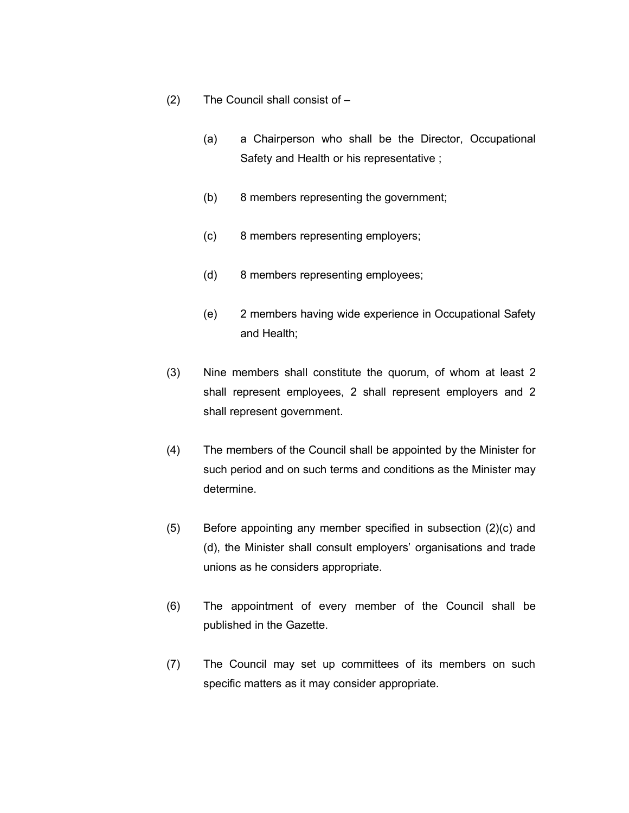- (2) The Council shall consist of
	- (a) a Chairperson who shall be the Director, Occupational Safety and Health or his representative ;
	- (b) 8 members representing the government;
	- (c) 8 members representing employers;
	- (d) 8 members representing employees;
	- (e) 2 members having wide experience in Occupational Safety and Health;
- (3) Nine members shall constitute the quorum, of whom at least 2 shall represent employees, 2 shall represent employers and 2 shall represent government.
- (4) The members of the Council shall be appointed by the Minister for such period and on such terms and conditions as the Minister may determine.
- (5) Before appointing any member specified in subsection (2)(c) and (d), the Minister shall consult employers' organisations and trade unions as he considers appropriate.
- (6) The appointment of every member of the Council shall be published in the Gazette.
- (7) The Council may set up committees of its members on such specific matters as it may consider appropriate.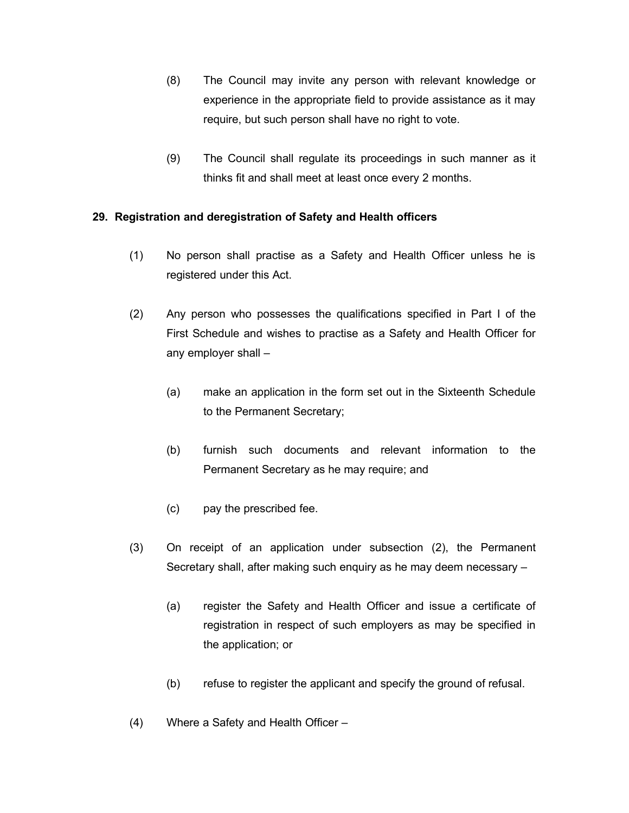- (8) The Council may invite any person with relevant knowledge or experience in the appropriate field to provide assistance as it may require, but such person shall have no right to vote.
- (9) The Council shall regulate its proceedings in such manner as it thinks fit and shall meet at least once every 2 months.

# **29. Registration and deregistration of Safety and Health officers**

- (1) No person shall practise as a Safety and Health Officer unless he is registered under this Act.
- (2) Any person who possesses the qualifications specified in Part I of the First Schedule and wishes to practise as a Safety and Health Officer for any employer shall –
	- (a) make an application in the form set out in the Sixteenth Schedule to the Permanent Secretary;
	- (b) furnish such documents and relevant information to the Permanent Secretary as he may require; and
	- (c) pay the prescribed fee.
- (3) On receipt of an application under subsection (2), the Permanent Secretary shall, after making such enquiry as he may deem necessary –
	- (a) register the Safety and Health Officer and issue a certificate of registration in respect of such employers as may be specified in the application; or
	- (b) refuse to register the applicant and specify the ground of refusal.
- (4) Where a Safety and Health Officer –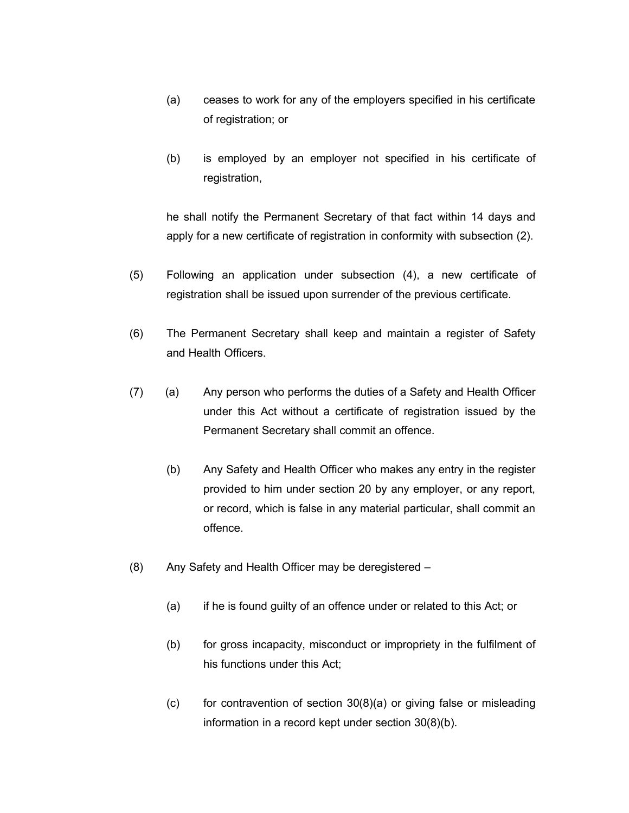- (a) ceases to work for any of the employers specified in his certificate of registration; or
- (b) is employed by an employer not specified in his certificate of registration,

he shall notify the Permanent Secretary of that fact within 14 days and apply for a new certificate of registration in conformity with subsection (2).

- (5) Following an application under subsection (4), a new certificate of registration shall be issued upon surrender of the previous certificate.
- (6) The Permanent Secretary shall keep and maintain a register of Safety and Health Officers.
- (7) (a) Any person who performs the duties of a Safety and Health Officer under this Act without a certificate of registration issued by the Permanent Secretary shall commit an offence.
	- (b) Any Safety and Health Officer who makes any entry in the register provided to him under section 20 by any employer, or any report, or record, which is false in any material particular, shall commit an offence.
- (8) Any Safety and Health Officer may be deregistered
	- (a) if he is found guilty of an offence under or related to this Act; or
	- (b) for gross incapacity, misconduct or impropriety in the fulfilment of his functions under this Act;
	- $(c)$  for contravention of section 30(8)(a) or giving false or misleading information in a record kept under section 30(8)(b).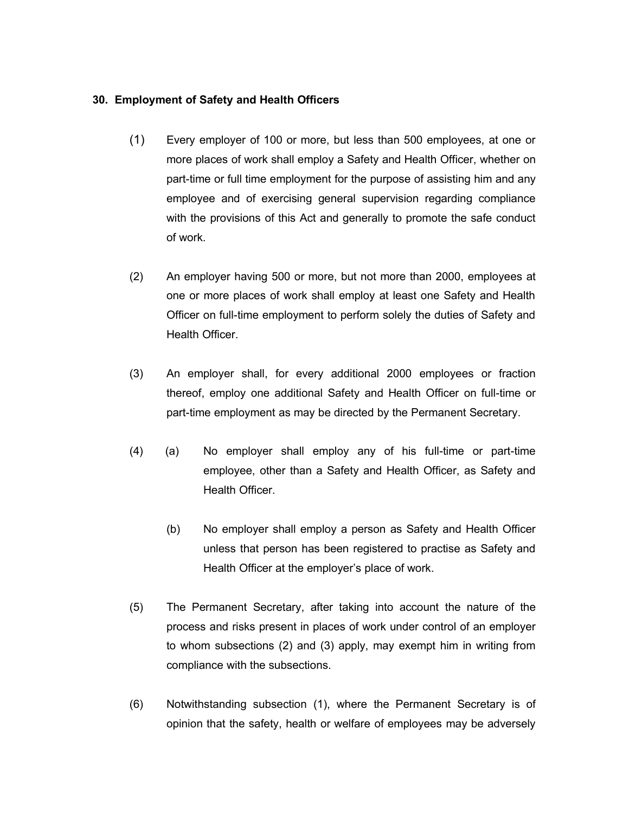#### **30. Employment of Safety and Health Officers**

- (1) Every employer of 100 or more, but less than 500 employees, at one or more places of work shall employ a Safety and Health Officer, whether on part-time or full time employment for the purpose of assisting him and any employee and of exercising general supervision regarding compliance with the provisions of this Act and generally to promote the safe conduct of work.
- (2) An employer having 500 or more, but not more than 2000, employees at one or more places of work shall employ at least one Safety and Health Officer on full-time employment to perform solely the duties of Safety and Health Officer.
- (3) An employer shall, for every additional 2000 employees or fraction thereof, employ one additional Safety and Health Officer on full-time or part-time employment as may be directed by the Permanent Secretary.
- (4) (a) No employer shall employ any of his full-time or part-time employee, other than a Safety and Health Officer, as Safety and Health Officer.
	- (b) No employer shall employ a person as Safety and Health Officer unless that person has been registered to practise as Safety and Health Officer at the employer's place of work.
- (5) The Permanent Secretary, after taking into account the nature of the process and risks present in places of work under control of an employer to whom subsections (2) and (3) apply, may exempt him in writing from compliance with the subsections.
- (6) Notwithstanding subsection (1), where the Permanent Secretary is of opinion that the safety, health or welfare of employees may be adversely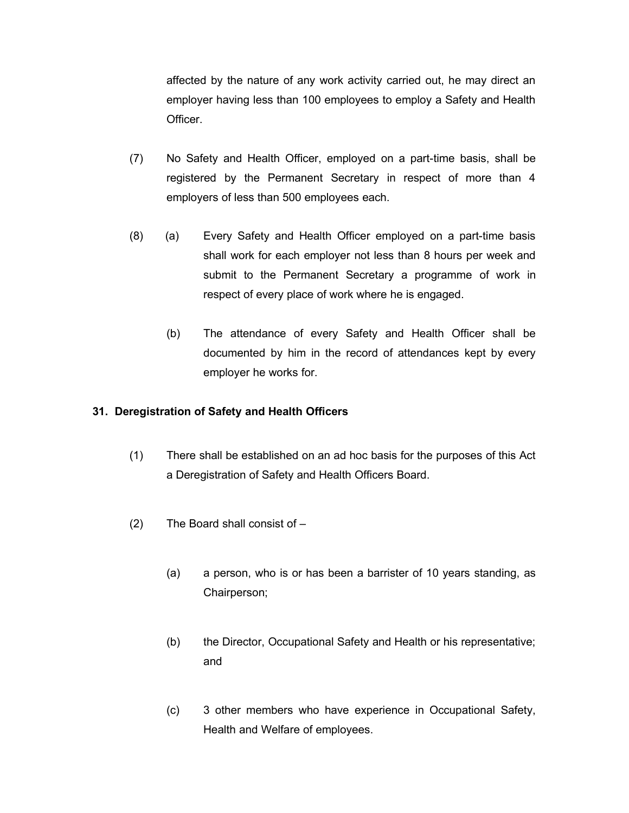affected by the nature of any work activity carried out, he may direct an employer having less than 100 employees to employ a Safety and Health Officer.

- (7) No Safety and Health Officer, employed on a part-time basis, shall be registered by the Permanent Secretary in respect of more than 4 employers of less than 500 employees each.
- (8) (a) Every Safety and Health Officer employed on a part-time basis shall work for each employer not less than 8 hours per week and submit to the Permanent Secretary a programme of work in respect of every place of work where he is engaged.
	- (b) The attendance of every Safety and Health Officer shall be documented by him in the record of attendances kept by every employer he works for.

# **31. Deregistration of Safety and Health Officers**

- (1) There shall be established on an ad hoc basis for the purposes of this Act a Deregistration of Safety and Health Officers Board.
- (2) The Board shall consist of
	- (a) a person, who is or has been a barrister of 10 years standing, as Chairperson;
	- (b) the Director, Occupational Safety and Health or his representative; and
	- (c) 3 other members who have experience in Occupational Safety, Health and Welfare of employees.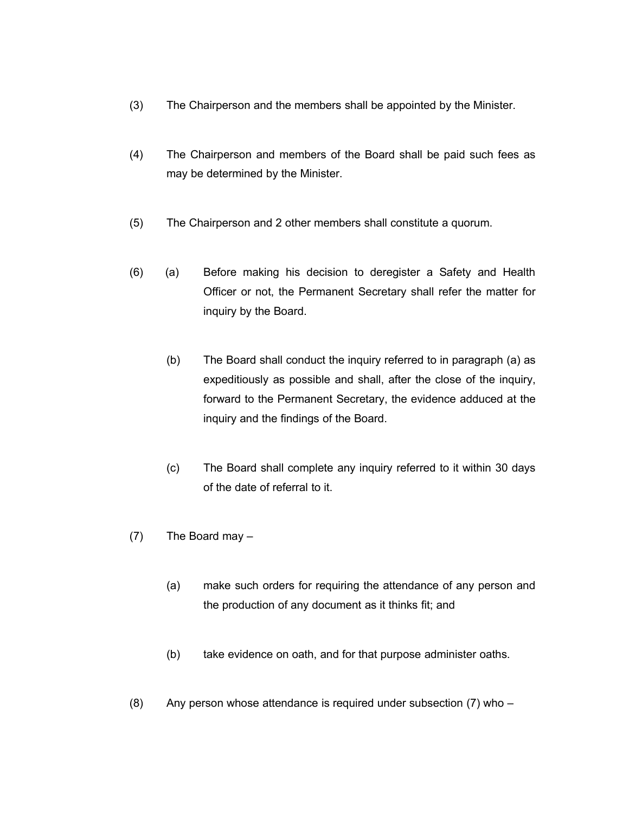- (3) The Chairperson and the members shall be appointed by the Minister.
- (4) The Chairperson and members of the Board shall be paid such fees as may be determined by the Minister.
- (5) The Chairperson and 2 other members shall constitute a quorum.
- (6) (a) Before making his decision to deregister a Safety and Health Officer or not, the Permanent Secretary shall refer the matter for inquiry by the Board.
	- (b) The Board shall conduct the inquiry referred to in paragraph (a) as expeditiously as possible and shall, after the close of the inquiry, forward to the Permanent Secretary, the evidence adduced at the inquiry and the findings of the Board.
	- (c) The Board shall complete any inquiry referred to it within 30 days of the date of referral to it.
- (7) The Board may
	- (a) make such orders for requiring the attendance of any person and the production of any document as it thinks fit; and
	- (b) take evidence on oath, and for that purpose administer oaths.
- (8) Any person whose attendance is required under subsection  $(7)$  who –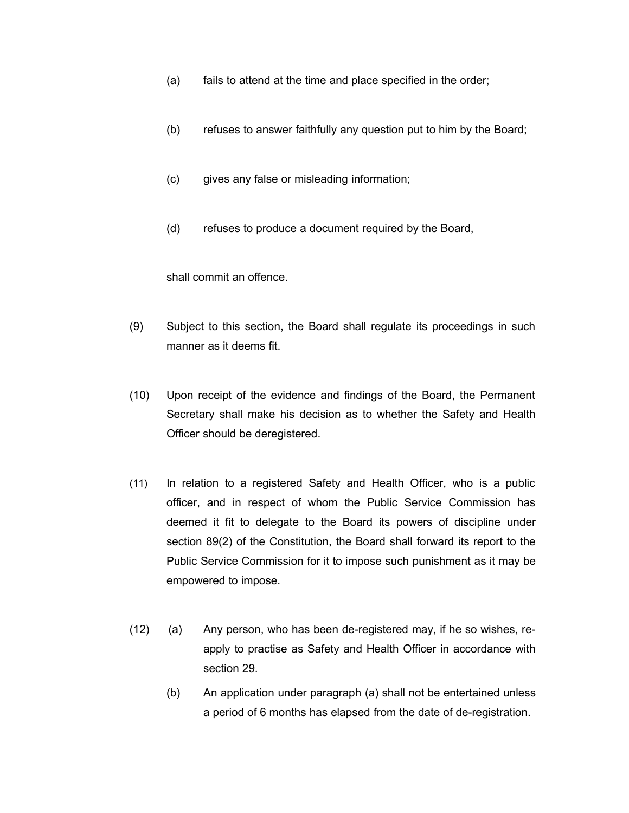- (a) fails to attend at the time and place specified in the order;
- (b) refuses to answer faithfully any question put to him by the Board;
- (c) gives any false or misleading information;
- (d) refuses to produce a document required by the Board,

shall commit an offence.

- (9) Subject to this section, the Board shall regulate its proceedings in such manner as it deems fit.
- (10) Upon receipt of the evidence and findings of the Board, the Permanent Secretary shall make his decision as to whether the Safety and Health Officer should be deregistered.
- (11) In relation to a registered Safety and Health Officer, who is a public officer, and in respect of whom the Public Service Commission has deemed it fit to delegate to the Board its powers of discipline under section 89(2) of the Constitution, the Board shall forward its report to the Public Service Commission for it to impose such punishment as it may be empowered to impose.
- (12) (a) Any person, who has been de-registered may, if he so wishes, reapply to practise as Safety and Health Officer in accordance with section 29.
	- (b) An application under paragraph (a) shall not be entertained unless a period of 6 months has elapsed from the date of de-registration.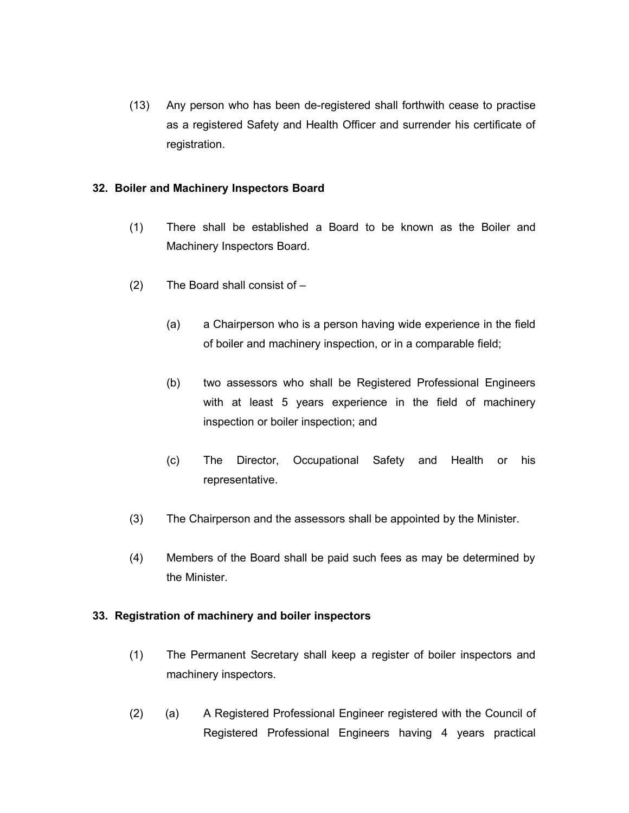(13) Any person who has been de-registered shall forthwith cease to practise as a registered Safety and Health Officer and surrender his certificate of registration.

#### **32. Boiler and Machinery Inspectors Board**

- (1) There shall be established a Board to be known as the Boiler and Machinery Inspectors Board.
- (2) The Board shall consist of
	- (a) a Chairperson who is a person having wide experience in the field of boiler and machinery inspection, or in a comparable field;
	- (b) two assessors who shall be Registered Professional Engineers with at least 5 years experience in the field of machinery inspection or boiler inspection; and
	- (c) The Director, Occupational Safety and Health or his representative.
- (3) The Chairperson and the assessors shall be appointed by the Minister.
- (4) Members of the Board shall be paid such fees as may be determined by the Minister.

#### **33. Registration of machinery and boiler inspectors**

- (1) The Permanent Secretary shall keep a register of boiler inspectors and machinery inspectors.
- (2) (a) A Registered Professional Engineer registered with the Council of Registered Professional Engineers having 4 years practical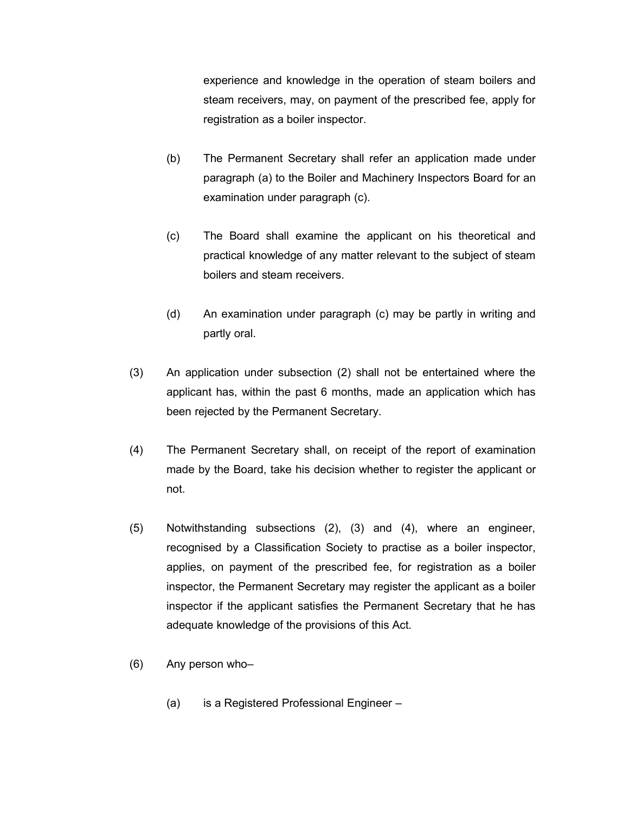experience and knowledge in the operation of steam boilers and steam receivers, may, on payment of the prescribed fee, apply for registration as a boiler inspector.

- (b) The Permanent Secretary shall refer an application made under paragraph (a) to the Boiler and Machinery Inspectors Board for an examination under paragraph (c).
- (c) The Board shall examine the applicant on his theoretical and practical knowledge of any matter relevant to the subject of steam boilers and steam receivers.
- (d) An examination under paragraph (c) may be partly in writing and partly oral.
- (3) An application under subsection (2) shall not be entertained where the applicant has, within the past 6 months, made an application which has been rejected by the Permanent Secretary.
- (4) The Permanent Secretary shall, on receipt of the report of examination made by the Board, take his decision whether to register the applicant or not.
- (5) Notwithstanding subsections (2), (3) and (4), where an engineer, recognised by a Classification Society to practise as a boiler inspector, applies, on payment of the prescribed fee, for registration as a boiler inspector, the Permanent Secretary may register the applicant as a boiler inspector if the applicant satisfies the Permanent Secretary that he has adequate knowledge of the provisions of this Act.
- (6) Any person who–
	- (a) is a Registered Professional Engineer –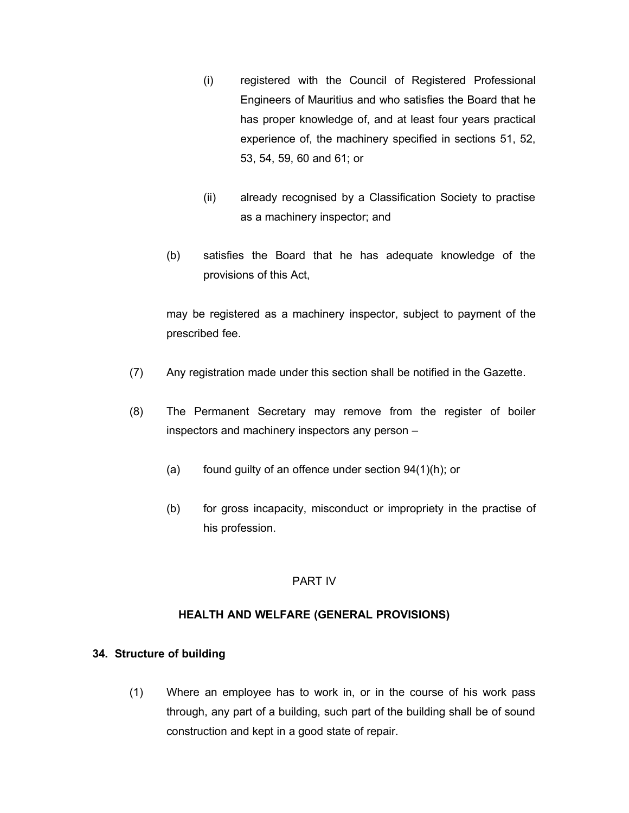- (i) registered with the Council of Registered Professional Engineers of Mauritius and who satisfies the Board that he has proper knowledge of, and at least four years practical experience of, the machinery specified in sections 51, 52, 53, 54, 59, 60 and 61; or
- (ii) already recognised by a Classification Society to practise as a machinery inspector; and
- (b) satisfies the Board that he has adequate knowledge of the provisions of this Act,

may be registered as a machinery inspector, subject to payment of the prescribed fee.

- (7) Any registration made under this section shall be notified in the Gazette.
- (8) The Permanent Secretary may remove from the register of boiler inspectors and machinery inspectors any person –
	- (a) found guilty of an offence under section 94(1)(h); or
	- (b) for gross incapacity, misconduct or impropriety in the practise of his profession.

# PART IV

# **HEALTH AND WELFARE (GENERAL PROVISIONS)**

# **34. Structure of building**

(1) Where an employee has to work in, or in the course of his work pass through, any part of a building, such part of the building shall be of sound construction and kept in a good state of repair.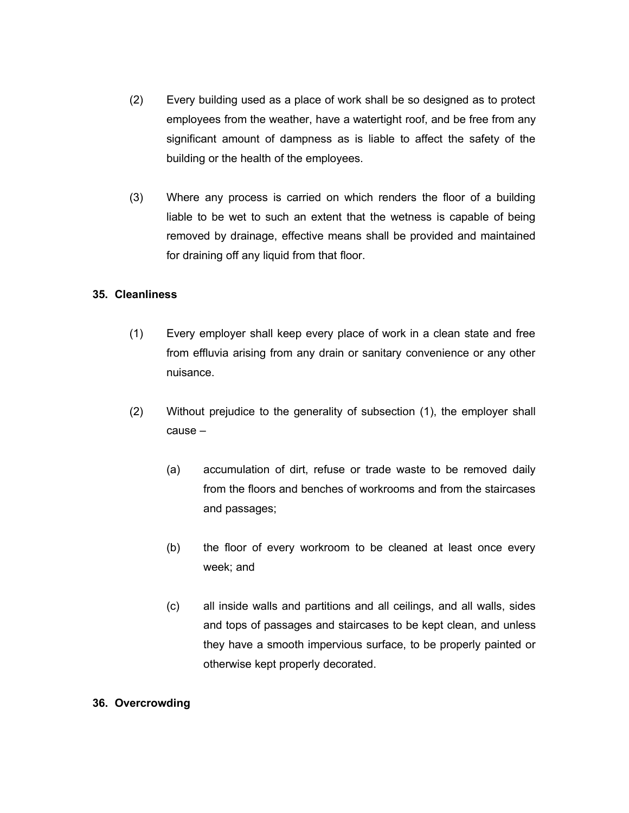- (2) Every building used as a place of work shall be so designed as to protect employees from the weather, have a watertight roof, and be free from any significant amount of dampness as is liable to affect the safety of the building or the health of the employees.
- (3) Where any process is carried on which renders the floor of a building liable to be wet to such an extent that the wetness is capable of being removed by drainage, effective means shall be provided and maintained for draining off any liquid from that floor.

#### **35. Cleanliness**

- (1) Every employer shall keep every place of work in a clean state and free from effluvia arising from any drain or sanitary convenience or any other nuisance.
- (2) Without prejudice to the generality of subsection (1), the employer shall cause –
	- (a) accumulation of dirt, refuse or trade waste to be removed daily from the floors and benches of workrooms and from the staircases and passages;
	- (b) the floor of every workroom to be cleaned at least once every week; and
	- (c) all inside walls and partitions and all ceilings, and all walls, sides and tops of passages and staircases to be kept clean, and unless they have a smooth impervious surface, to be properly painted or otherwise kept properly decorated.

#### **36. Overcrowding**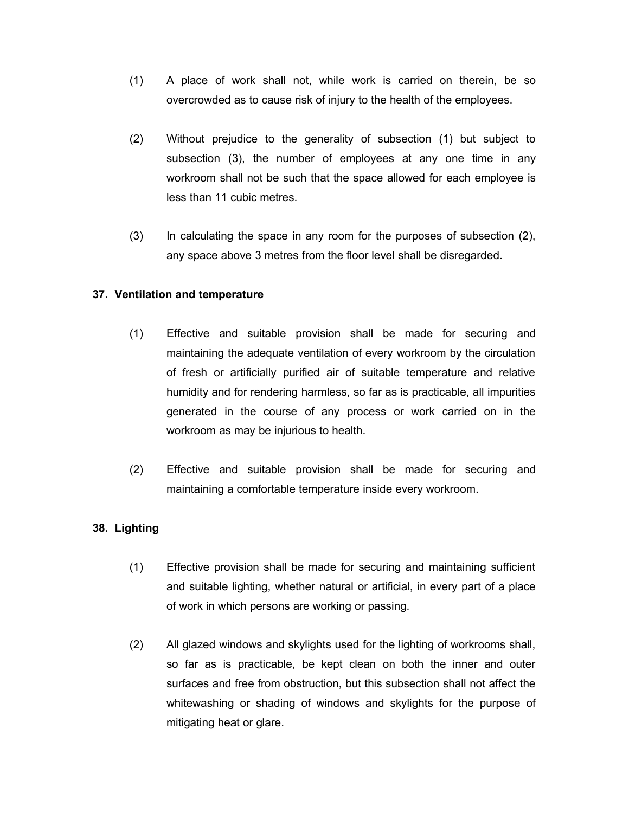- (1) A place of work shall not, while work is carried on therein, be so overcrowded as to cause risk of injury to the health of the employees.
- (2) Without prejudice to the generality of subsection (1) but subject to subsection (3), the number of employees at any one time in any workroom shall not be such that the space allowed for each employee is less than 11 cubic metres.
- (3) In calculating the space in any room for the purposes of subsection (2), any space above 3 metres from the floor level shall be disregarded.

#### **37. Ventilation and temperature**

- (1) Effective and suitable provision shall be made for securing and maintaining the adequate ventilation of every workroom by the circulation of fresh or artificially purified air of suitable temperature and relative humidity and for rendering harmless, so far as is practicable, all impurities generated in the course of any process or work carried on in the workroom as may be injurious to health.
- (2) Effective and suitable provision shall be made for securing and maintaining a comfortable temperature inside every workroom.

# **38. Lighting**

- (1) Effective provision shall be made for securing and maintaining sufficient and suitable lighting, whether natural or artificial, in every part of a place of work in which persons are working or passing.
- (2) All glazed windows and skylights used for the lighting of workrooms shall, so far as is practicable, be kept clean on both the inner and outer surfaces and free from obstruction, but this subsection shall not affect the whitewashing or shading of windows and skylights for the purpose of mitigating heat or glare.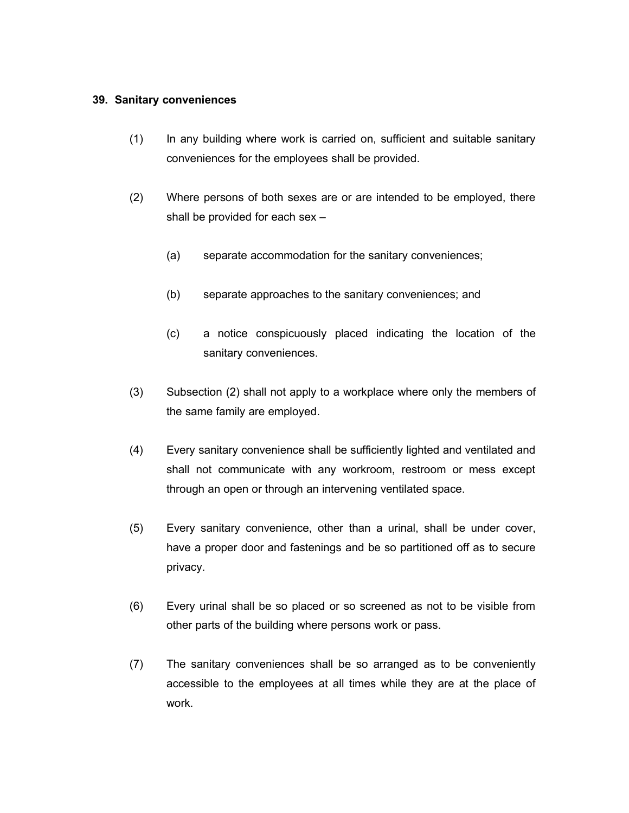#### **39. Sanitary conveniences**

- (1) In any building where work is carried on, sufficient and suitable sanitary conveniences for the employees shall be provided.
- (2) Where persons of both sexes are or are intended to be employed, there shall be provided for each sex –
	- (a) separate accommodation for the sanitary conveniences;
	- (b) separate approaches to the sanitary conveniences; and
	- (c) a notice conspicuously placed indicating the location of the sanitary conveniences.
- (3) Subsection (2) shall not apply to a workplace where only the members of the same family are employed.
- (4) Every sanitary convenience shall be sufficiently lighted and ventilated and shall not communicate with any workroom, restroom or mess except through an open or through an intervening ventilated space.
- (5) Every sanitary convenience, other than a urinal, shall be under cover, have a proper door and fastenings and be so partitioned off as to secure privacy.
- (6) Every urinal shall be so placed or so screened as not to be visible from other parts of the building where persons work or pass.
- (7) The sanitary conveniences shall be so arranged as to be conveniently accessible to the employees at all times while they are at the place of work.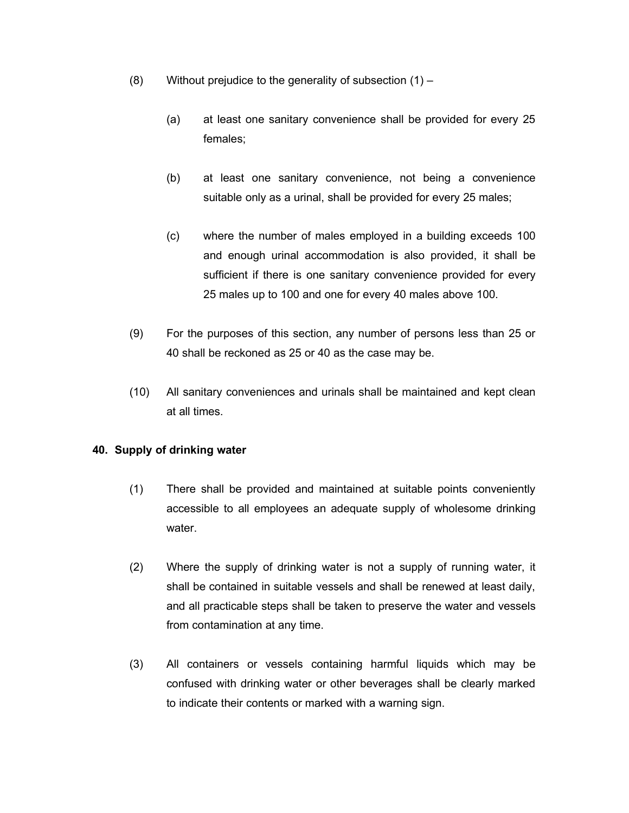- (8) Without prejudice to the generality of subsection (1)
	- (a) at least one sanitary convenience shall be provided for every 25 females;
	- (b) at least one sanitary convenience, not being a convenience suitable only as a urinal, shall be provided for every 25 males;
	- (c) where the number of males employed in a building exceeds 100 and enough urinal accommodation is also provided, it shall be sufficient if there is one sanitary convenience provided for every 25 males up to 100 and one for every 40 males above 100.
- (9) For the purposes of this section, any number of persons less than 25 or 40 shall be reckoned as 25 or 40 as the case may be.
- (10) All sanitary conveniences and urinals shall be maintained and kept clean at all times.

# **40. Supply of drinking water**

- (1) There shall be provided and maintained at suitable points conveniently accessible to all employees an adequate supply of wholesome drinking water.
- (2) Where the supply of drinking water is not a supply of running water, it shall be contained in suitable vessels and shall be renewed at least daily, and all practicable steps shall be taken to preserve the water and vessels from contamination at any time.
- (3) All containers or vessels containing harmful liquids which may be confused with drinking water or other beverages shall be clearly marked to indicate their contents or marked with a warning sign.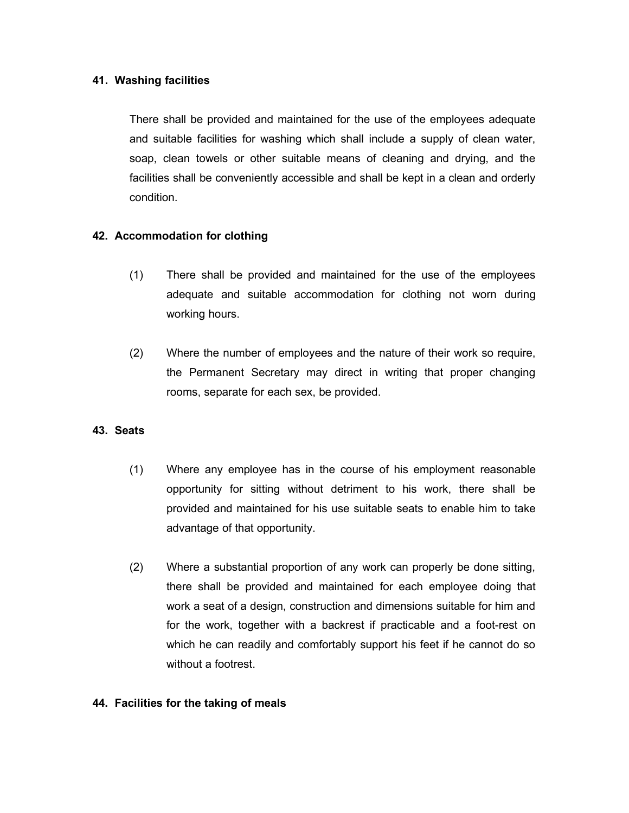#### **41. Washing facilities**

There shall be provided and maintained for the use of the employees adequate and suitable facilities for washing which shall include a supply of clean water, soap, clean towels or other suitable means of cleaning and drying, and the facilities shall be conveniently accessible and shall be kept in a clean and orderly condition.

# **42. Accommodation for clothing**

- (1) There shall be provided and maintained for the use of the employees adequate and suitable accommodation for clothing not worn during working hours.
- (2) Where the number of employees and the nature of their work so require, the Permanent Secretary may direct in writing that proper changing rooms, separate for each sex, be provided.

# **43. Seats**

- (1) Where any employee has in the course of his employment reasonable opportunity for sitting without detriment to his work, there shall be provided and maintained for his use suitable seats to enable him to take advantage of that opportunity.
- (2) Where a substantial proportion of any work can properly be done sitting, there shall be provided and maintained for each employee doing that work a seat of a design, construction and dimensions suitable for him and for the work, together with a backrest if practicable and a foot-rest on which he can readily and comfortably support his feet if he cannot do so without a footrest.

# **44. Facilities for the taking of meals**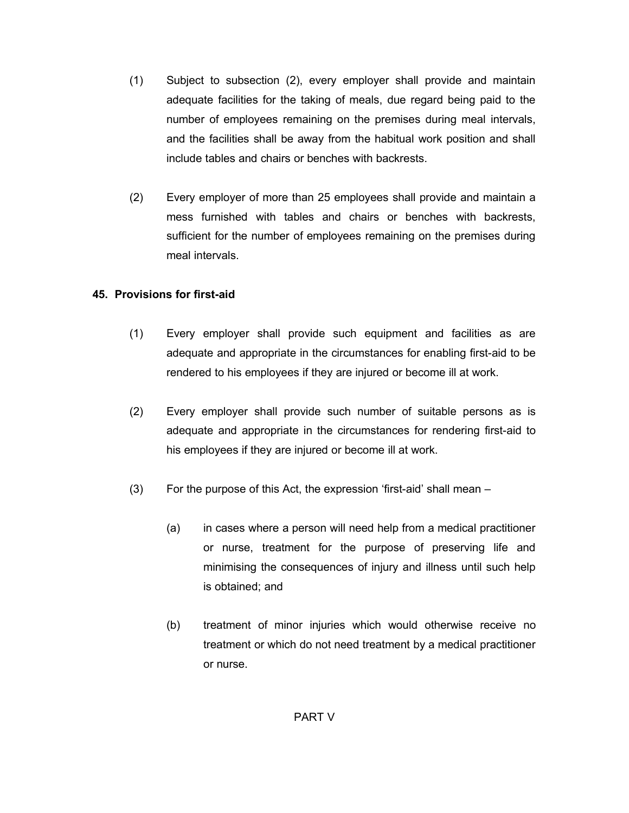- (1) Subject to subsection (2), every employer shall provide and maintain adequate facilities for the taking of meals, due regard being paid to the number of employees remaining on the premises during meal intervals, and the facilities shall be away from the habitual work position and shall include tables and chairs or benches with backrests.
- (2) Every employer of more than 25 employees shall provide and maintain a mess furnished with tables and chairs or benches with backrests, sufficient for the number of employees remaining on the premises during meal intervals.

# **45. Provisions for first-aid**

- (1) Every employer shall provide such equipment and facilities as are adequate and appropriate in the circumstances for enabling first-aid to be rendered to his employees if they are injured or become ill at work.
- (2) Every employer shall provide such number of suitable persons as is adequate and appropriate in the circumstances for rendering first-aid to his employees if they are injured or become ill at work.
- (3) For the purpose of this Act, the expression 'first-aid' shall mean
	- (a) in cases where a person will need help from a medical practitioner or nurse, treatment for the purpose of preserving life and minimising the consequences of injury and illness until such help is obtained; and
	- (b) treatment of minor injuries which would otherwise receive no treatment or which do not need treatment by a medical practitioner or nurse.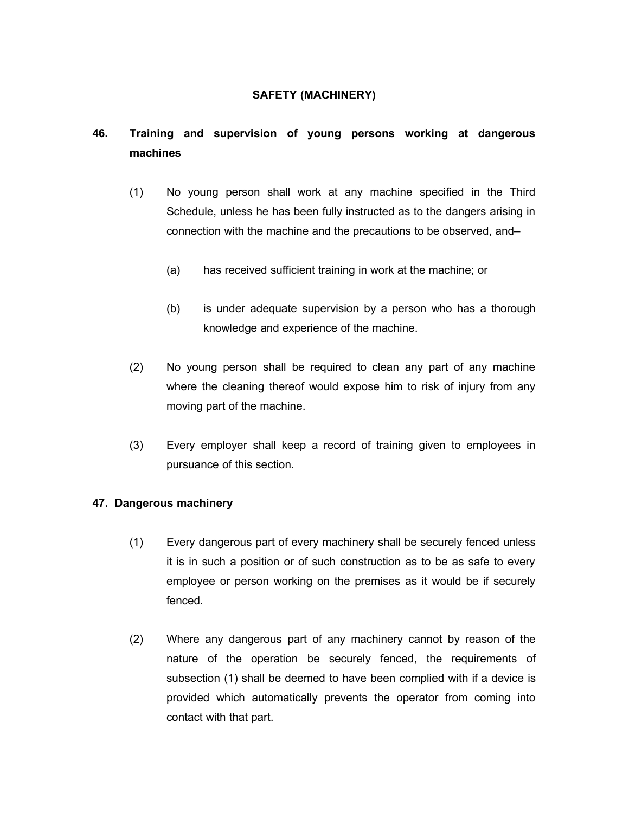# **SAFETY (MACHINERY)**

# **46. Training and supervision of young persons working at dangerous machines**

- (1) No young person shall work at any machine specified in the Third Schedule, unless he has been fully instructed as to the dangers arising in connection with the machine and the precautions to be observed, and–
	- (a) has received sufficient training in work at the machine; or
	- (b) is under adequate supervision by a person who has a thorough knowledge and experience of the machine.
- (2) No young person shall be required to clean any part of any machine where the cleaning thereof would expose him to risk of injury from any moving part of the machine.
- (3) Every employer shall keep a record of training given to employees in pursuance of this section.

# **47. Dangerous machinery**

- (1) Every dangerous part of every machinery shall be securely fenced unless it is in such a position or of such construction as to be as safe to every employee or person working on the premises as it would be if securely fenced.
- (2) Where any dangerous part of any machinery cannot by reason of the nature of the operation be securely fenced, the requirements of subsection (1) shall be deemed to have been complied with if a device is provided which automatically prevents the operator from coming into contact with that part.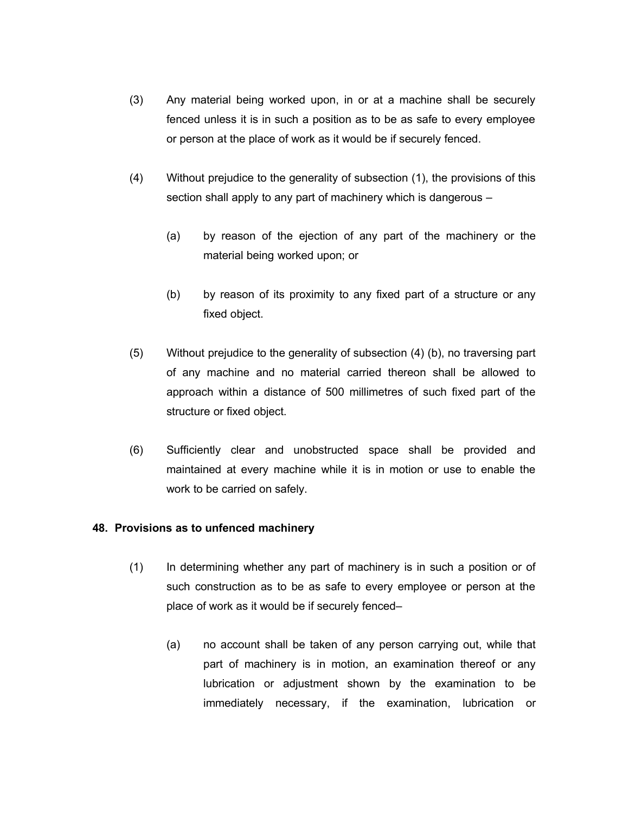- (3) Any material being worked upon, in or at a machine shall be securely fenced unless it is in such a position as to be as safe to every employee or person at the place of work as it would be if securely fenced.
- (4) Without prejudice to the generality of subsection (1), the provisions of this section shall apply to any part of machinery which is dangerous –
	- (a) by reason of the ejection of any part of the machinery or the material being worked upon; or
	- (b) by reason of its proximity to any fixed part of a structure or any fixed object.
- (5) Without prejudice to the generality of subsection (4) (b), no traversing part of any machine and no material carried thereon shall be allowed to approach within a distance of 500 millimetres of such fixed part of the structure or fixed object.
- (6) Sufficiently clear and unobstructed space shall be provided and maintained at every machine while it is in motion or use to enable the work to be carried on safely.

#### **48. Provisions as to unfenced machinery**

- (1) In determining whether any part of machinery is in such a position or of such construction as to be as safe to every employee or person at the place of work as it would be if securely fenced–
	- (a) no account shall be taken of any person carrying out, while that part of machinery is in motion, an examination thereof or any lubrication or adjustment shown by the examination to be immediately necessary, if the examination, lubrication or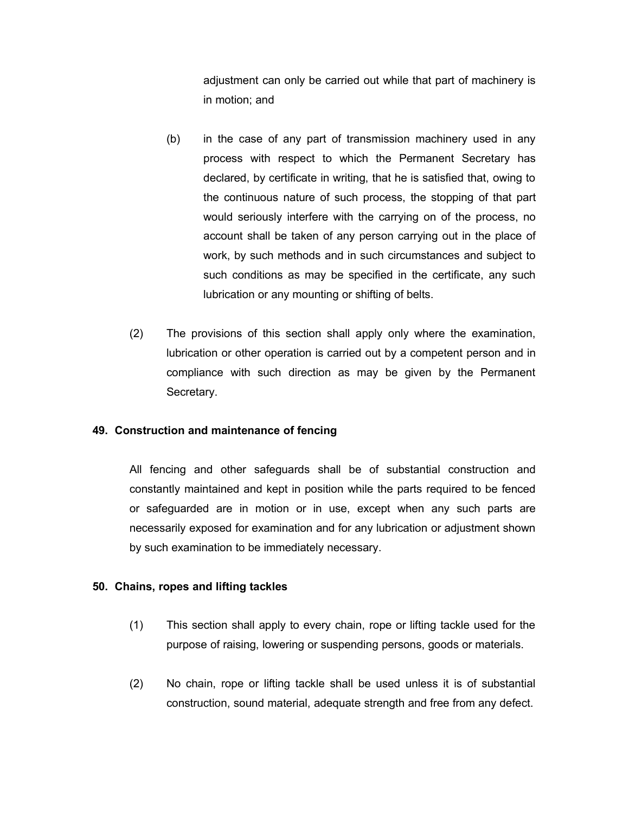adjustment can only be carried out while that part of machinery is in motion; and

- (b) in the case of any part of transmission machinery used in any process with respect to which the Permanent Secretary has declared, by certificate in writing, that he is satisfied that, owing to the continuous nature of such process, the stopping of that part would seriously interfere with the carrying on of the process, no account shall be taken of any person carrying out in the place of work, by such methods and in such circumstances and subject to such conditions as may be specified in the certificate, any such lubrication or any mounting or shifting of belts.
- (2) The provisions of this section shall apply only where the examination, lubrication or other operation is carried out by a competent person and in compliance with such direction as may be given by the Permanent Secretary.

#### **49. Construction and maintenance of fencing**

All fencing and other safeguards shall be of substantial construction and constantly maintained and kept in position while the parts required to be fenced or safeguarded are in motion or in use, except when any such parts are necessarily exposed for examination and for any lubrication or adjustment shown by such examination to be immediately necessary.

#### **50. Chains, ropes and lifting tackles**

- (1) This section shall apply to every chain, rope or lifting tackle used for the purpose of raising, lowering or suspending persons, goods or materials.
- (2) No chain, rope or lifting tackle shall be used unless it is of substantial construction, sound material, adequate strength and free from any defect.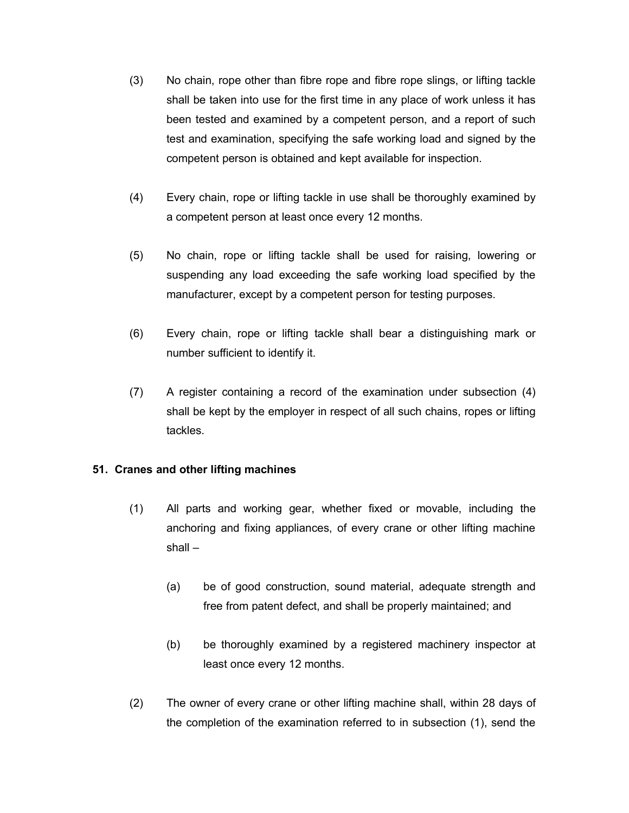- (3) No chain, rope other than fibre rope and fibre rope slings, or lifting tackle shall be taken into use for the first time in any place of work unless it has been tested and examined by a competent person, and a report of such test and examination, specifying the safe working load and signed by the competent person is obtained and kept available for inspection.
- (4) Every chain, rope or lifting tackle in use shall be thoroughly examined by a competent person at least once every 12 months.
- (5) No chain, rope or lifting tackle shall be used for raising, lowering or suspending any load exceeding the safe working load specified by the manufacturer, except by a competent person for testing purposes.
- (6) Every chain, rope or lifting tackle shall bear a distinguishing mark or number sufficient to identify it.
- (7) A register containing a record of the examination under subsection (4) shall be kept by the employer in respect of all such chains, ropes or lifting tackles.

# **51. Cranes and other lifting machines**

- (1) All parts and working gear, whether fixed or movable, including the anchoring and fixing appliances, of every crane or other lifting machine shall  $-$ 
	- (a) be of good construction, sound material, adequate strength and free from patent defect, and shall be properly maintained; and
	- (b) be thoroughly examined by a registered machinery inspector at least once every 12 months.
- (2) The owner of every crane or other lifting machine shall, within 28 days of the completion of the examination referred to in subsection (1), send the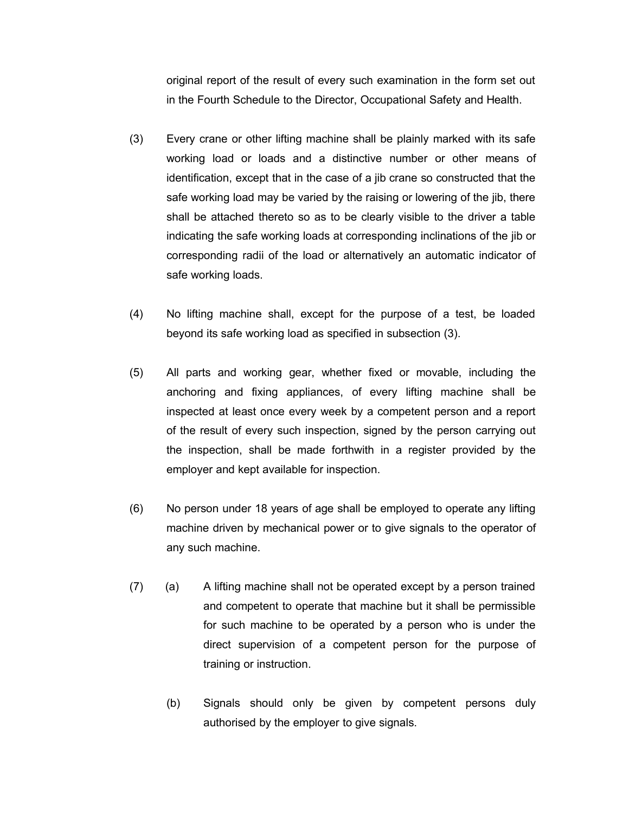original report of the result of every such examination in the form set out in the Fourth Schedule to the Director, Occupational Safety and Health.

- (3) Every crane or other lifting machine shall be plainly marked with its safe working load or loads and a distinctive number or other means of identification, except that in the case of a jib crane so constructed that the safe working load may be varied by the raising or lowering of the jib, there shall be attached thereto so as to be clearly visible to the driver a table indicating the safe working loads at corresponding inclinations of the jib or corresponding radii of the load or alternatively an automatic indicator of safe working loads.
- (4) No lifting machine shall, except for the purpose of a test, be loaded beyond its safe working load as specified in subsection (3).
- (5) All parts and working gear, whether fixed or movable, including the anchoring and fixing appliances, of every lifting machine shall be inspected at least once every week by a competent person and a report of the result of every such inspection, signed by the person carrying out the inspection, shall be made forthwith in a register provided by the employer and kept available for inspection.
- (6) No person under 18 years of age shall be employed to operate any lifting machine driven by mechanical power or to give signals to the operator of any such machine.
- (7) (a) A lifting machine shall not be operated except by a person trained and competent to operate that machine but it shall be permissible for such machine to be operated by a person who is under the direct supervision of a competent person for the purpose of training or instruction.
	- (b) Signals should only be given by competent persons duly authorised by the employer to give signals.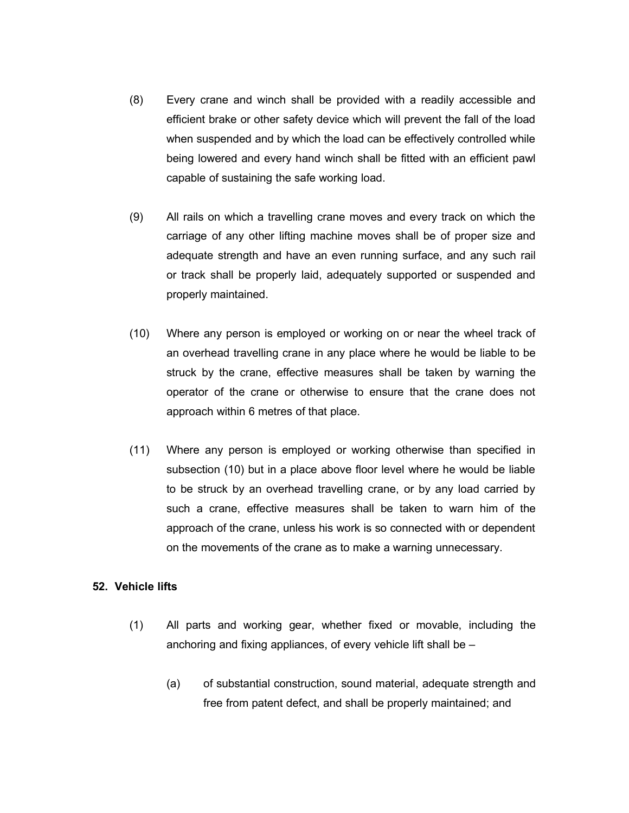- (8) Every crane and winch shall be provided with a readily accessible and efficient brake or other safety device which will prevent the fall of the load when suspended and by which the load can be effectively controlled while being lowered and every hand winch shall be fitted with an efficient pawl capable of sustaining the safe working load.
- (9) All rails on which a travelling crane moves and every track on which the carriage of any other lifting machine moves shall be of proper size and adequate strength and have an even running surface, and any such rail or track shall be properly laid, adequately supported or suspended and properly maintained.
- (10) Where any person is employed or working on or near the wheel track of an overhead travelling crane in any place where he would be liable to be struck by the crane, effective measures shall be taken by warning the operator of the crane or otherwise to ensure that the crane does not approach within 6 metres of that place.
- (11) Where any person is employed or working otherwise than specified in subsection (10) but in a place above floor level where he would be liable to be struck by an overhead travelling crane, or by any load carried by such a crane, effective measures shall be taken to warn him of the approach of the crane, unless his work is so connected with or dependent on the movements of the crane as to make a warning unnecessary.

#### **52. Vehicle lifts**

- (1) All parts and working gear, whether fixed or movable, including the anchoring and fixing appliances, of every vehicle lift shall be –
	- (a) of substantial construction, sound material, adequate strength and free from patent defect, and shall be properly maintained; and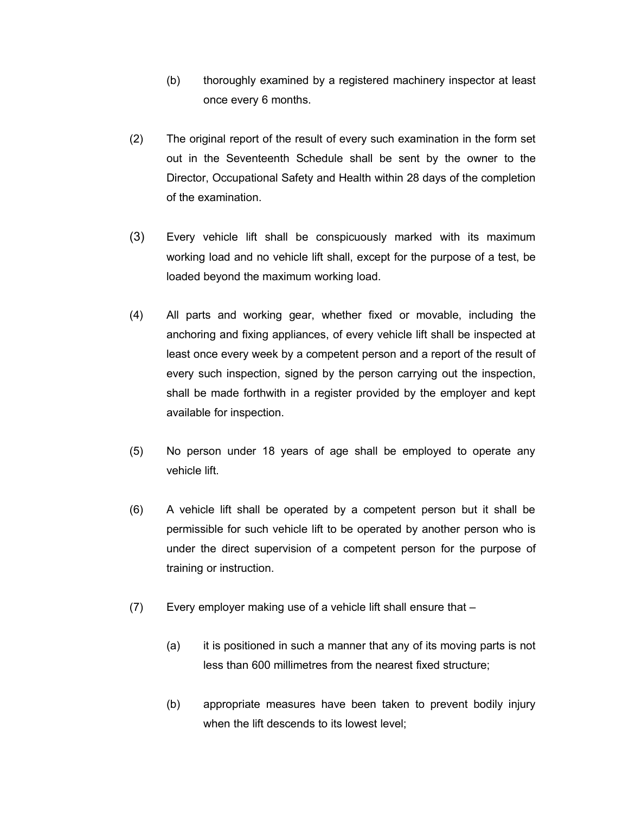- (b) thoroughly examined by a registered machinery inspector at least once every 6 months.
- (2) The original report of the result of every such examination in the form set out in the Seventeenth Schedule shall be sent by the owner to the Director, Occupational Safety and Health within 28 days of the completion of the examination.
- (3) Every vehicle lift shall be conspicuously marked with its maximum working load and no vehicle lift shall, except for the purpose of a test, be loaded beyond the maximum working load.
- (4) All parts and working gear, whether fixed or movable, including the anchoring and fixing appliances, of every vehicle lift shall be inspected at least once every week by a competent person and a report of the result of every such inspection, signed by the person carrying out the inspection, shall be made forthwith in a register provided by the employer and kept available for inspection.
- (5) No person under 18 years of age shall be employed to operate any vehicle lift.
- (6) A vehicle lift shall be operated by a competent person but it shall be permissible for such vehicle lift to be operated by another person who is under the direct supervision of a competent person for the purpose of training or instruction.
- (7) Every employer making use of a vehicle lift shall ensure that
	- (a) it is positioned in such a manner that any of its moving parts is not less than 600 millimetres from the nearest fixed structure;
	- (b) appropriate measures have been taken to prevent bodily injury when the lift descends to its lowest level;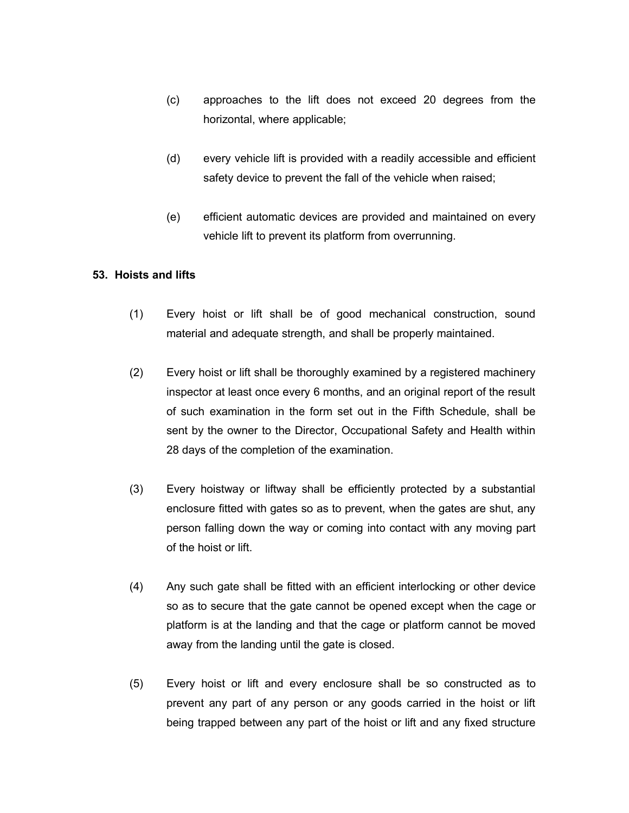- (c) approaches to the lift does not exceed 20 degrees from the horizontal, where applicable;
- (d) every vehicle lift is provided with a readily accessible and efficient safety device to prevent the fall of the vehicle when raised;
- (e) efficient automatic devices are provided and maintained on every vehicle lift to prevent its platform from overrunning.

# **53. Hoists and lifts**

- (1) Every hoist or lift shall be of good mechanical construction, sound material and adequate strength, and shall be properly maintained.
- (2) Every hoist or lift shall be thoroughly examined by a registered machinery inspector at least once every 6 months, and an original report of the result of such examination in the form set out in the Fifth Schedule, shall be sent by the owner to the Director, Occupational Safety and Health within 28 days of the completion of the examination.
- (3) Every hoistway or liftway shall be efficiently protected by a substantial enclosure fitted with gates so as to prevent, when the gates are shut, any person falling down the way or coming into contact with any moving part of the hoist or lift.
- (4) Any such gate shall be fitted with an efficient interlocking or other device so as to secure that the gate cannot be opened except when the cage or platform is at the landing and that the cage or platform cannot be moved away from the landing until the gate is closed.
- (5) Every hoist or lift and every enclosure shall be so constructed as to prevent any part of any person or any goods carried in the hoist or lift being trapped between any part of the hoist or lift and any fixed structure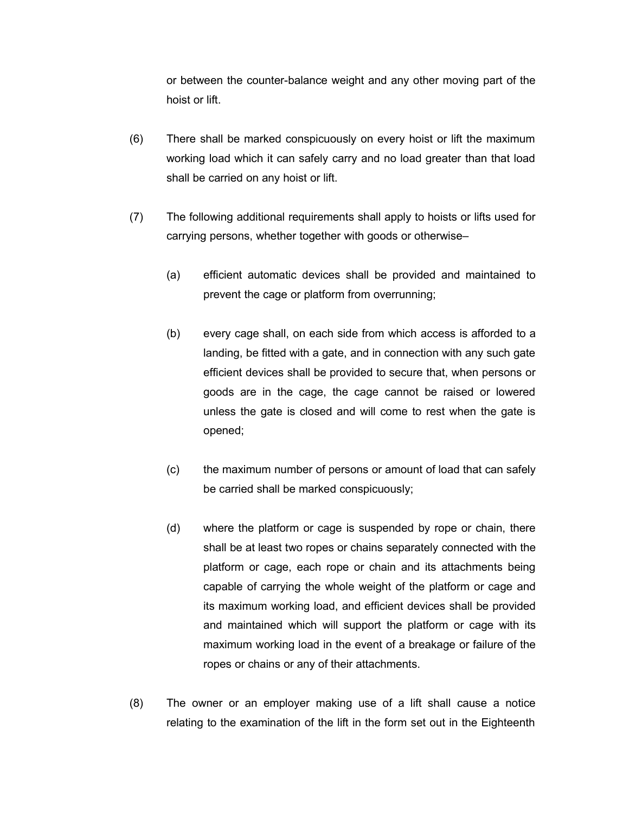or between the counter-balance weight and any other moving part of the hoist or lift.

- (6) There shall be marked conspicuously on every hoist or lift the maximum working load which it can safely carry and no load greater than that load shall be carried on any hoist or lift.
- (7) The following additional requirements shall apply to hoists or lifts used for carrying persons, whether together with goods or otherwise–
	- (a) efficient automatic devices shall be provided and maintained to prevent the cage or platform from overrunning;
	- (b) every cage shall, on each side from which access is afforded to a landing, be fitted with a gate, and in connection with any such gate efficient devices shall be provided to secure that, when persons or goods are in the cage, the cage cannot be raised or lowered unless the gate is closed and will come to rest when the gate is opened;
	- (c) the maximum number of persons or amount of load that can safely be carried shall be marked conspicuously;
	- (d) where the platform or cage is suspended by rope or chain, there shall be at least two ropes or chains separately connected with the platform or cage, each rope or chain and its attachments being capable of carrying the whole weight of the platform or cage and its maximum working load, and efficient devices shall be provided and maintained which will support the platform or cage with its maximum working load in the event of a breakage or failure of the ropes or chains or any of their attachments.
- (8) The owner or an employer making use of a lift shall cause a notice relating to the examination of the lift in the form set out in the Eighteenth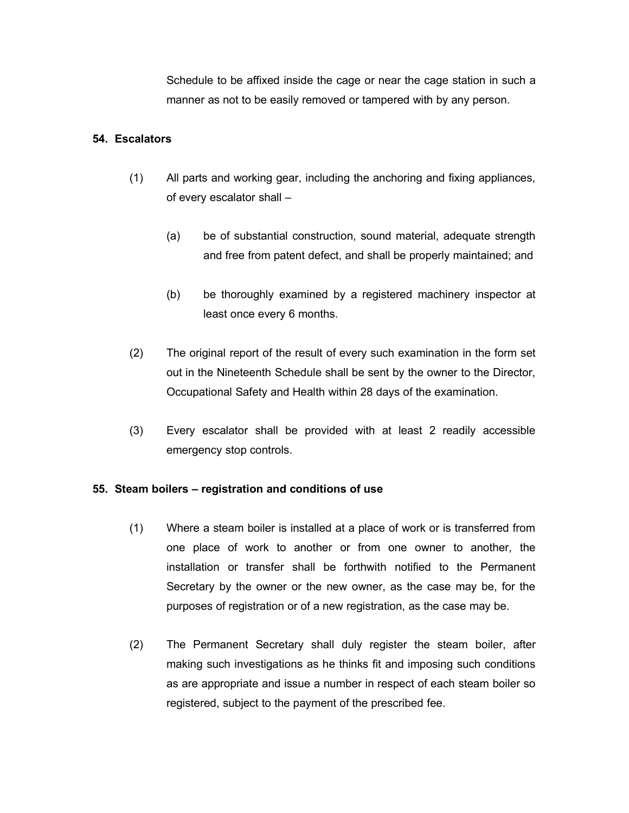Schedule to be affixed inside the cage or near the cage station in such a manner as not to be easily removed or tampered with by any person.

#### **54. Escalators**

- (1) All parts and working gear, including the anchoring and fixing appliances, of every escalator shall –
	- (a) be of substantial construction, sound material, adequate strength and free from patent defect, and shall be properly maintained; and
	- (b) be thoroughly examined by a registered machinery inspector at least once every 6 months.
- (2) The original report of the result of every such examination in the form set out in the Nineteenth Schedule shall be sent by the owner to the Director, Occupational Safety and Health within 28 days of the examination.
- (3) Every escalator shall be provided with at least 2 readily accessible emergency stop controls.

#### **55. Steam boilers – registration and conditions of use**

- (1) Where a steam boiler is installed at a place of work or is transferred from one place of work to another or from one owner to another, the installation or transfer shall be forthwith notified to the Permanent Secretary by the owner or the new owner, as the case may be, for the purposes of registration or of a new registration, as the case may be.
- (2) The Permanent Secretary shall duly register the steam boiler, after making such investigations as he thinks fit and imposing such conditions as are appropriate and issue a number in respect of each steam boiler so registered, subject to the payment of the prescribed fee.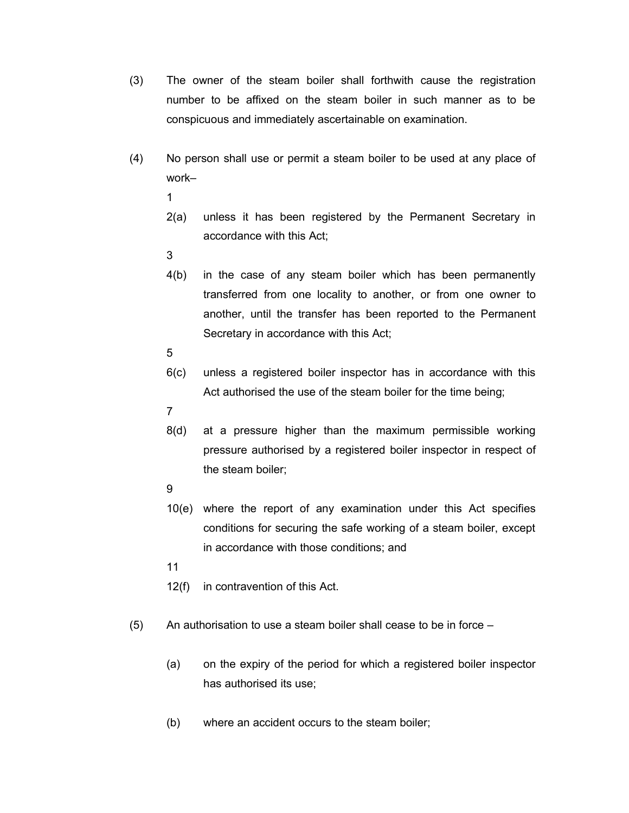- (3) The owner of the steam boiler shall forthwith cause the registration number to be affixed on the steam boiler in such manner as to be conspicuous and immediately ascertainable on examination.
- (4) No person shall use or permit a steam boiler to be used at any place of work–
	- 1
	- 2(a) unless it has been registered by the Permanent Secretary in accordance with this Act;
	- 3
	- 4(b) in the case of any steam boiler which has been permanently transferred from one locality to another, or from one owner to another, until the transfer has been reported to the Permanent Secretary in accordance with this Act;
	- 5
	- 6(c) unless a registered boiler inspector has in accordance with this Act authorised the use of the steam boiler for the time being;
	- 7
	- 8(d) at a pressure higher than the maximum permissible working pressure authorised by a registered boiler inspector in respect of the steam boiler;
	- $\mathbf{Q}$
	- 10(e) where the report of any examination under this Act specifies conditions for securing the safe working of a steam boiler, except in accordance with those conditions; and
	- 11
	- 12(f) in contravention of this Act.
- (5) An authorisation to use a steam boiler shall cease to be in force
	- (a) on the expiry of the period for which a registered boiler inspector has authorised its use;
	- (b) where an accident occurs to the steam boiler;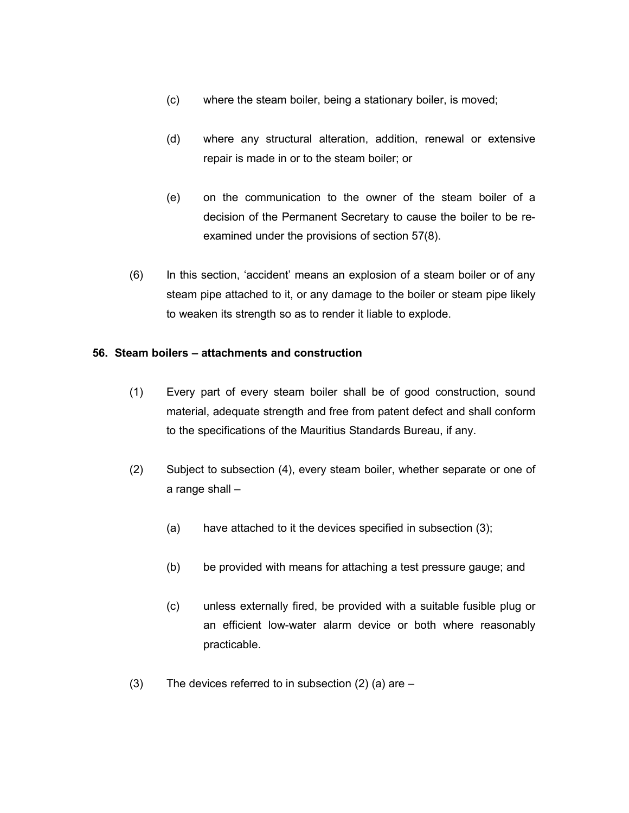- (c) where the steam boiler, being a stationary boiler, is moved;
- (d) where any structural alteration, addition, renewal or extensive repair is made in or to the steam boiler; or
- (e) on the communication to the owner of the steam boiler of a decision of the Permanent Secretary to cause the boiler to be reexamined under the provisions of section 57(8).
- (6) In this section, 'accident' means an explosion of a steam boiler or of any steam pipe attached to it, or any damage to the boiler or steam pipe likely to weaken its strength so as to render it liable to explode.

#### **56. Steam boilers – attachments and construction**

- (1) Every part of every steam boiler shall be of good construction, sound material, adequate strength and free from patent defect and shall conform to the specifications of the Mauritius Standards Bureau, if any.
- (2) Subject to subsection (4), every steam boiler, whether separate or one of a range shall –
	- (a) have attached to it the devices specified in subsection (3);
	- (b) be provided with means for attaching a test pressure gauge; and
	- (c) unless externally fired, be provided with a suitable fusible plug or an efficient low-water alarm device or both where reasonably practicable.
- (3) The devices referred to in subsection  $(2)$  (a) are  $-$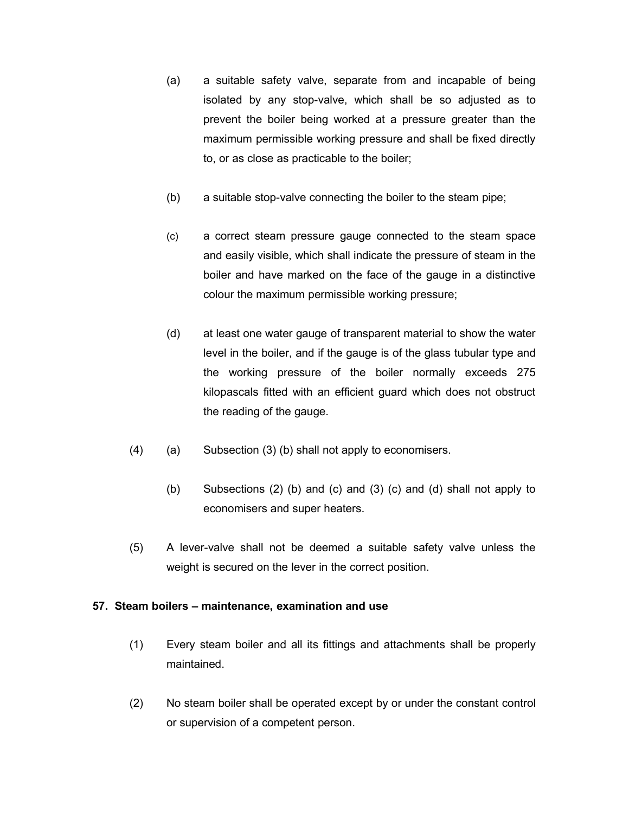- (a) a suitable safety valve, separate from and incapable of being isolated by any stop-valve, which shall be so adjusted as to prevent the boiler being worked at a pressure greater than the maximum permissible working pressure and shall be fixed directly to, or as close as practicable to the boiler;
- (b) a suitable stop-valve connecting the boiler to the steam pipe;
- (c) a correct steam pressure gauge connected to the steam space and easily visible, which shall indicate the pressure of steam in the boiler and have marked on the face of the gauge in a distinctive colour the maximum permissible working pressure;
- (d) at least one water gauge of transparent material to show the water level in the boiler, and if the gauge is of the glass tubular type and the working pressure of the boiler normally exceeds 275 kilopascals fitted with an efficient guard which does not obstruct the reading of the gauge.
- (4) (a) Subsection (3) (b) shall not apply to economisers.
	- (b) Subsections (2) (b) and (c) and (3) (c) and (d) shall not apply to economisers and super heaters.
- (5) A lever-valve shall not be deemed a suitable safety valve unless the weight is secured on the lever in the correct position.

# **57. Steam boilers – maintenance, examination and use**

- (1) Every steam boiler and all its fittings and attachments shall be properly maintained.
- (2) No steam boiler shall be operated except by or under the constant control or supervision of a competent person.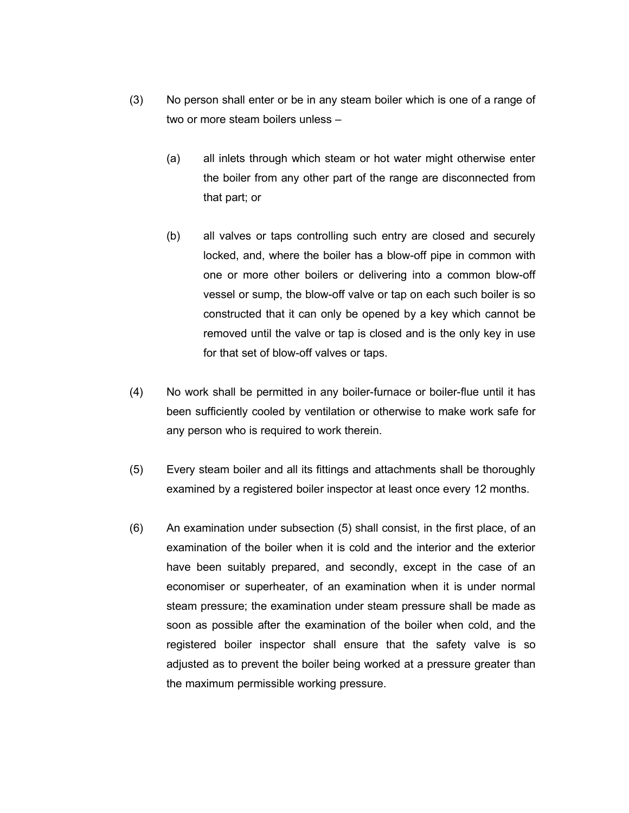- (3) No person shall enter or be in any steam boiler which is one of a range of two or more steam boilers unless –
	- (a) all inlets through which steam or hot water might otherwise enter the boiler from any other part of the range are disconnected from that part; or
	- (b) all valves or taps controlling such entry are closed and securely locked, and, where the boiler has a blow-off pipe in common with one or more other boilers or delivering into a common blow-off vessel or sump, the blow-off valve or tap on each such boiler is so constructed that it can only be opened by a key which cannot be removed until the valve or tap is closed and is the only key in use for that set of blow-off valves or taps.
- (4) No work shall be permitted in any boiler-furnace or boiler-flue until it has been sufficiently cooled by ventilation or otherwise to make work safe for any person who is required to work therein.
- (5) Every steam boiler and all its fittings and attachments shall be thoroughly examined by a registered boiler inspector at least once every 12 months.
- (6) An examination under subsection (5) shall consist, in the first place, of an examination of the boiler when it is cold and the interior and the exterior have been suitably prepared, and secondly, except in the case of an economiser or superheater, of an examination when it is under normal steam pressure; the examination under steam pressure shall be made as soon as possible after the examination of the boiler when cold, and the registered boiler inspector shall ensure that the safety valve is so adjusted as to prevent the boiler being worked at a pressure greater than the maximum permissible working pressure.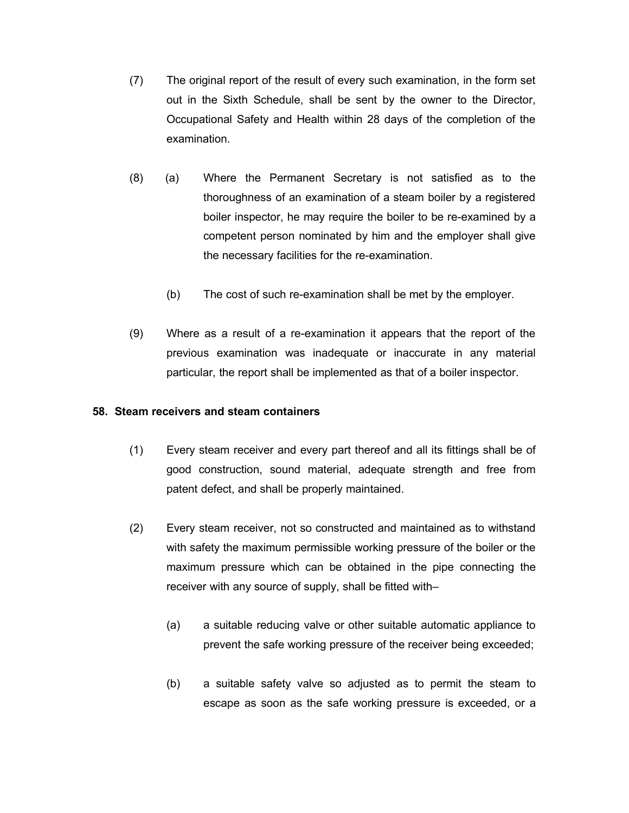- (7) The original report of the result of every such examination, in the form set out in the Sixth Schedule, shall be sent by the owner to the Director, Occupational Safety and Health within 28 days of the completion of the examination.
- (8) (a) Where the Permanent Secretary is not satisfied as to the thoroughness of an examination of a steam boiler by a registered boiler inspector, he may require the boiler to be re-examined by a competent person nominated by him and the employer shall give the necessary facilities for the re-examination.
	- (b) The cost of such re-examination shall be met by the employer.
- (9) Where as a result of a re-examination it appears that the report of the previous examination was inadequate or inaccurate in any material particular, the report shall be implemented as that of a boiler inspector.

#### **58. Steam receivers and steam containers**

- (1) Every steam receiver and every part thereof and all its fittings shall be of good construction, sound material, adequate strength and free from patent defect, and shall be properly maintained.
- (2) Every steam receiver, not so constructed and maintained as to withstand with safety the maximum permissible working pressure of the boiler or the maximum pressure which can be obtained in the pipe connecting the receiver with any source of supply, shall be fitted with–
	- (a) a suitable reducing valve or other suitable automatic appliance to prevent the safe working pressure of the receiver being exceeded;
	- (b) a suitable safety valve so adjusted as to permit the steam to escape as soon as the safe working pressure is exceeded, or a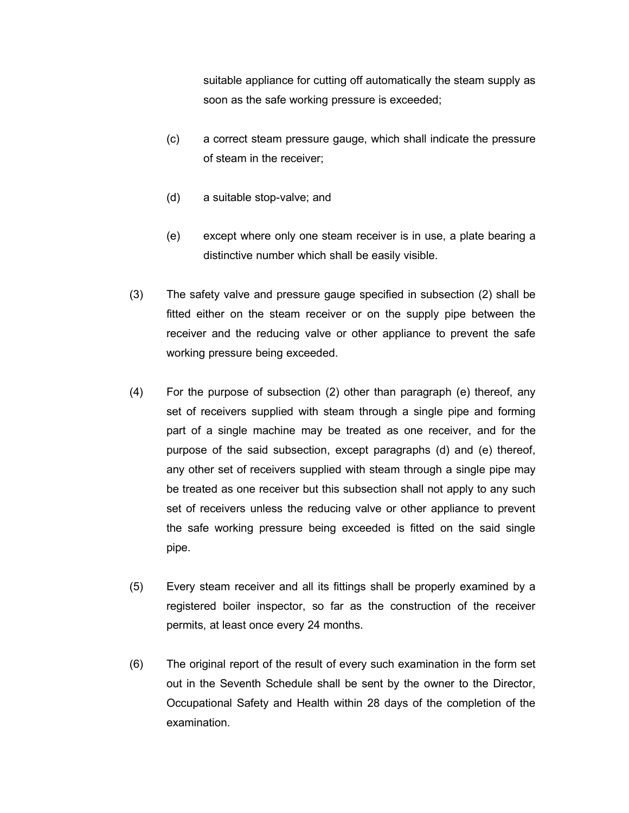suitable appliance for cutting off automatically the steam supply as soon as the safe working pressure is exceeded;

- (c) a correct steam pressure gauge, which shall indicate the pressure of steam in the receiver;
- (d) a suitable stop-valve; and
- (e) except where only one steam receiver is in use, a plate bearing a distinctive number which shall be easily visible.
- (3) The safety valve and pressure gauge specified in subsection (2) shall be fitted either on the steam receiver or on the supply pipe between the receiver and the reducing valve or other appliance to prevent the safe working pressure being exceeded.
- (4) For the purpose of subsection (2) other than paragraph (e) thereof, any set of receivers supplied with steam through a single pipe and forming part of a single machine may be treated as one receiver, and for the purpose of the said subsection, except paragraphs (d) and (e) thereof, any other set of receivers supplied with steam through a single pipe may be treated as one receiver but this subsection shall not apply to any such set of receivers unless the reducing valve or other appliance to prevent the safe working pressure being exceeded is fitted on the said single pipe.
- (5) Every steam receiver and all its fittings shall be properly examined by a registered boiler inspector, so far as the construction of the receiver permits, at least once every 24 months.
- (6) The original report of the result of every such examination in the form set out in the Seventh Schedule shall be sent by the owner to the Director, Occupational Safety and Health within 28 days of the completion of the examination.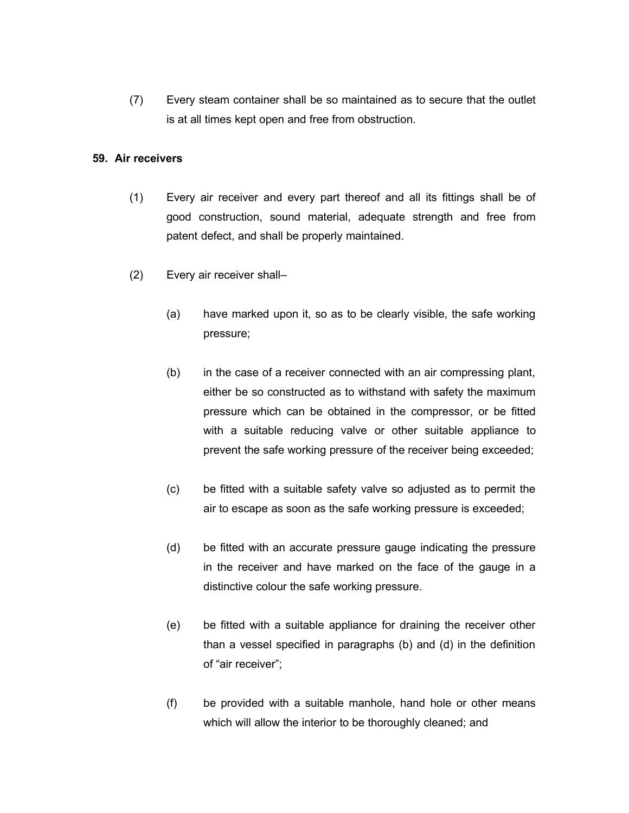(7) Every steam container shall be so maintained as to secure that the outlet is at all times kept open and free from obstruction.

## **59. Air receivers**

- (1) Every air receiver and every part thereof and all its fittings shall be of good construction, sound material, adequate strength and free from patent defect, and shall be properly maintained.
- (2) Every air receiver shall–
	- (a) have marked upon it, so as to be clearly visible, the safe working pressure;
	- (b) in the case of a receiver connected with an air compressing plant, either be so constructed as to withstand with safety the maximum pressure which can be obtained in the compressor, or be fitted with a suitable reducing valve or other suitable appliance to prevent the safe working pressure of the receiver being exceeded;
	- (c) be fitted with a suitable safety valve so adjusted as to permit the air to escape as soon as the safe working pressure is exceeded;
	- (d) be fitted with an accurate pressure gauge indicating the pressure in the receiver and have marked on the face of the gauge in a distinctive colour the safe working pressure.
	- (e) be fitted with a suitable appliance for draining the receiver other than a vessel specified in paragraphs (b) and (d) in the definition of "air receiver";
	- (f) be provided with a suitable manhole, hand hole or other means which will allow the interior to be thoroughly cleaned; and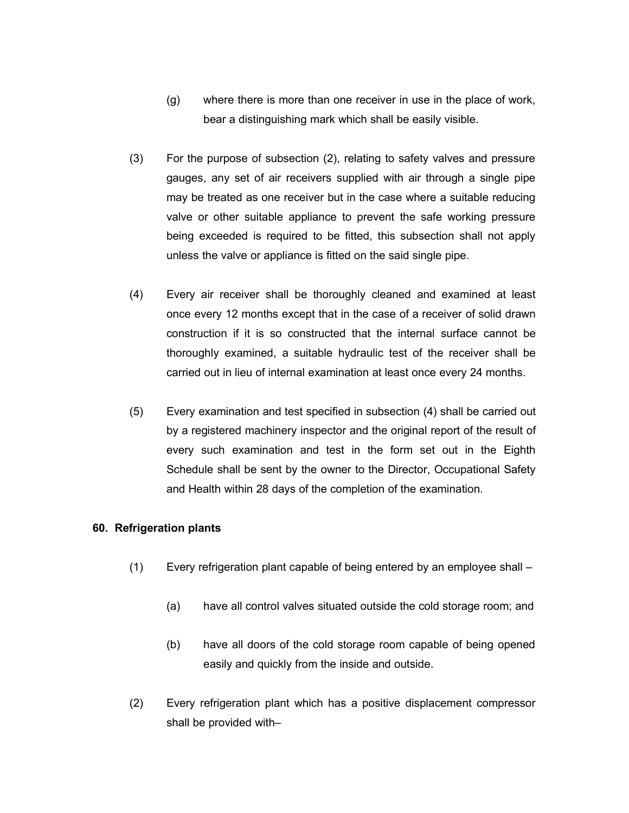- (g) where there is more than one receiver in use in the place of work, bear a distinguishing mark which shall be easily visible.
- (3) For the purpose of subsection (2), relating to safety valves and pressure gauges, any set of air receivers supplied with air through a single pipe may be treated as one receiver but in the case where a suitable reducing valve or other suitable appliance to prevent the safe working pressure being exceeded is required to be fitted, this subsection shall not apply unless the valve or appliance is fitted on the said single pipe.
- (4) Every air receiver shall be thoroughly cleaned and examined at least once every 12 months except that in the case of a receiver of solid drawn construction if it is so constructed that the internal surface cannot be thoroughly examined, a suitable hydraulic test of the receiver shall be carried out in lieu of internal examination at least once every 24 months.
- (5) Every examination and test specified in subsection (4) shall be carried out by a registered machinery inspector and the original report of the result of every such examination and test in the form set out in the Eighth Schedule shall be sent by the owner to the Director, Occupational Safety and Health within 28 days of the completion of the examination.

#### **60. Refrigeration plants**

- (1) Every refrigeration plant capable of being entered by an employee shall
	- (a) have all control valves situated outside the cold storage room; and
	- (b) have all doors of the cold storage room capable of being opened easily and quickly from the inside and outside.
- (2) Every refrigeration plant which has a positive displacement compressor shall be provided with–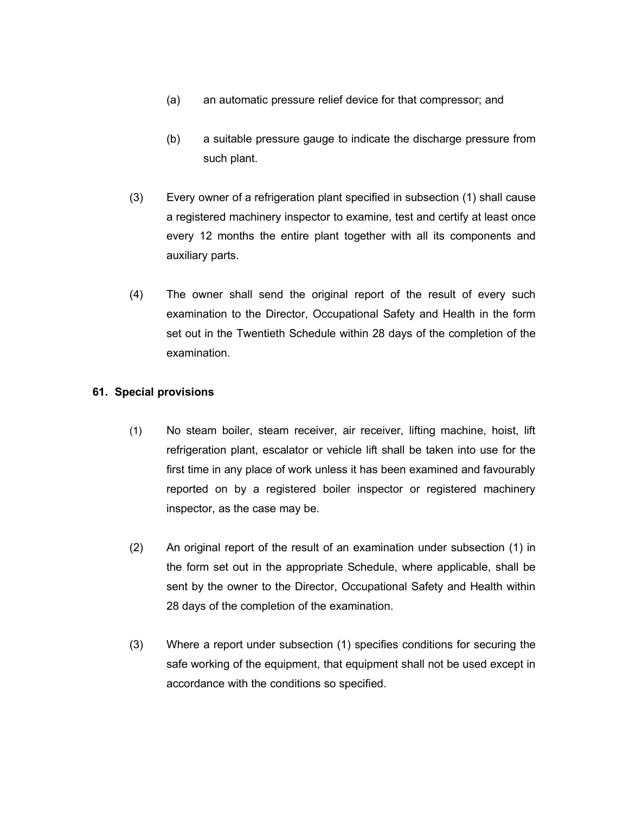- (a) an automatic pressure relief device for that compressor; and
- (b) a suitable pressure gauge to indicate the discharge pressure from such plant.
- (3) Every owner of a refrigeration plant specified in subsection (1) shall cause a registered machinery inspector to examine, test and certify at least once every 12 months the entire plant together with all its components and auxiliary parts.
- (4) The owner shall send the original report of the result of every such examination to the Director, Occupational Safety and Health in the form set out in the Twentieth Schedule within 28 days of the completion of the examination.

# **61. Special provisions**

- (1) No steam boiler, steam receiver, air receiver, lifting machine, hoist, lift refrigeration plant, escalator or vehicle lift shall be taken into use for the first time in any place of work unless it has been examined and favourably reported on by a registered boiler inspector or registered machinery inspector, as the case may be.
- (2) An original report of the result of an examination under subsection (1) in the form set out in the appropriate Schedule, where applicable, shall be sent by the owner to the Director, Occupational Safety and Health within 28 days of the completion of the examination.
- (3) Where a report under subsection (1) specifies conditions for securing the safe working of the equipment, that equipment shall not be used except in accordance with the conditions so specified.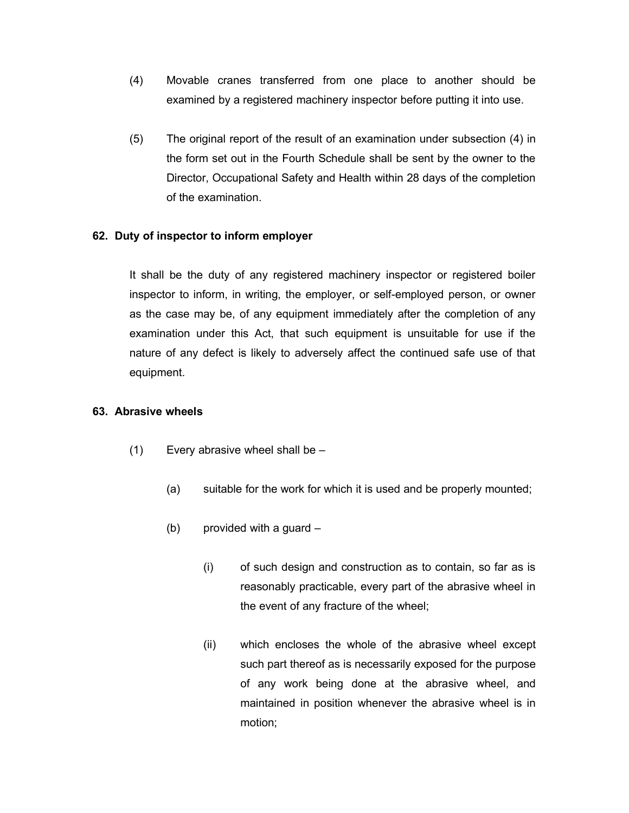- (4) Movable cranes transferred from one place to another should be examined by a registered machinery inspector before putting it into use.
- (5) The original report of the result of an examination under subsection (4) in the form set out in the Fourth Schedule shall be sent by the owner to the Director, Occupational Safety and Health within 28 days of the completion of the examination.

# **62. Duty of inspector to inform employer**

It shall be the duty of any registered machinery inspector or registered boiler inspector to inform, in writing, the employer, or self-employed person, or owner as the case may be, of any equipment immediately after the completion of any examination under this Act, that such equipment is unsuitable for use if the nature of any defect is likely to adversely affect the continued safe use of that equipment.

## **63. Abrasive wheels**

- $(1)$  Every abrasive wheel shall be  $-$ 
	- (a) suitable for the work for which it is used and be properly mounted;
	- (b) provided with a guard
		- (i) of such design and construction as to contain, so far as is reasonably practicable, every part of the abrasive wheel in the event of any fracture of the wheel;
		- (ii) which encloses the whole of the abrasive wheel except such part thereof as is necessarily exposed for the purpose of any work being done at the abrasive wheel, and maintained in position whenever the abrasive wheel is in motion;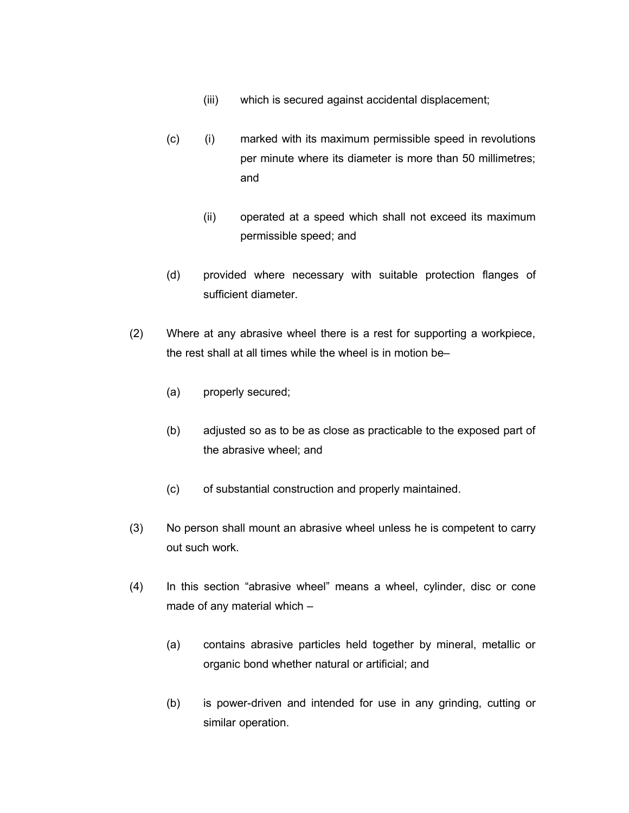- (iii) which is secured against accidental displacement;
- (c) (i) marked with its maximum permissible speed in revolutions per minute where its diameter is more than 50 millimetres; and
	- (ii) operated at a speed which shall not exceed its maximum permissible speed; and
- (d) provided where necessary with suitable protection flanges of sufficient diameter.
- (2) Where at any abrasive wheel there is a rest for supporting a workpiece, the rest shall at all times while the wheel is in motion be–
	- (a) properly secured;
	- (b) adjusted so as to be as close as practicable to the exposed part of the abrasive wheel; and
	- (c) of substantial construction and properly maintained.
- (3) No person shall mount an abrasive wheel unless he is competent to carry out such work.
- (4) In this section "abrasive wheel" means a wheel, cylinder, disc or cone made of any material which –
	- (a) contains abrasive particles held together by mineral, metallic or organic bond whether natural or artificial; and
	- (b) is power-driven and intended for use in any grinding, cutting or similar operation.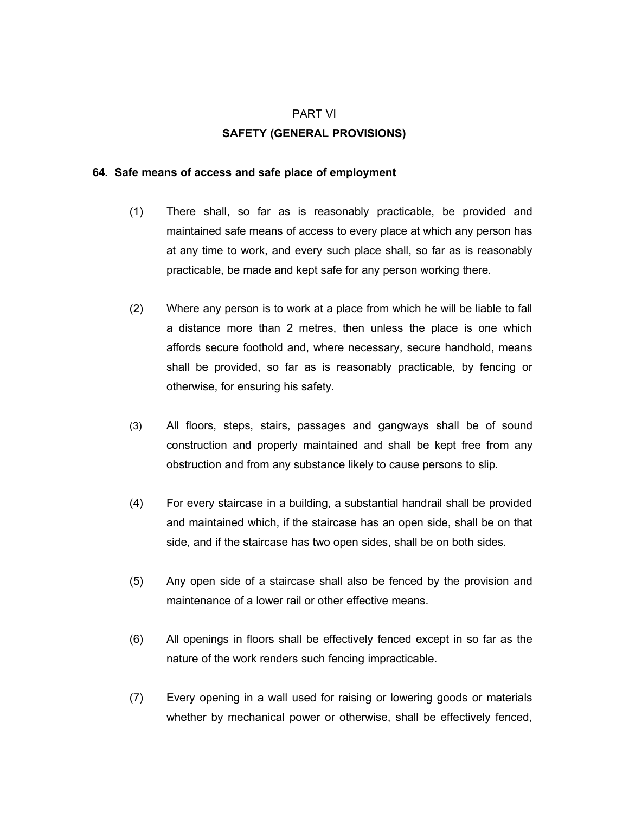#### PART VI

#### **SAFETY (GENERAL PROVISIONS)**

#### **64. Safe means of access and safe place of employment**

- (1) There shall, so far as is reasonably practicable, be provided and maintained safe means of access to every place at which any person has at any time to work, and every such place shall, so far as is reasonably practicable, be made and kept safe for any person working there.
- (2) Where any person is to work at a place from which he will be liable to fall a distance more than 2 metres, then unless the place is one which affords secure foothold and, where necessary, secure handhold, means shall be provided, so far as is reasonably practicable, by fencing or otherwise, for ensuring his safety.
- (3) All floors, steps, stairs, passages and gangways shall be of sound construction and properly maintained and shall be kept free from any obstruction and from any substance likely to cause persons to slip.
- (4) For every staircase in a building, a substantial handrail shall be provided and maintained which, if the staircase has an open side, shall be on that side, and if the staircase has two open sides, shall be on both sides.
- (5) Any open side of a staircase shall also be fenced by the provision and maintenance of a lower rail or other effective means.
- (6) All openings in floors shall be effectively fenced except in so far as the nature of the work renders such fencing impracticable.
- (7) Every opening in a wall used for raising or lowering goods or materials whether by mechanical power or otherwise, shall be effectively fenced,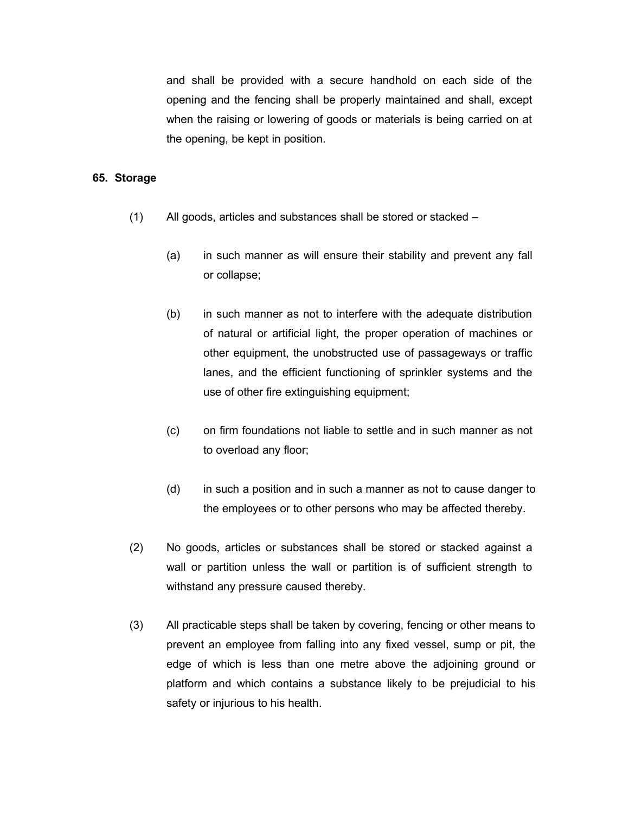and shall be provided with a secure handhold on each side of the opening and the fencing shall be properly maintained and shall, except when the raising or lowering of goods or materials is being carried on at the opening, be kept in position.

#### **65. Storage**

- (1) All goods, articles and substances shall be stored or stacked
	- (a) in such manner as will ensure their stability and prevent any fall or collapse;
	- (b) in such manner as not to interfere with the adequate distribution of natural or artificial light, the proper operation of machines or other equipment, the unobstructed use of passageways or traffic lanes, and the efficient functioning of sprinkler systems and the use of other fire extinguishing equipment;
	- (c) on firm foundations not liable to settle and in such manner as not to overload any floor;
	- (d) in such a position and in such a manner as not to cause danger to the employees or to other persons who may be affected thereby.
- (2) No goods, articles or substances shall be stored or stacked against a wall or partition unless the wall or partition is of sufficient strength to withstand any pressure caused thereby.
- (3) All practicable steps shall be taken by covering, fencing or other means to prevent an employee from falling into any fixed vessel, sump or pit, the edge of which is less than one metre above the adjoining ground or platform and which contains a substance likely to be prejudicial to his safety or injurious to his health.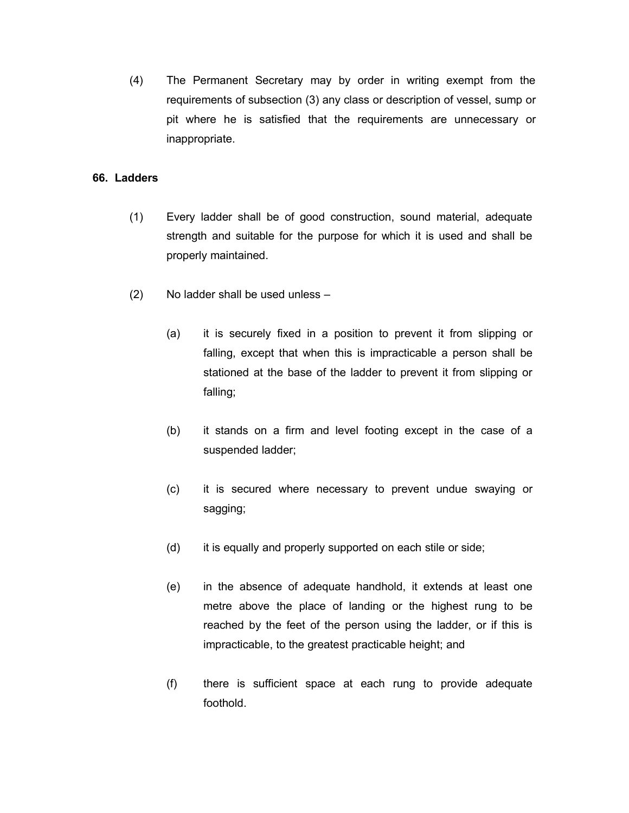(4) The Permanent Secretary may by order in writing exempt from the requirements of subsection (3) any class or description of vessel, sump or pit where he is satisfied that the requirements are unnecessary or inappropriate.

## **66. Ladders**

- (1) Every ladder shall be of good construction, sound material, adequate strength and suitable for the purpose for which it is used and shall be properly maintained.
- (2) No ladder shall be used unless
	- (a) it is securely fixed in a position to prevent it from slipping or falling, except that when this is impracticable a person shall be stationed at the base of the ladder to prevent it from slipping or falling;
	- (b) it stands on a firm and level footing except in the case of a suspended ladder;
	- (c) it is secured where necessary to prevent undue swaying or sagging;
	- (d) it is equally and properly supported on each stile or side;
	- (e) in the absence of adequate handhold, it extends at least one metre above the place of landing or the highest rung to be reached by the feet of the person using the ladder, or if this is impracticable, to the greatest practicable height; and
	- (f) there is sufficient space at each rung to provide adequate foothold.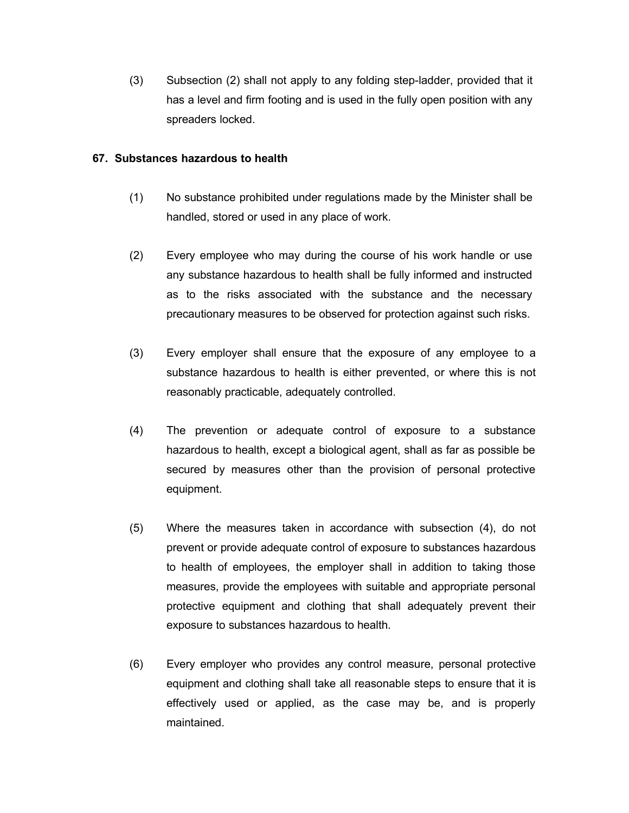(3) Subsection (2) shall not apply to any folding step-ladder, provided that it has a level and firm footing and is used in the fully open position with any spreaders locked.

## **67. Substances hazardous to health**

- (1) No substance prohibited under regulations made by the Minister shall be handled, stored or used in any place of work.
- (2) Every employee who may during the course of his work handle or use any substance hazardous to health shall be fully informed and instructed as to the risks associated with the substance and the necessary precautionary measures to be observed for protection against such risks.
- (3) Every employer shall ensure that the exposure of any employee to a substance hazardous to health is either prevented, or where this is not reasonably practicable, adequately controlled.
- (4) The prevention or adequate control of exposure to a substance hazardous to health, except a biological agent, shall as far as possible be secured by measures other than the provision of personal protective equipment.
- (5) Where the measures taken in accordance with subsection (4), do not prevent or provide adequate control of exposure to substances hazardous to health of employees, the employer shall in addition to taking those measures, provide the employees with suitable and appropriate personal protective equipment and clothing that shall adequately prevent their exposure to substances hazardous to health.
- (6) Every employer who provides any control measure, personal protective equipment and clothing shall take all reasonable steps to ensure that it is effectively used or applied, as the case may be, and is properly maintained.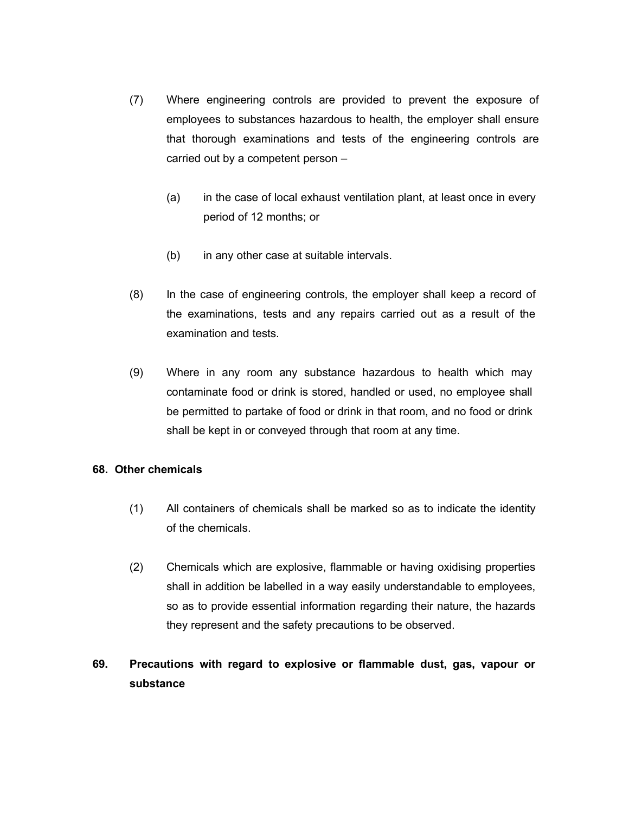- (7) Where engineering controls are provided to prevent the exposure of employees to substances hazardous to health, the employer shall ensure that thorough examinations and tests of the engineering controls are carried out by a competent person –
	- (a) in the case of local exhaust ventilation plant, at least once in every period of 12 months; or
	- (b) in any other case at suitable intervals.
- (8) In the case of engineering controls, the employer shall keep a record of the examinations, tests and any repairs carried out as a result of the examination and tests.
- (9) Where in any room any substance hazardous to health which may contaminate food or drink is stored, handled or used, no employee shall be permitted to partake of food or drink in that room, and no food or drink shall be kept in or conveyed through that room at any time.

# **68. Other chemicals**

- (1) All containers of chemicals shall be marked so as to indicate the identity of the chemicals.
- (2) Chemicals which are explosive, flammable or having oxidising properties shall in addition be labelled in a way easily understandable to employees, so as to provide essential information regarding their nature, the hazards they represent and the safety precautions to be observed.

# **69. Precautions with regard to explosive or flammable dust, gas, vapour or substance**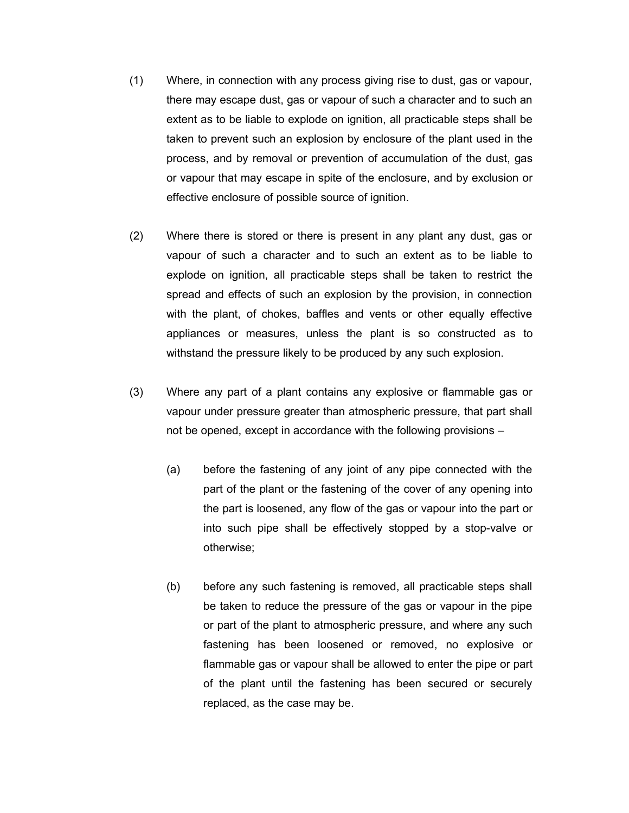- (1) Where, in connection with any process giving rise to dust, gas or vapour, there may escape dust, gas or vapour of such a character and to such an extent as to be liable to explode on ignition, all practicable steps shall be taken to prevent such an explosion by enclosure of the plant used in the process, and by removal or prevention of accumulation of the dust, gas or vapour that may escape in spite of the enclosure, and by exclusion or effective enclosure of possible source of ignition.
- (2) Where there is stored or there is present in any plant any dust, gas or vapour of such a character and to such an extent as to be liable to explode on ignition, all practicable steps shall be taken to restrict the spread and effects of such an explosion by the provision, in connection with the plant, of chokes, baffles and vents or other equally effective appliances or measures, unless the plant is so constructed as to withstand the pressure likely to be produced by any such explosion.
- (3) Where any part of a plant contains any explosive or flammable gas or vapour under pressure greater than atmospheric pressure, that part shall not be opened, except in accordance with the following provisions –
	- (a) before the fastening of any joint of any pipe connected with the part of the plant or the fastening of the cover of any opening into the part is loosened, any flow of the gas or vapour into the part or into such pipe shall be effectively stopped by a stop-valve or otherwise;
	- (b) before any such fastening is removed, all practicable steps shall be taken to reduce the pressure of the gas or vapour in the pipe or part of the plant to atmospheric pressure, and where any such fastening has been loosened or removed, no explosive or flammable gas or vapour shall be allowed to enter the pipe or part of the plant until the fastening has been secured or securely replaced, as the case may be.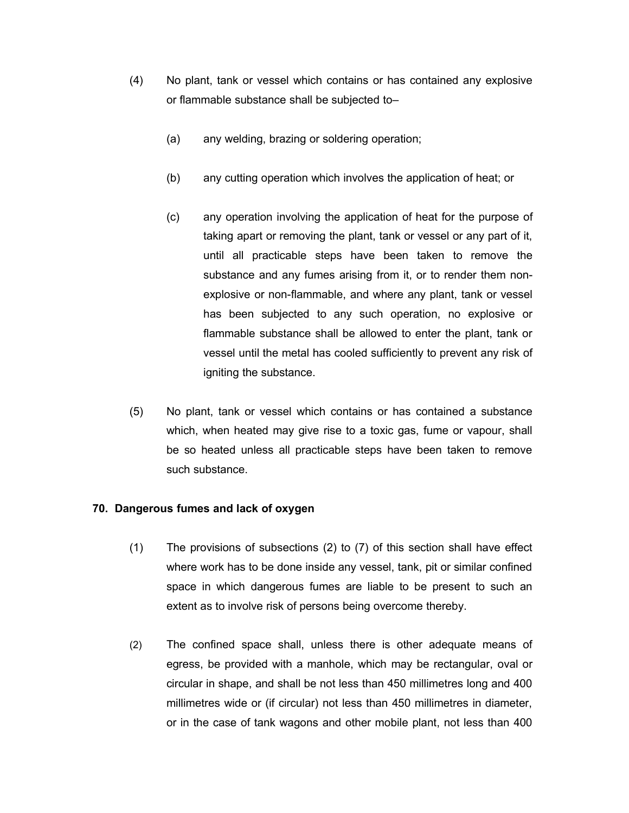- (4) No plant, tank or vessel which contains or has contained any explosive or flammable substance shall be subjected to–
	- (a) any welding, brazing or soldering operation;
	- (b) any cutting operation which involves the application of heat; or
	- (c) any operation involving the application of heat for the purpose of taking apart or removing the plant, tank or vessel or any part of it, until all practicable steps have been taken to remove the substance and any fumes arising from it, or to render them nonexplosive or non-flammable, and where any plant, tank or vessel has been subjected to any such operation, no explosive or flammable substance shall be allowed to enter the plant, tank or vessel until the metal has cooled sufficiently to prevent any risk of igniting the substance.
- (5) No plant, tank or vessel which contains or has contained a substance which, when heated may give rise to a toxic gas, fume or vapour, shall be so heated unless all practicable steps have been taken to remove such substance.

# **70. Dangerous fumes and lack of oxygen**

- (1) The provisions of subsections (2) to (7) of this section shall have effect where work has to be done inside any vessel, tank, pit or similar confined space in which dangerous fumes are liable to be present to such an extent as to involve risk of persons being overcome thereby.
- (2) The confined space shall, unless there is other adequate means of egress, be provided with a manhole, which may be rectangular, oval or circular in shape, and shall be not less than 450 millimetres long and 400 millimetres wide or (if circular) not less than 450 millimetres in diameter, or in the case of tank wagons and other mobile plant, not less than 400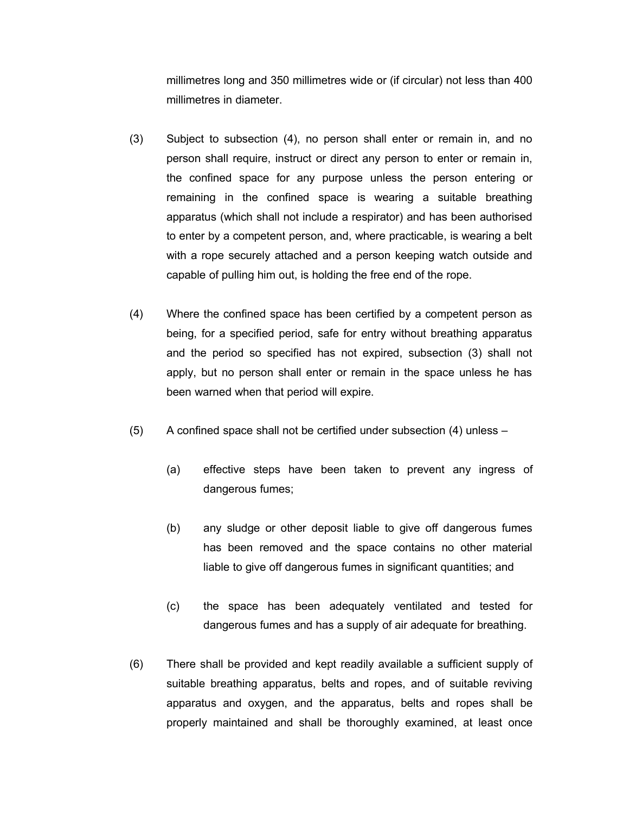millimetres long and 350 millimetres wide or (if circular) not less than 400 millimetres in diameter.

- (3) Subject to subsection (4), no person shall enter or remain in, and no person shall require, instruct or direct any person to enter or remain in, the confined space for any purpose unless the person entering or remaining in the confined space is wearing a suitable breathing apparatus (which shall not include a respirator) and has been authorised to enter by a competent person, and, where practicable, is wearing a belt with a rope securely attached and a person keeping watch outside and capable of pulling him out, is holding the free end of the rope.
- (4) Where the confined space has been certified by a competent person as being, for a specified period, safe for entry without breathing apparatus and the period so specified has not expired, subsection (3) shall not apply, but no person shall enter or remain in the space unless he has been warned when that period will expire.
- (5) A confined space shall not be certified under subsection (4) unless
	- (a) effective steps have been taken to prevent any ingress of dangerous fumes;
	- (b) any sludge or other deposit liable to give off dangerous fumes has been removed and the space contains no other material liable to give off dangerous fumes in significant quantities; and
	- (c) the space has been adequately ventilated and tested for dangerous fumes and has a supply of air adequate for breathing.
- (6) There shall be provided and kept readily available a sufficient supply of suitable breathing apparatus, belts and ropes, and of suitable reviving apparatus and oxygen, and the apparatus, belts and ropes shall be properly maintained and shall be thoroughly examined, at least once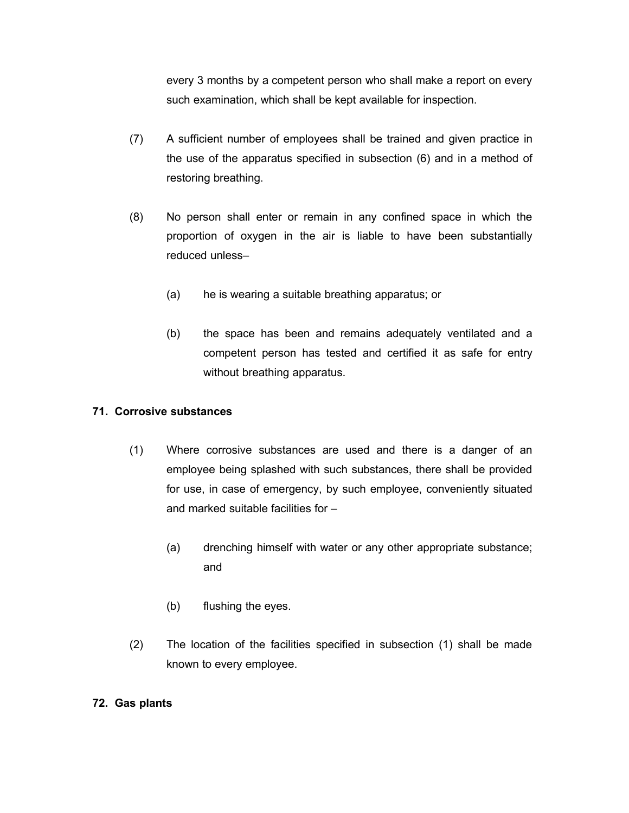every 3 months by a competent person who shall make a report on every such examination, which shall be kept available for inspection.

- (7) A sufficient number of employees shall be trained and given practice in the use of the apparatus specified in subsection (6) and in a method of restoring breathing.
- (8) No person shall enter or remain in any confined space in which the proportion of oxygen in the air is liable to have been substantially reduced unless–
	- (a) he is wearing a suitable breathing apparatus; or
	- (b) the space has been and remains adequately ventilated and a competent person has tested and certified it as safe for entry without breathing apparatus.

# **71. Corrosive substances**

- (1) Where corrosive substances are used and there is a danger of an employee being splashed with such substances, there shall be provided for use, in case of emergency, by such employee, conveniently situated and marked suitable facilities for –
	- (a) drenching himself with water or any other appropriate substance; and
	- (b) flushing the eyes.
- (2) The location of the facilities specified in subsection (1) shall be made known to every employee.

# **72. Gas plants**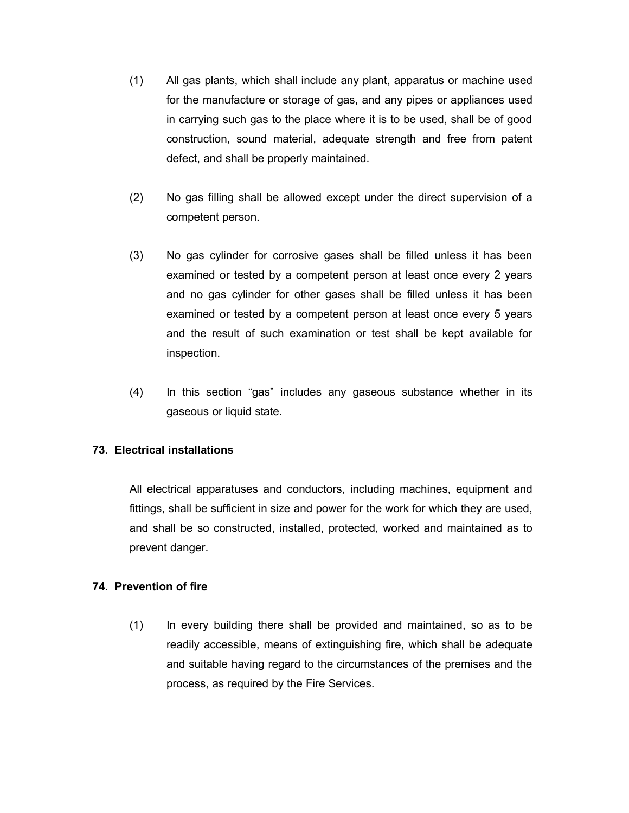- (1) All gas plants, which shall include any plant, apparatus or machine used for the manufacture or storage of gas, and any pipes or appliances used in carrying such gas to the place where it is to be used, shall be of good construction, sound material, adequate strength and free from patent defect, and shall be properly maintained.
- (2) No gas filling shall be allowed except under the direct supervision of a competent person.
- (3) No gas cylinder for corrosive gases shall be filled unless it has been examined or tested by a competent person at least once every 2 years and no gas cylinder for other gases shall be filled unless it has been examined or tested by a competent person at least once every 5 years and the result of such examination or test shall be kept available for inspection.
- (4) In this section "gas" includes any gaseous substance whether in its gaseous or liquid state.

# **73. Electrical installations**

All electrical apparatuses and conductors, including machines, equipment and fittings, shall be sufficient in size and power for the work for which they are used, and shall be so constructed, installed, protected, worked and maintained as to prevent danger.

# **74. Prevention of fire**

(1) In every building there shall be provided and maintained, so as to be readily accessible, means of extinguishing fire, which shall be adequate and suitable having regard to the circumstances of the premises and the process, as required by the Fire Services.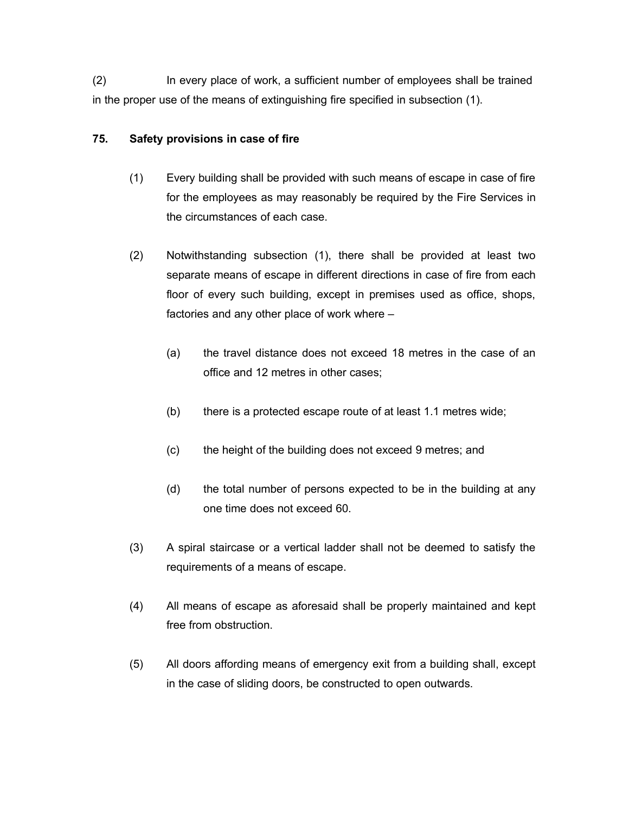(2) In every place of work, a sufficient number of employees shall be trained in the proper use of the means of extinguishing fire specified in subsection (1).

# **75. Safety provisions in case of fire**

- (1) Every building shall be provided with such means of escape in case of fire for the employees as may reasonably be required by the Fire Services in the circumstances of each case.
- (2) Notwithstanding subsection (1), there shall be provided at least two separate means of escape in different directions in case of fire from each floor of every such building, except in premises used as office, shops, factories and any other place of work where –
	- (a) the travel distance does not exceed 18 metres in the case of an office and 12 metres in other cases;
	- (b) there is a protected escape route of at least 1.1 metres wide;
	- (c) the height of the building does not exceed 9 metres; and
	- (d) the total number of persons expected to be in the building at any one time does not exceed 60.
- (3) A spiral staircase or a vertical ladder shall not be deemed to satisfy the requirements of a means of escape.
- (4) All means of escape as aforesaid shall be properly maintained and kept free from obstruction.
- (5) All doors affording means of emergency exit from a building shall, except in the case of sliding doors, be constructed to open outwards.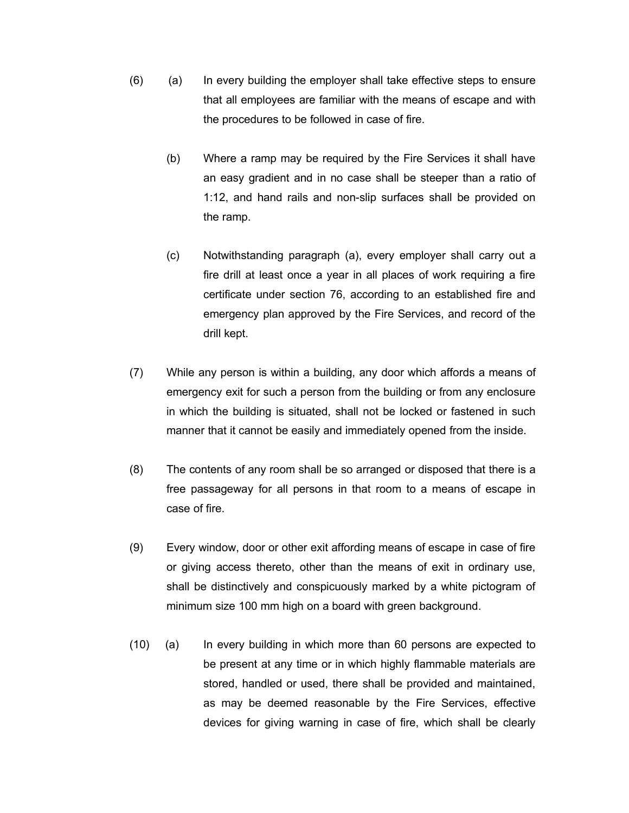- (6) (a) In every building the employer shall take effective steps to ensure that all employees are familiar with the means of escape and with the procedures to be followed in case of fire.
	- (b) Where a ramp may be required by the Fire Services it shall have an easy gradient and in no case shall be steeper than a ratio of 1:12, and hand rails and non-slip surfaces shall be provided on the ramp.
	- (c) Notwithstanding paragraph (a), every employer shall carry out a fire drill at least once a year in all places of work requiring a fire certificate under section 76, according to an established fire and emergency plan approved by the Fire Services, and record of the drill kept.
- (7) While any person is within a building, any door which affords a means of emergency exit for such a person from the building or from any enclosure in which the building is situated, shall not be locked or fastened in such manner that it cannot be easily and immediately opened from the inside.
- (8) The contents of any room shall be so arranged or disposed that there is a free passageway for all persons in that room to a means of escape in case of fire.
- (9) Every window, door or other exit affording means of escape in case of fire or giving access thereto, other than the means of exit in ordinary use, shall be distinctively and conspicuously marked by a white pictogram of minimum size 100 mm high on a board with green background.
- (10) (a) In every building in which more than 60 persons are expected to be present at any time or in which highly flammable materials are stored, handled or used, there shall be provided and maintained, as may be deemed reasonable by the Fire Services, effective devices for giving warning in case of fire, which shall be clearly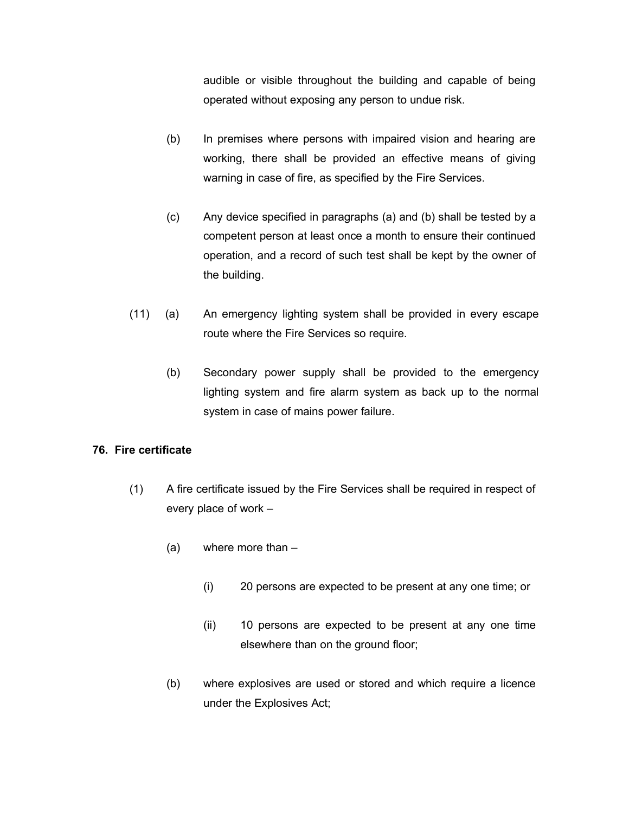audible or visible throughout the building and capable of being operated without exposing any person to undue risk.

- (b) In premises where persons with impaired vision and hearing are working, there shall be provided an effective means of giving warning in case of fire, as specified by the Fire Services.
- (c) Any device specified in paragraphs (a) and (b) shall be tested by a competent person at least once a month to ensure their continued operation, and a record of such test shall be kept by the owner of the building.
- (11) (a) An emergency lighting system shall be provided in every escape route where the Fire Services so require.
	- (b) Secondary power supply shall be provided to the emergency lighting system and fire alarm system as back up to the normal system in case of mains power failure.

# **76. Fire certificate**

- (1) A fire certificate issued by the Fire Services shall be required in respect of every place of work –
	- (a) where more than
		- (i) 20 persons are expected to be present at any one time; or
		- (ii) 10 persons are expected to be present at any one time elsewhere than on the ground floor;
	- (b) where explosives are used or stored and which require a licence under the Explosives Act;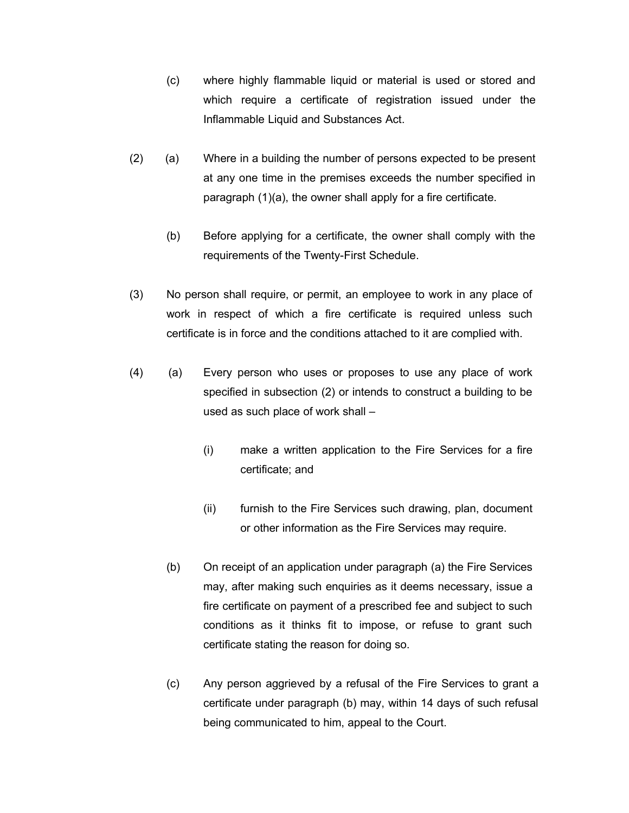- (c) where highly flammable liquid or material is used or stored and which require a certificate of registration issued under the Inflammable Liquid and Substances Act.
- (2) (a) Where in a building the number of persons expected to be present at any one time in the premises exceeds the number specified in paragraph (1)(a), the owner shall apply for a fire certificate.
	- (b) Before applying for a certificate, the owner shall comply with the requirements of the Twenty-First Schedule.
- (3) No person shall require, or permit, an employee to work in any place of work in respect of which a fire certificate is required unless such certificate is in force and the conditions attached to it are complied with.
- (4) (a) Every person who uses or proposes to use any place of work specified in subsection (2) or intends to construct a building to be used as such place of work shall –
	- (i) make a written application to the Fire Services for a fire certificate; and
	- (ii) furnish to the Fire Services such drawing, plan, document or other information as the Fire Services may require.
	- (b) On receipt of an application under paragraph (a) the Fire Services may, after making such enquiries as it deems necessary, issue a fire certificate on payment of a prescribed fee and subject to such conditions as it thinks fit to impose, or refuse to grant such certificate stating the reason for doing so.
	- (c) Any person aggrieved by a refusal of the Fire Services to grant a certificate under paragraph (b) may, within 14 days of such refusal being communicated to him, appeal to the Court.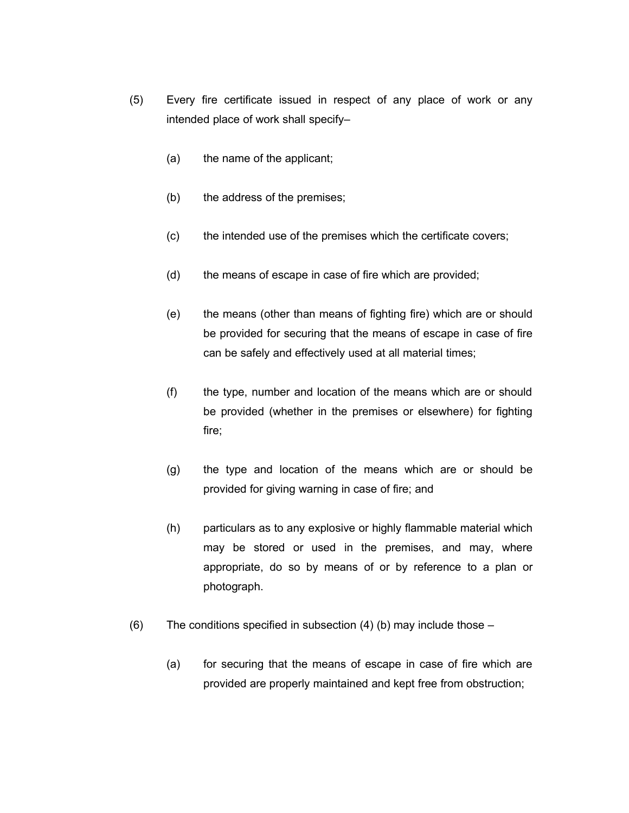- (5) Every fire certificate issued in respect of any place of work or any intended place of work shall specify–
	- (a) the name of the applicant;
	- (b) the address of the premises;
	- (c) the intended use of the premises which the certificate covers;
	- (d) the means of escape in case of fire which are provided;
	- (e) the means (other than means of fighting fire) which are or should be provided for securing that the means of escape in case of fire can be safely and effectively used at all material times;
	- (f) the type, number and location of the means which are or should be provided (whether in the premises or elsewhere) for fighting fire;
	- (g) the type and location of the means which are or should be provided for giving warning in case of fire; and
	- (h) particulars as to any explosive or highly flammable material which may be stored or used in the premises, and may, where appropriate, do so by means of or by reference to a plan or photograph.
- (6) The conditions specified in subsection  $(4)$  (b) may include those
	- (a) for securing that the means of escape in case of fire which are provided are properly maintained and kept free from obstruction;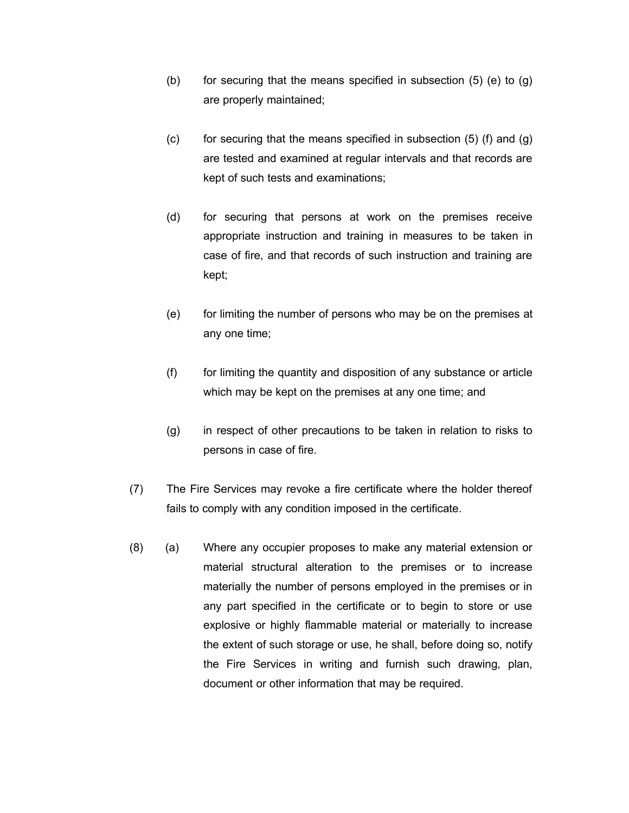- (b) for securing that the means specified in subsection  $(5)$  (e) to  $(g)$ are properly maintained;
- $(c)$  for securing that the means specified in subsection  $(5)$  (f) and  $(g)$ are tested and examined at regular intervals and that records are kept of such tests and examinations;
- (d) for securing that persons at work on the premises receive appropriate instruction and training in measures to be taken in case of fire, and that records of such instruction and training are kept;
- (e) for limiting the number of persons who may be on the premises at any one time;
- (f) for limiting the quantity and disposition of any substance or article which may be kept on the premises at any one time; and
- (g) in respect of other precautions to be taken in relation to risks to persons in case of fire.
- (7) The Fire Services may revoke a fire certificate where the holder thereof fails to comply with any condition imposed in the certificate.
- (8) (a) Where any occupier proposes to make any material extension or material structural alteration to the premises or to increase materially the number of persons employed in the premises or in any part specified in the certificate or to begin to store or use explosive or highly flammable material or materially to increase the extent of such storage or use, he shall, before doing so, notify the Fire Services in writing and furnish such drawing, plan, document or other information that may be required.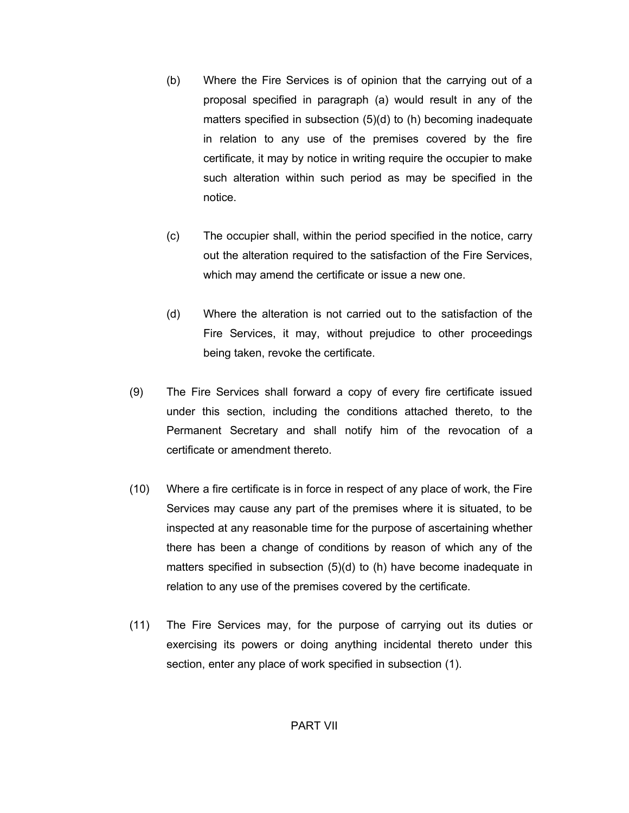- (b) Where the Fire Services is of opinion that the carrying out of a proposal specified in paragraph (a) would result in any of the matters specified in subsection (5)(d) to (h) becoming inadequate in relation to any use of the premises covered by the fire certificate, it may by notice in writing require the occupier to make such alteration within such period as may be specified in the notice.
- (c) The occupier shall, within the period specified in the notice, carry out the alteration required to the satisfaction of the Fire Services, which may amend the certificate or issue a new one.
- (d) Where the alteration is not carried out to the satisfaction of the Fire Services, it may, without prejudice to other proceedings being taken, revoke the certificate.
- (9) The Fire Services shall forward a copy of every fire certificate issued under this section, including the conditions attached thereto, to the Permanent Secretary and shall notify him of the revocation of a certificate or amendment thereto.
- (10) Where a fire certificate is in force in respect of any place of work, the Fire Services may cause any part of the premises where it is situated, to be inspected at any reasonable time for the purpose of ascertaining whether there has been a change of conditions by reason of which any of the matters specified in subsection (5)(d) to (h) have become inadequate in relation to any use of the premises covered by the certificate.
- (11) The Fire Services may, for the purpose of carrying out its duties or exercising its powers or doing anything incidental thereto under this section, enter any place of work specified in subsection (1).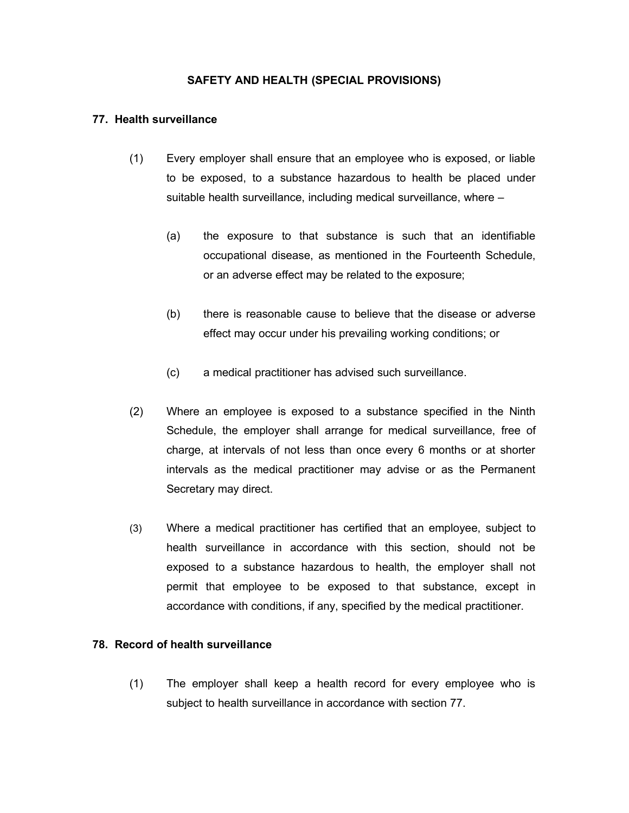# **SAFETY AND HEALTH (SPECIAL PROVISIONS)**

#### **77. Health surveillance**

- (1) Every employer shall ensure that an employee who is exposed, or liable to be exposed, to a substance hazardous to health be placed under suitable health surveillance, including medical surveillance, where –
	- (a) the exposure to that substance is such that an identifiable occupational disease, as mentioned in the Fourteenth Schedule, or an adverse effect may be related to the exposure;
	- (b) there is reasonable cause to believe that the disease or adverse effect may occur under his prevailing working conditions; or
	- (c) a medical practitioner has advised such surveillance.
- (2) Where an employee is exposed to a substance specified in the Ninth Schedule, the employer shall arrange for medical surveillance, free of charge, at intervals of not less than once every 6 months or at shorter intervals as the medical practitioner may advise or as the Permanent Secretary may direct.
- (3) Where a medical practitioner has certified that an employee, subject to health surveillance in accordance with this section, should not be exposed to a substance hazardous to health, the employer shall not permit that employee to be exposed to that substance, except in accordance with conditions, if any, specified by the medical practitioner.

## **78. Record of health surveillance**

(1) The employer shall keep a health record for every employee who is subject to health surveillance in accordance with section 77.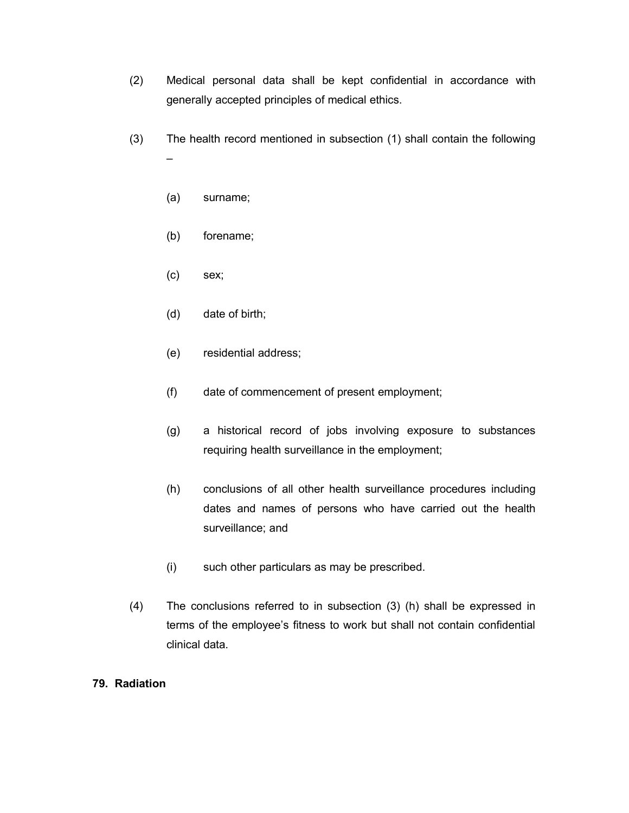- (2) Medical personal data shall be kept confidential in accordance with generally accepted principles of medical ethics.
- (3) The health record mentioned in subsection (1) shall contain the following –
	- (a) surname;
	- (b) forename;
	- (c) sex;
	- (d) date of birth;
	- (e) residential address;
	- (f) date of commencement of present employment;
	- (g) a historical record of jobs involving exposure to substances requiring health surveillance in the employment;
	- (h) conclusions of all other health surveillance procedures including dates and names of persons who have carried out the health surveillance; and
	- (i) such other particulars as may be prescribed.
- (4) The conclusions referred to in subsection (3) (h) shall be expressed in terms of the employee's fitness to work but shall not contain confidential clinical data.

# **79. Radiation**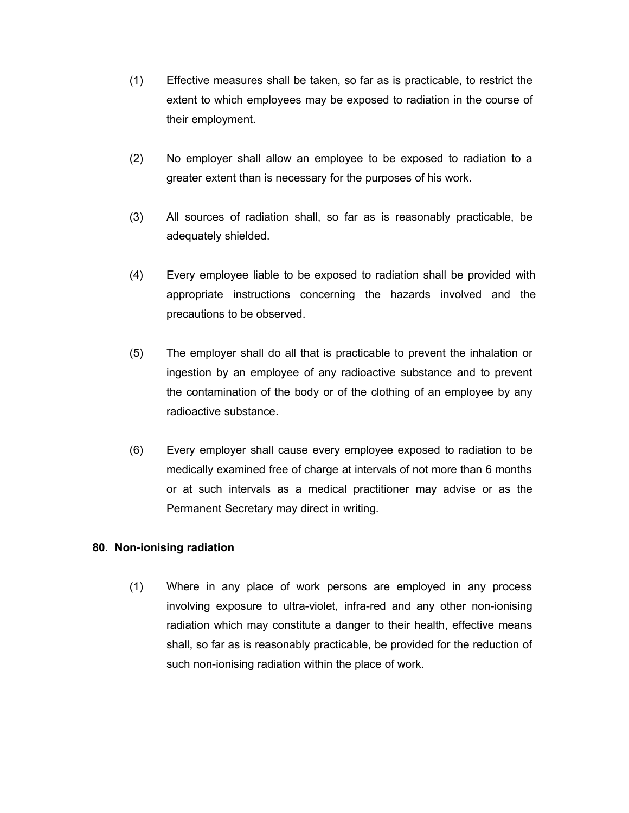- (1) Effective measures shall be taken, so far as is practicable, to restrict the extent to which employees may be exposed to radiation in the course of their employment.
- (2) No employer shall allow an employee to be exposed to radiation to a greater extent than is necessary for the purposes of his work.
- (3) All sources of radiation shall, so far as is reasonably practicable, be adequately shielded.
- (4) Every employee liable to be exposed to radiation shall be provided with appropriate instructions concerning the hazards involved and the precautions to be observed.
- (5) The employer shall do all that is practicable to prevent the inhalation or ingestion by an employee of any radioactive substance and to prevent the contamination of the body or of the clothing of an employee by any radioactive substance.
- (6) Every employer shall cause every employee exposed to radiation to be medically examined free of charge at intervals of not more than 6 months or at such intervals as a medical practitioner may advise or as the Permanent Secretary may direct in writing.

# **80. Non-ionising radiation**

(1) Where in any place of work persons are employed in any process involving exposure to ultra-violet, infra-red and any other non-ionising radiation which may constitute a danger to their health, effective means shall, so far as is reasonably practicable, be provided for the reduction of such non-ionising radiation within the place of work.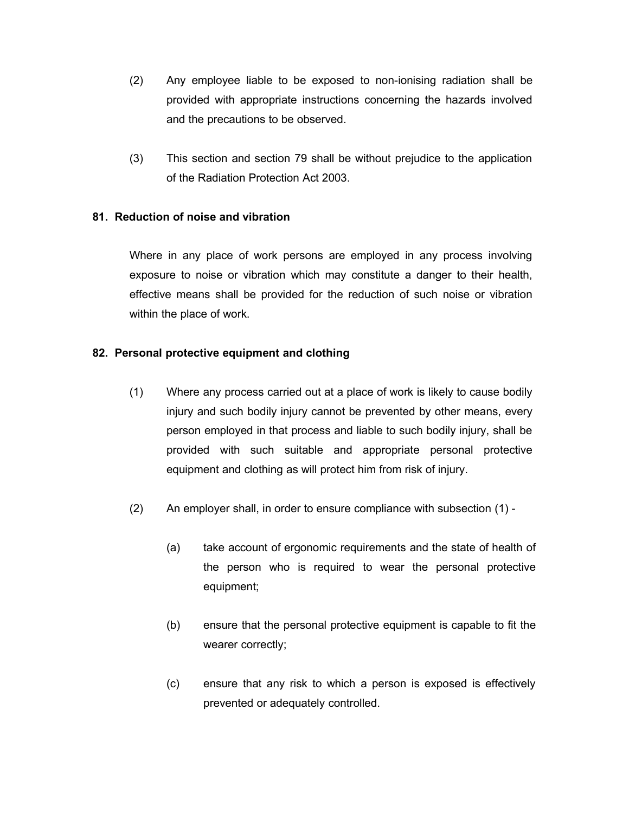- (2) Any employee liable to be exposed to non-ionising radiation shall be provided with appropriate instructions concerning the hazards involved and the precautions to be observed.
- (3) This section and section 79 shall be without prejudice to the application of the Radiation Protection Act 2003.

# **81. Reduction of noise and vibration**

Where in any place of work persons are employed in any process involving exposure to noise or vibration which may constitute a danger to their health, effective means shall be provided for the reduction of such noise or vibration within the place of work.

# **82. Personal protective equipment and clothing**

- (1) Where any process carried out at a place of work is likely to cause bodily injury and such bodily injury cannot be prevented by other means, every person employed in that process and liable to such bodily injury, shall be provided with such suitable and appropriate personal protective equipment and clothing as will protect him from risk of injury.
- (2) An employer shall, in order to ensure compliance with subsection (1)
	- (a) take account of ergonomic requirements and the state of health of the person who is required to wear the personal protective equipment;
	- (b) ensure that the personal protective equipment is capable to fit the wearer correctly;
	- (c) ensure that any risk to which a person is exposed is effectively prevented or adequately controlled.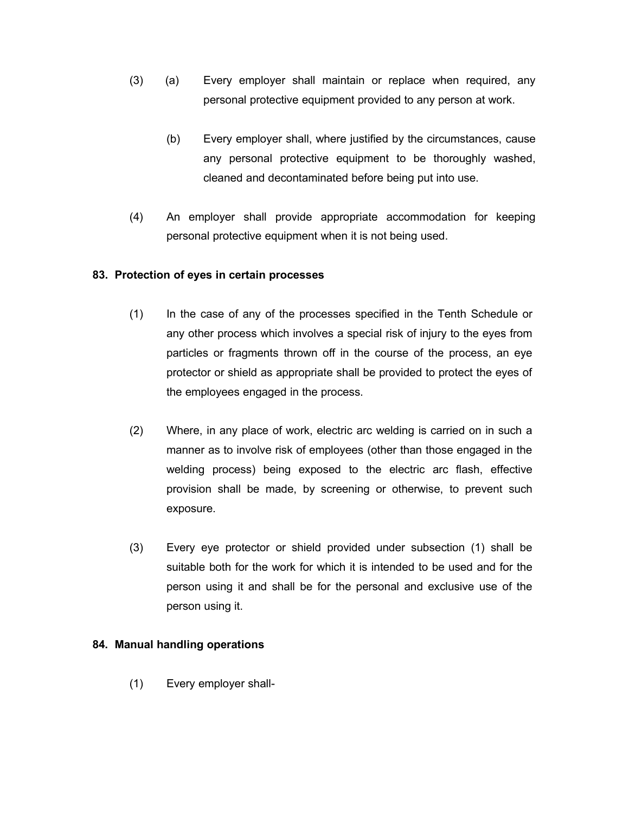- (3) (a) Every employer shall maintain or replace when required, any personal protective equipment provided to any person at work.
	- (b) Every employer shall, where justified by the circumstances, cause any personal protective equipment to be thoroughly washed, cleaned and decontaminated before being put into use.
- (4) An employer shall provide appropriate accommodation for keeping personal protective equipment when it is not being used.

# **83. Protection of eyes in certain processes**

- (1) In the case of any of the processes specified in the Tenth Schedule or any other process which involves a special risk of injury to the eyes from particles or fragments thrown off in the course of the process, an eye protector or shield as appropriate shall be provided to protect the eyes of the employees engaged in the process.
- (2) Where, in any place of work, electric arc welding is carried on in such a manner as to involve risk of employees (other than those engaged in the welding process) being exposed to the electric arc flash, effective provision shall be made, by screening or otherwise, to prevent such exposure.
- (3) Every eye protector or shield provided under subsection (1) shall be suitable both for the work for which it is intended to be used and for the person using it and shall be for the personal and exclusive use of the person using it.

# **84. Manual handling operations**

(1) Every employer shall-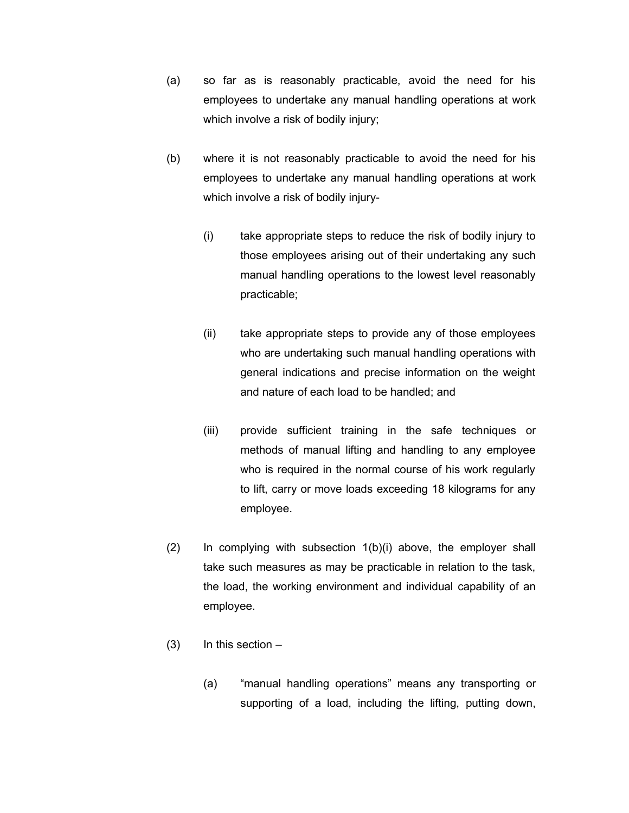- (a) so far as is reasonably practicable, avoid the need for his employees to undertake any manual handling operations at work which involve a risk of bodily injury;
- (b) where it is not reasonably practicable to avoid the need for his employees to undertake any manual handling operations at work which involve a risk of bodily injury-
	- (i) take appropriate steps to reduce the risk of bodily injury to those employees arising out of their undertaking any such manual handling operations to the lowest level reasonably practicable;
	- (ii) take appropriate steps to provide any of those employees who are undertaking such manual handling operations with general indications and precise information on the weight and nature of each load to be handled; and
	- (iii) provide sufficient training in the safe techniques or methods of manual lifting and handling to any employee who is required in the normal course of his work regularly to lift, carry or move loads exceeding 18 kilograms for any employee.
- (2) In complying with subsection 1(b)(i) above, the employer shall take such measures as may be practicable in relation to the task, the load, the working environment and individual capability of an employee.
- $(3)$  In this section  $-$ 
	- (a) "manual handling operations" means any transporting or supporting of a load, including the lifting, putting down,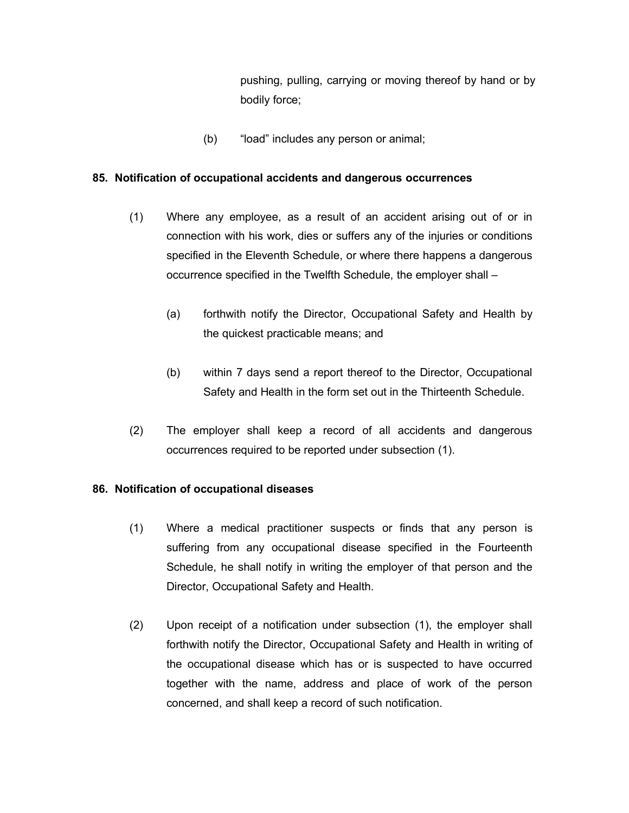pushing, pulling, carrying or moving thereof by hand or by bodily force;

(b) "load" includes any person or animal;

## **85. Notification of occupational accidents and dangerous occurrences**

- (1) Where any employee, as a result of an accident arising out of or in connection with his work, dies or suffers any of the injuries or conditions specified in the Eleventh Schedule, or where there happens a dangerous occurrence specified in the Twelfth Schedule, the employer shall –
	- (a) forthwith notify the Director, Occupational Safety and Health by the quickest practicable means; and
	- (b) within 7 days send a report thereof to the Director, Occupational Safety and Health in the form set out in the Thirteenth Schedule.
- (2) The employer shall keep a record of all accidents and dangerous occurrences required to be reported under subsection (1).

# **86. Notification of occupational diseases**

- (1) Where a medical practitioner suspects or finds that any person is suffering from any occupational disease specified in the Fourteenth Schedule, he shall notify in writing the employer of that person and the Director, Occupational Safety and Health.
- (2) Upon receipt of a notification under subsection (1), the employer shall forthwith notify the Director, Occupational Safety and Health in writing of the occupational disease which has or is suspected to have occurred together with the name, address and place of work of the person concerned, and shall keep a record of such notification.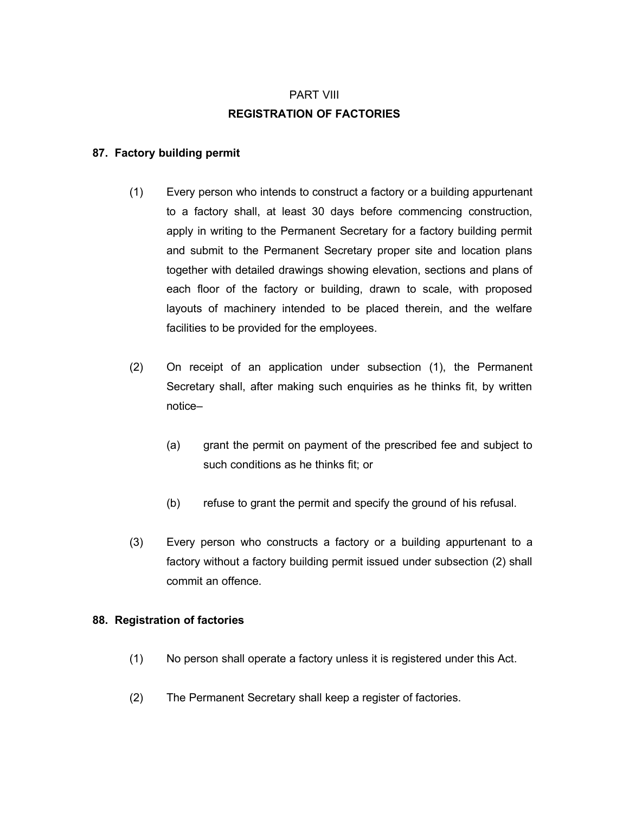# PART VIII **REGISTRATION OF FACTORIES**

# **87. Factory building permit**

- (1) Every person who intends to construct a factory or a building appurtenant to a factory shall, at least 30 days before commencing construction, apply in writing to the Permanent Secretary for a factory building permit and submit to the Permanent Secretary proper site and location plans together with detailed drawings showing elevation, sections and plans of each floor of the factory or building, drawn to scale, with proposed layouts of machinery intended to be placed therein, and the welfare facilities to be provided for the employees.
- (2) On receipt of an application under subsection (1), the Permanent Secretary shall, after making such enquiries as he thinks fit, by written notice–
	- (a) grant the permit on payment of the prescribed fee and subject to such conditions as he thinks fit; or
	- (b) refuse to grant the permit and specify the ground of his refusal.
- (3) Every person who constructs a factory or a building appurtenant to a factory without a factory building permit issued under subsection (2) shall commit an offence.

# **88. Registration of factories**

- (1) No person shall operate a factory unless it is registered under this Act.
- (2) The Permanent Secretary shall keep a register of factories.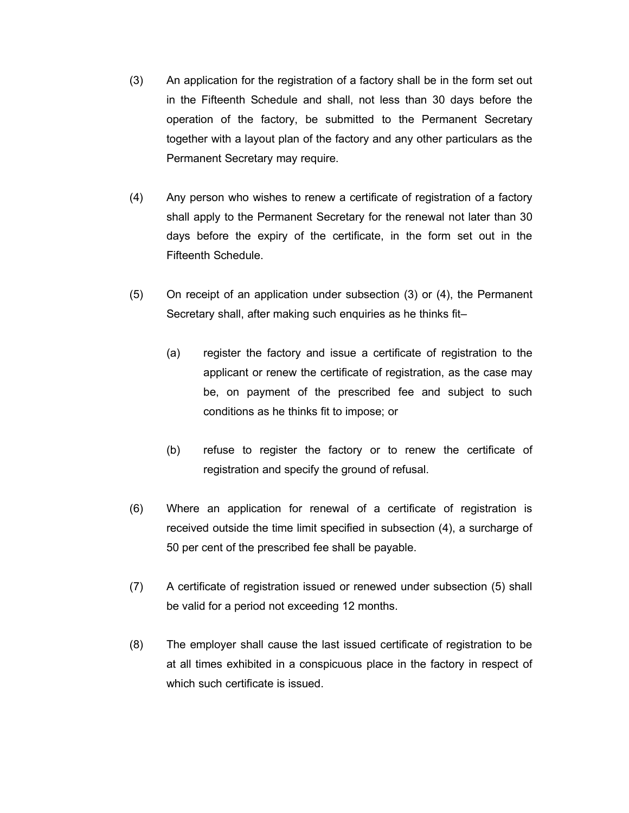- (3) An application for the registration of a factory shall be in the form set out in the Fifteenth Schedule and shall, not less than 30 days before the operation of the factory, be submitted to the Permanent Secretary together with a layout plan of the factory and any other particulars as the Permanent Secretary may require.
- (4) Any person who wishes to renew a certificate of registration of a factory shall apply to the Permanent Secretary for the renewal not later than 30 days before the expiry of the certificate, in the form set out in the Fifteenth Schedule.
- (5) On receipt of an application under subsection (3) or (4), the Permanent Secretary shall, after making such enquiries as he thinks fit–
	- (a) register the factory and issue a certificate of registration to the applicant or renew the certificate of registration, as the case may be, on payment of the prescribed fee and subject to such conditions as he thinks fit to impose; or
	- (b) refuse to register the factory or to renew the certificate of registration and specify the ground of refusal.
- (6) Where an application for renewal of a certificate of registration is received outside the time limit specified in subsection (4), a surcharge of 50 per cent of the prescribed fee shall be payable.
- (7) A certificate of registration issued or renewed under subsection (5) shall be valid for a period not exceeding 12 months.
- (8) The employer shall cause the last issued certificate of registration to be at all times exhibited in a conspicuous place in the factory in respect of which such certificate is issued.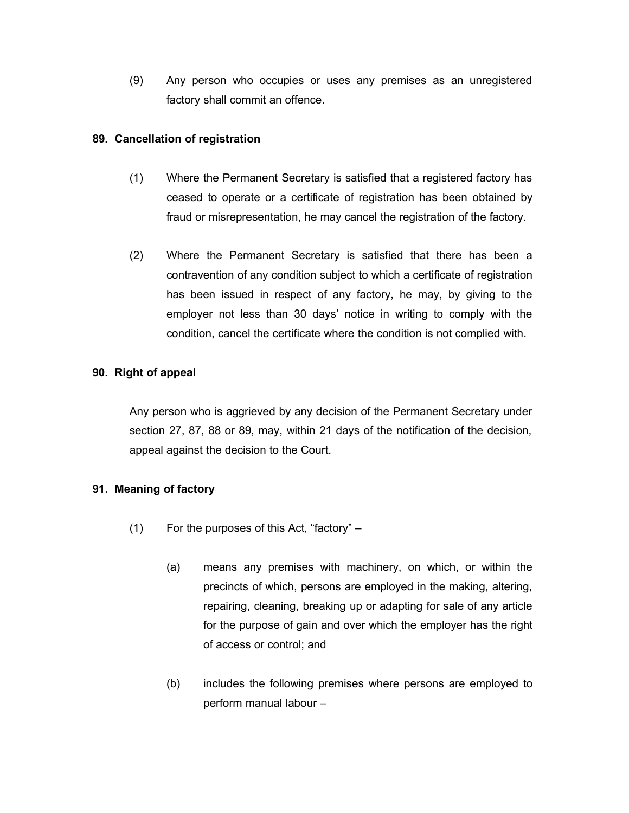(9) Any person who occupies or uses any premises as an unregistered factory shall commit an offence.

## **89. Cancellation of registration**

- (1) Where the Permanent Secretary is satisfied that a registered factory has ceased to operate or a certificate of registration has been obtained by fraud or misrepresentation, he may cancel the registration of the factory.
- (2) Where the Permanent Secretary is satisfied that there has been a contravention of any condition subject to which a certificate of registration has been issued in respect of any factory, he may, by giving to the employer not less than 30 days' notice in writing to comply with the condition, cancel the certificate where the condition is not complied with.

# **90. Right of appeal**

Any person who is aggrieved by any decision of the Permanent Secretary under section 27, 87, 88 or 89, may, within 21 days of the notification of the decision, appeal against the decision to the Court.

# **91. Meaning of factory**

- (1) For the purposes of this Act, "factory"
	- (a) means any premises with machinery, on which, or within the precincts of which, persons are employed in the making, altering, repairing, cleaning, breaking up or adapting for sale of any article for the purpose of gain and over which the employer has the right of access or control; and
	- (b) includes the following premises where persons are employed to perform manual labour –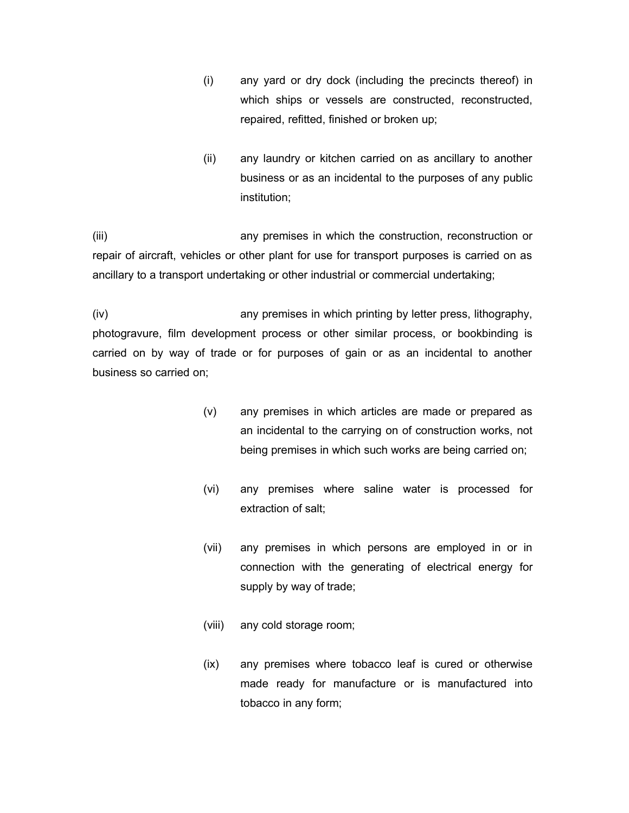- (i) any yard or dry dock (including the precincts thereof) in which ships or vessels are constructed, reconstructed, repaired, refitted, finished or broken up;
- (ii) any laundry or kitchen carried on as ancillary to another business or as an incidental to the purposes of any public institution;

(iii) any premises in which the construction, reconstruction or repair of aircraft, vehicles or other plant for use for transport purposes is carried on as ancillary to a transport undertaking or other industrial or commercial undertaking;

(iv) any premises in which printing by letter press, lithography, photogravure, film development process or other similar process, or bookbinding is carried on by way of trade or for purposes of gain or as an incidental to another business so carried on;

- (v) any premises in which articles are made or prepared as an incidental to the carrying on of construction works, not being premises in which such works are being carried on;
- (vi) any premises where saline water is processed for extraction of salt;
- (vii) any premises in which persons are employed in or in connection with the generating of electrical energy for supply by way of trade;
- (viii) any cold storage room;
- (ix) any premises where tobacco leaf is cured or otherwise made ready for manufacture or is manufactured into tobacco in any form;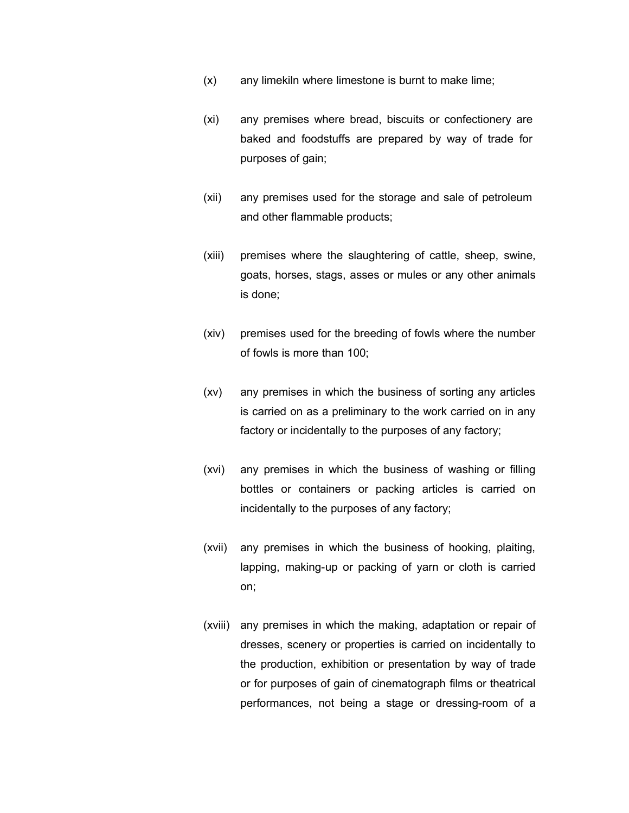- (x) any limekiln where limestone is burnt to make lime;
- (xi) any premises where bread, biscuits or confectionery are baked and foodstuffs are prepared by way of trade for purposes of gain;
- (xii) any premises used for the storage and sale of petroleum and other flammable products;
- (xiii) premises where the slaughtering of cattle, sheep, swine, goats, horses, stags, asses or mules or any other animals is done;
- (xiv) premises used for the breeding of fowls where the number of fowls is more than 100;
- (xv) any premises in which the business of sorting any articles is carried on as a preliminary to the work carried on in any factory or incidentally to the purposes of any factory;
- (xvi) any premises in which the business of washing or filling bottles or containers or packing articles is carried on incidentally to the purposes of any factory;
- (xvii) any premises in which the business of hooking, plaiting, lapping, making-up or packing of yarn or cloth is carried on;
- (xviii) any premises in which the making, adaptation or repair of dresses, scenery or properties is carried on incidentally to the production, exhibition or presentation by way of trade or for purposes of gain of cinematograph films or theatrical performances, not being a stage or dressing-room of a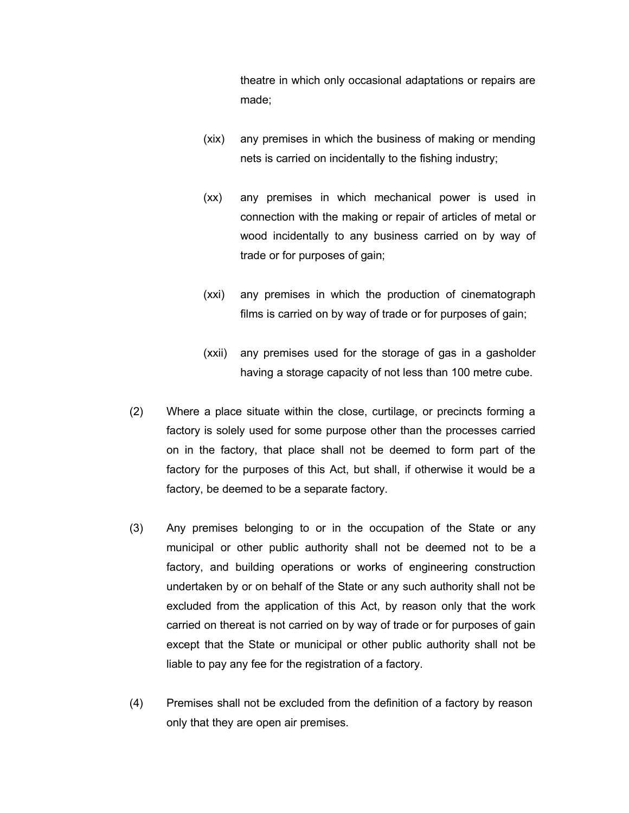theatre in which only occasional adaptations or repairs are made;

- (xix) any premises in which the business of making or mending nets is carried on incidentally to the fishing industry;
- (xx) any premises in which mechanical power is used in connection with the making or repair of articles of metal or wood incidentally to any business carried on by way of trade or for purposes of gain;
- (xxi) any premises in which the production of cinematograph films is carried on by way of trade or for purposes of gain;
- (xxii) any premises used for the storage of gas in a gasholder having a storage capacity of not less than 100 metre cube.
- (2) Where a place situate within the close, curtilage, or precincts forming a factory is solely used for some purpose other than the processes carried on in the factory, that place shall not be deemed to form part of the factory for the purposes of this Act, but shall, if otherwise it would be a factory, be deemed to be a separate factory.
- (3) Any premises belonging to or in the occupation of the State or any municipal or other public authority shall not be deemed not to be a factory, and building operations or works of engineering construction undertaken by or on behalf of the State or any such authority shall not be excluded from the application of this Act, by reason only that the work carried on thereat is not carried on by way of trade or for purposes of gain except that the State or municipal or other public authority shall not be liable to pay any fee for the registration of a factory.
- (4) Premises shall not be excluded from the definition of a factory by reason only that they are open air premises.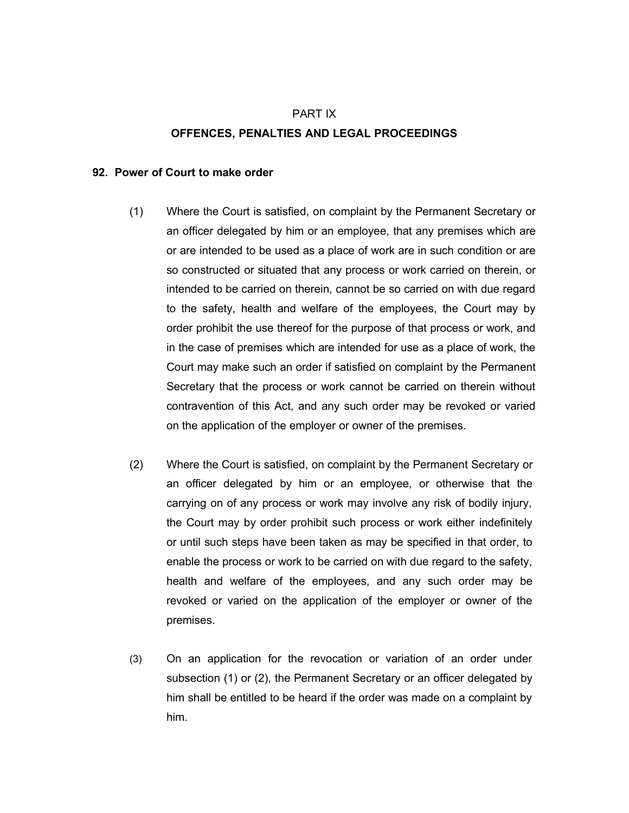# PART IX **OFFENCES, PENALTIES AND LEGAL PROCEEDINGS**

#### **92. Power of Court to make order**

- (1) Where the Court is satisfied, on complaint by the Permanent Secretary or an officer delegated by him or an employee, that any premises which are or are intended to be used as a place of work are in such condition or are so constructed or situated that any process or work carried on therein, or intended to be carried on therein, cannot be so carried on with due regard to the safety, health and welfare of the employees, the Court may by order prohibit the use thereof for the purpose of that process or work, and in the case of premises which are intended for use as a place of work, the Court may make such an order if satisfied on complaint by the Permanent Secretary that the process or work cannot be carried on therein without contravention of this Act, and any such order may be revoked or varied on the application of the employer or owner of the premises.
- (2) Where the Court is satisfied, on complaint by the Permanent Secretary or an officer delegated by him or an employee, or otherwise that the carrying on of any process or work may involve any risk of bodily injury, the Court may by order prohibit such process or work either indefinitely or until such steps have been taken as may be specified in that order, to enable the process or work to be carried on with due regard to the safety, health and welfare of the employees, and any such order may be revoked or varied on the application of the employer or owner of the premises.
- (3) On an application for the revocation or variation of an order under subsection (1) or (2), the Permanent Secretary or an officer delegated by him shall be entitled to be heard if the order was made on a complaint by him.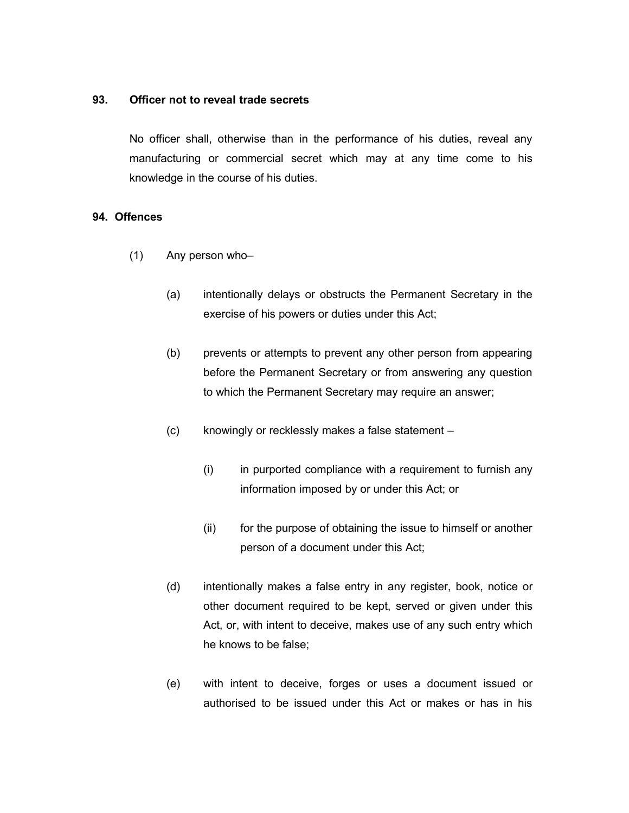#### **93. Officer not to reveal trade secrets**

No officer shall, otherwise than in the performance of his duties, reveal any manufacturing or commercial secret which may at any time come to his knowledge in the course of his duties.

#### **94. Offences**

- (1) Any person who–
	- (a) intentionally delays or obstructs the Permanent Secretary in the exercise of his powers or duties under this Act;
	- (b) prevents or attempts to prevent any other person from appearing before the Permanent Secretary or from answering any question to which the Permanent Secretary may require an answer;
	- (c) knowingly or recklessly makes a false statement
		- $(i)$  in purported compliance with a requirement to furnish any information imposed by or under this Act; or
		- (ii) for the purpose of obtaining the issue to himself or another person of a document under this Act;
	- (d) intentionally makes a false entry in any register, book, notice or other document required to be kept, served or given under this Act, or, with intent to deceive, makes use of any such entry which he knows to be false;
	- (e) with intent to deceive, forges or uses a document issued or authorised to be issued under this Act or makes or has in his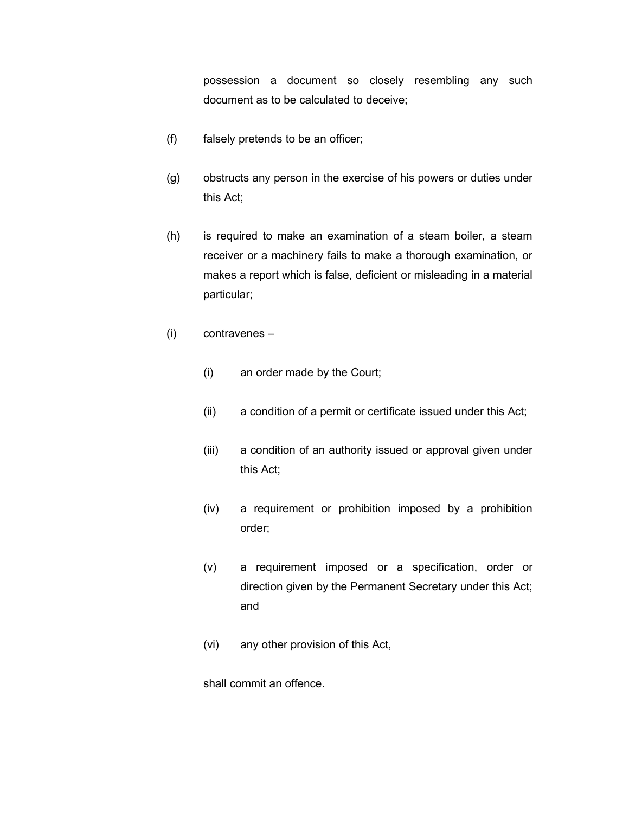possession a document so closely resembling any such document as to be calculated to deceive;

- (f) falsely pretends to be an officer;
- (g) obstructs any person in the exercise of his powers or duties under this Act;
- (h) is required to make an examination of a steam boiler, a steam receiver or a machinery fails to make a thorough examination, or makes a report which is false, deficient or misleading in a material particular;
- (i) contravenes
	- (i) an order made by the Court;
	- (ii) a condition of a permit or certificate issued under this Act;
	- (iii) a condition of an authority issued or approval given under this Act;
	- (iv) a requirement or prohibition imposed by a prohibition order;
	- (v) a requirement imposed or a specification, order or direction given by the Permanent Secretary under this Act; and
	- (vi) any other provision of this Act,

shall commit an offence.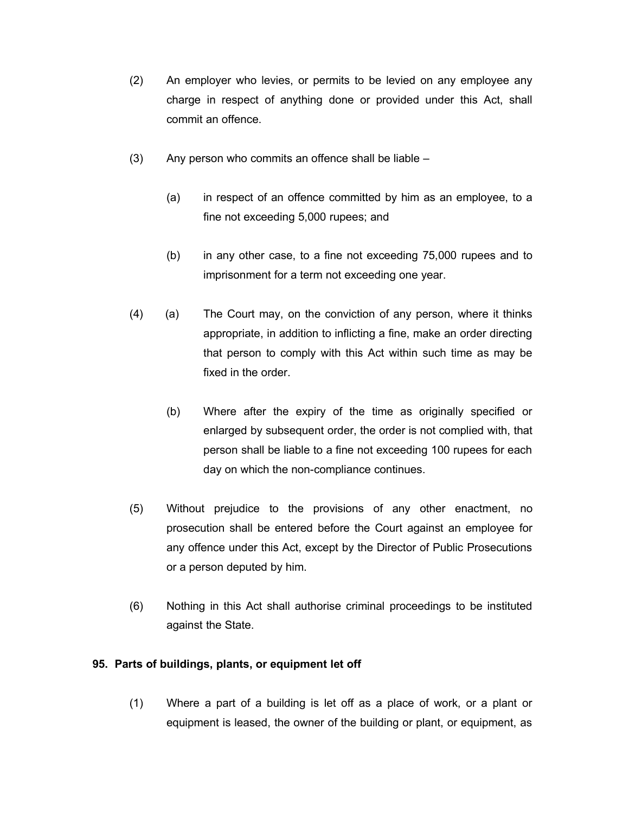- (2) An employer who levies, or permits to be levied on any employee any charge in respect of anything done or provided under this Act, shall commit an offence.
- (3) Any person who commits an offence shall be liable
	- (a) in respect of an offence committed by him as an employee, to a fine not exceeding 5,000 rupees; and
	- (b) in any other case, to a fine not exceeding 75,000 rupees and to imprisonment for a term not exceeding one year.
- (4) (a) The Court may, on the conviction of any person, where it thinks appropriate, in addition to inflicting a fine, make an order directing that person to comply with this Act within such time as may be fixed in the order.
	- (b) Where after the expiry of the time as originally specified or enlarged by subsequent order, the order is not complied with, that person shall be liable to a fine not exceeding 100 rupees for each day on which the non-compliance continues.
- (5) Without prejudice to the provisions of any other enactment, no prosecution shall be entered before the Court against an employee for any offence under this Act, except by the Director of Public Prosecutions or a person deputed by him.
- (6) Nothing in this Act shall authorise criminal proceedings to be instituted against the State.

### **95. Parts of buildings, plants, or equipment let off**

(1) Where a part of a building is let off as a place of work, or a plant or equipment is leased, the owner of the building or plant, or equipment, as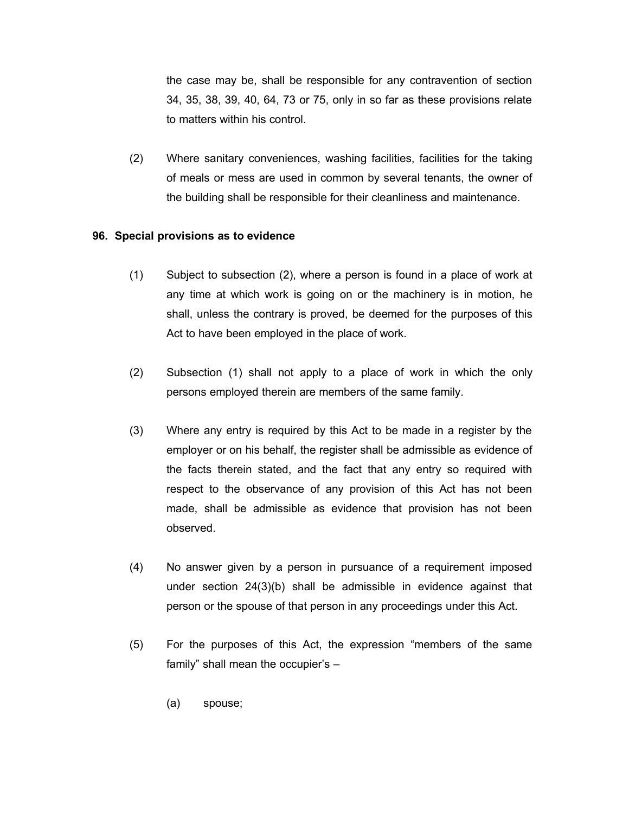the case may be, shall be responsible for any contravention of section 34, 35, 38, 39, 40, 64, 73 or 75, only in so far as these provisions relate to matters within his control.

(2) Where sanitary conveniences, washing facilities, facilities for the taking of meals or mess are used in common by several tenants, the owner of the building shall be responsible for their cleanliness and maintenance.

#### **96. Special provisions as to evidence**

- (1) Subject to subsection (2), where a person is found in a place of work at any time at which work is going on or the machinery is in motion, he shall, unless the contrary is proved, be deemed for the purposes of this Act to have been employed in the place of work.
- (2) Subsection (1) shall not apply to a place of work in which the only persons employed therein are members of the same family.
- (3) Where any entry is required by this Act to be made in a register by the employer or on his behalf, the register shall be admissible as evidence of the facts therein stated, and the fact that any entry so required with respect to the observance of any provision of this Act has not been made, shall be admissible as evidence that provision has not been observed.
- (4) No answer given by a person in pursuance of a requirement imposed under section 24(3)(b) shall be admissible in evidence against that person or the spouse of that person in any proceedings under this Act.
- (5) For the purposes of this Act, the expression "members of the same family" shall mean the occupier's –
	- (a) spouse;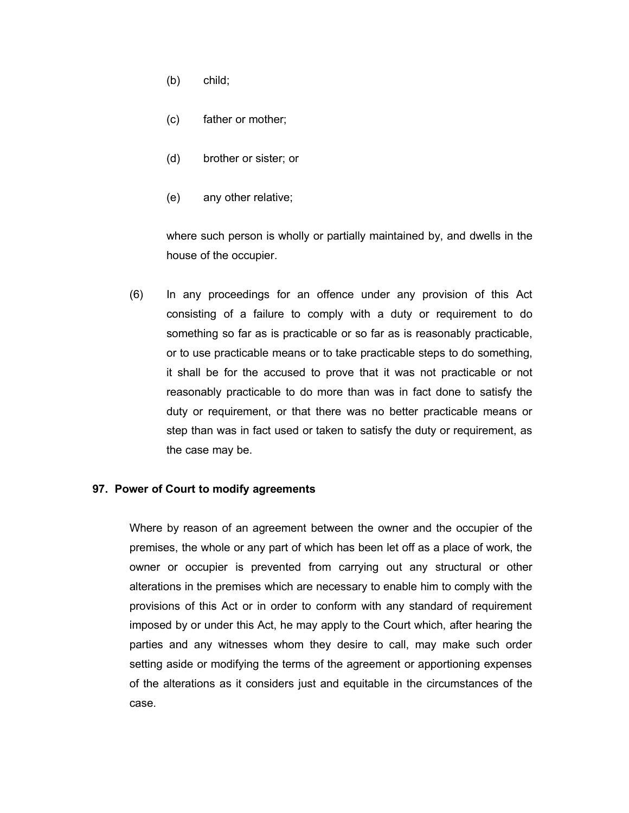- (b) child;
- (c) father or mother;
- (d) brother or sister; or
- (e) any other relative;

where such person is wholly or partially maintained by, and dwells in the house of the occupier.

(6) In any proceedings for an offence under any provision of this Act consisting of a failure to comply with a duty or requirement to do something so far as is practicable or so far as is reasonably practicable, or to use practicable means or to take practicable steps to do something, it shall be for the accused to prove that it was not practicable or not reasonably practicable to do more than was in fact done to satisfy the duty or requirement, or that there was no better practicable means or step than was in fact used or taken to satisfy the duty or requirement, as the case may be.

### **97. Power of Court to modify agreements**

Where by reason of an agreement between the owner and the occupier of the premises, the whole or any part of which has been let off as a place of work, the owner or occupier is prevented from carrying out any structural or other alterations in the premises which are necessary to enable him to comply with the provisions of this Act or in order to conform with any standard of requirement imposed by or under this Act, he may apply to the Court which, after hearing the parties and any witnesses whom they desire to call, may make such order setting aside or modifying the terms of the agreement or apportioning expenses of the alterations as it considers just and equitable in the circumstances of the case.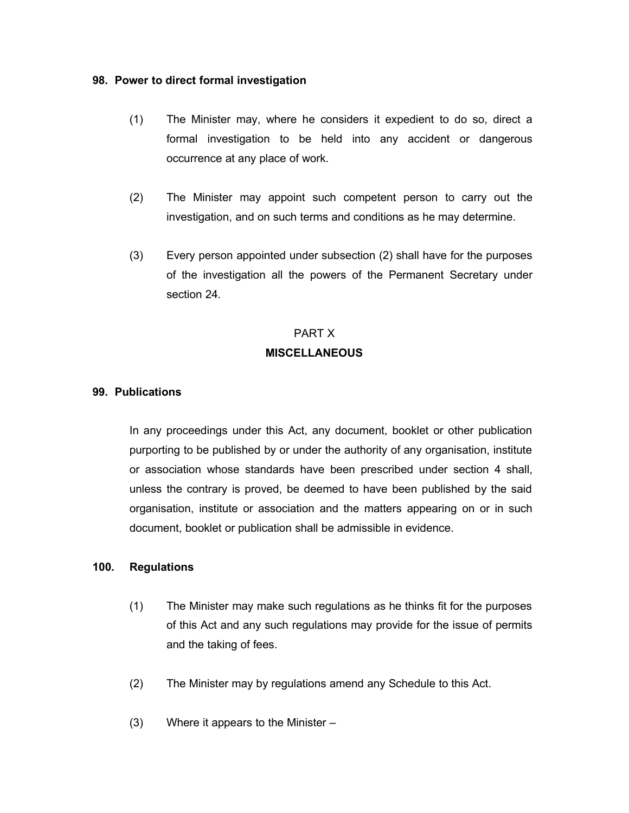#### **98. Power to direct formal investigation**

- (1) The Minister may, where he considers it expedient to do so, direct a formal investigation to be held into any accident or dangerous occurrence at any place of work.
- (2) The Minister may appoint such competent person to carry out the investigation, and on such terms and conditions as he may determine.
- (3) Every person appointed under subsection (2) shall have for the purposes of the investigation all the powers of the Permanent Secretary under section 24.

## PART X **MISCELLANEOUS**

#### **99. Publications**

In any proceedings under this Act, any document, booklet or other publication purporting to be published by or under the authority of any organisation, institute or association whose standards have been prescribed under section 4 shall, unless the contrary is proved, be deemed to have been published by the said organisation, institute or association and the matters appearing on or in such document, booklet or publication shall be admissible in evidence.

#### **100. Regulations**

- (1) The Minister may make such regulations as he thinks fit for the purposes of this Act and any such regulations may provide for the issue of permits and the taking of fees.
- (2) The Minister may by regulations amend any Schedule to this Act.
- (3) Where it appears to the Minister –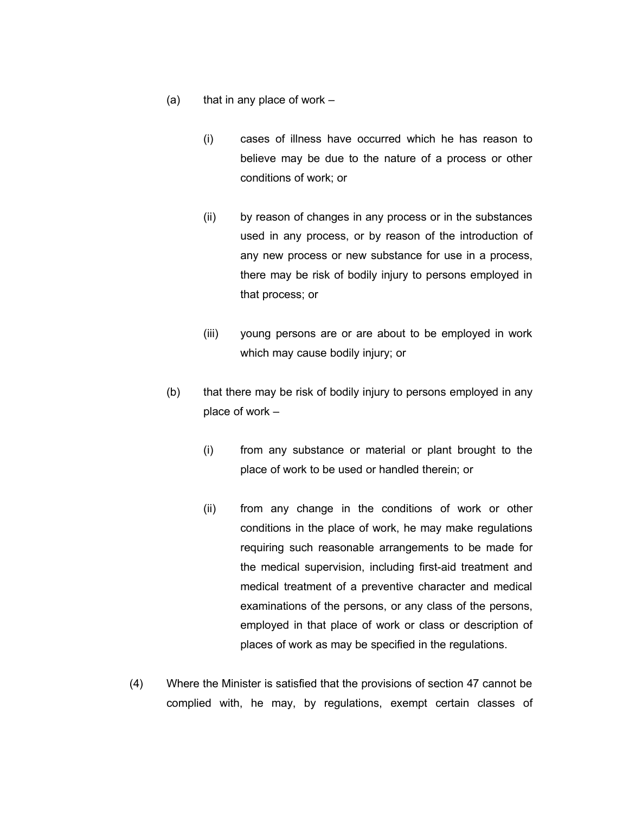- (a) that in any place of work  $-$ 
	- (i) cases of illness have occurred which he has reason to believe may be due to the nature of a process or other conditions of work; or
	- (ii) by reason of changes in any process or in the substances used in any process, or by reason of the introduction of any new process or new substance for use in a process, there may be risk of bodily injury to persons employed in that process; or
	- (iii) young persons are or are about to be employed in work which may cause bodily injury; or
- (b) that there may be risk of bodily injury to persons employed in any place of work –
	- (i) from any substance or material or plant brought to the place of work to be used or handled therein; or
	- (ii) from any change in the conditions of work or other conditions in the place of work, he may make regulations requiring such reasonable arrangements to be made for the medical supervision, including first-aid treatment and medical treatment of a preventive character and medical examinations of the persons, or any class of the persons, employed in that place of work or class or description of places of work as may be specified in the regulations.
- (4) Where the Minister is satisfied that the provisions of section 47 cannot be complied with, he may, by regulations, exempt certain classes of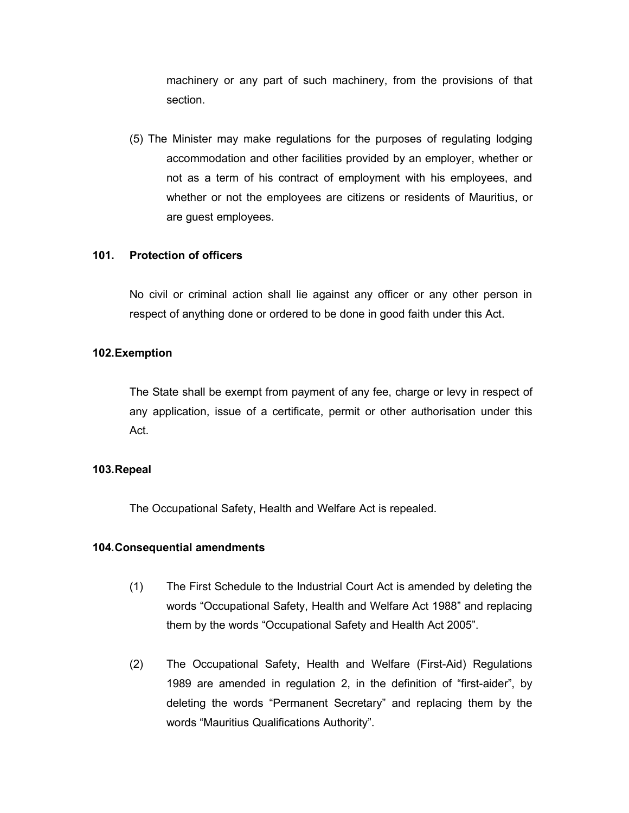machinery or any part of such machinery, from the provisions of that section.

(5) The Minister may make regulations for the purposes of regulating lodging accommodation and other facilities provided by an employer, whether or not as a term of his contract of employment with his employees, and whether or not the employees are citizens or residents of Mauritius, or are guest employees.

#### **101. Protection of officers**

No civil or criminal action shall lie against any officer or any other person in respect of anything done or ordered to be done in good faith under this Act.

#### **102.Exemption**

The State shall be exempt from payment of any fee, charge or levy in respect of any application, issue of a certificate, permit or other authorisation under this Act.

#### **103.Repeal**

The Occupational Safety, Health and Welfare Act is repealed.

#### **104.Consequential amendments**

- (1) The First Schedule to the Industrial Court Act is amended by deleting the words "Occupational Safety, Health and Welfare Act 1988" and replacing them by the words "Occupational Safety and Health Act 2005".
- (2) The Occupational Safety, Health and Welfare (First-Aid) Regulations 1989 are amended in regulation 2, in the definition of "first-aider", by deleting the words "Permanent Secretary" and replacing them by the words "Mauritius Qualifications Authority".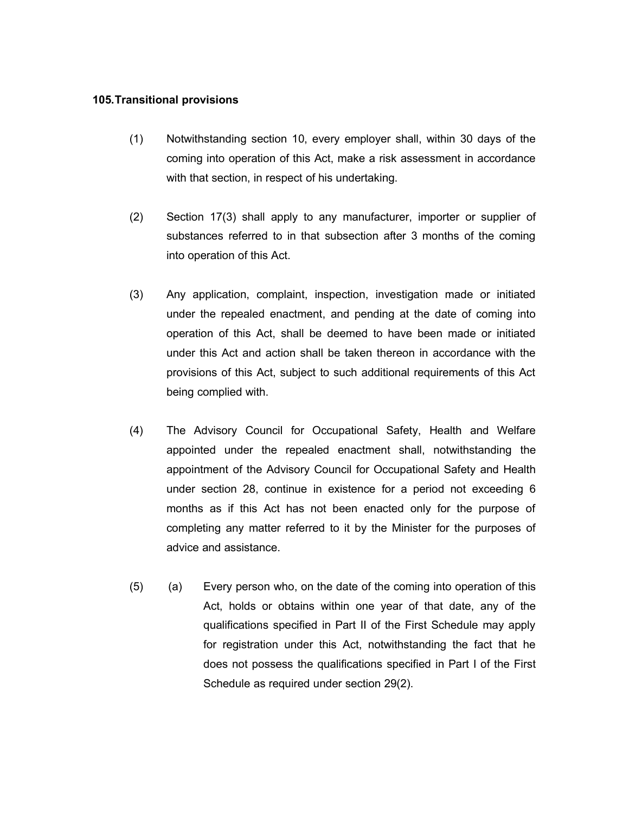#### **105.Transitional provisions**

- (1) Notwithstanding section 10, every employer shall, within 30 days of the coming into operation of this Act, make a risk assessment in accordance with that section, in respect of his undertaking.
- (2) Section 17(3) shall apply to any manufacturer, importer or supplier of substances referred to in that subsection after 3 months of the coming into operation of this Act.
- (3) Any application, complaint, inspection, investigation made or initiated under the repealed enactment, and pending at the date of coming into operation of this Act, shall be deemed to have been made or initiated under this Act and action shall be taken thereon in accordance with the provisions of this Act, subject to such additional requirements of this Act being complied with.
- (4) The Advisory Council for Occupational Safety, Health and Welfare appointed under the repealed enactment shall, notwithstanding the appointment of the Advisory Council for Occupational Safety and Health under section 28, continue in existence for a period not exceeding 6 months as if this Act has not been enacted only for the purpose of completing any matter referred to it by the Minister for the purposes of advice and assistance.
- (5) (a) Every person who, on the date of the coming into operation of this Act, holds or obtains within one year of that date, any of the qualifications specified in Part II of the First Schedule may apply for registration under this Act, notwithstanding the fact that he does not possess the qualifications specified in Part I of the First Schedule as required under section 29(2).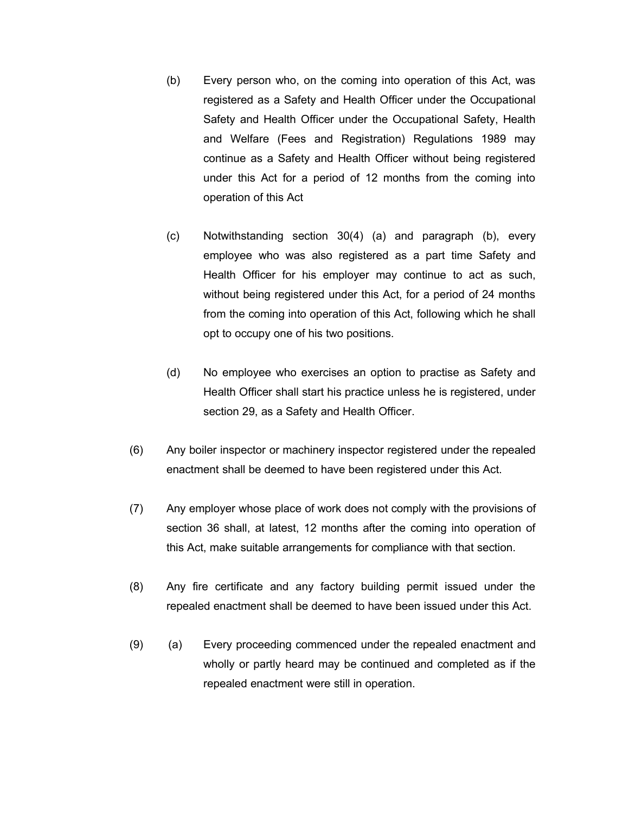- (b) Every person who, on the coming into operation of this Act, was registered as a Safety and Health Officer under the Occupational Safety and Health Officer under the Occupational Safety, Health and Welfare (Fees and Registration) Regulations 1989 may continue as a Safety and Health Officer without being registered under this Act for a period of 12 months from the coming into operation of this Act
- (c) Notwithstanding section 30(4) (a) and paragraph (b), every employee who was also registered as a part time Safety and Health Officer for his employer may continue to act as such, without being registered under this Act, for a period of 24 months from the coming into operation of this Act, following which he shall opt to occupy one of his two positions.
- (d) No employee who exercises an option to practise as Safety and Health Officer shall start his practice unless he is registered, under section 29, as a Safety and Health Officer.
- (6) Any boiler inspector or machinery inspector registered under the repealed enactment shall be deemed to have been registered under this Act.
- (7) Any employer whose place of work does not comply with the provisions of section 36 shall, at latest, 12 months after the coming into operation of this Act, make suitable arrangements for compliance with that section.
- (8) Any fire certificate and any factory building permit issued under the repealed enactment shall be deemed to have been issued under this Act.
- (9) (a) Every proceeding commenced under the repealed enactment and wholly or partly heard may be continued and completed as if the repealed enactment were still in operation.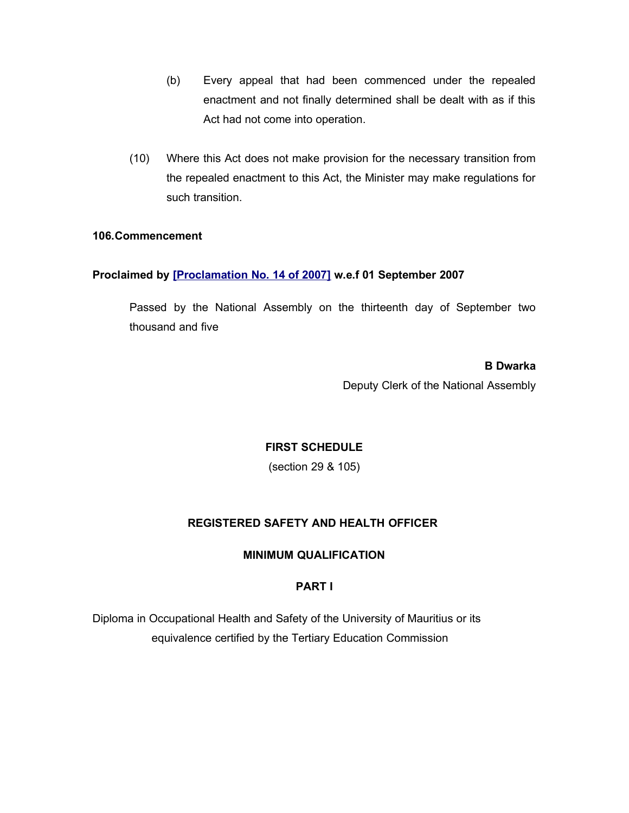- (b) Every appeal that had been commenced under the repealed enactment and not finally determined shall be dealt with as if this Act had not come into operation.
- (10) Where this Act does not make provision for the necessary transition from the repealed enactment to this Act, the Minister may make regulations for such transition.

### **106.Commencement**

### **Proclaimed by [\[Proclamation No. 14 of 2007\]](http://www.gov.mu/scourt/doc/showDoc.do?dk=Proclamation%20No.%2014%20of%202007&dt=A) w.e.f 01 September 2007**

Passed by the National Assembly on the thirteenth day of September two thousand and five

> **B Dwarka** Deputy Clerk of the National Assembly

## **FIRST SCHEDULE**

(section 29 & 105)

## **REGISTERED SAFETY AND HEALTH OFFICER**

### **MINIMUM QUALIFICATION**

## **PART I**

Diploma in Occupational Health and Safety of the University of Mauritius or its equivalence certified by the Tertiary Education Commission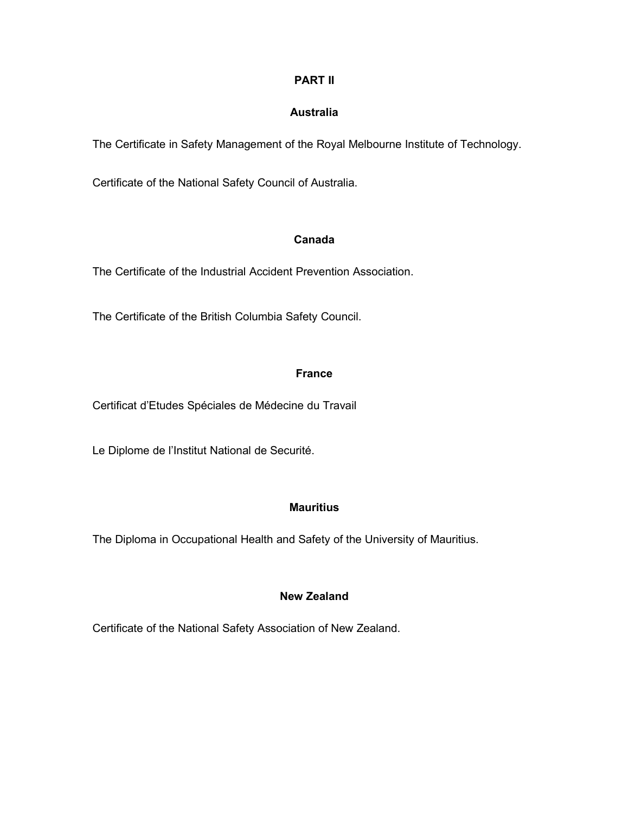## **PART II**

## **Australia**

The Certificate in Safety Management of the Royal Melbourne Institute of Technology.

Certificate of the National Safety Council of Australia.

## **Canada**

The Certificate of the Industrial Accident Prevention Association.

The Certificate of the British Columbia Safety Council.

## **France**

Certificat d'Etudes Spéciales de Médecine du Travail

Le Diplome de l'Institut National de Securité.

## **Mauritius**

The Diploma in Occupational Health and Safety of the University of Mauritius.

## **New Zealand**

Certificate of the National Safety Association of New Zealand.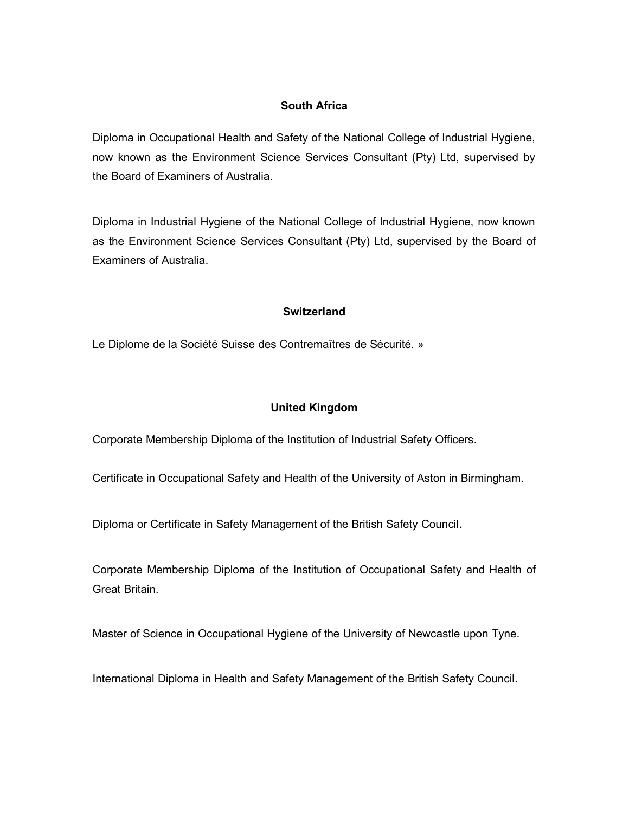## **South Africa**

Diploma in Occupational Health and Safety of the National College of Industrial Hygiene, now known as the Environment Science Services Consultant (Pty) Ltd, supervised by the Board of Examiners of Australia.

Diploma in Industrial Hygiene of the National College of Industrial Hygiene, now known as the Environment Science Services Consultant (Pty) Ltd, supervised by the Board of Examiners of Australia.

## **Switzerland**

Le Diplome de la Société Suisse des Contremaîtres de Sécurité. »

## **United Kingdom**

Corporate Membership Diploma of the Institution of Industrial Safety Officers.

Certificate in Occupational Safety and Health of the University of Aston in Birmingham.

Diploma or Certificate in Safety Management of the British Safety Council.

Corporate Membership Diploma of the Institution of Occupational Safety and Health of Great Britain.

Master of Science in Occupational Hygiene of the University of Newcastle upon Tyne.

International Diploma in Health and Safety Management of the British Safety Council.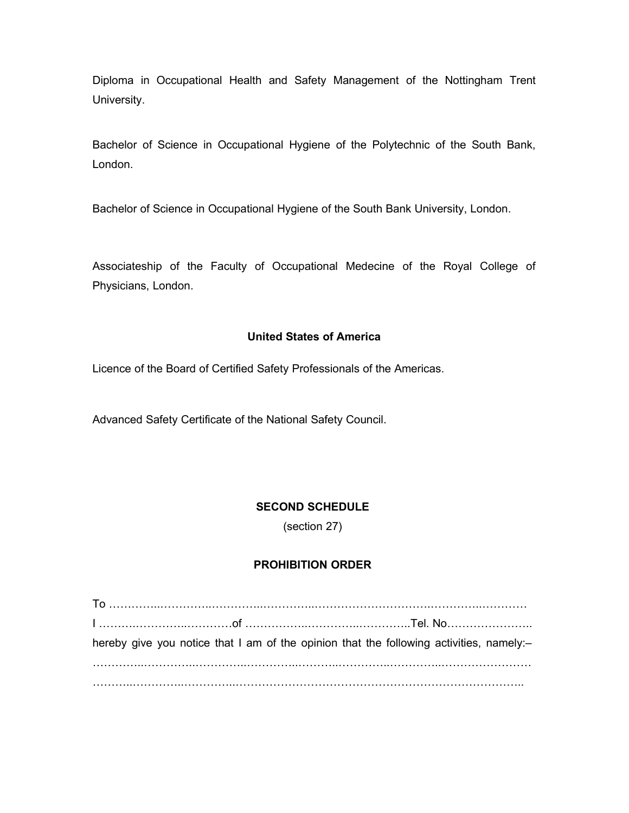Diploma in Occupational Health and Safety Management of the Nottingham Trent University.

Bachelor of Science in Occupational Hygiene of the Polytechnic of the South Bank, London.

Bachelor of Science in Occupational Hygiene of the South Bank University, London.

Associateship of the Faculty of Occupational Medecine of the Royal College of Physicians, London.

## **United States of America**

Licence of the Board of Certified Safety Professionals of the Americas.

Advanced Safety Certificate of the National Safety Council.

## **SECOND SCHEDULE**

(section 27)

## **PROHIBITION ORDER**

| hereby give you notice that I am of the opinion that the following activities, namely:- |  |  |  |
|-----------------------------------------------------------------------------------------|--|--|--|
|                                                                                         |  |  |  |
|                                                                                         |  |  |  |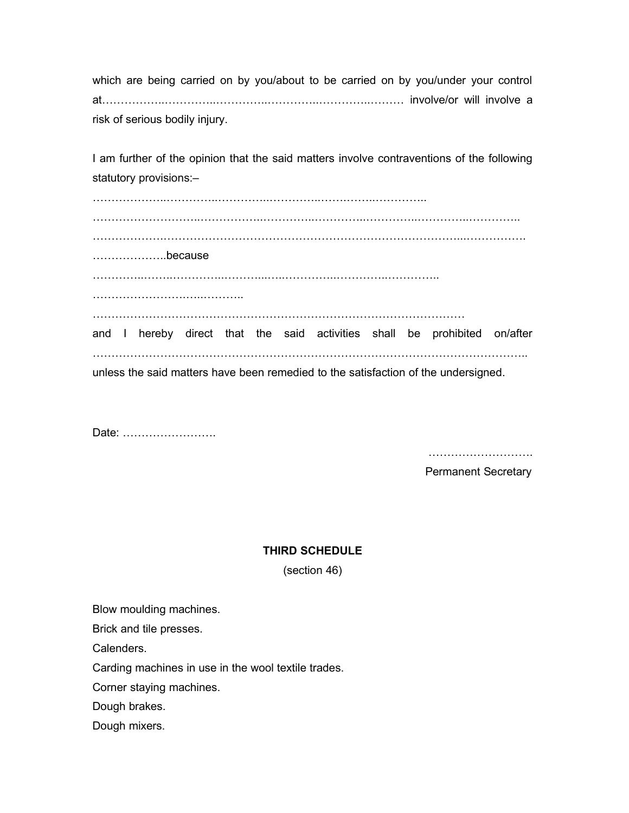which are being carried on by you/about to be carried on by you/under your control at……………..…………..…………..…………..…………..……… involve/or will involve a risk of serious bodily injury.

I am further of the opinion that the said matters involve contraventions of the following statutory provisions:–

………………..…………..…………..…………..…….……..………….. ………………………..……………..…………..…………..…………..…………..………….. ……………….……………………………………………………………………...……………. ………………..because …………..……..…………..………...…..…………..…………..………….. ……………………………………………… ……………………………………………………………………………………… and I hereby direct that the said activities shall be prohibited on/after …………………………………………………………………………………………………….. unless the said matters have been remedied to the satisfaction of the undersigned.

Date: …………………….

……………………………

Permanent Secretary

#### **THIRD SCHEDULE**

(section 46)

Blow moulding machines.

Brick and tile presses.

Calenders.

Carding machines in use in the wool textile trades.

Corner staying machines.

Dough brakes.

Dough mixers.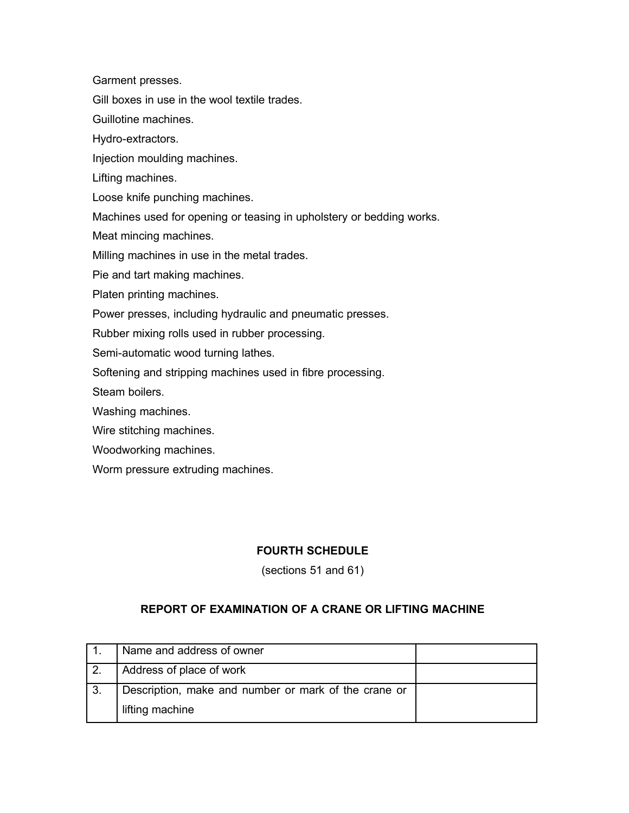Garment presses.

Gill boxes in use in the wool textile trades.

Guillotine machines.

Hydro-extractors.

Injection moulding machines.

Lifting machines.

Loose knife punching machines.

Machines used for opening or teasing in upholstery or bedding works.

Meat mincing machines.

Milling machines in use in the metal trades.

Pie and tart making machines.

Platen printing machines.

Power presses, including hydraulic and pneumatic presses.

Rubber mixing rolls used in rubber processing.

Semi-automatic wood turning lathes.

Softening and stripping machines used in fibre processing.

Steam boilers.

Washing machines.

Wire stitching machines.

Woodworking machines.

Worm pressure extruding machines.

### **FOURTH SCHEDULE**

(sections 51 and 61)

## **REPORT OF EXAMINATION OF A CRANE OR LIFTING MACHINE**

| Name and address of owner                            |  |
|------------------------------------------------------|--|
| Address of place of work                             |  |
| Description, make and number or mark of the crane or |  |
| lifting machine                                      |  |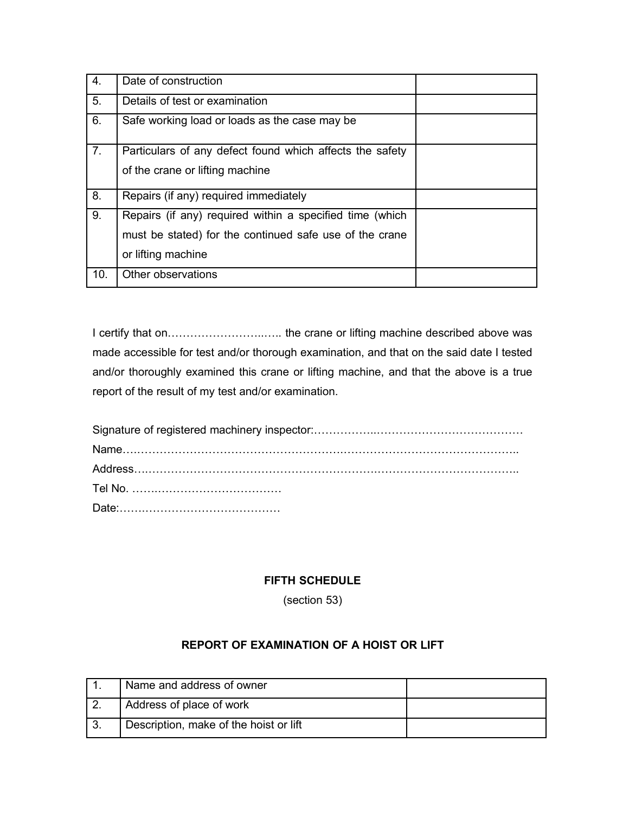| $\mathbf{4}$ . | Date of construction                                     |
|----------------|----------------------------------------------------------|
| 5.             | Details of test or examination                           |
| 6.             | Safe working load or loads as the case may be            |
| 7.             | Particulars of any defect found which affects the safety |
|                | of the crane or lifting machine                          |
| 8.             | Repairs (if any) required immediately                    |
| 9.             | Repairs (if any) required within a specified time (which |
|                | must be stated) for the continued safe use of the crane  |
|                | or lifting machine                                       |
| 10.            | Other observations                                       |

I certify that on……………………..….. the crane or lifting machine described above was made accessible for test and/or thorough examination, and that on the said date I tested and/or thoroughly examined this crane or lifting machine, and that the above is a true report of the result of my test and/or examination.

## **FIFTH SCHEDULE**

(section 53)

# **REPORT OF EXAMINATION OF A HOIST OR LIFT**

| Name and address of owner              |  |
|----------------------------------------|--|
| Address of place of work               |  |
| Description, make of the hoist or lift |  |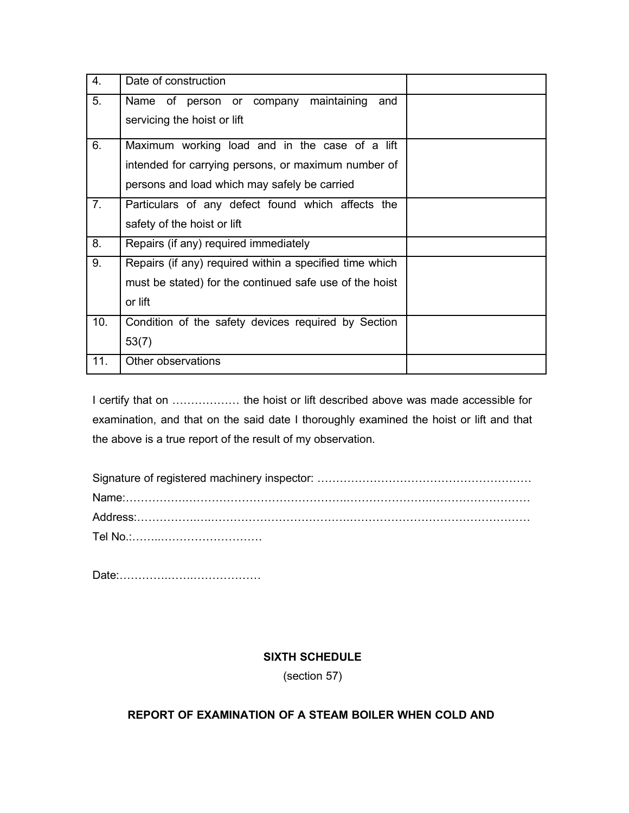| 4.             | Date of construction                                    |  |
|----------------|---------------------------------------------------------|--|
| 5.             | maintaining<br>Name of person or company<br>and         |  |
|                | servicing the hoist or lift                             |  |
| 6.             | Maximum working load and in the case of a lift          |  |
|                | intended for carrying persons, or maximum number of     |  |
|                | persons and load which may safely be carried            |  |
| 7 <sub>1</sub> | Particulars of any defect found which affects the       |  |
|                | safety of the hoist or lift                             |  |
| 8.             | Repairs (if any) required immediately                   |  |
| 9.             | Repairs (if any) required within a specified time which |  |
|                | must be stated) for the continued safe use of the hoist |  |
|                | or lift                                                 |  |
| 10.            | Condition of the safety devices required by Section     |  |
|                | 53(7)                                                   |  |
| 11.            | Other observations                                      |  |

I certify that on ……………… the hoist or lift described above was made accessible for examination, and that on the said date I thoroughly examined the hoist or lift and that the above is a true report of the result of my observation.

Date:………….…….………………

# **SIXTH SCHEDULE**

(section 57)

# **REPORT OF EXAMINATION OF A STEAM BOILER WHEN COLD AND**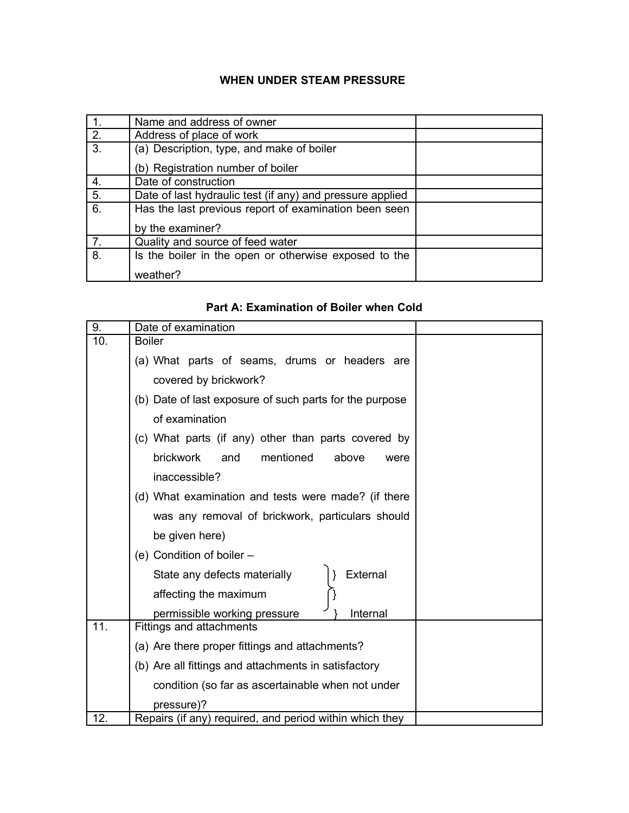# **WHEN UNDER STEAM PRESSURE**

|                  | Name and address of owner                                 |  |
|------------------|-----------------------------------------------------------|--|
| 2.               | Address of place of work                                  |  |
| 3.               | (a) Description, type, and make of boiler                 |  |
|                  | (b) Registration number of boiler                         |  |
| 4.               | Date of construction                                      |  |
| $\overline{5}$ . | Date of last hydraulic test (if any) and pressure applied |  |
| 6.               | Has the last previous report of examination been seen     |  |
|                  | by the examiner?                                          |  |
| 7.               | Quality and source of feed water                          |  |
| 8.               | Is the boiler in the open or otherwise exposed to the     |  |
|                  | weather?                                                  |  |

## **Part A: Examination of Boiler when Cold**

| 9.  | Date of examination                                     |  |
|-----|---------------------------------------------------------|--|
| 10. | <b>Boiler</b>                                           |  |
|     | (a) What parts of seams, drums or headers are           |  |
|     | covered by brickwork?                                   |  |
|     | (b) Date of last exposure of such parts for the purpose |  |
|     | of examination                                          |  |
|     | (c) What parts (if any) other than parts covered by     |  |
|     | <b>brickwork</b><br>mentioned<br>and<br>above<br>were   |  |
|     | inaccessible?                                           |  |
|     | (d) What examination and tests were made? (if there     |  |
|     | was any removal of brickwork, particulars should        |  |
|     | be given here)                                          |  |
|     | (e) Condition of boiler -                               |  |
|     | External<br>State any defects materially                |  |
|     | affecting the maximum                                   |  |
|     | permissible working pressure<br>Internal                |  |
| 11. | Fittings and attachments                                |  |
|     | (a) Are there proper fittings and attachments?          |  |
|     | (b) Are all fittings and attachments in satisfactory    |  |
|     | condition (so far as ascertainable when not under       |  |
|     | pressure)?                                              |  |
| 12. | Repairs (if any) required, and period within which they |  |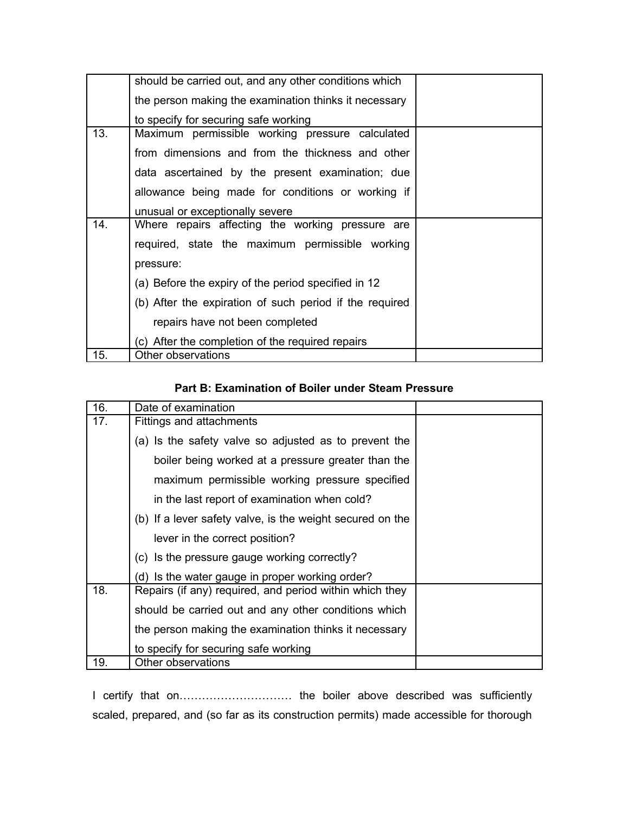|     | should be carried out, and any other conditions which   |  |
|-----|---------------------------------------------------------|--|
|     | the person making the examination thinks it necessary   |  |
|     | to specify for securing safe working                    |  |
| 13. | Maximum permissible working pressure calculated         |  |
|     | from dimensions and from the thickness and other        |  |
|     | data ascertained by the present examination; due        |  |
|     | allowance being made for conditions or working if       |  |
|     | unusual or exceptionally severe                         |  |
| 14. | Where repairs affecting the working pressure are        |  |
|     | required, state the maximum permissible working         |  |
|     | pressure:                                               |  |
|     | (a) Before the expiry of the period specified in 12     |  |
|     | (b) After the expiration of such period if the required |  |
|     | repairs have not been completed                         |  |
|     | (c) After the completion of the required repairs        |  |
| 15. | Other observations                                      |  |

### **Part B: Examination of Boiler under Steam Pressure**

| 16. | Date of examination                                       |  |
|-----|-----------------------------------------------------------|--|
| 17. | Fittings and attachments                                  |  |
|     | (a) Is the safety valve so adjusted as to prevent the     |  |
|     | boiler being worked at a pressure greater than the        |  |
|     | maximum permissible working pressure specified            |  |
|     | in the last report of examination when cold?              |  |
|     | (b) If a lever safety valve, is the weight secured on the |  |
|     | lever in the correct position?                            |  |
|     | (c) Is the pressure gauge working correctly?              |  |
|     | (d) Is the water gauge in proper working order?           |  |
| 18. | Repairs (if any) required, and period within which they   |  |
|     | should be carried out and any other conditions which      |  |
|     | the person making the examination thinks it necessary     |  |
|     | to specify for securing safe working                      |  |
| 19. | Other observations                                        |  |

I certify that on………………………… the boiler above described was sufficiently scaled, prepared, and (so far as its construction permits) made accessible for thorough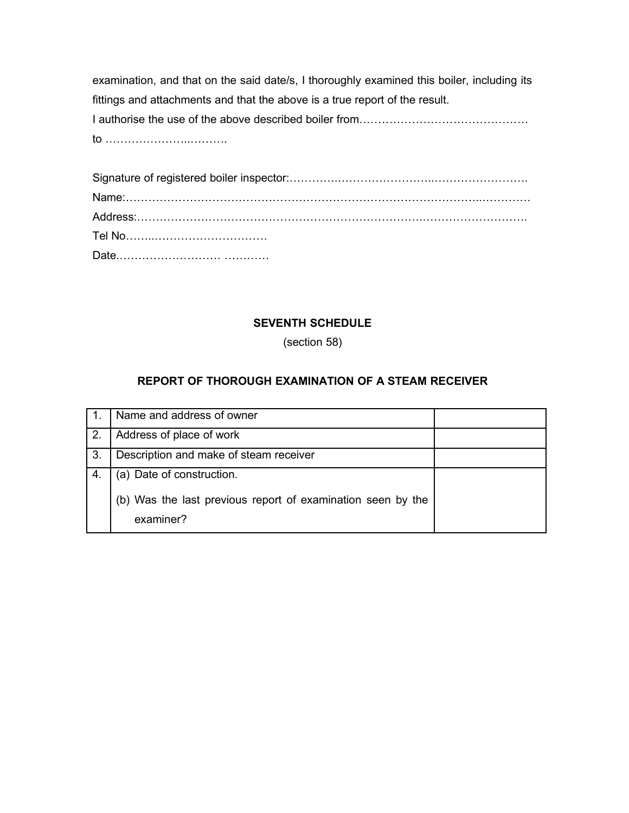examination, and that on the said date/s, I thoroughly examined this boiler, including its fittings and attachments and that the above is a true report of the result. I authorise the use of the above described boiler from………………………………………

to …………………..……….

## **SEVENTH SCHEDULE**

(section 58)

# **REPORT OF THOROUGH EXAMINATION OF A STEAM RECEIVER**

|     | Name and address of owner                                                |  |
|-----|--------------------------------------------------------------------------|--|
| 2.  | Address of place of work                                                 |  |
| -3. | Description and make of steam receiver                                   |  |
|     | (a) Date of construction.                                                |  |
|     | (b) Was the last previous report of examination seen by the<br>examiner? |  |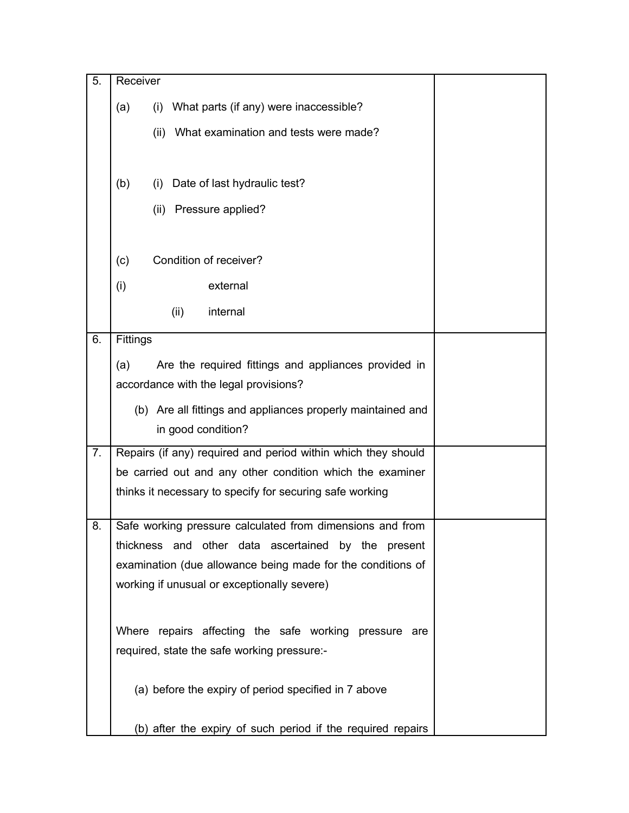| 5. | Receiver                                                      |  |
|----|---------------------------------------------------------------|--|
|    | What parts (if any) were inaccessible?<br>(a)<br>(i)          |  |
|    | What examination and tests were made?<br>(ii)                 |  |
|    |                                                               |  |
|    | (b)<br>Date of last hydraulic test?<br>(i)                    |  |
|    | Pressure applied?<br>(ii)                                     |  |
|    |                                                               |  |
|    | Condition of receiver?<br>(c)                                 |  |
|    | external<br>(i)                                               |  |
|    | internal<br>(ii)                                              |  |
| 6. | Fittings                                                      |  |
|    | Are the required fittings and appliances provided in<br>(a)   |  |
|    | accordance with the legal provisions?                         |  |
|    | (b) Are all fittings and appliances properly maintained and   |  |
|    | in good condition?                                            |  |
| 7. | Repairs (if any) required and period within which they should |  |
|    | be carried out and any other condition which the examiner     |  |
|    | thinks it necessary to specify for securing safe working      |  |
| 8. | Safe working pressure calculated from dimensions and from     |  |
|    | thickness and other data ascertained by the present           |  |
|    | examination (due allowance being made for the conditions of   |  |
|    | working if unusual or exceptionally severe)                   |  |
|    |                                                               |  |
|    | Where repairs affecting the safe working pressure are         |  |
|    | required, state the safe working pressure:-                   |  |
|    | (a) before the expiry of period specified in 7 above          |  |
|    | (b) after the expiry of such period if the required repairs   |  |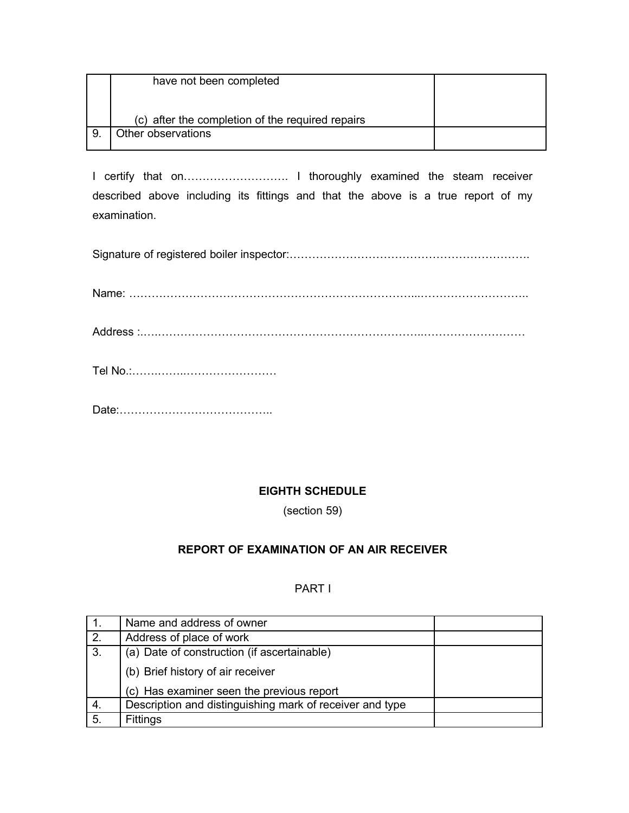| have not been completed                          |  |
|--------------------------------------------------|--|
|                                                  |  |
| (c) after the completion of the required repairs |  |
| Other observations                               |  |

I certify that on………………………. I thoroughly examined the steam receiver described above including its fittings and that the above is a true report of my examination.

Signature of registered boiler inspector:……………………………………………………….

Name: …………………………………………………………………...………………………..

Address :.….……………………………………………………………..………………………

Tel No.:…….……..……………………

Date:…………………………………..

# **EIGHTH SCHEDULE**

(section 59)

# **REPORT OF EXAMINATION OF AN AIR RECEIVER**

## PART I

|    | Name and address of owner                                |  |
|----|----------------------------------------------------------|--|
| 2. | Address of place of work                                 |  |
| 3. | (a) Date of construction (if ascertainable)              |  |
|    | (b) Brief history of air receiver                        |  |
|    | (c) Has examiner seen the previous report                |  |
| 4. | Description and distinguishing mark of receiver and type |  |
| 5. | Fittings                                                 |  |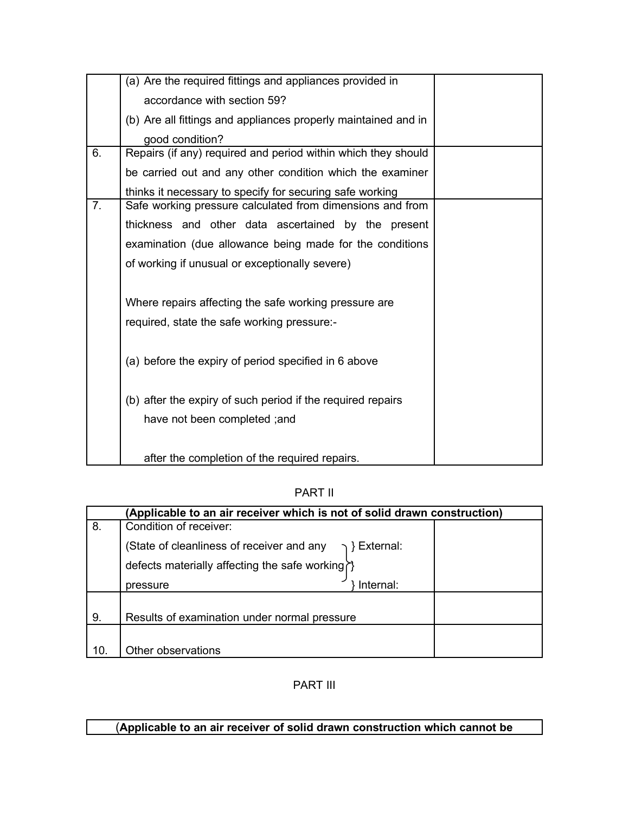| (a) Are the required fittings and appliances provided in       |                                                                                                                                       |
|----------------------------------------------------------------|---------------------------------------------------------------------------------------------------------------------------------------|
| accordance with section 59?                                    |                                                                                                                                       |
| (b) Are all fittings and appliances properly maintained and in |                                                                                                                                       |
| good condition?                                                |                                                                                                                                       |
| Repairs (if any) required and period within which they should  |                                                                                                                                       |
| be carried out and any other condition which the examiner      |                                                                                                                                       |
| thinks it necessary to specify for securing safe working       |                                                                                                                                       |
| Safe working pressure calculated from dimensions and from      |                                                                                                                                       |
| thickness and other data ascertained by the present            |                                                                                                                                       |
| examination (due allowance being made for the conditions       |                                                                                                                                       |
| of working if unusual or exceptionally severe)                 |                                                                                                                                       |
|                                                                |                                                                                                                                       |
| Where repairs affecting the safe working pressure are          |                                                                                                                                       |
| required, state the safe working pressure:-                    |                                                                                                                                       |
|                                                                |                                                                                                                                       |
|                                                                |                                                                                                                                       |
|                                                                |                                                                                                                                       |
| (b) after the expiry of such period if the required repairs    |                                                                                                                                       |
|                                                                |                                                                                                                                       |
|                                                                |                                                                                                                                       |
|                                                                |                                                                                                                                       |
|                                                                | (a) before the expiry of period specified in 6 above<br>have not been completed; and<br>after the completion of the required repairs. |

PART II

|     | (Applicable to an air receiver which is not of solid drawn construction) |  |
|-----|--------------------------------------------------------------------------|--|
| 8.  | Condition of receiver:                                                   |  |
|     | (State of cleanliness of receiver and any<br>} External:                 |  |
|     | defects materially affecting the safe working?}                          |  |
|     | Internal:<br>pressure                                                    |  |
|     |                                                                          |  |
| 9.  | Results of examination under normal pressure                             |  |
|     |                                                                          |  |
| 10. | Other observations                                                       |  |

PART III

# (**Applicable to an air receiver of solid drawn construction which cannot be**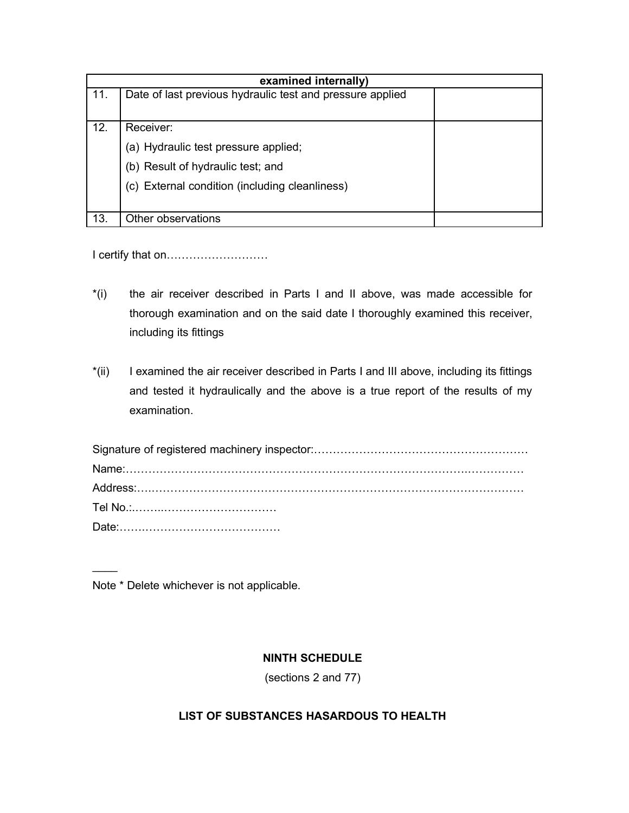| examined internally) |                                                           |  |
|----------------------|-----------------------------------------------------------|--|
| 11.                  | Date of last previous hydraulic test and pressure applied |  |
|                      |                                                           |  |
| 12.                  | Receiver:                                                 |  |
|                      | (a) Hydraulic test pressure applied;                      |  |
|                      | (b) Result of hydraulic test; and                         |  |
|                      | (c) External condition (including cleanliness)            |  |
|                      |                                                           |  |
| 13.                  | Other observations                                        |  |

I certify that on………………………

- \*(i) the air receiver described in Parts I and II above, was made accessible for thorough examination and on the said date I thoroughly examined this receiver, including its fittings
- \*(ii) I examined the air receiver described in Parts I and III above, including its fittings and tested it hydraulically and the above is a true report of the results of my examination.

Note \* Delete whichever is not applicable.

 $\overline{\phantom{a}}$ 

## **NINTH SCHEDULE**

(sections 2 and 77)

## **LIST OF SUBSTANCES HASARDOUS TO HEALTH**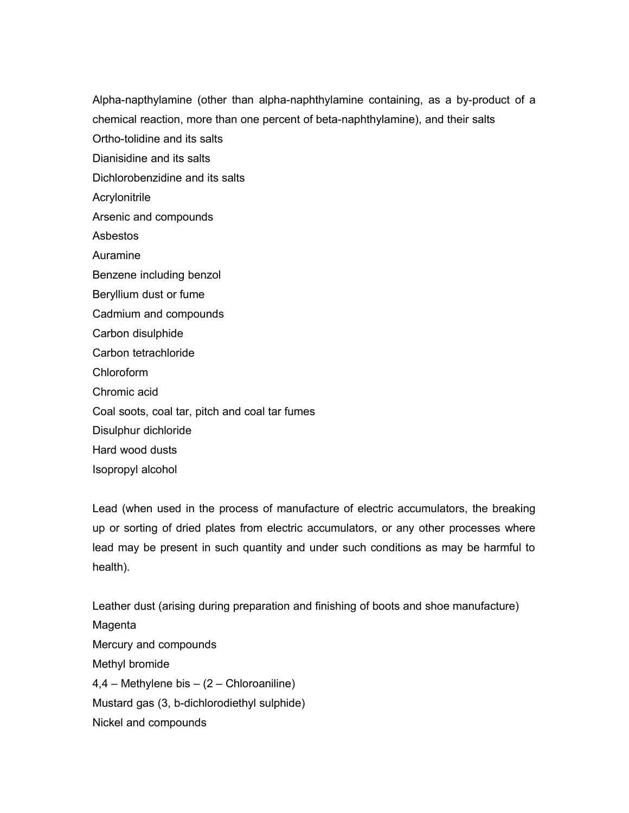Alpha-napthylamine (other than alpha-naphthylamine containing, as a by-product of a chemical reaction, more than one percent of beta-naphthylamine), and their salts

Ortho-tolidine and its salts

Dianisidine and its salts

Dichlorobenzidine and its salts

**Acrylonitrile** 

Arsenic and compounds

Asbestos

Auramine

Benzene including benzol

Beryllium dust or fume

Cadmium and compounds

Carbon disulphide

Carbon tetrachloride

Chloroform

Chromic acid

Coal soots, coal tar, pitch and coal tar fumes

Disulphur dichloride

Hard wood dusts

Isopropyl alcohol

Lead (when used in the process of manufacture of electric accumulators, the breaking up or sorting of dried plates from electric accumulators, or any other processes where lead may be present in such quantity and under such conditions as may be harmful to health).

Leather dust (arising during preparation and finishing of boots and shoe manufacture) Magenta Mercury and compounds Methyl bromide 4,4 – Methylene bis – (2 – Chloroaniline) Mustard gas (3, b-dichlorodiethyl sulphide) Nickel and compounds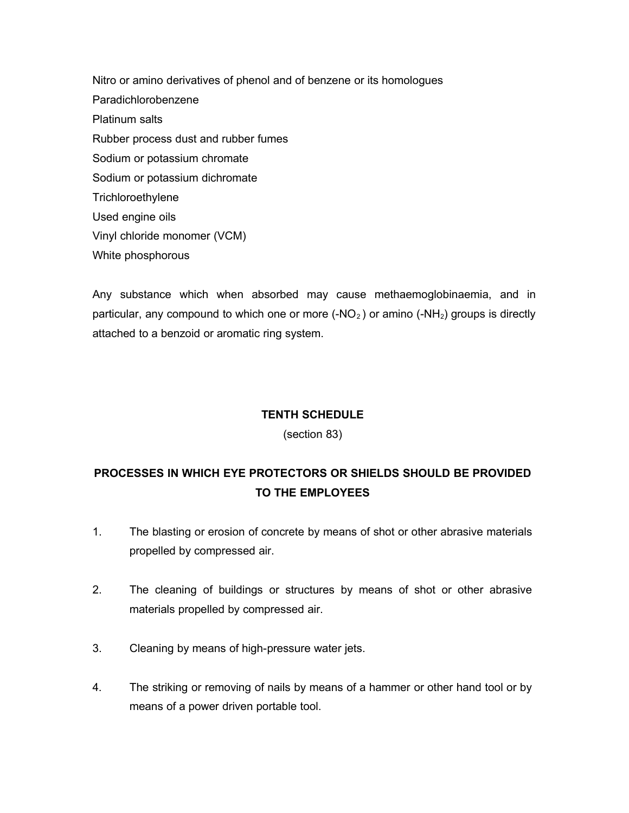Nitro or amino derivatives of phenol and of benzene or its homologues Paradichlorobenzene Platinum salts Rubber process dust and rubber fumes Sodium or potassium chromate Sodium or potassium dichromate **Trichloroethylene** Used engine oils Vinyl chloride monomer (VCM) White phosphorous

Any substance which when absorbed may cause methaemoglobinaemia, and in particular, any compound to which one or more  $(-NO<sub>2</sub>)$  or amino  $(-NH<sub>2</sub>)$  groups is directly attached to a benzoid or aromatic ring system.

## **TENTH SCHEDULE**

### (section 83)

# **PROCESSES IN WHICH EYE PROTECTORS OR SHIELDS SHOULD BE PROVIDED TO THE EMPLOYEES**

- 1. The blasting or erosion of concrete by means of shot or other abrasive materials propelled by compressed air.
- 2. The cleaning of buildings or structures by means of shot or other abrasive materials propelled by compressed air.
- 3. Cleaning by means of high-pressure water jets.
- 4. The striking or removing of nails by means of a hammer or other hand tool or by means of a power driven portable tool.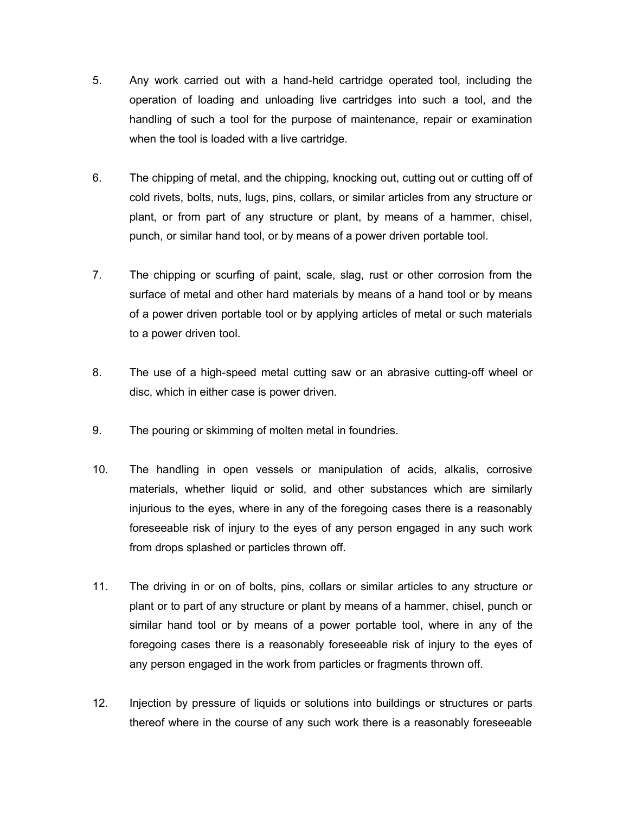- 5. Any work carried out with a hand-held cartridge operated tool, including the operation of loading and unloading live cartridges into such a tool, and the handling of such a tool for the purpose of maintenance, repair or examination when the tool is loaded with a live cartridge.
- 6. The chipping of metal, and the chipping, knocking out, cutting out or cutting off of cold rivets, bolts, nuts, lugs, pins, collars, or similar articles from any structure or plant, or from part of any structure or plant, by means of a hammer, chisel, punch, or similar hand tool, or by means of a power driven portable tool.
- 7. The chipping or scurfing of paint, scale, slag, rust or other corrosion from the surface of metal and other hard materials by means of a hand tool or by means of a power driven portable tool or by applying articles of metal or such materials to a power driven tool.
- 8. The use of a high-speed metal cutting saw or an abrasive cutting-off wheel or disc, which in either case is power driven.
- 9. The pouring or skimming of molten metal in foundries.
- 10. The handling in open vessels or manipulation of acids, alkalis, corrosive materials, whether liquid or solid, and other substances which are similarly injurious to the eyes, where in any of the foregoing cases there is a reasonably foreseeable risk of injury to the eyes of any person engaged in any such work from drops splashed or particles thrown off.
- 11. The driving in or on of bolts, pins, collars or similar articles to any structure or plant or to part of any structure or plant by means of a hammer, chisel, punch or similar hand tool or by means of a power portable tool, where in any of the foregoing cases there is a reasonably foreseeable risk of injury to the eyes of any person engaged in the work from particles or fragments thrown off.
- 12. Injection by pressure of liquids or solutions into buildings or structures or parts thereof where in the course of any such work there is a reasonably foreseeable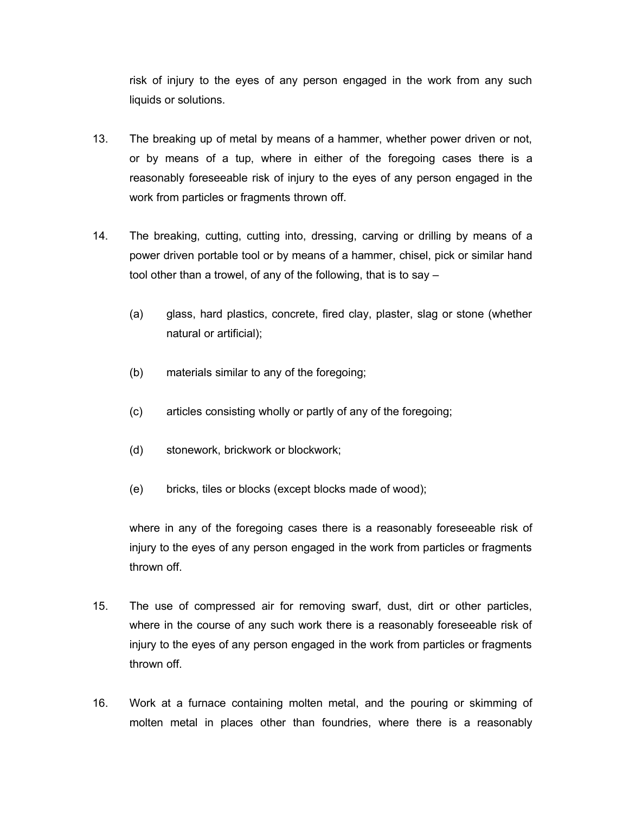risk of injury to the eyes of any person engaged in the work from any such liquids or solutions.

- 13. The breaking up of metal by means of a hammer, whether power driven or not, or by means of a tup, where in either of the foregoing cases there is a reasonably foreseeable risk of injury to the eyes of any person engaged in the work from particles or fragments thrown off.
- 14. The breaking, cutting, cutting into, dressing, carving or drilling by means of a power driven portable tool or by means of a hammer, chisel, pick or similar hand tool other than a trowel, of any of the following, that is to say –
	- (a) glass, hard plastics, concrete, fired clay, plaster, slag or stone (whether natural or artificial);
	- (b) materials similar to any of the foregoing;
	- (c) articles consisting wholly or partly of any of the foregoing;
	- (d) stonework, brickwork or blockwork;
	- (e) bricks, tiles or blocks (except blocks made of wood);

where in any of the foregoing cases there is a reasonably foreseeable risk of injury to the eyes of any person engaged in the work from particles or fragments thrown off.

- 15. The use of compressed air for removing swarf, dust, dirt or other particles, where in the course of any such work there is a reasonably foreseeable risk of injury to the eyes of any person engaged in the work from particles or fragments thrown off.
- 16. Work at a furnace containing molten metal, and the pouring or skimming of molten metal in places other than foundries, where there is a reasonably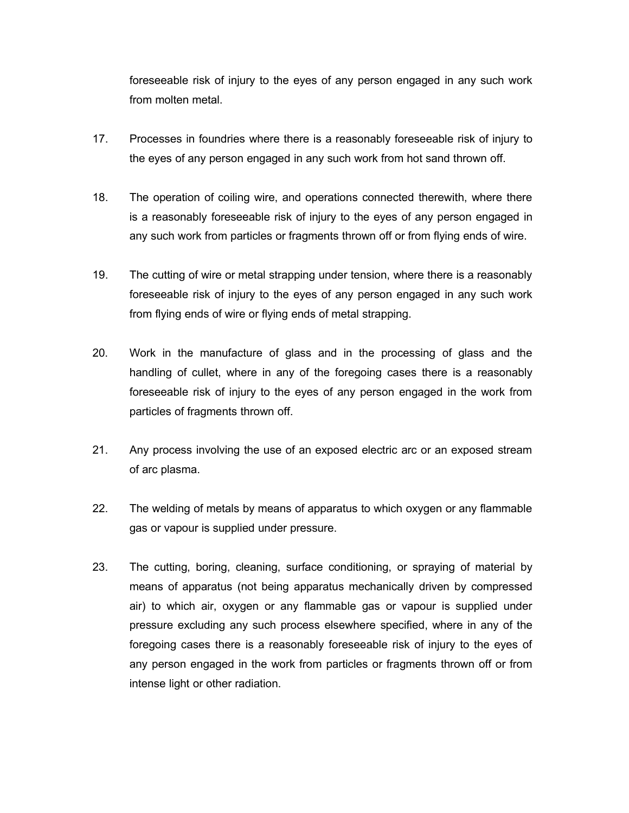foreseeable risk of injury to the eyes of any person engaged in any such work from molten metal.

- 17. Processes in foundries where there is a reasonably foreseeable risk of injury to the eyes of any person engaged in any such work from hot sand thrown off.
- 18. The operation of coiling wire, and operations connected therewith, where there is a reasonably foreseeable risk of injury to the eyes of any person engaged in any such work from particles or fragments thrown off or from flying ends of wire.
- 19. The cutting of wire or metal strapping under tension, where there is a reasonably foreseeable risk of injury to the eyes of any person engaged in any such work from flying ends of wire or flying ends of metal strapping.
- 20. Work in the manufacture of glass and in the processing of glass and the handling of cullet, where in any of the foregoing cases there is a reasonably foreseeable risk of injury to the eyes of any person engaged in the work from particles of fragments thrown off.
- 21. Any process involving the use of an exposed electric arc or an exposed stream of arc plasma.
- 22. The welding of metals by means of apparatus to which oxygen or any flammable gas or vapour is supplied under pressure.
- 23. The cutting, boring, cleaning, surface conditioning, or spraying of material by means of apparatus (not being apparatus mechanically driven by compressed air) to which air, oxygen or any flammable gas or vapour is supplied under pressure excluding any such process elsewhere specified, where in any of the foregoing cases there is a reasonably foreseeable risk of injury to the eyes of any person engaged in the work from particles or fragments thrown off or from intense light or other radiation.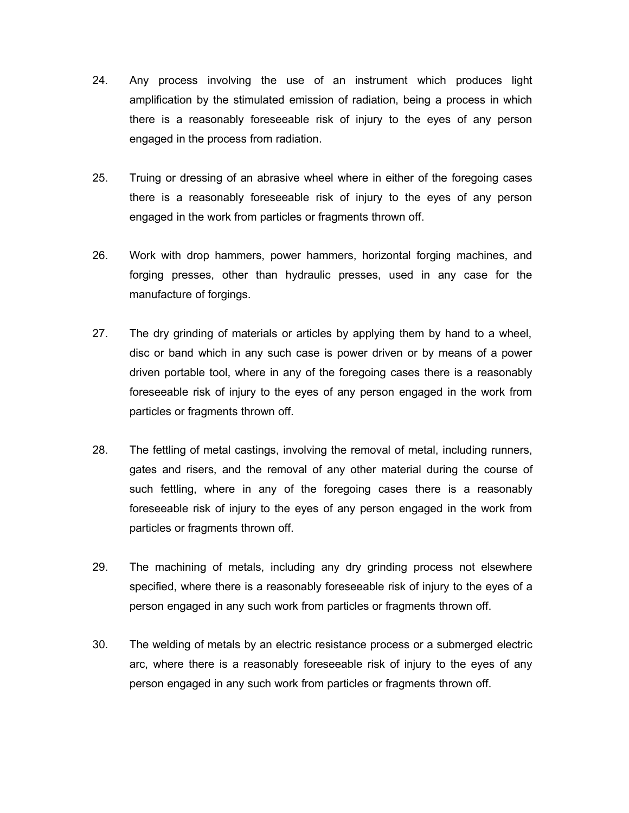- 24. Any process involving the use of an instrument which produces light amplification by the stimulated emission of radiation, being a process in which there is a reasonably foreseeable risk of injury to the eyes of any person engaged in the process from radiation.
- 25. Truing or dressing of an abrasive wheel where in either of the foregoing cases there is a reasonably foreseeable risk of injury to the eyes of any person engaged in the work from particles or fragments thrown off.
- 26. Work with drop hammers, power hammers, horizontal forging machines, and forging presses, other than hydraulic presses, used in any case for the manufacture of forgings.
- 27. The dry grinding of materials or articles by applying them by hand to a wheel, disc or band which in any such case is power driven or by means of a power driven portable tool, where in any of the foregoing cases there is a reasonably foreseeable risk of injury to the eyes of any person engaged in the work from particles or fragments thrown off.
- 28. The fettling of metal castings, involving the removal of metal, including runners, gates and risers, and the removal of any other material during the course of such fettling, where in any of the foregoing cases there is a reasonably foreseeable risk of injury to the eyes of any person engaged in the work from particles or fragments thrown off.
- 29. The machining of metals, including any dry grinding process not elsewhere specified, where there is a reasonably foreseeable risk of injury to the eyes of a person engaged in any such work from particles or fragments thrown off.
- 30. The welding of metals by an electric resistance process or a submerged electric arc, where there is a reasonably foreseeable risk of injury to the eyes of any person engaged in any such work from particles or fragments thrown off.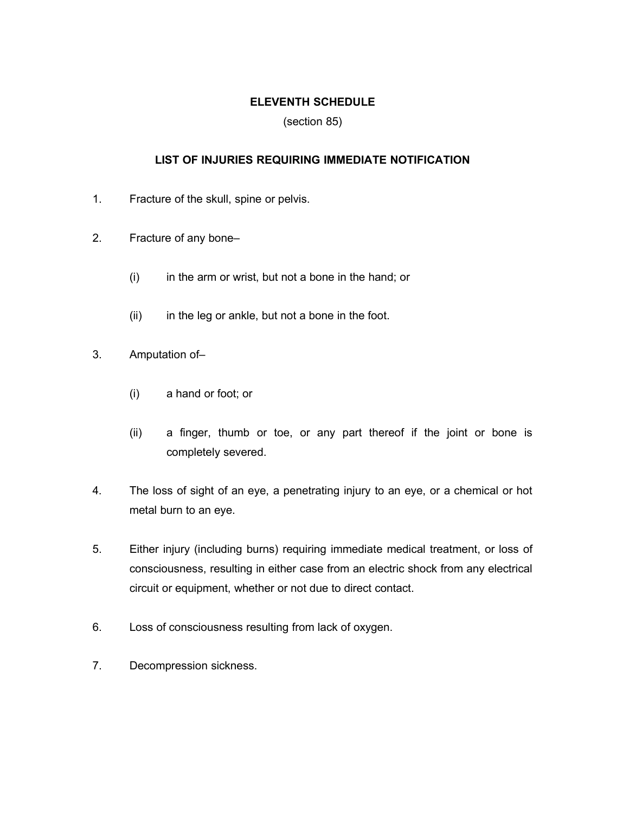## **ELEVENTH SCHEDULE**

(section 85)

## **LIST OF INJURIES REQUIRING IMMEDIATE NOTIFICATION**

- 1. Fracture of the skull, spine or pelvis.
- 2. Fracture of any bone–
	- $(i)$  in the arm or wrist, but not a bone in the hand; or
	- (ii) in the leg or ankle, but not a bone in the foot.
- 3. Amputation of–
	- (i) a hand or foot; or
	- (ii) a finger, thumb or toe, or any part thereof if the joint or bone is completely severed.
- 4. The loss of sight of an eye, a penetrating injury to an eye, or a chemical or hot metal burn to an eye.
- 5. Either injury (including burns) requiring immediate medical treatment, or loss of consciousness, resulting in either case from an electric shock from any electrical circuit or equipment, whether or not due to direct contact.
- 6. Loss of consciousness resulting from lack of oxygen.
- 7. Decompression sickness.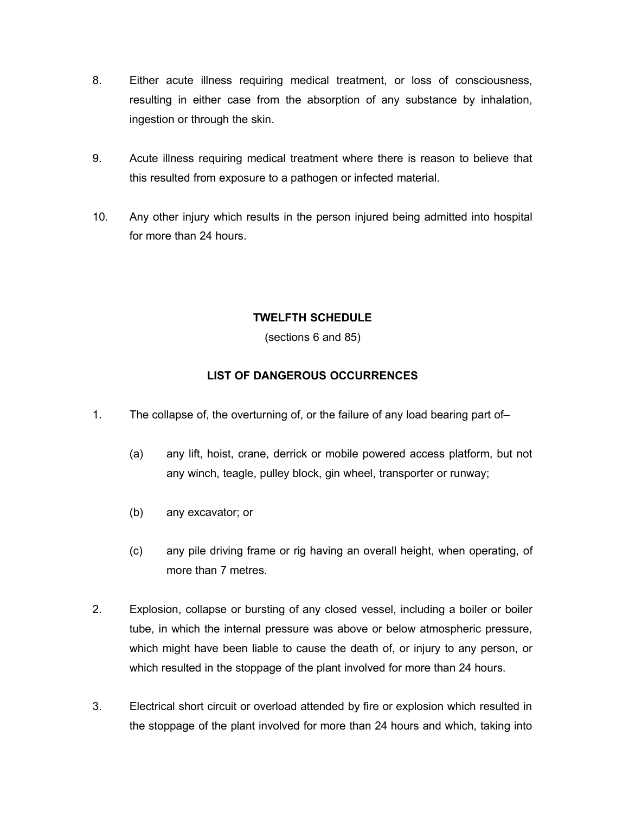- 8. Either acute illness requiring medical treatment, or loss of consciousness, resulting in either case from the absorption of any substance by inhalation, ingestion or through the skin.
- 9. Acute illness requiring medical treatment where there is reason to believe that this resulted from exposure to a pathogen or infected material.
- 10. Any other injury which results in the person injured being admitted into hospital for more than 24 hours.

# **TWELFTH SCHEDULE**

(sections 6 and 85)

# **LIST OF DANGEROUS OCCURRENCES**

- 1. The collapse of, the overturning of, or the failure of any load bearing part of–
	- (a) any lift, hoist, crane, derrick or mobile powered access platform, but not any winch, teagle, pulley block, gin wheel, transporter or runway;
	- (b) any excavator; or
	- (c) any pile driving frame or rig having an overall height, when operating, of more than 7 metres.
- 2. Explosion, collapse or bursting of any closed vessel, including a boiler or boiler tube, in which the internal pressure was above or below atmospheric pressure, which might have been liable to cause the death of, or injury to any person, or which resulted in the stoppage of the plant involved for more than 24 hours.
- 3. Electrical short circuit or overload attended by fire or explosion which resulted in the stoppage of the plant involved for more than 24 hours and which, taking into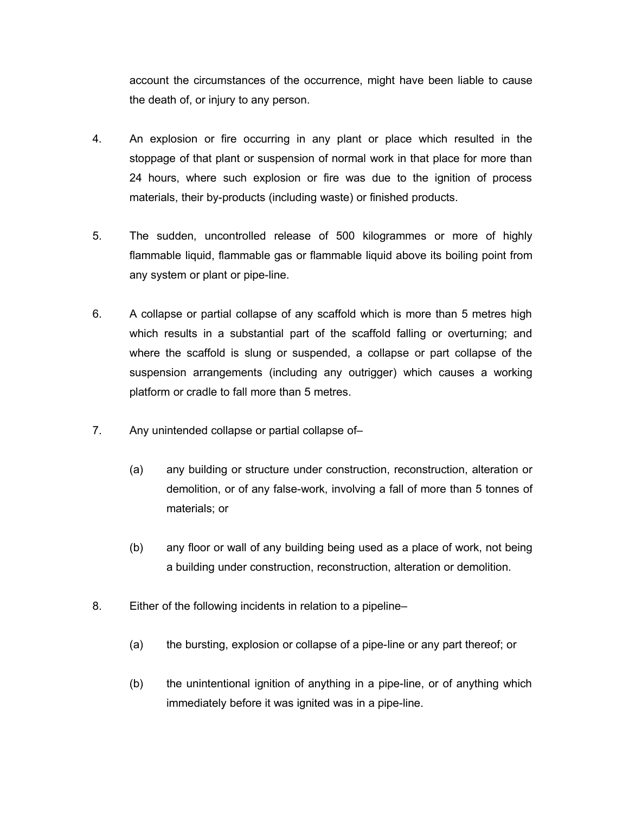account the circumstances of the occurrence, might have been liable to cause the death of, or injury to any person.

- 4. An explosion or fire occurring in any plant or place which resulted in the stoppage of that plant or suspension of normal work in that place for more than 24 hours, where such explosion or fire was due to the ignition of process materials, their by-products (including waste) or finished products.
- 5. The sudden, uncontrolled release of 500 kilogrammes or more of highly flammable liquid, flammable gas or flammable liquid above its boiling point from any system or plant or pipe-line.
- 6. A collapse or partial collapse of any scaffold which is more than 5 metres high which results in a substantial part of the scaffold falling or overturning; and where the scaffold is slung or suspended, a collapse or part collapse of the suspension arrangements (including any outrigger) which causes a working platform or cradle to fall more than 5 metres.
- 7. Any unintended collapse or partial collapse of–
	- (a) any building or structure under construction, reconstruction, alteration or demolition, or of any false-work, involving a fall of more than 5 tonnes of materials; or
	- (b) any floor or wall of any building being used as a place of work, not being a building under construction, reconstruction, alteration or demolition.
- 8. Either of the following incidents in relation to a pipeline–
	- (a) the bursting, explosion or collapse of a pipe-line or any part thereof; or
	- (b) the unintentional ignition of anything in a pipe-line, or of anything which immediately before it was ignited was in a pipe-line.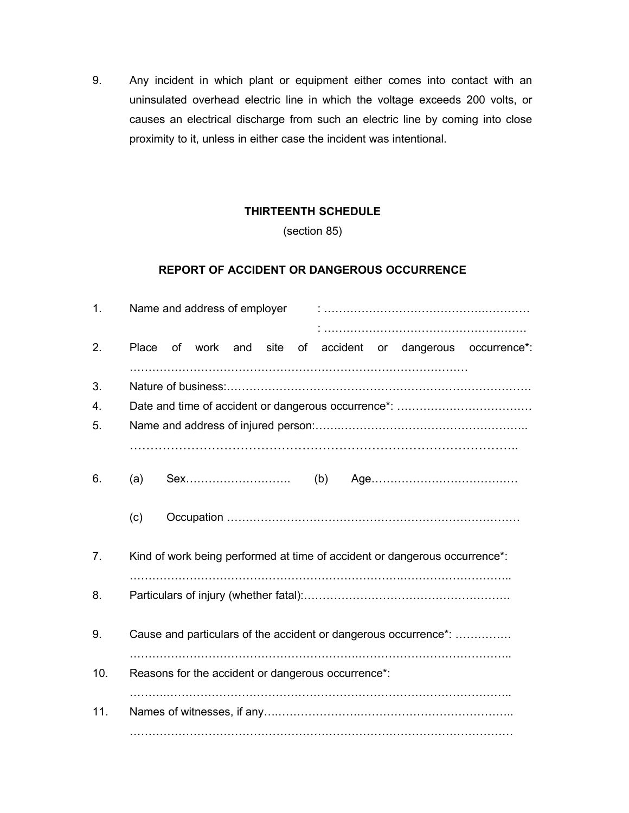9. Any incident in which plant or equipment either comes into contact with an uninsulated overhead electric line in which the voltage exceeds 200 volts, or causes an electrical discharge from such an electric line by coming into close proximity to it, unless in either case the incident was intentional.

## **THIRTEENTH SCHEDULE**

(section 85)

### **REPORT OF ACCIDENT OR DANGEROUS OCCURRENCE**

| 1.             | Name and address of employer                                                    |  |  |
|----------------|---------------------------------------------------------------------------------|--|--|
| 2.             | of work and site<br>of accident<br>dangerous occurrence*:<br><b>Place</b><br>or |  |  |
| 3.<br>4.<br>5. |                                                                                 |  |  |
| 6.             | (a)                                                                             |  |  |
|                | (c)                                                                             |  |  |
| 7.             | Kind of work being performed at time of accident or dangerous occurrence*:      |  |  |
| 8.             |                                                                                 |  |  |
| 9.             | Cause and particulars of the accident or dangerous occurrence*:                 |  |  |
| 10.            | Reasons for the accident or dangerous occurrence*:                              |  |  |
| 11.            |                                                                                 |  |  |
|                |                                                                                 |  |  |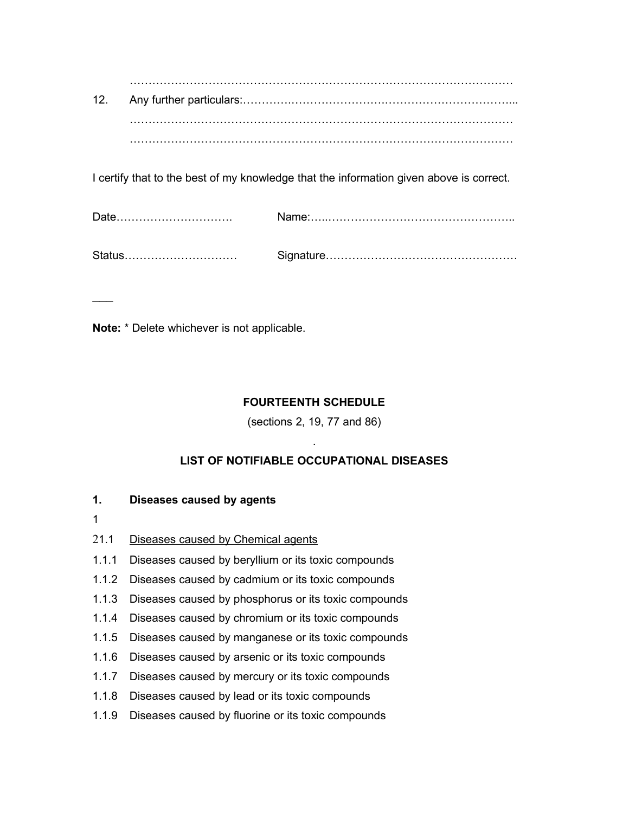………………………………………………………………………………………… 12. Any further particulars:………….…………………….……………………………... ………………………………………………………………………………………… …………………………………………………………………………………………

I certify that to the best of my knowledge that the information given above is correct.

**Note:** \* Delete whichever is not applicable.

# **FOURTEENTH SCHEDULE**

(sections 2, 19, 77 and 86)

# . **LIST OF NOTIFIABLE OCCUPATIONAL DISEASES**

## **1. Diseases caused by agents**

1

 $\overline{\phantom{a}}$ 

- 21.1 Diseases caused by Chemical agents
- 1.1.1 Diseases caused by beryllium or its toxic compounds
- 1.1.2 Diseases caused by cadmium or its toxic compounds
- 1.1.3 Diseases caused by phosphorus or its toxic compounds
- 1.1.4 Diseases caused by chromium or its toxic compounds
- 1.1.5 Diseases caused by manganese or its toxic compounds
- 1.1.6 Diseases caused by arsenic or its toxic compounds
- 1.1.7 Diseases caused by mercury or its toxic compounds
- 1.1.8 Diseases caused by lead or its toxic compounds
- 1.1.9 Diseases caused by fluorine or its toxic compounds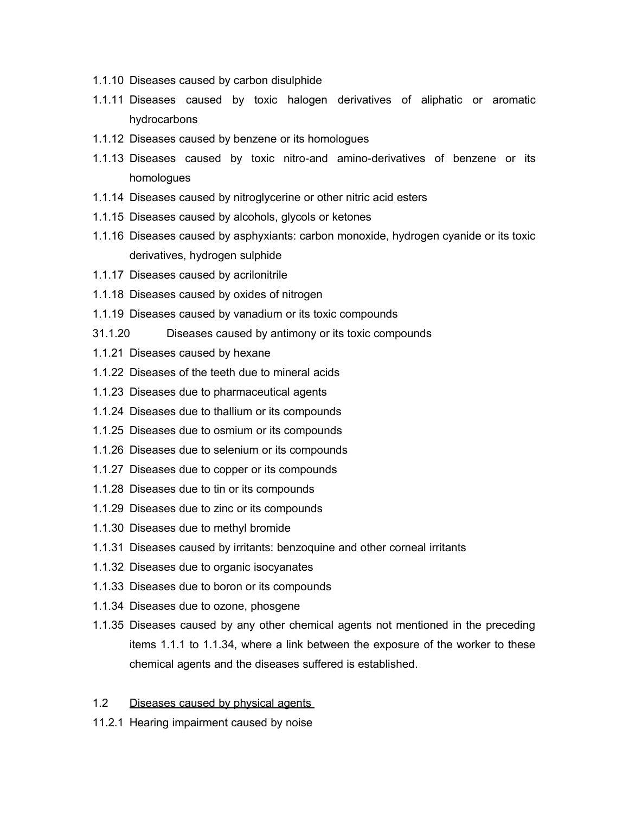- 1.1.10 Diseases caused by carbon disulphide
- 1.1.11 Diseases caused by toxic halogen derivatives of aliphatic or aromatic hydrocarbons
- 1.1.12 Diseases caused by benzene or its homologues
- 1.1.13 Diseases caused by toxic nitro-and amino-derivatives of benzene or its homologues
- 1.1.14 Diseases caused by nitroglycerine or other nitric acid esters
- 1.1.15 Diseases caused by alcohols, glycols or ketones
- 1.1.16 Diseases caused by asphyxiants: carbon monoxide, hydrogen cyanide or its toxic derivatives, hydrogen sulphide
- 1.1.17 Diseases caused by acrilonitrile
- 1.1.18 Diseases caused by oxides of nitrogen
- 1.1.19 Diseases caused by vanadium or its toxic compounds
- 31.1.20 Diseases caused by antimony or its toxic compounds
- 1.1.21 Diseases caused by hexane
- 1.1.22 Diseases of the teeth due to mineral acids
- 1.1.23 Diseases due to pharmaceutical agents
- 1.1.24 Diseases due to thallium or its compounds
- 1.1.25 Diseases due to osmium or its compounds
- 1.1.26 Diseases due to selenium or its compounds
- 1.1.27 Diseases due to copper or its compounds
- 1.1.28 Diseases due to tin or its compounds
- 1.1.29 Diseases due to zinc or its compounds
- 1.1.30 Diseases due to methyl bromide
- 1.1.31 Diseases caused by irritants: benzoquine and other corneal irritants
- 1.1.32 Diseases due to organic isocyanates
- 1.1.33 Diseases due to boron or its compounds
- 1.1.34 Diseases due to ozone, phosgene
- 1.1.35 Diseases caused by any other chemical agents not mentioned in the preceding items 1.1.1 to 1.1.34, where a link between the exposure of the worker to these chemical agents and the diseases suffered is established.
- 1.2 Diseases caused by physical agents
- 11.2.1 Hearing impairment caused by noise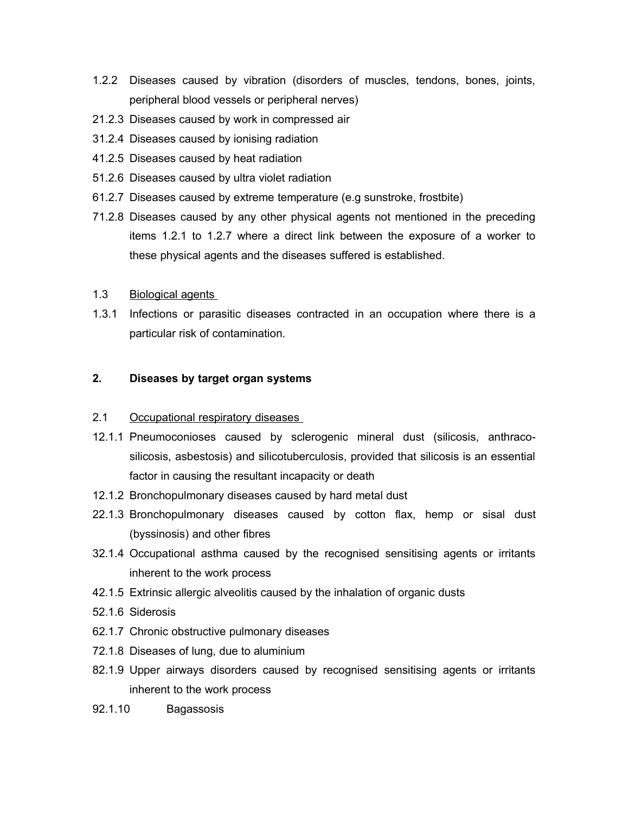- 1.2.2 Diseases caused by vibration (disorders of muscles, tendons, bones, joints, peripheral blood vessels or peripheral nerves)
- 21.2.3 Diseases caused by work in compressed air
- 31.2.4 Diseases caused by ionising radiation
- 41.2.5 Diseases caused by heat radiation
- 51.2.6 Diseases caused by ultra violet radiation
- 61.2.7 Diseases caused by extreme temperature (e.g sunstroke, frostbite)
- 71.2.8 Diseases caused by any other physical agents not mentioned in the preceding items 1.2.1 to 1.2.7 where a direct link between the exposure of a worker to these physical agents and the diseases suffered is established.
- 1.3 Biological agents
- 1.3.1 Infections or parasitic diseases contracted in an occupation where there is a particular risk of contamination.

#### **2. Diseases by target organ systems**

- 2.1 Occupational respiratory diseases
- 12.1.1 Pneumoconioses caused by sclerogenic mineral dust (silicosis, anthracosilicosis, asbestosis) and silicotuberculosis, provided that silicosis is an essential factor in causing the resultant incapacity or death
- 12.1.2 Bronchopulmonary diseases caused by hard metal dust
- 22.1.3 Bronchopulmonary diseases caused by cotton flax, hemp or sisal dust (byssinosis) and other fibres
- 32.1.4 Occupational asthma caused by the recognised sensitising agents or irritants inherent to the work process
- 42.1.5 Extrinsic allergic alveolitis caused by the inhalation of organic dusts
- 52.1.6 Siderosis
- 62.1.7 Chronic obstructive pulmonary diseases
- 72.1.8 Diseases of lung, due to aluminium
- 82.1.9 Upper airways disorders caused by recognised sensitising agents or irritants inherent to the work process
- 92.1.10 Bagassosis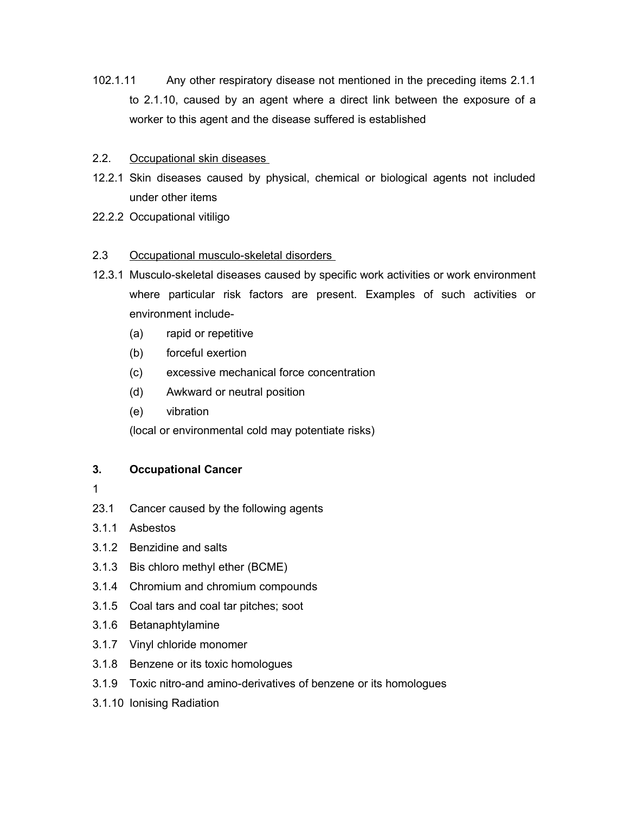- 102.1.11 Any other respiratory disease not mentioned in the preceding items 2.1.1 to 2.1.10, caused by an agent where a direct link between the exposure of a worker to this agent and the disease suffered is established
- 2.2. Occupational skin diseases
- 12.2.1 Skin diseases caused by physical, chemical or biological agents not included under other items
- 22.2.2 Occupational vitiligo

#### 2.3 Occupational musculo-skeletal disorders

- 12.3.1 Musculo-skeletal diseases caused by specific work activities or work environment where particular risk factors are present. Examples of such activities or environment include-
	- (a) rapid or repetitive
	- (b) forceful exertion
	- (c) excessive mechanical force concentration
	- (d) Awkward or neutral position
	- (e) vibration

(local or environmental cold may potentiate risks)

## **3. Occupational Cancer**

- 1
- 23.1 Cancer caused by the following agents
- 3.1.1 Asbestos
- 3.1.2 Benzidine and salts
- 3.1.3 Bis chloro methyl ether (BCME)
- 3.1.4 Chromium and chromium compounds
- 3.1.5 Coal tars and coal tar pitches; soot
- 3.1.6 Betanaphtylamine
- 3.1.7 Vinyl chloride monomer
- 3.1.8 Benzene or its toxic homologues
- 3.1.9 Toxic nitro-and amino-derivatives of benzene or its homologues
- 3.1.10 Ionising Radiation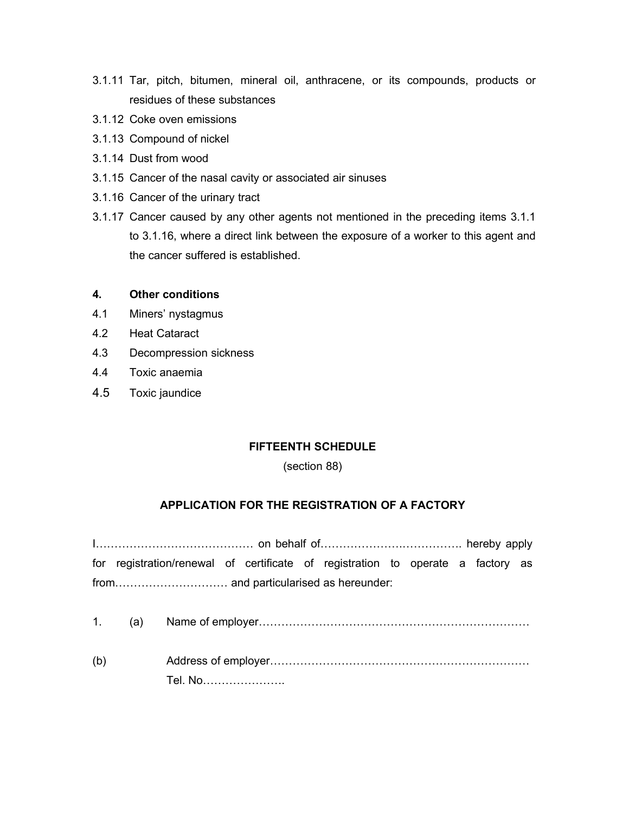- 3.1.11 Tar, pitch, bitumen, mineral oil, anthracene, or its compounds, products or residues of these substances
- 3.1.12 Coke oven emissions
- 3.1.13 Compound of nickel
- 3.1.14 Dust from wood
- 3.1.15 Cancer of the nasal cavity or associated air sinuses
- 3.1.16 Cancer of the urinary tract
- 3.1.17 Cancer caused by any other agents not mentioned in the preceding items 3.1.1 to 3.1.16, where a direct link between the exposure of a worker to this agent and the cancer suffered is established.

#### **4. Other conditions**

- 4.1 Miners' nystagmus
- 4.2 Heat Cataract
- 4.3 Decompression sickness
- 4.4 Toxic anaemia
- 4.5 Toxic jaundice

## **FIFTEENTH SCHEDULE**

#### (section 88)

## **APPLICATION FOR THE REGISTRATION OF A FACTORY**

I…………………………………… on behalf of………………….……………. hereby apply for registration/renewal of certificate of registration to operate a factory as from………………………… and particularised as hereunder:

- 1. (a) Name of employer………………………………………………………………
- (b) Address of employer…………………………………………………………… Tel. No………………….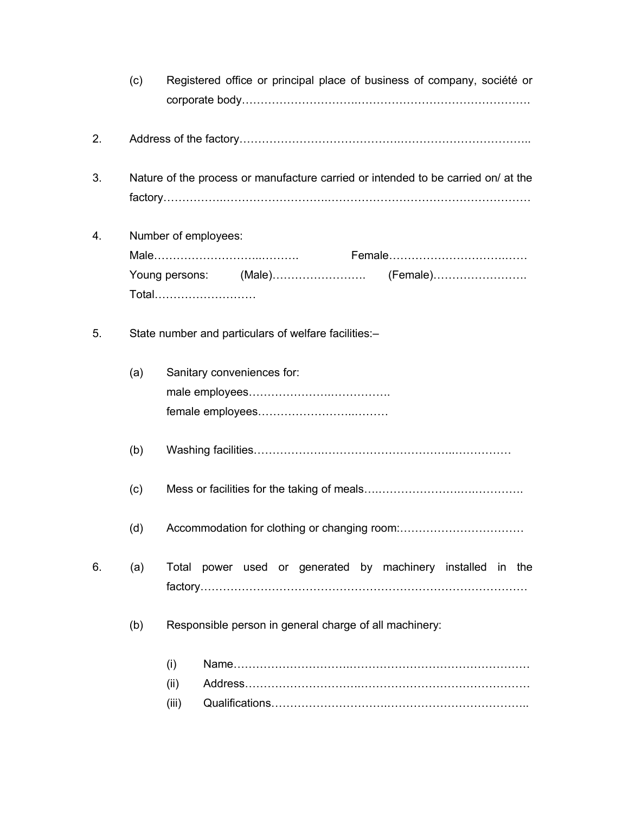|    | (c) | Registered office or principal place of business of company, société or           |
|----|-----|-----------------------------------------------------------------------------------|
| 2. |     |                                                                                   |
| 3. |     | Nature of the process or manufacture carried or intended to be carried on/ at the |
| 4. |     | Number of employees:<br>Total                                                     |
| 5. |     | State number and particulars of welfare facilities:-                              |
|    | (a) | Sanitary conveniences for:                                                        |
|    | (b) |                                                                                   |
|    | (c) |                                                                                   |
|    | (d) |                                                                                   |
| 6. | (a) | Total power used or generated by machinery installed in the                       |
|    | (b) | Responsible person in general charge of all machinery:                            |
|    |     | (i)<br>(ii)<br>(iii)                                                              |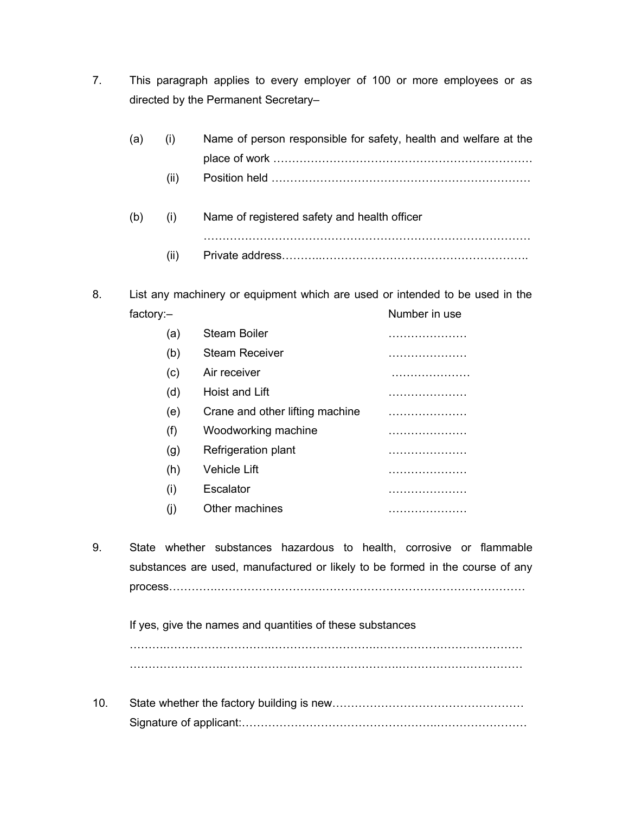7. This paragraph applies to every employer of 100 or more employees or as directed by the Permanent Secretary–

8. List any machinery or equipment which are used or intended to be used in the factory:- Number in use

| (a) | Steam Boiler                    |   |
|-----|---------------------------------|---|
| (b) | <b>Steam Receiver</b>           | . |
| (c) | Air receiver                    |   |
| (d) | Hoist and Lift                  | . |
| (e) | Crane and other lifting machine |   |
| (f) | Woodworking machine             |   |
| (g) | Refrigeration plant             |   |
| (h) | <b>Vehicle Lift</b>             |   |
| (i) | Escalator                       |   |
|     | Other machines                  | . |

9. State whether substances hazardous to health, corrosive or flammable substances are used, manufactured or likely to be formed in the course of any process………….……………………….………………………………………………

If yes, give the names and quantities of these substances

……….……………………….……………………….………………………………… …………………….……………….……………………….……………………………

10. State whether the factory building is new…………………………………………………………………………………………… Signature of applicant:…………………………………………….……………………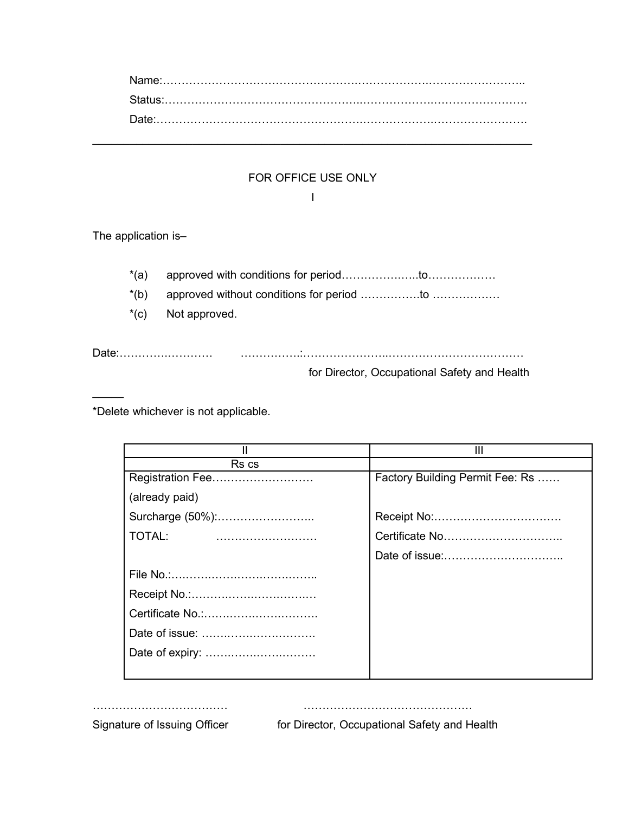| $\textbf{Date}:\textcolor{red}{\textbf{1}}\textcolor{red}{\textbf{1}}\textcolor{red}{\textbf{1}}\textcolor{red}{\textbf{1}}\textcolor{red}{\textbf{1}}\textcolor{red}{\textbf{1}}\textcolor{red}{\textbf{1}}\textcolor{red}{\textbf{1}}\textcolor{red}{\textbf{1}}\textcolor{red}{\textbf{1}}\textcolor{red}{\textbf{1}}\textcolor{red}{\textbf{1}}\textcolor{red}{\textbf{1}}\textcolor{red}{\textbf{1}}\textcolor{red}{\textbf{1}}\textcolor{red}{\textbf{1}}\textcolor{red}{\textbf{1}}\textcolor{red}{\textbf{$ |  |
|---------------------------------------------------------------------------------------------------------------------------------------------------------------------------------------------------------------------------------------------------------------------------------------------------------------------------------------------------------------------------------------------------------------------------------------------------------------------------------------------------------------------|--|

# FOR OFFICE USE ONLY I

\_\_\_\_\_\_\_\_\_\_\_\_\_\_\_\_\_\_\_\_\_\_\_\_\_\_\_\_\_\_\_\_\_\_\_\_\_\_\_\_\_\_\_\_\_\_\_\_\_\_\_\_\_\_\_\_\_\_\_\_\_\_\_\_\_\_\_\_\_\_

The application is–

 $\mathcal{L}$ 

\*(a) approved with conditions for period…………….…..to………………

\*(b) approved without conditions for period …………….to ………………

\*(c) Not approved.

Date:………….………… …………….:…………………..………………………………

for Director, Occupational Safety and Health

\*Delete whichever is not applicable.

|                  | Ш                               |
|------------------|---------------------------------|
| Rs cs            |                                 |
| Registration Fee | Factory Building Permit Fee: Rs |
| (already paid)   |                                 |
| Surcharge (50%): |                                 |
| TOTAL:           |                                 |
|                  |                                 |
|                  |                                 |
|                  |                                 |
|                  |                                 |
|                  |                                 |
| Date of expiry:  |                                 |
|                  |                                 |

……………………………… ………………………………………

Signature of Issuing Officer for Director, Occupational Safety and Health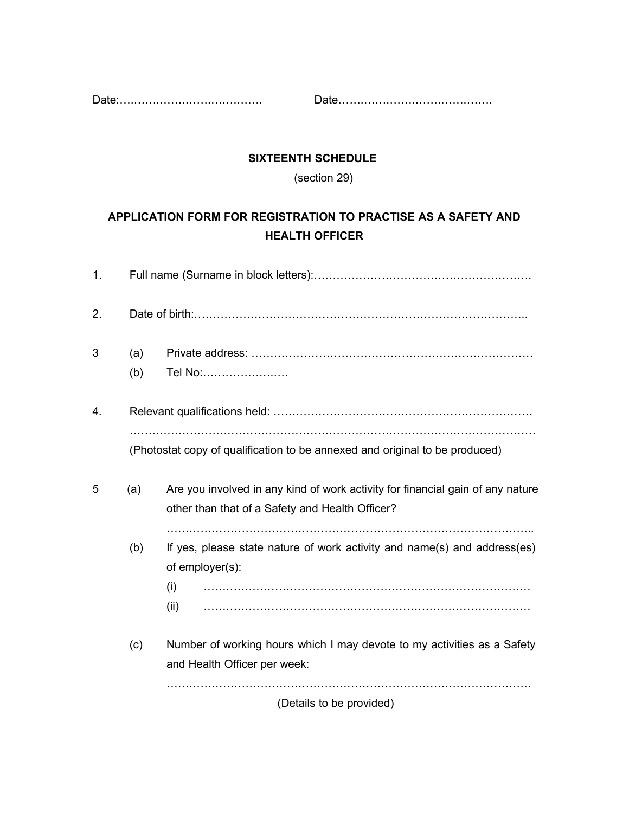Date:….…….…….…….…….……. Date…….…….…….…….…….…….

# **SIXTEENTH SCHEDULE**

(section 29)

# **APPLICATION FORM FOR REGISTRATION TO PRACTISE AS A SAFETY AND HEALTH OFFICER**

| 1. |            |                                                                                                                                   |
|----|------------|-----------------------------------------------------------------------------------------------------------------------------------|
| 2. |            |                                                                                                                                   |
| 3  | (a)<br>(b) | Tel No:                                                                                                                           |
| 4. |            | (Photostat copy of qualification to be annexed and original to be produced)                                                       |
| 5  | (a)        | Are you involved in any kind of work activity for financial gain of any nature<br>other than that of a Safety and Health Officer? |
|    | (b)        | If yes, please state nature of work activity and name(s) and address(es)<br>of employer(s):<br>(i)<br>(ii)                        |
|    | (c)        | Number of working hours which I may devote to my activities as a Safety<br>and Health Officer per week:                           |
|    |            | (Details to be provided)                                                                                                          |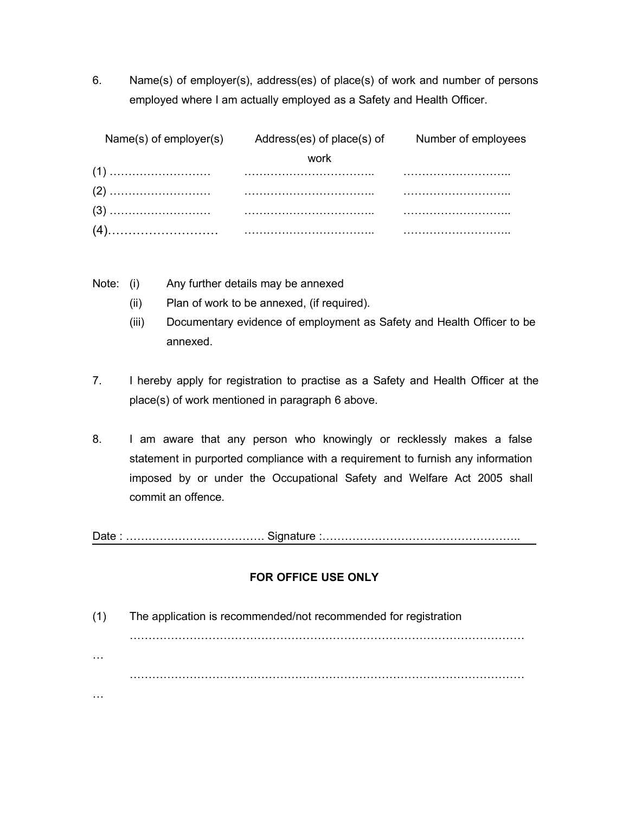6. Name(s) of employer(s), address(es) of place(s) of work and number of persons employed where I am actually employed as a Safety and Health Officer.

| Name(s) of employer(s) Address(es) of place(s) of Number of employees |  |
|-----------------------------------------------------------------------|--|
| work                                                                  |  |
|                                                                       |  |
|                                                                       |  |
|                                                                       |  |
|                                                                       |  |

Note: (i) Any further details may be annexed

- (ii) Plan of work to be annexed, (if required).
- (iii) Documentary evidence of employment as Safety and Health Officer to be annexed.
- 7. I hereby apply for registration to practise as a Safety and Health Officer at the place(s) of work mentioned in paragraph 6 above.
- 8. I am aware that any person who knowingly or recklessly makes a false statement in purported compliance with a requirement to furnish any information imposed by or under the Occupational Safety and Welfare Act 2005 shall commit an offence.

Date : ………………………………. Signature :……………………………………………..

## **FOR OFFICE USE ONLY**

(1) The application is recommended/not recommended for registration …………………………………………………………………………………………… … …………………………………………………………………………………………… …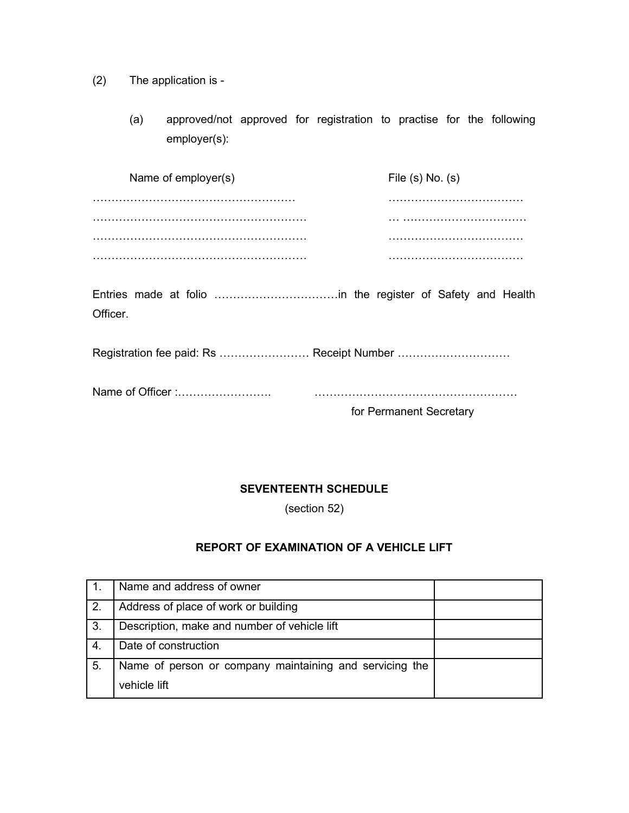- (2) The application is
	- (a) approved/not approved for registration to practise for the following employer(s):

| Name of employer(s) | File $(s)$ No. $(s)$ |
|---------------------|----------------------|
|                     |                      |
|                     |                      |
|                     |                      |
|                     |                      |

Entries made at folio ……………………………in the register of Safety and Health Officer.

Registration fee paid: Rs ........................ Receipt Number ..................................

|--|--|

for Permanent Secretary

## **SEVENTEENTH SCHEDULE**

(section 52)

# **REPORT OF EXAMINATION OF A VEHICLE LIFT**

|    | Name and address of owner                               |  |
|----|---------------------------------------------------------|--|
| 2. | Address of place of work or building                    |  |
| 3. | Description, make and number of vehicle lift            |  |
| 4. | Date of construction                                    |  |
| 5. | Name of person or company maintaining and servicing the |  |
|    | vehicle lift                                            |  |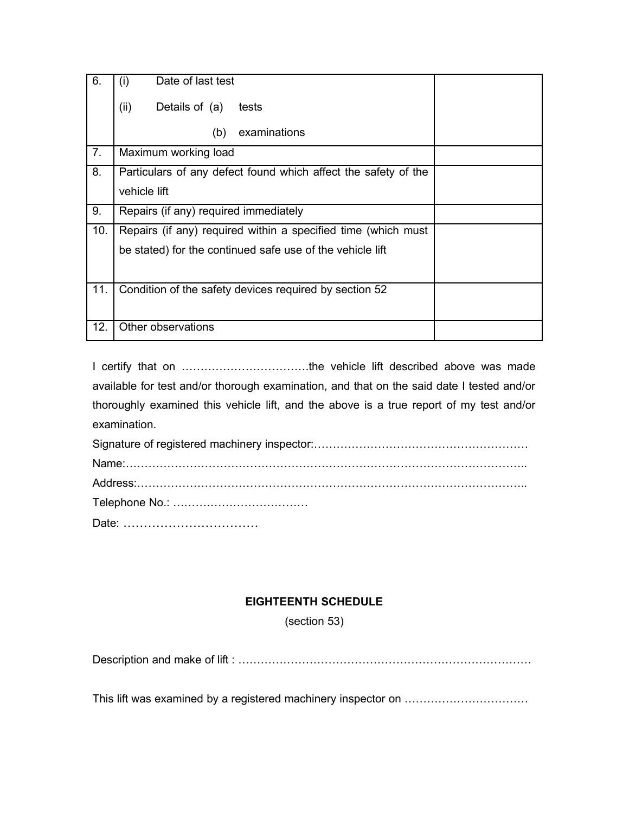| 6.  | Date of last test<br>(i)                                       |
|-----|----------------------------------------------------------------|
|     | (ii)<br>Details of (a)<br>tests                                |
|     | examinations<br>(b)                                            |
| 7.  | Maximum working load                                           |
| 8.  | Particulars of any defect found which affect the safety of the |
|     | vehicle lift                                                   |
| 9.  | Repairs (if any) required immediately                          |
| 10. | Repairs (if any) required within a specified time (which must  |
|     | be stated) for the continued safe use of the vehicle lift      |
|     |                                                                |
| 11. | Condition of the safety devices required by section 52         |
|     |                                                                |
| 12. | Other observations                                             |

I certify that on …………………………….the vehicle lift described above was made available for test and/or thorough examination, and that on the said date I tested and/or thoroughly examined this vehicle lift, and the above is a true report of my test and/or examination.

## **EIGHTEENTH SCHEDULE**

(section 53)

Description and make of lift : ……………………………………………………………………

This lift was examined by a registered machinery inspector on ……………………………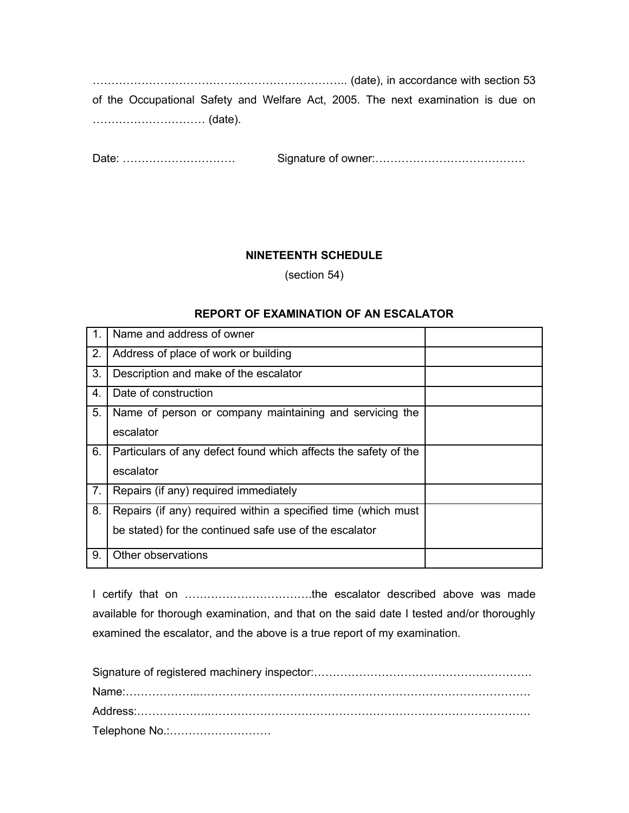………………………………………………………….. (date), in accordance with section 53 of the Occupational Safety and Welfare Act, 2005. The next examination is due on ………………………… (date).

Date: ………………………… Signature of owner:………………………………….

## **NINETEENTH SCHEDULE**

(section 54)

#### **REPORT OF EXAMINATION OF AN ESCALATOR**

| $\mathbf{1}$ . | Name and address of owner                                       |  |
|----------------|-----------------------------------------------------------------|--|
| 2.             | Address of place of work or building                            |  |
| 3.             | Description and make of the escalator                           |  |
| 4.             | Date of construction                                            |  |
| 5.             | Name of person or company maintaining and servicing the         |  |
|                | escalator                                                       |  |
| 6.             | Particulars of any defect found which affects the safety of the |  |
|                | escalator                                                       |  |
| 7.             | Repairs (if any) required immediately                           |  |
| 8.             | Repairs (if any) required within a specified time (which must   |  |
|                | be stated) for the continued safe use of the escalator          |  |
| 9.             | Other observations                                              |  |

I certify that on …………………………….the escalator described above was made available for thorough examination, and that on the said date I tested and/or thoroughly examined the escalator, and the above is a true report of my examination.

| Telephone No.: |
|----------------|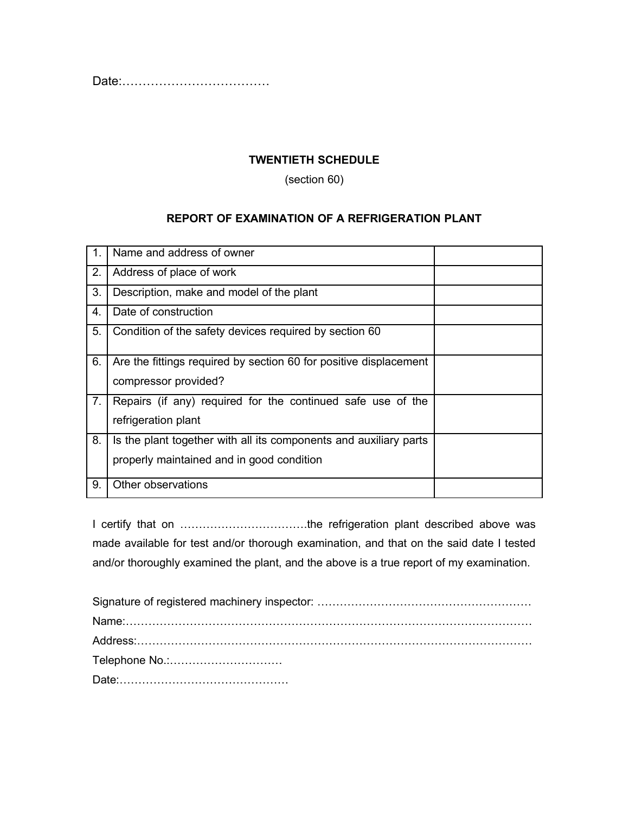Date:………………………………

# **TWENTIETH SCHEDULE**

(section 60)

#### **REPORT OF EXAMINATION OF A REFRIGERATION PLANT**

|    | Name and address of owner                                         |  |
|----|-------------------------------------------------------------------|--|
| 2. | Address of place of work                                          |  |
| 3. | Description, make and model of the plant                          |  |
| 4. | Date of construction                                              |  |
| 5. | Condition of the safety devices required by section 60            |  |
| 6. | Are the fittings required by section 60 for positive displacement |  |
|    | compressor provided?                                              |  |
| 7. | Repairs (if any) required for the continued safe use of the       |  |
|    | refrigeration plant                                               |  |
| 8. | Is the plant together with all its components and auxiliary parts |  |
|    | properly maintained and in good condition                         |  |
| 9. | Other observations                                                |  |

I certify that on …………………………….the refrigeration plant described above was made available for test and/or thorough examination, and that on the said date I tested and/or thoroughly examined the plant, and the above is a true report of my examination.